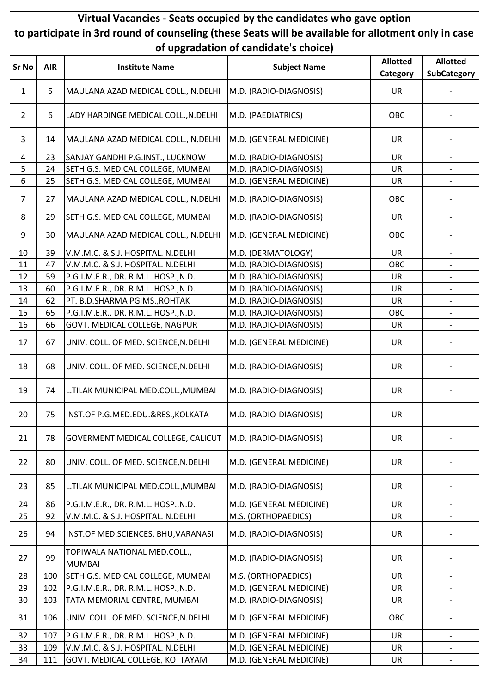## Virtual Vacancies - Seats occupied by the candidates who gave option to participate in 3rd round of counseling (these Seats will be available for allotment only in case of upgradation of candidate's choice)

|              |            |                                               | or apgrauation or candidate's choice) |                 |                              |
|--------------|------------|-----------------------------------------------|---------------------------------------|-----------------|------------------------------|
| <b>Sr No</b> | <b>AIR</b> | <b>Institute Name</b>                         | <b>Subject Name</b>                   | <b>Allotted</b> | <b>Allotted</b>              |
|              |            |                                               |                                       | Category        | <b>SubCategory</b>           |
| 1            | 5          | MAULANA AZAD MEDICAL COLL., N.DELHI           | M.D. (RADIO-DIAGNOSIS)                | <b>UR</b>       | $\overline{\phantom{a}}$     |
| $\mathbf{2}$ | 6          | LADY HARDINGE MEDICAL COLL., N.DELHI          | M.D. (PAEDIATRICS)                    | OBC             |                              |
| 3            | 14         | MAULANA AZAD MEDICAL COLL., N.DELHI           | M.D. (GENERAL MEDICINE)               | <b>UR</b>       |                              |
| 4            | 23         | SANJAY GANDHI P.G.INST., LUCKNOW              | M.D. (RADIO-DIAGNOSIS)                | <b>UR</b>       | $\overline{\phantom{a}}$     |
| 5            | 24         | SETH G.S. MEDICAL COLLEGE, MUMBAI             | M.D. (RADIO-DIAGNOSIS)                | UR              | $\overline{\phantom{a}}$     |
| 6            | 25         | SETH G.S. MEDICAL COLLEGE, MUMBAI             | M.D. (GENERAL MEDICINE)               | UR              |                              |
| 7            | 27         | MAULANA AZAD MEDICAL COLL., N.DELHI           | M.D. (RADIO-DIAGNOSIS)                | OBC             |                              |
| 8            | 29         | SETH G.S. MEDICAL COLLEGE, MUMBAI             | M.D. (RADIO-DIAGNOSIS)                | <b>UR</b>       |                              |
| 9            | 30         | MAULANA AZAD MEDICAL COLL., N.DELHI           | M.D. (GENERAL MEDICINE)               | OBC             |                              |
| 10           | 39         | V.M.M.C. & S.J. HOSPITAL. N.DELHI             | M.D. (DERMATOLOGY)                    | <b>UR</b>       | $\qquad \qquad \blacksquare$ |
| 11           | 47         | V.M.M.C. & S.J. HOSPITAL. N.DELHI             | M.D. (RADIO-DIAGNOSIS)                | OBC             |                              |
| 12           | 59         | P.G.I.M.E.R., DR. R.M.L. HOSP., N.D.          | M.D. (RADIO-DIAGNOSIS)                | UR              | $\qquad \qquad -$            |
| 13           | 60         | P.G.I.M.E.R., DR. R.M.L. HOSP., N.D.          | M.D. (RADIO-DIAGNOSIS)                | <b>UR</b>       | $\overline{\phantom{a}}$     |
| 14           | 62         | PT. B.D.SHARMA PGIMS., ROHTAK                 | M.D. (RADIO-DIAGNOSIS)                | <b>UR</b>       |                              |
| 15           | 65         | P.G.I.M.E.R., DR. R.M.L. HOSP., N.D.          | M.D. (RADIO-DIAGNOSIS)                | OBC             | $\qquad \qquad -$            |
| 16           | 66         | GOVT. MEDICAL COLLEGE, NAGPUR                 | M.D. (RADIO-DIAGNOSIS)                | UR              |                              |
| 17           | 67         | UNIV. COLL. OF MED. SCIENCE, N.DELHI          | M.D. (GENERAL MEDICINE)               | <b>UR</b>       |                              |
| 18           | 68         | UNIV. COLL. OF MED. SCIENCE, N.DELHI          | M.D. (RADIO-DIAGNOSIS)                | UR              |                              |
| 19           | 74         | L.TILAK MUNICIPAL MED.COLL., MUMBAI           | M.D. (RADIO-DIAGNOSIS)                | UR              |                              |
| 20           | 75         | INST.OF P.G.MED.EDU.&RES., KOLKATA            | M.D. (RADIO-DIAGNOSIS)                | <b>UR</b>       |                              |
| 21           | 78         | GOVERMENT MEDICAL COLLEGE, CALICUT            | M.D. (RADIO-DIAGNOSIS)                | <b>UR</b>       |                              |
| 22           | 80         | UNIV. COLL. OF MED. SCIENCE, N.DELHI          | M.D. (GENERAL MEDICINE)               | <b>UR</b>       |                              |
| 23           | 85         | L.TILAK MUNICIPAL MED.COLL., MUMBAI           | M.D. (RADIO-DIAGNOSIS)                | <b>UR</b>       |                              |
| 24           | 86         | P.G.I.M.E.R., DR. R.M.L. HOSP., N.D.          | M.D. (GENERAL MEDICINE)               | UR              |                              |
| 25           | 92         | V.M.M.C. & S.J. HOSPITAL. N.DELHI             | M.S. (ORTHOPAEDICS)                   | <b>UR</b>       |                              |
| 26           | 94         | INST.OF MED.SCIENCES, BHU, VARANASI           | M.D. (RADIO-DIAGNOSIS)                | UR              |                              |
| 27           | 99         | TOPIWALA NATIONAL MED.COLL.,<br><b>MUMBAI</b> | M.D. (RADIO-DIAGNOSIS)                | <b>UR</b>       |                              |
| 28           | 100        | SETH G.S. MEDICAL COLLEGE, MUMBAI             | M.S. (ORTHOPAEDICS)                   | <b>UR</b>       |                              |
| 29           | 102        | P.G.I.M.E.R., DR. R.M.L. HOSP., N.D.          | M.D. (GENERAL MEDICINE)               | <b>UR</b>       |                              |
| 30           | 103        | TATA MEMORIAL CENTRE, MUMBAI                  | M.D. (RADIO-DIAGNOSIS)                | <b>UR</b>       | $\overline{\phantom{a}}$     |
| 31           | 106        | UNIV. COLL. OF MED. SCIENCE, N.DELHI          | M.D. (GENERAL MEDICINE)               | OBC             |                              |
| 32           | 107        | P.G.I.M.E.R., DR. R.M.L. HOSP., N.D.          | M.D. (GENERAL MEDICINE)               | <b>UR</b>       |                              |
| 33           | 109        | V.M.M.C. & S.J. HOSPITAL. N.DELHI             | M.D. (GENERAL MEDICINE)               | <b>UR</b>       | $\overline{\phantom{a}}$     |
| 34           | 111        | GOVT. MEDICAL COLLEGE, KOTTAYAM               | M.D. (GENERAL MEDICINE)               | <b>UR</b>       | $\overline{\phantom{0}}$     |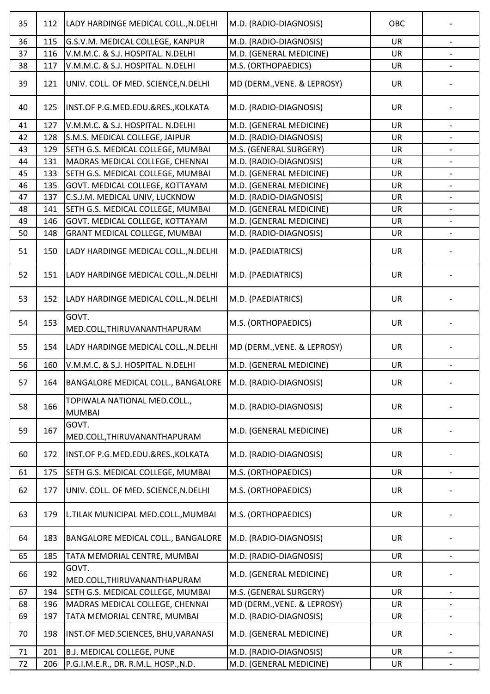| 35 | 112 | LADY HARDINGE MEDICAL COLL., N. DELHI                       | M.D. (RADIO-DIAGNOSIS)      | OBC       |                          |
|----|-----|-------------------------------------------------------------|-----------------------------|-----------|--------------------------|
| 36 | 115 | G.S.V.M. MEDICAL COLLEGE, KANPUR                            | M.D. (RADIO-DIAGNOSIS)      | <b>UR</b> | $\overline{\phantom{a}}$ |
| 37 | 116 | V.M.M.C. & S.J. HOSPITAL. N.DELHI                           | M.D. (GENERAL MEDICINE)     | <b>UR</b> |                          |
| 38 | 117 | V.M.M.C. & S.J. HOSPITAL. N.DELHI                           | M.S. (ORTHOPAEDICS)         | <b>UR</b> |                          |
| 39 | 121 | UNIV. COLL. OF MED. SCIENCE, N.DELHI                        | MD (DERM., VENE. & LEPROSY) | <b>UR</b> |                          |
| 40 | 125 | INST.OF P.G.MED.EDU.&RES., KOLKATA                          | M.D. (RADIO-DIAGNOSIS)      | <b>UR</b> |                          |
| 41 | 127 | V.M.M.C. & S.J. HOSPITAL. N.DELHI                           | M.D. (GENERAL MEDICINE)     | <b>UR</b> | $\qquad \qquad -$        |
| 42 | 128 | S.M.S. MEDICAL COLLEGE, JAIPUR                              | M.D. (RADIO-DIAGNOSIS)      | <b>UR</b> |                          |
| 43 | 129 | SETH G.S. MEDICAL COLLEGE, MUMBAI                           | M.S. (GENERAL SURGERY)      | <b>UR</b> |                          |
| 44 | 131 | MADRAS MEDICAL COLLEGE, CHENNAI                             | M.D. (RADIO-DIAGNOSIS)      | <b>UR</b> |                          |
| 45 | 133 | SETH G.S. MEDICAL COLLEGE, MUMBAI                           | M.D. (GENERAL MEDICINE)     | UR        |                          |
| 46 | 135 | GOVT. MEDICAL COLLEGE, KOTTAYAM                             | M.D. (GENERAL MEDICINE)     | UR        | $\overline{\phantom{0}}$ |
| 47 | 137 | C.S.J.M. MEDICAL UNIV, LUCKNOW                              | M.D. (RADIO-DIAGNOSIS)      | UR        |                          |
| 48 | 141 | SETH G.S. MEDICAL COLLEGE, MUMBAI                           | M.D. (GENERAL MEDICINE)     | UR        |                          |
| 49 | 146 | GOVT. MEDICAL COLLEGE, KOTTAYAM                             | M.D. (GENERAL MEDICINE)     | <b>UR</b> |                          |
| 50 | 148 | GRANT MEDICAL COLLEGE, MUMBAI                               | M.D. (RADIO-DIAGNOSIS)      | UR        |                          |
| 51 | 150 | LADY HARDINGE MEDICAL COLL., N.DELHI                        | M.D. (PAEDIATRICS)          | <b>UR</b> |                          |
| 52 | 151 | LADY HARDINGE MEDICAL COLL., N.DELHI                        | M.D. (PAEDIATRICS)          | <b>UR</b> |                          |
| 53 | 152 | LADY HARDINGE MEDICAL COLL., N.DELHI                        | M.D. (PAEDIATRICS)          | <b>UR</b> |                          |
| 54 | 153 | GOVT.<br>MED.COLL, THIRUVANANTHAPURAM                       | M.S. (ORTHOPAEDICS)         | UR        |                          |
| 55 | 154 | LADY HARDINGE MEDICAL COLL., N.DELHI                        | MD (DERM., VENE. & LEPROSY) | <b>UR</b> |                          |
| 56 | 160 | V.M.M.C. & S.J. HOSPITAL. N.DELHI                           | M.D. (GENERAL MEDICINE)     | <b>UR</b> |                          |
| 57 | 164 | BANGALORE MEDICAL COLL., BANGALORE   M.D. (RADIO-DIAGNOSIS) |                             | UR        |                          |
| 58 | 166 | TOPIWALA NATIONAL MED.COLL.,<br><b>MUMBAI</b>               | M.D. (RADIO-DIAGNOSIS)      | <b>UR</b> |                          |
| 59 | 167 | GOVT.<br>MED.COLL, THIRUVANANTHAPURAM                       | M.D. (GENERAL MEDICINE)     | <b>UR</b> |                          |
| 60 | 172 | INST.OF P.G.MED.EDU.&RES., KOLKATA                          | M.D. (RADIO-DIAGNOSIS)      | <b>UR</b> |                          |
| 61 | 175 | SETH G.S. MEDICAL COLLEGE, MUMBAI                           | M.S. (ORTHOPAEDICS)         | <b>UR</b> |                          |
| 62 | 177 | UNIV. COLL. OF MED. SCIENCE, N.DELHI                        | M.S. (ORTHOPAEDICS)         | <b>UR</b> |                          |
| 63 | 179 | L.TILAK MUNICIPAL MED.COLL., MUMBAI                         | M.S. (ORTHOPAEDICS)         | <b>UR</b> |                          |
| 64 | 183 | BANGALORE MEDICAL COLL., BANGALORE                          | M.D. (RADIO-DIAGNOSIS)      | <b>UR</b> |                          |
| 65 | 185 | TATA MEMORIAL CENTRE, MUMBAI                                | M.D. (RADIO-DIAGNOSIS)      | <b>UR</b> | $\overline{\phantom{0}}$ |
| 66 | 192 | GOVT.<br>MED.COLL, THIRUVANANTHAPURAM                       | M.D. (GENERAL MEDICINE)     | <b>UR</b> |                          |
| 67 | 194 | SETH G.S. MEDICAL COLLEGE, MUMBAI                           | M.S. (GENERAL SURGERY)      | <b>UR</b> |                          |
| 68 | 196 | MADRAS MEDICAL COLLEGE, CHENNAI                             | MD (DERM., VENE. & LEPROSY) | <b>UR</b> |                          |
| 69 | 197 | TATA MEMORIAL CENTRE, MUMBAI                                | M.D. (RADIO-DIAGNOSIS)      | UR        |                          |
| 70 | 198 | INST.OF MED.SCIENCES, BHU, VARANASI                         | M.D. (GENERAL MEDICINE)     | <b>UR</b> |                          |
| 71 | 201 | <b>B.J. MEDICAL COLLEGE, PUNE</b>                           | M.D. (RADIO-DIAGNOSIS)      | <b>UR</b> |                          |
| 72 | 206 | P.G.I.M.E.R., DR. R.M.L. HOSP., N.D.                        | M.D. (GENERAL MEDICINE)     | UR        |                          |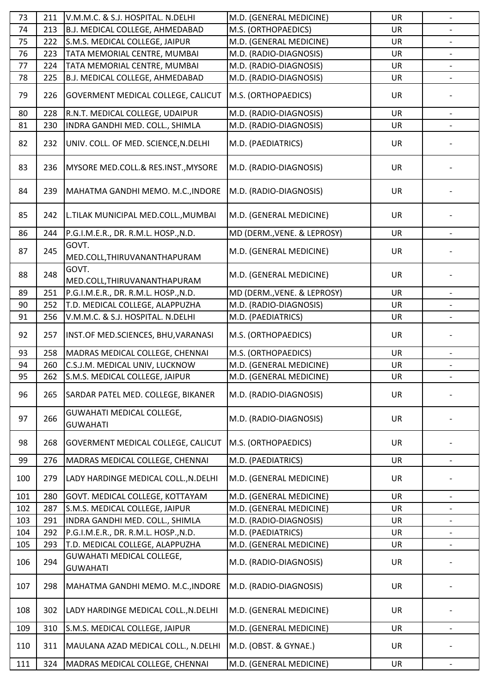| 73  | 211 | V.M.M.C. & S.J. HOSPITAL. N.DELHI                   | M.D. (GENERAL MEDICINE)     | <b>UR</b> | $\overline{\phantom{a}}$ |
|-----|-----|-----------------------------------------------------|-----------------------------|-----------|--------------------------|
| 74  | 213 | B.J. MEDICAL COLLEGE, AHMEDABAD                     | M.S. (ORTHOPAEDICS)         | <b>UR</b> |                          |
| 75  | 222 | S.M.S. MEDICAL COLLEGE, JAIPUR                      | M.D. (GENERAL MEDICINE)     | <b>UR</b> |                          |
| 76  | 223 | TATA MEMORIAL CENTRE, MUMBAI                        | M.D. (RADIO-DIAGNOSIS)      | <b>UR</b> | $\overline{\phantom{a}}$ |
| 77  | 224 | TATA MEMORIAL CENTRE, MUMBAI                        | M.D. (RADIO-DIAGNOSIS)      | <b>UR</b> |                          |
| 78  | 225 | B.J. MEDICAL COLLEGE, AHMEDABAD                     | M.D. (RADIO-DIAGNOSIS)      | <b>UR</b> | $\qquad \qquad -$        |
| 79  | 226 | GOVERMENT MEDICAL COLLEGE, CALICUT                  | M.S. (ORTHOPAEDICS)         | <b>UR</b> |                          |
| 80  | 228 | R.N.T. MEDICAL COLLEGE, UDAIPUR                     | M.D. (RADIO-DIAGNOSIS)      | <b>UR</b> | $\overline{\phantom{0}}$ |
| 81  | 230 | INDRA GANDHI MED. COLL., SHIMLA                     | M.D. (RADIO-DIAGNOSIS)      | UR        |                          |
| 82  | 232 | UNIV. COLL. OF MED. SCIENCE, N.DELHI                | M.D. (PAEDIATRICS)          | <b>UR</b> |                          |
| 83  | 236 | MYSORE MED.COLL.& RES.INST., MYSORE                 | M.D. (RADIO-DIAGNOSIS)      | UR        |                          |
| 84  | 239 | MAHATMA GANDHI MEMO. M.C., INDORE                   | M.D. (RADIO-DIAGNOSIS)      | <b>UR</b> |                          |
| 85  | 242 | L.TILAK MUNICIPAL MED.COLL., MUMBAI                 | M.D. (GENERAL MEDICINE)     | UR        |                          |
| 86  | 244 | P.G.I.M.E.R., DR. R.M.L. HOSP., N.D.                | MD (DERM., VENE. & LEPROSY) | <b>UR</b> |                          |
| 87  | 245 | GOVT.<br>MED.COLL, THIRUVANANTHAPURAM               | M.D. (GENERAL MEDICINE)     | <b>UR</b> |                          |
| 88  | 248 | GOVT.<br>MED.COLL, THIRUVANANTHAPURAM               | M.D. (GENERAL MEDICINE)     | <b>UR</b> |                          |
| 89  | 251 | P.G.I.M.E.R., DR. R.M.L. HOSP., N.D.                | MD (DERM., VENE. & LEPROSY) | <b>UR</b> |                          |
| 90  | 252 | T.D. MEDICAL COLLEGE, ALAPPUZHA                     | M.D. (RADIO-DIAGNOSIS)      | <b>UR</b> |                          |
| 91  | 256 | V.M.M.C. & S.J. HOSPITAL. N.DELHI                   | M.D. (PAEDIATRICS)          | <b>UR</b> |                          |
| 92  | 257 | INST.OF MED.SCIENCES, BHU, VARANASI                 | M.S. (ORTHOPAEDICS)         | <b>UR</b> |                          |
| 93  | 258 | MADRAS MEDICAL COLLEGE, CHENNAI                     | M.S. (ORTHOPAEDICS)         | <b>UR</b> |                          |
| 94  | 260 | C.S.J.M. MEDICAL UNIV, LUCKNOW                      | M.D. (GENERAL MEDICINE)     | <b>UR</b> | $\overline{\phantom{a}}$ |
| 95  | 262 | S.M.S. MEDICAL COLLEGE, JAIPUR                      | M.D. (GENERAL MEDICINE)     | UR        |                          |
| 96  | 265 | SARDAR PATEL MED. COLLEGE, BIKANER                  | M.D. (RADIO-DIAGNOSIS)      | <b>UR</b> |                          |
| 97  | 266 | <b>GUWAHATI MEDICAL COLLEGE,</b><br><b>GUWAHATI</b> | M.D. (RADIO-DIAGNOSIS)      | <b>UR</b> |                          |
| 98  | 268 | <b>GOVERMENT MEDICAL COLLEGE, CALICUT</b>           | M.S. (ORTHOPAEDICS)         | <b>UR</b> |                          |
| 99  | 276 | MADRAS MEDICAL COLLEGE, CHENNAI                     | M.D. (PAEDIATRICS)          | <b>UR</b> |                          |
| 100 | 279 | LADY HARDINGE MEDICAL COLL., N.DELHI                | M.D. (GENERAL MEDICINE)     | <b>UR</b> |                          |
| 101 | 280 | GOVT. MEDICAL COLLEGE, KOTTAYAM                     | M.D. (GENERAL MEDICINE)     | <b>UR</b> |                          |
| 102 | 287 | S.M.S. MEDICAL COLLEGE, JAIPUR                      | M.D. (GENERAL MEDICINE)     | <b>UR</b> | $\overline{\phantom{a}}$ |
| 103 | 291 | INDRA GANDHI MED. COLL., SHIMLA                     | M.D. (RADIO-DIAGNOSIS)      | UR        | -                        |
| 104 | 292 | P.G.I.M.E.R., DR. R.M.L. HOSP., N.D.                | M.D. (PAEDIATRICS)          | UR        | $\overline{\phantom{a}}$ |
| 105 | 293 | T.D. MEDICAL COLLEGE, ALAPPUZHA                     | M.D. (GENERAL MEDICINE)     | <b>UR</b> |                          |
| 106 | 294 | <b>GUWAHATI MEDICAL COLLEGE,</b><br><b>GUWAHATI</b> | M.D. (RADIO-DIAGNOSIS)      | <b>UR</b> |                          |
| 107 | 298 | MAHATMA GANDHI MEMO. M.C., INDORE                   | M.D. (RADIO-DIAGNOSIS)      | <b>UR</b> |                          |
| 108 | 302 | LADY HARDINGE MEDICAL COLL., N.DELHI                | M.D. (GENERAL MEDICINE)     | <b>UR</b> |                          |
| 109 | 310 | S.M.S. MEDICAL COLLEGE, JAIPUR                      | M.D. (GENERAL MEDICINE)     | <b>UR</b> |                          |
| 110 | 311 | MAULANA AZAD MEDICAL COLL., N.DELHI                 | M.D. (OBST. & GYNAE.)       | <b>UR</b> |                          |
| 111 | 324 | MADRAS MEDICAL COLLEGE, CHENNAI                     | M.D. (GENERAL MEDICINE)     | UR        |                          |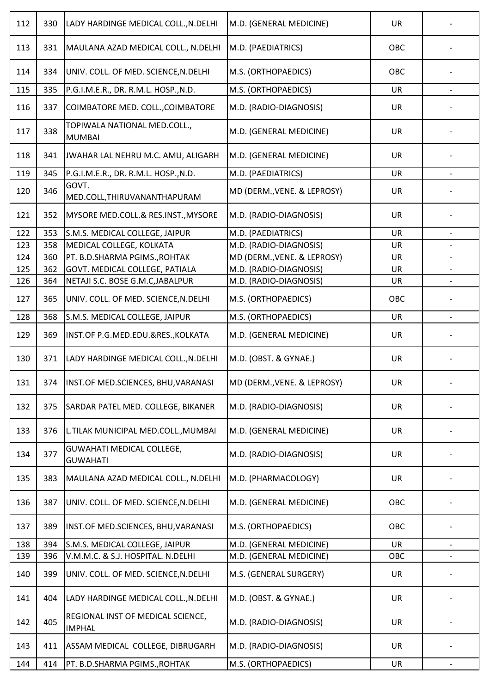| 112 | 330 | LADY HARDINGE MEDICAL COLL., N.DELHI               | M.D. (GENERAL MEDICINE)     | <b>UR</b> |  |
|-----|-----|----------------------------------------------------|-----------------------------|-----------|--|
| 113 | 331 | MAULANA AZAD MEDICAL COLL., N.DELHI                | M.D. (PAEDIATRICS)          | OBC       |  |
| 114 | 334 | UNIV. COLL. OF MED. SCIENCE, N.DELHI               | M.S. (ORTHOPAEDICS)         | OBC       |  |
| 115 | 335 | P.G.I.M.E.R., DR. R.M.L. HOSP., N.D.               | M.S. (ORTHOPAEDICS)         | <b>UR</b> |  |
| 116 | 337 | COIMBATORE MED. COLL., COIMBATORE                  | M.D. (RADIO-DIAGNOSIS)      | <b>UR</b> |  |
| 117 | 338 | TOPIWALA NATIONAL MED.COLL.,<br><b>MUMBAI</b>      | M.D. (GENERAL MEDICINE)     | <b>UR</b> |  |
| 118 | 341 | JWAHAR LAL NEHRU M.C. AMU, ALIGARH                 | M.D. (GENERAL MEDICINE)     | <b>UR</b> |  |
| 119 | 345 | P.G.I.M.E.R., DR. R.M.L. HOSP., N.D.               | M.D. (PAEDIATRICS)          | <b>UR</b> |  |
| 120 | 346 | GOVT.<br>MED.COLL, THIRUVANANTHAPURAM              | MD (DERM., VENE. & LEPROSY) | <b>UR</b> |  |
| 121 | 352 | MYSORE MED.COLL.& RES.INST., MYSORE                | M.D. (RADIO-DIAGNOSIS)      | <b>UR</b> |  |
| 122 | 353 | S.M.S. MEDICAL COLLEGE, JAIPUR                     | M.D. (PAEDIATRICS)          | <b>UR</b> |  |
| 123 | 358 | MEDICAL COLLEGE, KOLKATA                           | M.D. (RADIO-DIAGNOSIS)      | <b>UR</b> |  |
| 124 | 360 | PT. B.D.SHARMA PGIMS., ROHTAK                      | MD (DERM., VENE. & LEPROSY) | UR        |  |
| 125 | 362 | GOVT. MEDICAL COLLEGE, PATIALA                     | M.D. (RADIO-DIAGNOSIS)      | <b>UR</b> |  |
| 126 | 364 | NETAJI S.C. BOSE G.M.C, JABALPUR                   | M.D. (RADIO-DIAGNOSIS)      | <b>UR</b> |  |
| 127 | 365 | UNIV. COLL. OF MED. SCIENCE, N.DELHI               | M.S. (ORTHOPAEDICS)         | OBC       |  |
| 128 | 368 | S.M.S. MEDICAL COLLEGE, JAIPUR                     | M.S. (ORTHOPAEDICS)         | <b>UR</b> |  |
| 129 | 369 | INST.OF P.G.MED.EDU.&RES., KOLKATA                 | M.D. (GENERAL MEDICINE)     | <b>UR</b> |  |
| 130 | 371 | LADY HARDINGE MEDICAL COLL., N. DELHI              | M.D. (OBST. & GYNAE.)       | UR        |  |
| 131 | 374 | INST.OF MED.SCIENCES, BHU,VARANASI                 | MD (DERM., VENE. & LEPROSY) | UR        |  |
| 132 | 375 | SARDAR PATEL MED. COLLEGE, BIKANER                 | M.D. (RADIO-DIAGNOSIS)      | <b>UR</b> |  |
| 133 | 376 | L.TILAK MUNICIPAL MED.COLL., MUMBAI                | M.D. (GENERAL MEDICINE)     | <b>UR</b> |  |
| 134 | 377 | GUWAHATI MEDICAL COLLEGE,<br><b>GUWAHATI</b>       | M.D. (RADIO-DIAGNOSIS)      | <b>UR</b> |  |
| 135 | 383 | MAULANA AZAD MEDICAL COLL., N.DELHI                | M.D. (PHARMACOLOGY)         | <b>UR</b> |  |
| 136 | 387 | UNIV. COLL. OF MED. SCIENCE, N.DELHI               | M.D. (GENERAL MEDICINE)     | OBC       |  |
| 137 | 389 | INST.OF MED.SCIENCES, BHU, VARANASI                | M.S. (ORTHOPAEDICS)         | OBC       |  |
| 138 | 394 | S.M.S. MEDICAL COLLEGE, JAIPUR                     | M.D. (GENERAL MEDICINE)     | <b>UR</b> |  |
| 139 | 396 | V.M.M.C. & S.J. HOSPITAL. N.DELHI                  | M.D. (GENERAL MEDICINE)     | OBC       |  |
| 140 | 399 | UNIV. COLL. OF MED. SCIENCE, N.DELHI               | M.S. (GENERAL SURGERY)      | <b>UR</b> |  |
| 141 | 404 | LADY HARDINGE MEDICAL COLL., N.DELHI               | M.D. (OBST. & GYNAE.)       | <b>UR</b> |  |
| 142 | 405 | REGIONAL INST OF MEDICAL SCIENCE,<br><b>IMPHAL</b> | M.D. (RADIO-DIAGNOSIS)      | <b>UR</b> |  |
| 143 | 411 | ASSAM MEDICAL COLLEGE, DIBRUGARH                   | M.D. (RADIO-DIAGNOSIS)      | <b>UR</b> |  |
| 144 | 414 | PT. B.D.SHARMA PGIMS., ROHTAK                      | M.S. (ORTHOPAEDICS)         | UR        |  |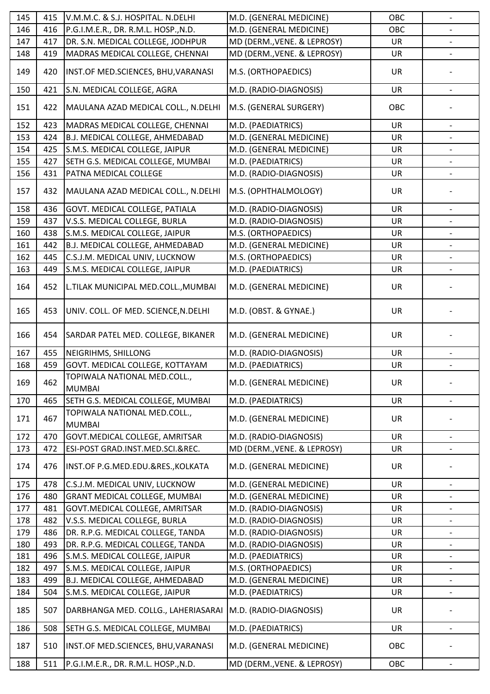| 145 | 415 | V.M.M.C. & S.J. HOSPITAL. N.DELHI             | M.D. (GENERAL MEDICINE)     | OBC       | $\overline{\phantom{a}}$     |
|-----|-----|-----------------------------------------------|-----------------------------|-----------|------------------------------|
| 146 | 416 | P.G.I.M.E.R., DR. R.M.L. HOSP., N.D.          | M.D. (GENERAL MEDICINE)     | OBC       |                              |
| 147 | 417 | DR. S.N. MEDICAL COLLEGE, JODHPUR             | MD (DERM., VENE. & LEPROSY) | UR        |                              |
| 148 | 419 | MADRAS MEDICAL COLLEGE, CHENNAI               | MD (DERM., VENE. & LEPROSY) | <b>UR</b> |                              |
| 149 | 420 | INST.OF MED.SCIENCES, BHU, VARANASI           | M.S. (ORTHOPAEDICS)         | UR        |                              |
| 150 | 421 | S.N. MEDICAL COLLEGE, AGRA                    | M.D. (RADIO-DIAGNOSIS)      | <b>UR</b> |                              |
| 151 | 422 | MAULANA AZAD MEDICAL COLL., N.DELHI           | M.S. (GENERAL SURGERY)      | OBC       |                              |
| 152 | 423 | MADRAS MEDICAL COLLEGE, CHENNAI               | M.D. (PAEDIATRICS)          | <b>UR</b> |                              |
| 153 | 424 | B.J. MEDICAL COLLEGE, AHMEDABAD               | M.D. (GENERAL MEDICINE)     | <b>UR</b> |                              |
| 154 | 425 | S.M.S. MEDICAL COLLEGE, JAIPUR                | M.D. (GENERAL MEDICINE)     | <b>UR</b> |                              |
| 155 | 427 | SETH G.S. MEDICAL COLLEGE, MUMBAI             | M.D. (PAEDIATRICS)          | UR        | $\overline{\phantom{a}}$     |
| 156 | 431 | PATNA MEDICAL COLLEGE                         | M.D. (RADIO-DIAGNOSIS)      | UR        |                              |
| 157 | 432 | MAULANA AZAD MEDICAL COLL., N.DELHI           | M.S. (OPHTHALMOLOGY)        | <b>UR</b> |                              |
| 158 | 436 | GOVT. MEDICAL COLLEGE, PATIALA                | M.D. (RADIO-DIAGNOSIS)      | <b>UR</b> |                              |
| 159 | 437 | V.S.S. MEDICAL COLLEGE, BURLA                 | M.D. (RADIO-DIAGNOSIS)      | UR        |                              |
| 160 | 438 | S.M.S. MEDICAL COLLEGE, JAIPUR                | M.S. (ORTHOPAEDICS)         | UR        |                              |
| 161 | 442 | B.J. MEDICAL COLLEGE, AHMEDABAD               | M.D. (GENERAL MEDICINE)     | <b>UR</b> | $\qquad \qquad -$            |
| 162 | 445 | C.S.J.M. MEDICAL UNIV, LUCKNOW                | M.S. (ORTHOPAEDICS)         | UR        |                              |
| 163 | 449 | S.M.S. MEDICAL COLLEGE, JAIPUR                | M.D. (PAEDIATRICS)          | UR        | $\qquad \qquad -$            |
|     |     |                                               |                             |           |                              |
| 164 | 452 | L.TILAK MUNICIPAL MED.COLL., MUMBAI           | M.D. (GENERAL MEDICINE)     | <b>UR</b> |                              |
| 165 | 453 | UNIV. COLL. OF MED. SCIENCE, N.DELHI          | M.D. (OBST. & GYNAE.)       | <b>UR</b> |                              |
| 166 | 454 | SARDAR PATEL MED. COLLEGE, BIKANER            | M.D. (GENERAL MEDICINE)     | <b>UR</b> |                              |
| 167 | 455 | NEIGRIHMS, SHILLONG                           | M.D. (RADIO-DIAGNOSIS)      | <b>UR</b> |                              |
| 168 | 459 | GOVT. MEDICAL COLLEGE, KOTTAYAM               | M.D. (PAEDIATRICS)          | UR        |                              |
| 169 | 462 | TOPIWALA NATIONAL MED.COLL.,<br><b>MUMBAI</b> | M.D. (GENERAL MEDICINE)     | UR        |                              |
| 170 | 465 | SETH G.S. MEDICAL COLLEGE, MUMBAI             | M.D. (PAEDIATRICS)          | UR        |                              |
| 171 | 467 | TOPIWALA NATIONAL MED.COLL.,<br><b>MUMBAI</b> | M.D. (GENERAL MEDICINE)     | UR        |                              |
| 172 | 470 | GOVT.MEDICAL COLLEGE, AMRITSAR                | M.D. (RADIO-DIAGNOSIS)      | <b>UR</b> |                              |
| 173 | 472 | ESI-POST GRAD.INST.MED.SCI.&REC.              | MD (DERM., VENE. & LEPROSY) | UR        |                              |
| 174 | 476 | INST.OF P.G.MED.EDU.&RES., KOLKATA            | M.D. (GENERAL MEDICINE)     | UR        |                              |
| 175 | 478 | C.S.J.M. MEDICAL UNIV, LUCKNOW                | M.D. (GENERAL MEDICINE)     | <b>UR</b> |                              |
| 176 | 480 | <b>GRANT MEDICAL COLLEGE, MUMBAI</b>          | M.D. (GENERAL MEDICINE)     | <b>UR</b> | -                            |
| 177 | 481 | GOVT.MEDICAL COLLEGE, AMRITSAR                | M.D. (RADIO-DIAGNOSIS)      | <b>UR</b> |                              |
| 178 | 482 | V.S.S. MEDICAL COLLEGE, BURLA                 | M.D. (RADIO-DIAGNOSIS)      | <b>UR</b> |                              |
| 179 | 486 | DR. R.P.G. MEDICAL COLLEGE, TANDA             | M.D. (RADIO-DIAGNOSIS)      | <b>UR</b> | $\overline{\phantom{a}}$     |
| 180 | 493 | DR. R.P.G. MEDICAL COLLEGE, TANDA             | M.D. (RADIO-DIAGNOSIS)      | UR        |                              |
| 181 | 496 | S.M.S. MEDICAL COLLEGE, JAIPUR                | M.D. (PAEDIATRICS)          | UR        | $\overline{\phantom{a}}$     |
| 182 | 497 | S.M.S. MEDICAL COLLEGE, JAIPUR                | M.S. (ORTHOPAEDICS)         | <b>UR</b> |                              |
| 183 | 499 | B.J. MEDICAL COLLEGE, AHMEDABAD               | M.D. (GENERAL MEDICINE)     | <b>UR</b> | $\qquad \qquad \blacksquare$ |
| 184 | 504 | S.M.S. MEDICAL COLLEGE, JAIPUR                | M.D. (PAEDIATRICS)          | UR        |                              |
| 185 | 507 | DARBHANGA MED. COLLG., LAHERIASARAI           | M.D. (RADIO-DIAGNOSIS)      | <b>UR</b> |                              |
| 186 | 508 | SETH G.S. MEDICAL COLLEGE, MUMBAI             | M.D. (PAEDIATRICS)          | <b>UR</b> |                              |
| 187 | 510 | INST.OF MED.SCIENCES, BHU, VARANASI           | M.D. (GENERAL MEDICINE)     | OBC       |                              |
| 188 | 511 | P.G.I.M.E.R., DR. R.M.L. HOSP., N.D.          | MD (DERM., VENE. & LEPROSY) | OBC       |                              |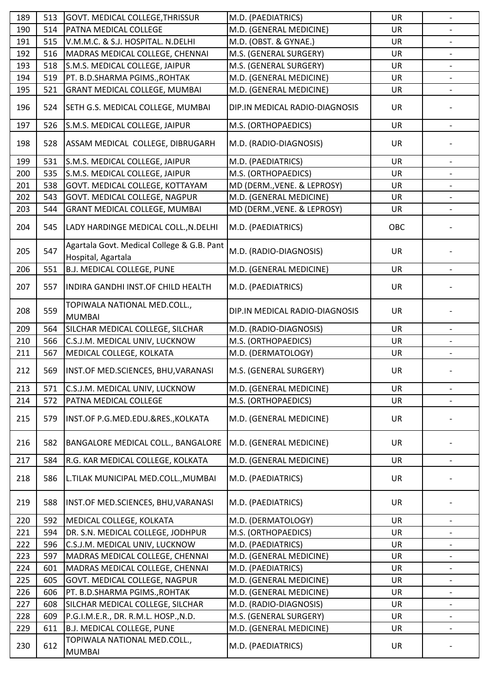| 189 | 513 | GOVT. MEDICAL COLLEGE, THRISSUR                                  | M.D. (PAEDIATRICS)             | <b>UR</b> |                          |
|-----|-----|------------------------------------------------------------------|--------------------------------|-----------|--------------------------|
| 190 | 514 | PATNA MEDICAL COLLEGE                                            | M.D. (GENERAL MEDICINE)        | <b>UR</b> |                          |
| 191 | 515 | V.M.M.C. & S.J. HOSPITAL. N.DELHI                                | M.D. (OBST. & GYNAE.)          | UR        |                          |
| 192 | 516 | MADRAS MEDICAL COLLEGE, CHENNAI                                  | M.S. (GENERAL SURGERY)         | <b>UR</b> |                          |
| 193 | 518 | S.M.S. MEDICAL COLLEGE, JAIPUR                                   | M.S. (GENERAL SURGERY)         | <b>UR</b> |                          |
| 194 | 519 | PT. B.D.SHARMA PGIMS., ROHTAK                                    | M.D. (GENERAL MEDICINE)        | <b>UR</b> |                          |
| 195 | 521 | <b>GRANT MEDICAL COLLEGE, MUMBAI</b>                             | M.D. (GENERAL MEDICINE)        | UR        |                          |
| 196 | 524 | SETH G.S. MEDICAL COLLEGE, MUMBAI                                | DIP.IN MEDICAL RADIO-DIAGNOSIS | <b>UR</b> |                          |
| 197 | 526 | S.M.S. MEDICAL COLLEGE, JAIPUR                                   | M.S. (ORTHOPAEDICS)            | UR        |                          |
| 198 | 528 | ASSAM MEDICAL COLLEGE, DIBRUGARH                                 | M.D. (RADIO-DIAGNOSIS)         | <b>UR</b> |                          |
| 199 | 531 | S.M.S. MEDICAL COLLEGE, JAIPUR                                   | M.D. (PAEDIATRICS)             | <b>UR</b> |                          |
| 200 | 535 | S.M.S. MEDICAL COLLEGE, JAIPUR                                   | M.S. (ORTHOPAEDICS)            | <b>UR</b> |                          |
| 201 | 538 | GOVT. MEDICAL COLLEGE, KOTTAYAM                                  | MD (DERM., VENE. & LEPROSY)    | UR        |                          |
| 202 | 543 | GOVT. MEDICAL COLLEGE, NAGPUR                                    | M.D. (GENERAL MEDICINE)        | <b>UR</b> |                          |
| 203 | 544 | <b>GRANT MEDICAL COLLEGE, MUMBAI</b>                             | MD (DERM., VENE. & LEPROSY)    | UR        |                          |
| 204 | 545 | LADY HARDINGE MEDICAL COLL., N. DELHI                            | M.D. (PAEDIATRICS)             | OBC       |                          |
| 205 | 547 | Agartala Govt. Medical College & G.B. Pant<br>Hospital, Agartala | M.D. (RADIO-DIAGNOSIS)         | <b>UR</b> |                          |
| 206 | 551 | B.J. MEDICAL COLLEGE, PUNE                                       | M.D. (GENERAL MEDICINE)        | <b>UR</b> |                          |
|     |     |                                                                  |                                |           |                          |
| 207 | 557 | INDIRA GANDHI INST.OF CHILD HEALTH                               | M.D. (PAEDIATRICS)             | <b>UR</b> |                          |
| 208 | 559 | TOPIWALA NATIONAL MED.COLL.,<br><b>MUMBAI</b>                    | DIP.IN MEDICAL RADIO-DIAGNOSIS | UR        |                          |
| 209 | 564 | SILCHAR MEDICAL COLLEGE, SILCHAR                                 | M.D. (RADIO-DIAGNOSIS)         | <b>UR</b> |                          |
| 210 | 566 | C.S.J.M. MEDICAL UNIV, LUCKNOW                                   | M.S. (ORTHOPAEDICS)            | <b>UR</b> |                          |
| 211 | 567 | MEDICAL COLLEGE, KOLKATA                                         | M.D. (DERMATOLOGY)             | UR        |                          |
| 212 | 569 | INST.OF MED.SCIENCES, BHU, VARANASI                              | M.S. (GENERAL SURGERY)         | UR        |                          |
| 213 | 571 | C.S.J.M. MEDICAL UNIV, LUCKNOW                                   | M.D. (GENERAL MEDICINE)        | <b>UR</b> |                          |
| 214 | 572 | PATNA MEDICAL COLLEGE                                            | M.S. (ORTHOPAEDICS)            | UR        |                          |
| 215 | 579 | INST.OF P.G.MED.EDU.&RES., KOLKATA                               | M.D. (GENERAL MEDICINE)        | <b>UR</b> |                          |
| 216 | 582 | BANGALORE MEDICAL COLL., BANGALORE                               | M.D. (GENERAL MEDICINE)        | <b>UR</b> |                          |
| 217 | 584 | R.G. KAR MEDICAL COLLEGE, KOLKATA                                | M.D. (GENERAL MEDICINE)        | UR        | $\overline{\phantom{a}}$ |
| 218 | 586 | L.TILAK MUNICIPAL MED.COLL., MUMBAI                              | M.D. (PAEDIATRICS)             | UR        |                          |
| 219 | 588 | INST.OF MED.SCIENCES, BHU, VARANASI                              | M.D. (PAEDIATRICS)             | <b>UR</b> |                          |
| 220 | 592 | MEDICAL COLLEGE, KOLKATA                                         | M.D. (DERMATOLOGY)             | <b>UR</b> |                          |
| 221 | 594 | DR. S.N. MEDICAL COLLEGE, JODHPUR                                | M.S. (ORTHOPAEDICS)            | <b>UR</b> | $\qquad \qquad -$        |
| 222 | 596 | C.S.J.M. MEDICAL UNIV, LUCKNOW                                   | M.D. (PAEDIATRICS)             | UR        |                          |
| 223 | 597 | MADRAS MEDICAL COLLEGE, CHENNAI                                  | M.D. (GENERAL MEDICINE)        | <b>UR</b> |                          |
| 224 | 601 | MADRAS MEDICAL COLLEGE, CHENNAI                                  | M.D. (PAEDIATRICS)             | <b>UR</b> | $\overline{\phantom{a}}$ |
| 225 | 605 | GOVT. MEDICAL COLLEGE, NAGPUR                                    | M.D. (GENERAL MEDICINE)        | UR        |                          |
| 226 | 606 | PT. B.D.SHARMA PGIMS., ROHTAK                                    | M.D. (GENERAL MEDICINE)        | <b>UR</b> | $\overline{\phantom{0}}$ |
| 227 | 608 | SILCHAR MEDICAL COLLEGE, SILCHAR                                 | M.D. (RADIO-DIAGNOSIS)         | <b>UR</b> |                          |
| 228 | 609 | P.G.I.M.E.R., DR. R.M.L. HOSP., N.D.                             | M.S. (GENERAL SURGERY)         | UR        |                          |
| 229 | 611 | <b>B.J. MEDICAL COLLEGE, PUNE</b>                                | M.D. (GENERAL MEDICINE)        | UR        | $\overline{\phantom{a}}$ |
| 230 | 612 | TOPIWALA NATIONAL MED.COLL.,<br><b>MUMBAI</b>                    | M.D. (PAEDIATRICS)             | UR        |                          |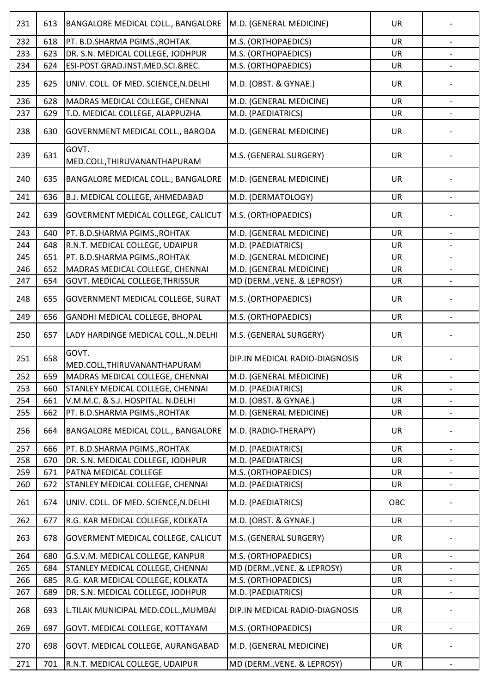| 231 | 613 | BANGALORE MEDICAL COLL., BANGALORE        | M.D. (GENERAL MEDICINE)        | <b>UR</b> |                          |
|-----|-----|-------------------------------------------|--------------------------------|-----------|--------------------------|
| 232 | 618 | PT. B.D.SHARMA PGIMS., ROHTAK             | M.S. (ORTHOPAEDICS)            | <b>UR</b> | $\qquad \qquad -$        |
| 233 | 623 | DR. S.N. MEDICAL COLLEGE, JODHPUR         | M.S. (ORTHOPAEDICS)            | <b>UR</b> |                          |
| 234 | 624 | ESI-POST GRAD.INST.MED.SCI.&REC.          | M.S. (ORTHOPAEDICS)            | UR        |                          |
| 235 | 625 | UNIV. COLL. OF MED. SCIENCE, N.DELHI      | M.D. (OBST. & GYNAE.)          | UR        |                          |
| 236 | 628 | MADRAS MEDICAL COLLEGE, CHENNAI           | M.D. (GENERAL MEDICINE)        | <b>UR</b> | $\overline{\phantom{0}}$ |
| 237 | 629 | T.D. MEDICAL COLLEGE, ALAPPUZHA           | M.D. (PAEDIATRICS)             | UR        |                          |
| 238 | 630 | GOVERNMENT MEDICAL COLL., BARODA          | M.D. (GENERAL MEDICINE)        | <b>UR</b> |                          |
| 239 | 631 | GOVT.<br>MED.COLL, THIRUVANANTHAPURAM     | M.S. (GENERAL SURGERY)         | UR        |                          |
| 240 | 635 | BANGALORE MEDICAL COLL., BANGALORE        | M.D. (GENERAL MEDICINE)        | <b>UR</b> |                          |
| 241 | 636 | B.J. MEDICAL COLLEGE, AHMEDABAD           | M.D. (DERMATOLOGY)             | UR        |                          |
| 242 | 639 | GOVERMENT MEDICAL COLLEGE, CALICUT        | M.S. (ORTHOPAEDICS)            | <b>UR</b> |                          |
| 243 | 640 | PT. B.D.SHARMA PGIMS., ROHTAK             | M.D. (GENERAL MEDICINE)        | <b>UR</b> |                          |
| 244 | 648 | R.N.T. MEDICAL COLLEGE, UDAIPUR           | M.D. (PAEDIATRICS)             | <b>UR</b> |                          |
| 245 | 651 | PT. B.D.SHARMA PGIMS., ROHTAK             | M.D. (GENERAL MEDICINE)        | <b>UR</b> |                          |
| 246 | 652 | MADRAS MEDICAL COLLEGE, CHENNAI           | M.D. (GENERAL MEDICINE)        | UR        |                          |
| 247 | 654 | GOVT. MEDICAL COLLEGE, THRISSUR           | MD (DERM., VENE. & LEPROSY)    | <b>UR</b> |                          |
| 248 | 655 | <b>GOVERNMENT MEDICAL COLLEGE, SURAT</b>  | M.S. (ORTHOPAEDICS)            | UR        |                          |
| 249 | 656 | GANDHI MEDICAL COLLEGE, BHOPAL            | M.S. (ORTHOPAEDICS)            | <b>UR</b> |                          |
| 250 | 657 | LADY HARDINGE MEDICAL COLL., N.DELHI      | M.S. (GENERAL SURGERY)         | <b>UR</b> |                          |
| 251 | 658 | GOVT.<br>MED.COLL, THIRUVANANTHAPURAM     | DIP.IN MEDICAL RADIO-DIAGNOSIS | <b>UR</b> |                          |
| 252 | 659 | MADRAS MEDICAL COLLEGE, CHENNAI           | M.D. (GENERAL MEDICINE)        | UR        |                          |
| 253 | 660 | STANLEY MEDICAL COLLEGE, CHENNAI          | M.D. (PAEDIATRICS)             | <b>UR</b> | $\overline{\phantom{a}}$ |
| 254 | 661 | V.M.M.C. & S.J. HOSPITAL. N.DELHI         | M.D. (OBST. & GYNAE.)          | UR        |                          |
| 255 | 662 | PT. B.D.SHARMA PGIMS., ROHTAK             | M.D. (GENERAL MEDICINE)        | UR        | $\overline{\phantom{a}}$ |
| 256 | 664 | BANGALORE MEDICAL COLL., BANGALORE        | M.D. (RADIO-THERAPY)           | <b>UR</b> |                          |
| 257 | 666 | PT. B.D.SHARMA PGIMS., ROHTAK             | M.D. (PAEDIATRICS)             | <b>UR</b> |                          |
| 258 | 670 | DR. S.N. MEDICAL COLLEGE, JODHPUR         | M.D. (PAEDIATRICS)             | <b>UR</b> |                          |
| 259 | 671 | PATNA MEDICAL COLLEGE                     | M.S. (ORTHOPAEDICS)            | <b>UR</b> | $\overline{\phantom{a}}$ |
| 260 | 672 | STANLEY MEDICAL COLLEGE, CHENNAI          | M.D. (PAEDIATRICS)             | UR        |                          |
| 261 | 674 | UNIV. COLL. OF MED. SCIENCE, N.DELHI      | M.D. (PAEDIATRICS)             | OBC       |                          |
| 262 | 677 | R.G. KAR MEDICAL COLLEGE, KOLKATA         | M.D. (OBST. & GYNAE.)          | <b>UR</b> |                          |
| 263 | 678 | <b>GOVERMENT MEDICAL COLLEGE, CALICUT</b> | M.S. (GENERAL SURGERY)         | <b>UR</b> |                          |
| 264 | 680 | G.S.V.M. MEDICAL COLLEGE, KANPUR          | M.S. (ORTHOPAEDICS)            | <b>UR</b> | $\overline{\phantom{0}}$ |
| 265 | 684 | STANLEY MEDICAL COLLEGE, CHENNAI          | MD (DERM., VENE. & LEPROSY)    | UR        |                          |
| 266 | 685 | R.G. KAR MEDICAL COLLEGE, KOLKATA         | M.S. (ORTHOPAEDICS)            | UR        | $\overline{\phantom{a}}$ |
| 267 | 689 | DR. S.N. MEDICAL COLLEGE, JODHPUR         | M.D. (PAEDIATRICS)             | <b>UR</b> |                          |
| 268 | 693 | L.TILAK MUNICIPAL MED.COLL., MUMBAI       | DIP.IN MEDICAL RADIO-DIAGNOSIS | UR        |                          |
| 269 | 697 | GOVT. MEDICAL COLLEGE, KOTTAYAM           | M.S. (ORTHOPAEDICS)            | <b>UR</b> |                          |
| 270 | 698 | GOVT. MEDICAL COLLEGE, AURANGABAD         | M.D. (GENERAL MEDICINE)        | <b>UR</b> |                          |
| 271 | 701 | R.N.T. MEDICAL COLLEGE, UDAIPUR           | MD (DERM., VENE. & LEPROSY)    | UR        | $\overline{\phantom{a}}$ |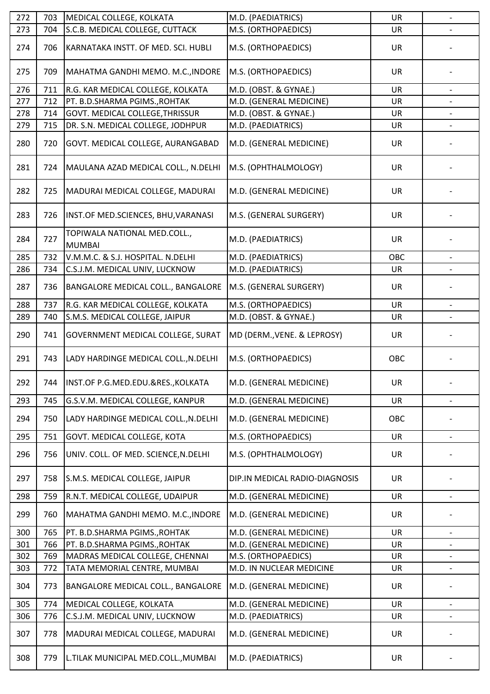| 272 | 703 | MEDICAL COLLEGE, KOLKATA                      | M.D. (PAEDIATRICS)             | <b>UR</b> | $\overline{\phantom{a}}$ |
|-----|-----|-----------------------------------------------|--------------------------------|-----------|--------------------------|
| 273 | 704 | S.C.B. MEDICAL COLLEGE, CUTTACK               | M.S. (ORTHOPAEDICS)            | UR        |                          |
| 274 | 706 | KARNATAKA INSTT. OF MED. SCI. HUBLI           | M.S. (ORTHOPAEDICS)            | <b>UR</b> |                          |
| 275 | 709 | MAHATMA GANDHI MEMO. M.C., INDORE             | M.S. (ORTHOPAEDICS)            | <b>UR</b> |                          |
| 276 | 711 | R.G. KAR MEDICAL COLLEGE, KOLKATA             | M.D. (OBST. & GYNAE.)          | <b>UR</b> |                          |
| 277 | 712 | PT. B.D.SHARMA PGIMS., ROHTAK                 | M.D. (GENERAL MEDICINE)        | <b>UR</b> |                          |
| 278 | 714 | GOVT. MEDICAL COLLEGE, THRISSUR               | M.D. (OBST. & GYNAE.)          | <b>UR</b> |                          |
| 279 | 715 | DR. S.N. MEDICAL COLLEGE, JODHPUR             | M.D. (PAEDIATRICS)             | UR        |                          |
| 280 | 720 | GOVT. MEDICAL COLLEGE, AURANGABAD             | M.D. (GENERAL MEDICINE)        | <b>UR</b> |                          |
| 281 | 724 | MAULANA AZAD MEDICAL COLL., N.DELHI           | M.S. (OPHTHALMOLOGY)           | <b>UR</b> |                          |
| 282 | 725 | MADURAI MEDICAL COLLEGE, MADURAI              | M.D. (GENERAL MEDICINE)        | <b>UR</b> |                          |
| 283 | 726 | INST.OF MED.SCIENCES, BHU, VARANASI           | M.S. (GENERAL SURGERY)         | <b>UR</b> |                          |
| 284 | 727 | TOPIWALA NATIONAL MED.COLL.,<br><b>MUMBAI</b> | M.D. (PAEDIATRICS)             | <b>UR</b> |                          |
| 285 | 732 | V.M.M.C. & S.J. HOSPITAL. N.DELHI             | M.D. (PAEDIATRICS)             | OBC       |                          |
| 286 | 734 | C.S.J.M. MEDICAL UNIV, LUCKNOW                | M.D. (PAEDIATRICS)             | <b>UR</b> |                          |
| 287 | 736 | BANGALORE MEDICAL COLL., BANGALORE            | M.S. (GENERAL SURGERY)         | <b>UR</b> |                          |
| 288 | 737 | R.G. KAR MEDICAL COLLEGE, KOLKATA             | M.S. (ORTHOPAEDICS)            | <b>UR</b> |                          |
| 289 | 740 | S.M.S. MEDICAL COLLEGE, JAIPUR                | M.D. (OBST. & GYNAE.)          | <b>UR</b> |                          |
| 290 | 741 | GOVERNMENT MEDICAL COLLEGE, SURAT             | MD (DERM., VENE. & LEPROSY)    | UR        |                          |
| 291 | 743 | LADY HARDINGE MEDICAL COLL., N.DELHI          | M.S. (ORTHOPAEDICS)            | OBC       |                          |
| 292 | 744 | INST.OF P.G.MED.EDU.&RES., KOLKATA            | M.D. (GENERAL MEDICINE)        | UR        | $\overline{\phantom{a}}$ |
| 293 | 745 | G.S.V.M. MEDICAL COLLEGE, KANPUR              | M.D. (GENERAL MEDICINE)        | UR        |                          |
| 294 | 750 | LADY HARDINGE MEDICAL COLL., N.DELHI          | M.D. (GENERAL MEDICINE)        | OBC       |                          |
| 295 | 751 | GOVT. MEDICAL COLLEGE, KOTA                   | M.S. (ORTHOPAEDICS)            | UR        |                          |
| 296 | 756 | UNIV. COLL. OF MED. SCIENCE, N.DELHI          | M.S. (OPHTHALMOLOGY)           | <b>UR</b> |                          |
| 297 | 758 | S.M.S. MEDICAL COLLEGE, JAIPUR                | DIP.IN MEDICAL RADIO-DIAGNOSIS | <b>UR</b> |                          |
| 298 | 759 | R.N.T. MEDICAL COLLEGE, UDAIPUR               | M.D. (GENERAL MEDICINE)        | <b>UR</b> | $\overline{\phantom{a}}$ |
| 299 | 760 | MAHATMA GANDHI MEMO. M.C., INDORE             | M.D. (GENERAL MEDICINE)        | UR        |                          |
| 300 | 765 | PT. B.D.SHARMA PGIMS., ROHTAK                 | M.D. (GENERAL MEDICINE)        | <b>UR</b> | $\overline{\phantom{a}}$ |
| 301 | 766 | PT. B.D.SHARMA PGIMS., ROHTAK                 | M.D. (GENERAL MEDICINE)        | UR        |                          |
| 302 | 769 | MADRAS MEDICAL COLLEGE, CHENNAI               | M.S. (ORTHOPAEDICS)            | UR        | $\overline{\phantom{0}}$ |
| 303 | 772 | TATA MEMORIAL CENTRE, MUMBAI                  | M.D. IN NUCLEAR MEDICINE       | <b>UR</b> |                          |
| 304 | 773 | BANGALORE MEDICAL COLL., BANGALORE            | M.D. (GENERAL MEDICINE)        | UR        |                          |
| 305 | 774 | MEDICAL COLLEGE, KOLKATA                      | M.D. (GENERAL MEDICINE)        | <b>UR</b> |                          |
| 306 | 776 | C.S.J.M. MEDICAL UNIV, LUCKNOW                | M.D. (PAEDIATRICS)             | UR        | $\overline{\phantom{a}}$ |
| 307 | 778 | MADURAI MEDICAL COLLEGE, MADURAI              | M.D. (GENERAL MEDICINE)        | UR        |                          |
| 308 | 779 | L.TILAK MUNICIPAL MED.COLL., MUMBAI           | M.D. (PAEDIATRICS)             | <b>UR</b> |                          |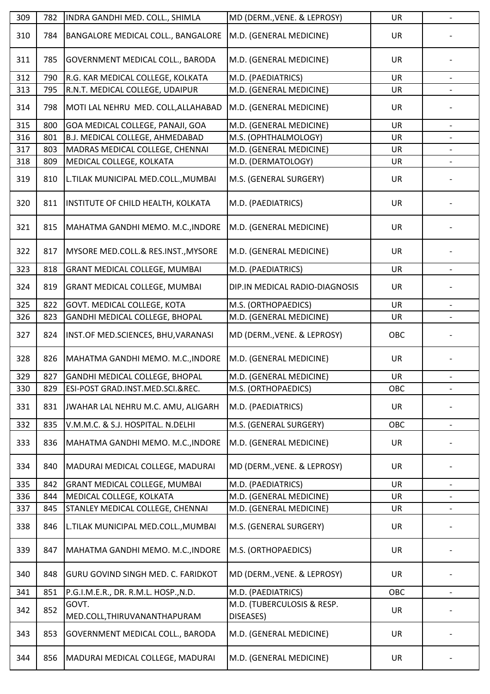| 309 | 782 | INDRA GANDHI MED. COLL., SHIMLA       | MD (DERM., VENE. & LEPROSY)             | <b>UR</b> | $\overline{a}$           |
|-----|-----|---------------------------------------|-----------------------------------------|-----------|--------------------------|
| 310 | 784 | BANGALORE MEDICAL COLL., BANGALORE    | M.D. (GENERAL MEDICINE)                 | UR        |                          |
| 311 | 785 | GOVERNMENT MEDICAL COLL., BARODA      | M.D. (GENERAL MEDICINE)                 | <b>UR</b> |                          |
| 312 | 790 | R.G. KAR MEDICAL COLLEGE, KOLKATA     | M.D. (PAEDIATRICS)                      | <b>UR</b> |                          |
| 313 | 795 | R.N.T. MEDICAL COLLEGE, UDAIPUR       | M.D. (GENERAL MEDICINE)                 | <b>UR</b> |                          |
| 314 | 798 | MOTI LAL NEHRU MED. COLL, ALLAHABAD   | M.D. (GENERAL MEDICINE)                 | UR        |                          |
| 315 | 800 | GOA MEDICAL COLLEGE, PANAJI, GOA      | M.D. (GENERAL MEDICINE)                 | <b>UR</b> | $\overline{\phantom{a}}$ |
| 316 | 801 | B.J. MEDICAL COLLEGE, AHMEDABAD       | M.S. (OPHTHALMOLOGY)                    | <b>UR</b> |                          |
| 317 | 803 | MADRAS MEDICAL COLLEGE, CHENNAI       | M.D. (GENERAL MEDICINE)                 | UR        | $\qquad \qquad -$        |
| 318 | 809 | MEDICAL COLLEGE, KOLKATA              | M.D. (DERMATOLOGY)                      | <b>UR</b> |                          |
| 319 | 810 | L.TILAK MUNICIPAL MED.COLL., MUMBAI   | M.S. (GENERAL SURGERY)                  | UR        |                          |
| 320 | 811 | INSTITUTE OF CHILD HEALTH, KOLKATA    | M.D. (PAEDIATRICS)                      | <b>UR</b> |                          |
| 321 | 815 | MAHATMA GANDHI MEMO. M.C., INDORE     | M.D. (GENERAL MEDICINE)                 | <b>UR</b> |                          |
| 322 | 817 | MYSORE MED.COLL.& RES.INST., MYSORE   | M.D. (GENERAL MEDICINE)                 | <b>UR</b> |                          |
| 323 | 818 | GRANT MEDICAL COLLEGE, MUMBAI         | M.D. (PAEDIATRICS)                      | <b>UR</b> | $\overline{\phantom{a}}$ |
| 324 | 819 | <b>GRANT MEDICAL COLLEGE, MUMBAI</b>  | DIP.IN MEDICAL RADIO-DIAGNOSIS          | <b>UR</b> |                          |
| 325 | 822 | GOVT. MEDICAL COLLEGE, KOTA           | M.S. (ORTHOPAEDICS)                     | <b>UR</b> |                          |
| 326 | 823 | GANDHI MEDICAL COLLEGE, BHOPAL        | M.D. (GENERAL MEDICINE)                 | <b>UR</b> |                          |
| 327 | 824 | INST.OF MED.SCIENCES, BHU, VARANASI   | MD (DERM., VENE. & LEPROSY)             | OBC       |                          |
| 328 | 826 | MAHATMA GANDHI MEMO. M.C., INDORE     | M.D. (GENERAL MEDICINE)                 | <b>UR</b> |                          |
| 329 | 827 | GANDHI MEDICAL COLLEGE, BHOPAL        | M.D. (GENERAL MEDICINE)                 | UR        |                          |
| 330 | 829 | ESI-POST GRAD.INST.MED.SCI.&REC.      | M.S. (ORTHOPAEDICS)                     | OBC       |                          |
| 331 | 831 | JWAHAR LAL NEHRU M.C. AMU, ALIGARH    | M.D. (PAEDIATRICS)                      | UR        |                          |
| 332 | 835 | V.M.M.C. & S.J. HOSPITAL. N.DELHI     | M.S. (GENERAL SURGERY)                  | OBC       |                          |
| 333 | 836 | MAHATMA GANDHI MEMO. M.C., INDORE     | M.D. (GENERAL MEDICINE)                 | <b>UR</b> |                          |
| 334 | 840 | MADURAI MEDICAL COLLEGE, MADURAI      | MD (DERM., VENE. & LEPROSY)             | UR        |                          |
| 335 | 842 | <b>GRANT MEDICAL COLLEGE, MUMBAI</b>  | M.D. (PAEDIATRICS)                      | <b>UR</b> |                          |
| 336 | 844 | MEDICAL COLLEGE, KOLKATA              | M.D. (GENERAL MEDICINE)                 | <b>UR</b> |                          |
| 337 | 845 | STANLEY MEDICAL COLLEGE, CHENNAI      | M.D. (GENERAL MEDICINE)                 | UR        |                          |
| 338 | 846 | L.TILAK MUNICIPAL MED.COLL., MUMBAI   | M.S. (GENERAL SURGERY)                  | UR        |                          |
| 339 | 847 | MAHATMA GANDHI MEMO. M.C., INDORE     | M.S. (ORTHOPAEDICS)                     | UR        |                          |
| 340 | 848 | GURU GOVIND SINGH MED. C. FARIDKOT    | MD (DERM., VENE. & LEPROSY)             | UR        |                          |
| 341 | 851 | P.G.I.M.E.R., DR. R.M.L. HOSP., N.D.  | M.D. (PAEDIATRICS)                      | OBC       |                          |
| 342 | 852 | GOVT.<br>MED.COLL, THIRUVANANTHAPURAM | M.D. (TUBERCULOSIS & RESP.<br>DISEASES) | <b>UR</b> |                          |
| 343 | 853 | GOVERNMENT MEDICAL COLL., BARODA      | M.D. (GENERAL MEDICINE)                 | UR        |                          |
| 344 | 856 | MADURAI MEDICAL COLLEGE, MADURAI      | M.D. (GENERAL MEDICINE)                 | <b>UR</b> |                          |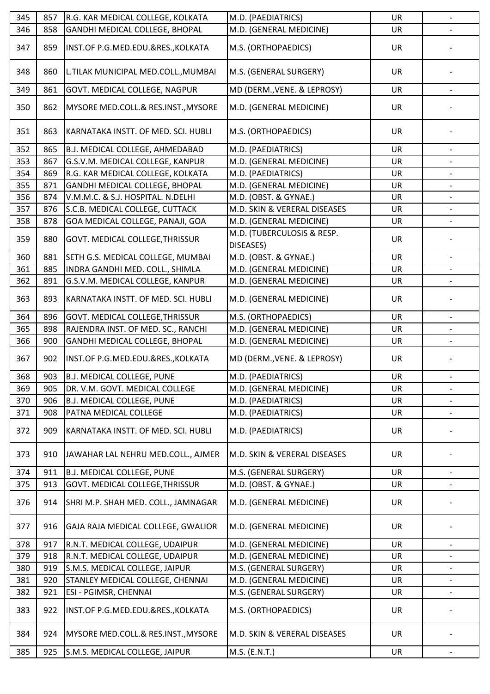| 345 | 857 | R.G. KAR MEDICAL COLLEGE, KOLKATA       | M.D. (PAEDIATRICS)                      | UR        | $\blacksquare$           |
|-----|-----|-----------------------------------------|-----------------------------------------|-----------|--------------------------|
| 346 | 858 | GANDHI MEDICAL COLLEGE, BHOPAL          | M.D. (GENERAL MEDICINE)                 | <b>UR</b> |                          |
| 347 | 859 | INST.OF P.G.MED.EDU.&RES., KOLKATA      | M.S. (ORTHOPAEDICS)                     | <b>UR</b> |                          |
| 348 | 860 | L.TILAK MUNICIPAL MED.COLL., MUMBAI     | M.S. (GENERAL SURGERY)                  | <b>UR</b> |                          |
| 349 | 861 | GOVT. MEDICAL COLLEGE, NAGPUR           | MD (DERM., VENE. & LEPROSY)             | <b>UR</b> |                          |
| 350 | 862 | MYSORE MED.COLL.& RES.INST., MYSORE     | M.D. (GENERAL MEDICINE)                 | <b>UR</b> |                          |
| 351 | 863 | KARNATAKA INSTT. OF MED. SCI. HUBLI     | M.S. (ORTHOPAEDICS)                     | <b>UR</b> |                          |
| 352 | 865 | <b>B.J. MEDICAL COLLEGE, AHMEDABAD</b>  | M.D. (PAEDIATRICS)                      | <b>UR</b> |                          |
| 353 | 867 | G.S.V.M. MEDICAL COLLEGE, KANPUR        | M.D. (GENERAL MEDICINE)                 | <b>UR</b> | $\qquad \qquad -$        |
| 354 | 869 | R.G. KAR MEDICAL COLLEGE, KOLKATA       | M.D. (PAEDIATRICS)                      | <b>UR</b> |                          |
| 355 | 871 | GANDHI MEDICAL COLLEGE, BHOPAL          | M.D. (GENERAL MEDICINE)                 | <b>UR</b> |                          |
| 356 | 874 | V.M.M.C. & S.J. HOSPITAL. N.DELHI       | M.D. (OBST. & GYNAE.)                   | <b>UR</b> |                          |
| 357 | 876 | S.C.B. MEDICAL COLLEGE, CUTTACK         | M.D. SKIN & VERERAL DISEASES            | UR        |                          |
| 358 | 878 | GOA MEDICAL COLLEGE, PANAJI, GOA        | M.D. (GENERAL MEDICINE)                 | UR        | $\overline{\phantom{0}}$ |
| 359 | 880 | GOVT. MEDICAL COLLEGE, THRISSUR         | M.D. (TUBERCULOSIS & RESP.<br>DISEASES) | <b>UR</b> |                          |
| 360 | 881 | SETH G.S. MEDICAL COLLEGE, MUMBAI       | M.D. (OBST. & GYNAE.)                   | <b>UR</b> |                          |
| 361 | 885 | INDRA GANDHI MED. COLL., SHIMLA         | M.D. (GENERAL MEDICINE)                 | <b>UR</b> |                          |
| 362 | 891 | G.S.V.M. MEDICAL COLLEGE, KANPUR        | M.D. (GENERAL MEDICINE)                 | UR        |                          |
| 363 | 893 | KARNATAKA INSTT. OF MED. SCI. HUBLI     | M.D. (GENERAL MEDICINE)                 | <b>UR</b> |                          |
| 364 | 896 | GOVT. MEDICAL COLLEGE, THRISSUR         | M.S. (ORTHOPAEDICS)                     | UR        |                          |
| 365 | 898 | RAJENDRA INST. OF MED. SC., RANCHI      | M.D. (GENERAL MEDICINE)                 | <b>UR</b> |                          |
| 366 | 900 | GANDHI MEDICAL COLLEGE, BHOPAL          | M.D. (GENERAL MEDICINE)                 | <b>UR</b> |                          |
| 367 | 902 | INST.OF P.G.MED.EDU.&RES., KOLKATA      | MD (DERM., VENE. & LEPROSY)             | UR        |                          |
| 368 | 903 | <b>B.J. MEDICAL COLLEGE, PUNE</b>       | M.D. (PAEDIATRICS)                      | <b>UR</b> |                          |
| 369 | 905 | DR. V.M. GOVT. MEDICAL COLLEGE          | M.D. (GENERAL MEDICINE)                 | UR        | $\overline{\phantom{a}}$ |
| 370 | 906 | <b>B.J. MEDICAL COLLEGE, PUNE</b>       | M.D. (PAEDIATRICS)                      | UR        |                          |
| 371 | 908 | PATNA MEDICAL COLLEGE                   | M.D. (PAEDIATRICS)                      | UR        | $\overline{\phantom{0}}$ |
| 372 | 909 | KARNATAKA INSTT. OF MED. SCI. HUBLI     | M.D. (PAEDIATRICS)                      | UR        |                          |
| 373 | 910 | JAWAHAR LAL NEHRU MED.COLL., AJMER      | M.D. SKIN & VERERAL DISEASES            | <b>UR</b> |                          |
| 374 | 911 | B.J. MEDICAL COLLEGE, PUNE              | M.S. (GENERAL SURGERY)                  | UR        | $\overline{\phantom{a}}$ |
| 375 | 913 | <b>GOVT. MEDICAL COLLEGE, THRISSUR</b>  | M.D. (OBST. & GYNAE.)                   | <b>UR</b> |                          |
| 376 | 914 | SHRI M.P. SHAH MED. COLL., JAMNAGAR     | M.D. (GENERAL MEDICINE)                 | UR        |                          |
| 377 | 916 | GAJA RAJA MEDICAL COLLEGE, GWALIOR      | M.D. (GENERAL MEDICINE)                 | UR        |                          |
| 378 | 917 | R.N.T. MEDICAL COLLEGE, UDAIPUR         | M.D. (GENERAL MEDICINE)                 | <b>UR</b> |                          |
| 379 | 918 | R.N.T. MEDICAL COLLEGE, UDAIPUR         | M.D. (GENERAL MEDICINE)                 | <b>UR</b> |                          |
| 380 | 919 | S.M.S. MEDICAL COLLEGE, JAIPUR          | M.S. (GENERAL SURGERY)                  | <b>UR</b> |                          |
| 381 | 920 | <b>STANLEY MEDICAL COLLEGE, CHENNAI</b> | M.D. (GENERAL MEDICINE)                 | <b>UR</b> |                          |
| 382 | 921 | ESI - PGIMSR, CHENNAI                   | M.S. (GENERAL SURGERY)                  | <b>UR</b> | $\overline{\phantom{a}}$ |
| 383 | 922 | INST.OF P.G.MED.EDU.&RES., KOLKATA      | M.S. (ORTHOPAEDICS)                     | <b>UR</b> |                          |
| 384 | 924 | MYSORE MED.COLL.& RES.INST., MYSORE     | M.D. SKIN & VERERAL DISEASES            | UR        |                          |
| 385 | 925 | S.M.S. MEDICAL COLLEGE, JAIPUR          | M.S. (E.N.T.)                           | UR        |                          |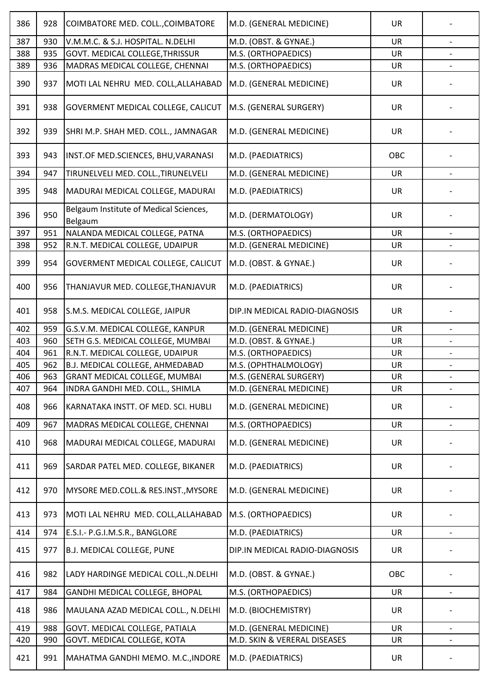| 386 | 928 | COIMBATORE MED. COLL., COIMBATORE                 | M.D. (GENERAL MEDICINE)        | UR        |                          |
|-----|-----|---------------------------------------------------|--------------------------------|-----------|--------------------------|
| 387 | 930 | V.M.M.C. & S.J. HOSPITAL. N.DELHI                 | M.D. (OBST. & GYNAE.)          | <b>UR</b> |                          |
| 388 | 935 | GOVT. MEDICAL COLLEGE, THRISSUR                   | M.S. (ORTHOPAEDICS)            | UR        |                          |
| 389 | 936 | MADRAS MEDICAL COLLEGE, CHENNAI                   | M.S. (ORTHOPAEDICS)            | UR        |                          |
| 390 | 937 | MOTI LAL NEHRU MED. COLL, ALLAHABAD               | M.D. (GENERAL MEDICINE)        | <b>UR</b> |                          |
| 391 | 938 | GOVERMENT MEDICAL COLLEGE, CALICUT                | M.S. (GENERAL SURGERY)         | UR        |                          |
| 392 | 939 | SHRI M.P. SHAH MED. COLL., JAMNAGAR               | M.D. (GENERAL MEDICINE)        | <b>UR</b> |                          |
| 393 | 943 | INST.OF MED.SCIENCES, BHU, VARANASI               | M.D. (PAEDIATRICS)             | OBC       |                          |
| 394 | 947 | TIRUNELVELI MED. COLL., TIRUNELVELI               | M.D. (GENERAL MEDICINE)        | <b>UR</b> |                          |
| 395 | 948 | MADURAI MEDICAL COLLEGE, MADURAI                  | M.D. (PAEDIATRICS)             | UR        |                          |
| 396 | 950 | Belgaum Institute of Medical Sciences,<br>Belgaum | M.D. (DERMATOLOGY)             | UR        |                          |
| 397 | 951 | NALANDA MEDICAL COLLEGE, PATNA                    | M.S. (ORTHOPAEDICS)            | <b>UR</b> |                          |
| 398 | 952 | R.N.T. MEDICAL COLLEGE, UDAIPUR                   | M.D. (GENERAL MEDICINE)        | <b>UR</b> |                          |
| 399 | 954 | GOVERMENT MEDICAL COLLEGE, CALICUT                | M.D. (OBST. & GYNAE.)          | UR        |                          |
| 400 | 956 | THANJAVUR MED. COLLEGE, THANJAVUR                 | M.D. (PAEDIATRICS)             | <b>UR</b> |                          |
| 401 | 958 | S.M.S. MEDICAL COLLEGE, JAIPUR                    | DIP.IN MEDICAL RADIO-DIAGNOSIS | UR        |                          |
| 402 | 959 | G.S.V.M. MEDICAL COLLEGE, KANPUR                  | M.D. (GENERAL MEDICINE)        | <b>UR</b> |                          |
| 403 | 960 | SETH G.S. MEDICAL COLLEGE, MUMBAI                 | M.D. (OBST. & GYNAE.)          | <b>UR</b> |                          |
| 404 | 961 | R.N.T. MEDICAL COLLEGE, UDAIPUR                   | M.S. (ORTHOPAEDICS)            | <b>UR</b> |                          |
| 405 | 962 | B.J. MEDICAL COLLEGE, AHMEDABAD                   | M.S. (OPHTHALMOLOGY)           | <b>UR</b> |                          |
| 406 | 963 | <b>GRANT MEDICAL COLLEGE, MUMBAI</b>              | M.S. (GENERAL SURGERY)         | UR        |                          |
| 407 | 964 | INDRA GANDHI MED. COLL., SHIMLA                   | M.D. (GENERAL MEDICINE)        | UR        | $\blacksquare$           |
| 408 | 966 | KARNATAKA INSTT. OF MED. SCI. HUBLI               | M.D. (GENERAL MEDICINE)        | UR        |                          |
| 409 | 967 | MADRAS MEDICAL COLLEGE, CHENNAI                   | M.S. (ORTHOPAEDICS)            | UR        | $\overline{\phantom{0}}$ |
| 410 | 968 | MADURAI MEDICAL COLLEGE, MADURAI                  | M.D. (GENERAL MEDICINE)        | <b>UR</b> |                          |
| 411 | 969 | SARDAR PATEL MED. COLLEGE, BIKANER                | M.D. (PAEDIATRICS)             | <b>UR</b> |                          |
| 412 | 970 | MYSORE MED.COLL.& RES.INST., MYSORE               | M.D. (GENERAL MEDICINE)        | UR        |                          |
| 413 | 973 | MOTI LAL NEHRU MED. COLL, ALLAHABAD               | M.S. (ORTHOPAEDICS)            | <b>UR</b> |                          |
| 414 | 974 | E.S.I.- P.G.I.M.S.R., BANGLORE                    | M.D. (PAEDIATRICS)             | UR        | $\overline{\phantom{a}}$ |
| 415 | 977 | B.J. MEDICAL COLLEGE, PUNE                        | DIP.IN MEDICAL RADIO-DIAGNOSIS | <b>UR</b> |                          |
| 416 | 982 | LADY HARDINGE MEDICAL COLL., N.DELHI              | M.D. (OBST. & GYNAE.)          | OBC       |                          |
| 417 | 984 | GANDHI MEDICAL COLLEGE, BHOPAL                    | M.S. (ORTHOPAEDICS)            | <b>UR</b> | $\overline{\phantom{a}}$ |
| 418 | 986 | MAULANA AZAD MEDICAL COLL., N.DELHI               | M.D. (BIOCHEMISTRY)            | <b>UR</b> |                          |
| 419 | 988 | GOVT. MEDICAL COLLEGE, PATIALA                    | M.D. (GENERAL MEDICINE)        | <b>UR</b> |                          |
| 420 | 990 | GOVT. MEDICAL COLLEGE, KOTA                       | M.D. SKIN & VERERAL DISEASES   | UR        |                          |
| 421 | 991 | MAHATMA GANDHI MEMO. M.C., INDORE                 | M.D. (PAEDIATRICS)             | <b>UR</b> |                          |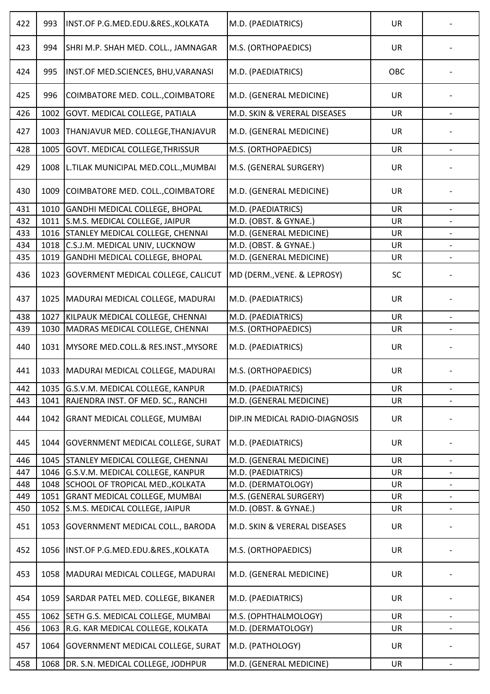| 422 | 993  | INST.OF P.G.MED.EDU.&RES., KOLKATA        | M.D. (PAEDIATRICS)             | <b>UR</b> |                          |
|-----|------|-------------------------------------------|--------------------------------|-----------|--------------------------|
| 423 | 994  | SHRI M.P. SHAH MED. COLL., JAMNAGAR       | M.S. (ORTHOPAEDICS)            | <b>UR</b> |                          |
| 424 | 995  | INST.OF MED.SCIENCES, BHU, VARANASI       | M.D. (PAEDIATRICS)             | OBC       |                          |
| 425 | 996  | COIMBATORE MED. COLL., COIMBATORE         | M.D. (GENERAL MEDICINE)        | UR        |                          |
| 426 | 1002 | <b>GOVT. MEDICAL COLLEGE, PATIALA</b>     | M.D. SKIN & VERERAL DISEASES   | <b>UR</b> |                          |
| 427 | 1003 | THANJAVUR MED. COLLEGE, THANJAVUR         | M.D. (GENERAL MEDICINE)        | <b>UR</b> |                          |
| 428 | 1005 | GOVT. MEDICAL COLLEGE, THRISSUR           | M.S. (ORTHOPAEDICS)            | UR        |                          |
| 429 | 1008 | L.TILAK MUNICIPAL MED.COLL., MUMBAI       | M.S. (GENERAL SURGERY)         | <b>UR</b> |                          |
| 430 | 1009 | COIMBATORE MED. COLL., COIMBATORE         | M.D. (GENERAL MEDICINE)        | <b>UR</b> |                          |
| 431 | 1010 | <b>GANDHI MEDICAL COLLEGE, BHOPAL</b>     | M.D. (PAEDIATRICS)             | <b>UR</b> |                          |
| 432 | 1011 | S.M.S. MEDICAL COLLEGE, JAIPUR            | M.D. (OBST. & GYNAE.)          | UR        | $\overline{\phantom{a}}$ |
| 433 | 1016 | <b>STANLEY MEDICAL COLLEGE, CHENNAI</b>   | M.D. (GENERAL MEDICINE)        | UR        |                          |
| 434 | 1018 | C.S.J.M. MEDICAL UNIV, LUCKNOW            | M.D. (OBST. & GYNAE.)          | <b>UR</b> |                          |
| 435 | 1019 | <b>GANDHI MEDICAL COLLEGE, BHOPAL</b>     | M.D. (GENERAL MEDICINE)        | <b>UR</b> |                          |
| 436 | 1023 | <b>GOVERMENT MEDICAL COLLEGE, CALICUT</b> | MD (DERM., VENE. & LEPROSY)    | SC        |                          |
| 437 | 1025 | MADURAI MEDICAL COLLEGE, MADURAI          | M.D. (PAEDIATRICS)             | <b>UR</b> |                          |
| 438 | 1027 | KILPAUK MEDICAL COLLEGE, CHENNAI          | M.D. (PAEDIATRICS)             | <b>UR</b> |                          |
| 439 | 1030 | MADRAS MEDICAL COLLEGE, CHENNAI           | M.S. (ORTHOPAEDICS)            | <b>UR</b> |                          |
| 440 | 1031 | MYSORE MED.COLL.& RES.INST., MYSORE       | M.D. (PAEDIATRICS)             | UR        |                          |
| 441 |      | 1033   MADURAI MEDICAL COLLEGE, MADURAI   | M.S. (ORTHOPAEDICS)            | <b>UR</b> |                          |
| 442 | 1035 | G.S.V.M. MEDICAL COLLEGE, KANPUR          | M.D. (PAEDIATRICS)             | UR        | $\overline{\phantom{a}}$ |
| 443 | 1041 | RAJENDRA INST. OF MED. SC., RANCHI        | M.D. (GENERAL MEDICINE)        | UR        |                          |
| 444 | 1042 | <b>GRANT MEDICAL COLLEGE, MUMBAI</b>      | DIP.IN MEDICAL RADIO-DIAGNOSIS | <b>UR</b> |                          |
| 445 | 1044 | <b>GOVERNMENT MEDICAL COLLEGE, SURAT</b>  | M.D. (PAEDIATRICS)             | <b>UR</b> |                          |
| 446 | 1045 | STANLEY MEDICAL COLLEGE, CHENNAI          | M.D. (GENERAL MEDICINE)        | <b>UR</b> |                          |
| 447 | 1046 | G.S.V.M. MEDICAL COLLEGE, KANPUR          | M.D. (PAEDIATRICS)             | <b>UR</b> | $\overline{\phantom{a}}$ |
| 448 | 1048 | SCHOOL OF TROPICAL MED., KOLKATA          | M.D. (DERMATOLOGY)             | <b>UR</b> |                          |
| 449 | 1051 | <b>GRANT MEDICAL COLLEGE, MUMBAI</b>      | M.S. (GENERAL SURGERY)         | <b>UR</b> |                          |
| 450 | 1052 | S.M.S. MEDICAL COLLEGE, JAIPUR            | M.D. (OBST. & GYNAE.)          | UR        | $\overline{\phantom{a}}$ |
| 451 | 1053 | <b>GOVERNMENT MEDICAL COLL., BARODA</b>   | M.D. SKIN & VERERAL DISEASES   | <b>UR</b> |                          |
| 452 | 1056 | INST.OF P.G.MED.EDU.&RES., KOLKATA        | M.S. (ORTHOPAEDICS)            | <b>UR</b> |                          |
| 453 | 1058 | MADURAI MEDICAL COLLEGE, MADURAI          | M.D. (GENERAL MEDICINE)        | <b>UR</b> |                          |
| 454 | 1059 | SARDAR PATEL MED. COLLEGE, BIKANER        | M.D. (PAEDIATRICS)             | <b>UR</b> |                          |
| 455 | 1062 | SETH G.S. MEDICAL COLLEGE, MUMBAI         | M.S. (OPHTHALMOLOGY)           | UR        | $\overline{\phantom{a}}$ |
| 456 | 1063 | R.G. KAR MEDICAL COLLEGE, KOLKATA         | M.D. (DERMATOLOGY)             | UR        |                          |
| 457 | 1064 | <b>GOVERNMENT MEDICAL COLLEGE, SURAT</b>  | M.D. (PATHOLOGY)               | <b>UR</b> |                          |
| 458 | 1068 | DR. S.N. MEDICAL COLLEGE, JODHPUR         | M.D. (GENERAL MEDICINE)        | UR        |                          |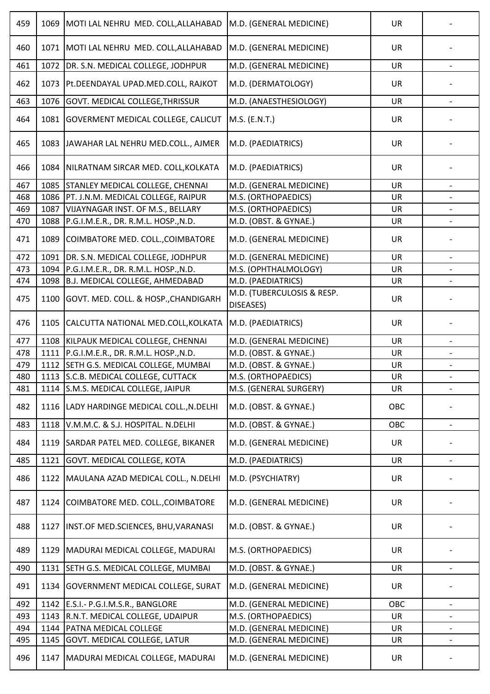| 459 | 1069 | MOTI LAL NEHRU MED. COLL, ALLAHABAD       | M.D. (GENERAL MEDICINE)                 | <b>UR</b> |                          |
|-----|------|-------------------------------------------|-----------------------------------------|-----------|--------------------------|
| 460 | 1071 | MOTI LAL NEHRU MED. COLL, ALLAHABAD       | M.D. (GENERAL MEDICINE)                 | UR        |                          |
| 461 | 1072 | DR. S.N. MEDICAL COLLEGE, JODHPUR         | M.D. (GENERAL MEDICINE)                 | UR        |                          |
| 462 | 1073 | Pt.DEENDAYAL UPAD.MED.COLL, RAJKOT        | M.D. (DERMATOLOGY)                      | <b>UR</b> |                          |
| 463 | 1076 | GOVT. MEDICAL COLLEGE, THRISSUR           | M.D. (ANAESTHESIOLOGY)                  | UR        | $\overline{\phantom{a}}$ |
| 464 | 1081 | <b>GOVERMENT MEDICAL COLLEGE, CALICUT</b> | M.S. (E.N.T.)                           | <b>UR</b> |                          |
| 465 | 1083 | JAWAHAR LAL NEHRU MED.COLL., AJMER        | M.D. (PAEDIATRICS)                      | <b>UR</b> |                          |
| 466 | 1084 | NILRATNAM SIRCAR MED. COLL, KOLKATA       | M.D. (PAEDIATRICS)                      | <b>UR</b> |                          |
| 467 | 1085 | STANLEY MEDICAL COLLEGE, CHENNAI          | M.D. (GENERAL MEDICINE)                 | <b>UR</b> |                          |
| 468 | 1086 | PT. J.N.M. MEDICAL COLLEGE, RAIPUR        | M.S. (ORTHOPAEDICS)                     | <b>UR</b> |                          |
| 469 | 1087 | VIJAYNAGAR INST. OF M.S., BELLARY         | M.S. (ORTHOPAEDICS)                     | <b>UR</b> |                          |
| 470 | 1088 | P.G.I.M.E.R., DR. R.M.L. HOSP., N.D.      | M.D. (OBST. & GYNAE.)                   | UR        |                          |
| 471 | 1089 | COIMBATORE MED. COLL., COIMBATORE         | M.D. (GENERAL MEDICINE)                 | <b>UR</b> |                          |
| 472 | 1091 | DR. S.N. MEDICAL COLLEGE, JODHPUR         | M.D. (GENERAL MEDICINE)                 | <b>UR</b> |                          |
| 473 | 1094 | P.G.I.M.E.R., DR. R.M.L. HOSP., N.D.      | M.S. (OPHTHALMOLOGY)                    | <b>UR</b> |                          |
| 474 | 1098 | B.J. MEDICAL COLLEGE, AHMEDABAD           | M.D. (PAEDIATRICS)                      | <b>UR</b> |                          |
| 475 | 1100 | GOVT. MED. COLL. & HOSP., CHANDIGARH      | M.D. (TUBERCULOSIS & RESP.<br>DISEASES) | <b>UR</b> |                          |
| 476 | 1105 | CALCUTTA NATIONAL MED.COLL, KOLKATA       | M.D. (PAEDIATRICS)                      | <b>UR</b> |                          |
| 477 | 1108 | KILPAUK MEDICAL COLLEGE, CHENNAI          | M.D. (GENERAL MEDICINE)                 | <b>UR</b> |                          |
| 478 | 1111 | P.G.I.M.E.R., DR. R.M.L. HOSP., N.D.      | M.D. (OBST. & GYNAE.)                   | <b>UR</b> |                          |
| 479 | 1112 | SETH G.S. MEDICAL COLLEGE, MUMBAI         | M.D. (OBST. & GYNAE.)                   | UR        |                          |
| 480 |      | 1113 S.C.B. MEDICAL COLLEGE, CUTTACK      | M.S. (ORTHOPAEDICS)                     | UR        |                          |
| 481 | 1114 | S.M.S. MEDICAL COLLEGE, JAIPUR            | M.S. (GENERAL SURGERY)                  | <b>UR</b> | $\overline{\phantom{a}}$ |
| 482 | 1116 | LADY HARDINGE MEDICAL COLL., N.DELHI      | M.D. (OBST. & GYNAE.)                   | OBC       |                          |
| 483 | 1118 | V.M.M.C. & S.J. HOSPITAL. N.DELHI         | M.D. (OBST. & GYNAE.)                   | OBC       |                          |
| 484 | 1119 | SARDAR PATEL MED. COLLEGE, BIKANER        | M.D. (GENERAL MEDICINE)                 | UR        |                          |
| 485 | 1121 | GOVT. MEDICAL COLLEGE, KOTA               | M.D. (PAEDIATRICS)                      | <b>UR</b> |                          |
| 486 | 1122 | MAULANA AZAD MEDICAL COLL., N.DELHI       | M.D. (PSYCHIATRY)                       | UR        |                          |
| 487 | 1124 | COIMBATORE MED. COLL., COIMBATORE         | M.D. (GENERAL MEDICINE)                 | <b>UR</b> |                          |
| 488 | 1127 | INST.OF MED.SCIENCES, BHU, VARANASI       | M.D. (OBST. & GYNAE.)                   | UR        |                          |
| 489 | 1129 | MADURAI MEDICAL COLLEGE, MADURAI          | M.S. (ORTHOPAEDICS)                     | <b>UR</b> |                          |
| 490 | 1131 | SETH G.S. MEDICAL COLLEGE, MUMBAI         | M.D. (OBST. & GYNAE.)                   | <b>UR</b> |                          |
| 491 | 1134 | <b>GOVERNMENT MEDICAL COLLEGE, SURAT</b>  | M.D. (GENERAL MEDICINE)                 | UR        |                          |
| 492 | 1142 | E.S.I.- P.G.I.M.S.R., BANGLORE            | M.D. (GENERAL MEDICINE)                 | OBC       |                          |
| 493 | 1143 | R.N.T. MEDICAL COLLEGE, UDAIPUR           | M.S. (ORTHOPAEDICS)                     | <b>UR</b> | $\overline{\phantom{a}}$ |
| 494 | 1144 | PATNA MEDICAL COLLEGE                     | M.D. (GENERAL MEDICINE)                 | <b>UR</b> |                          |
| 495 | 1145 | <b>GOVT. MEDICAL COLLEGE, LATUR</b>       | M.D. (GENERAL MEDICINE)                 | UR        | $\overline{\phantom{a}}$ |
| 496 | 1147 | MADURAI MEDICAL COLLEGE, MADURAI          | M.D. (GENERAL MEDICINE)                 | UR        |                          |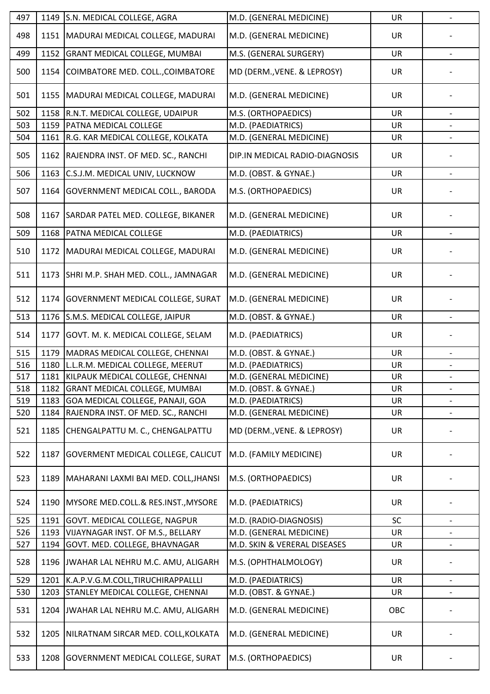| 497 |      | 1149 S.N. MEDICAL COLLEGE, AGRA             | M.D. (GENERAL MEDICINE)        | <b>UR</b> | $\blacksquare$           |
|-----|------|---------------------------------------------|--------------------------------|-----------|--------------------------|
| 498 |      | 1151   MADURAI MEDICAL COLLEGE, MADURAI     | M.D. (GENERAL MEDICINE)        | UR        |                          |
| 499 | 1152 | <b>GRANT MEDICAL COLLEGE, MUMBAI</b>        | M.S. (GENERAL SURGERY)         | <b>UR</b> |                          |
| 500 | 1154 | COIMBATORE MED. COLL., COIMBATORE           | MD (DERM., VENE. & LEPROSY)    | <b>UR</b> |                          |
| 501 | 1155 | MADURAI MEDICAL COLLEGE, MADURAI            | M.D. (GENERAL MEDICINE)        | UR        |                          |
| 502 |      | 1158   R.N.T. MEDICAL COLLEGE, UDAIPUR      | M.S. (ORTHOPAEDICS)            | <b>UR</b> |                          |
| 503 | 1159 | <b>PATNA MEDICAL COLLEGE</b>                | M.D. (PAEDIATRICS)             | UR        |                          |
| 504 | 1161 | R.G. KAR MEDICAL COLLEGE, KOLKATA           | M.D. (GENERAL MEDICINE)        | UR        |                          |
| 505 |      | 1162 RAJENDRA INST. OF MED. SC., RANCHI     | DIP.IN MEDICAL RADIO-DIAGNOSIS | <b>UR</b> |                          |
| 506 | 1163 | C.S.J.M. MEDICAL UNIV, LUCKNOW              | M.D. (OBST. & GYNAE.)          | UR        |                          |
| 507 | 1164 | GOVERNMENT MEDICAL COLL., BARODA            | M.S. (ORTHOPAEDICS)            | <b>UR</b> |                          |
| 508 | 1167 | SARDAR PATEL MED. COLLEGE, BIKANER          | M.D. (GENERAL MEDICINE)        | <b>UR</b> |                          |
| 509 | 1168 | PATNA MEDICAL COLLEGE                       | M.D. (PAEDIATRICS)             | UR        |                          |
| 510 |      | 1172   MADURAI MEDICAL COLLEGE, MADURAI     | M.D. (GENERAL MEDICINE)        | <b>UR</b> |                          |
| 511 | 1173 | SHRI M.P. SHAH MED. COLL., JAMNAGAR         | M.D. (GENERAL MEDICINE)        | <b>UR</b> |                          |
| 512 | 1174 | <b>GOVERNMENT MEDICAL COLLEGE, SURAT</b>    | M.D. (GENERAL MEDICINE)        | UR        |                          |
| 513 |      | 1176 S.M.S. MEDICAL COLLEGE, JAIPUR         | M.D. (OBST. & GYNAE.)          | <b>UR</b> |                          |
| 514 | 1177 | GOVT. M. K. MEDICAL COLLEGE, SELAM          | M.D. (PAEDIATRICS)             | <b>UR</b> |                          |
| 515 | 1179 | MADRAS MEDICAL COLLEGE, CHENNAI             | M.D. (OBST. & GYNAE.)          | UR        |                          |
| 516 |      | 1180 L.L.R.M. MEDICAL COLLEGE, MEERUT       | M.D. (PAEDIATRICS)             | <b>UR</b> |                          |
| 517 |      | 1181 KILPAUK MEDICAL COLLEGE, CHENNAI       | M.D. (GENERAL MEDICINE)        | UR        |                          |
| 518 | 1182 | <b>GRANT MEDICAL COLLEGE, MUMBAI</b>        | M.D. (OBST. & GYNAE.)          | <b>UR</b> |                          |
| 519 | 1183 | GOA MEDICAL COLLEGE, PANAJI, GOA            | M.D. (PAEDIATRICS)             | UR        |                          |
| 520 | 1184 | RAJENDRA INST. OF MED. SC., RANCHI          | M.D. (GENERAL MEDICINE)        | UR        | $\overline{\phantom{a}}$ |
| 521 | 1185 | CHENGALPATTU M. C., CHENGALPATTU            | MD (DERM., VENE. & LEPROSY)    | <b>UR</b> |                          |
| 522 | 1187 | <b>GOVERMENT MEDICAL COLLEGE, CALICUT</b>   | M.D. (FAMILY MEDICINE)         | UR        |                          |
| 523 |      | 1189   MAHARANI LAXMI BAI MED. COLL, JHANSI | M.S. (ORTHOPAEDICS)            | <b>UR</b> |                          |
| 524 | 1190 | MYSORE MED.COLL.& RES.INST., MYSORE         | M.D. (PAEDIATRICS)             | <b>UR</b> |                          |
| 525 | 1191 | <b>GOVT. MEDICAL COLLEGE, NAGPUR</b>        | M.D. (RADIO-DIAGNOSIS)         | SC        |                          |
| 526 | 1193 | VIJAYNAGAR INST. OF M.S., BELLARY           | M.D. (GENERAL MEDICINE)        | <b>UR</b> |                          |
| 527 | 1194 | GOVT. MED. COLLEGE, BHAVNAGAR               | M.D. SKIN & VERERAL DISEASES   | UR        |                          |
| 528 |      | 1196 JWAHAR LAL NEHRU M.C. AMU, ALIGARH     | M.S. (OPHTHALMOLOGY)           | <b>UR</b> |                          |
| 529 | 1201 | K.A.P.V.G.M.COLL, TIRUCHIRAPPALLLI          | M.D. (PAEDIATRICS)             | UR        | $\qquad \qquad -$        |
| 530 | 1203 | STANLEY MEDICAL COLLEGE, CHENNAI            | M.D. (OBST. & GYNAE.)          | <b>UR</b> |                          |
| 531 |      | 1204 JWAHAR LAL NEHRU M.C. AMU, ALIGARH     | M.D. (GENERAL MEDICINE)        | OBC       |                          |
| 532 | 1205 | NILRATNAM SIRCAR MED. COLL, KOLKATA         | M.D. (GENERAL MEDICINE)        | <b>UR</b> |                          |
| 533 | 1208 | <b>GOVERNMENT MEDICAL COLLEGE, SURAT</b>    | M.S. (ORTHOPAEDICS)            | UR        |                          |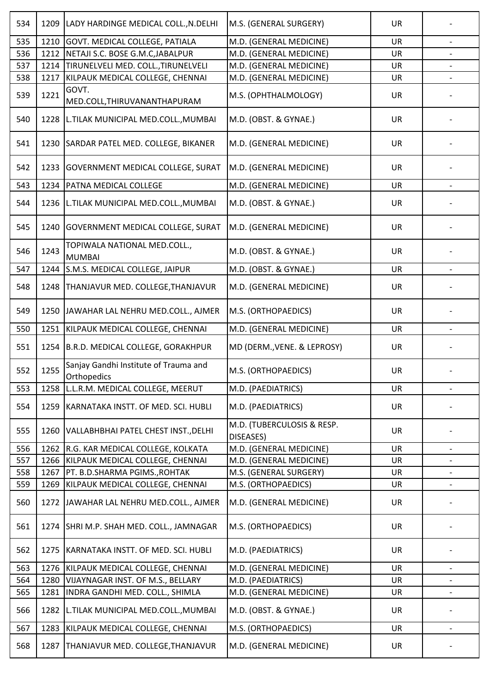| 534 | 1209 | LADY HARDINGE MEDICAL COLL., N.DELHI                 | M.S. (GENERAL SURGERY)                  | <b>UR</b> |                          |
|-----|------|------------------------------------------------------|-----------------------------------------|-----------|--------------------------|
| 535 | 1210 | GOVT. MEDICAL COLLEGE, PATIALA                       | M.D. (GENERAL MEDICINE)                 | <b>UR</b> |                          |
| 536 | 1212 | NETAJI S.C. BOSE G.M.C, JABALPUR                     | M.D. (GENERAL MEDICINE)                 | <b>UR</b> |                          |
| 537 | 1214 | TIRUNELVELI MED. COLL., TIRUNELVELI                  | M.D. (GENERAL MEDICINE)                 | <b>UR</b> |                          |
| 538 | 1217 | KILPAUK MEDICAL COLLEGE, CHENNAI                     | M.D. (GENERAL MEDICINE)                 | <b>UR</b> |                          |
| 539 | 1221 | GOVT.<br>MED.COLL, THIRUVANANTHAPURAM                | M.S. (OPHTHALMOLOGY)                    | UR        |                          |
| 540 | 1228 | L.TILAK MUNICIPAL MED.COLL., MUMBAI                  | M.D. (OBST. & GYNAE.)                   | <b>UR</b> |                          |
| 541 | 1230 | SARDAR PATEL MED. COLLEGE, BIKANER                   | M.D. (GENERAL MEDICINE)                 | <b>UR</b> |                          |
| 542 | 1233 | <b>GOVERNMENT MEDICAL COLLEGE, SURAT</b>             | M.D. (GENERAL MEDICINE)                 | UR        |                          |
| 543 | 1234 | PATNA MEDICAL COLLEGE                                | M.D. (GENERAL MEDICINE)                 | UR        |                          |
| 544 | 1236 | L.TILAK MUNICIPAL MED.COLL., MUMBAI                  | M.D. (OBST. & GYNAE.)                   | <b>UR</b> |                          |
| 545 | 1240 | <b>GOVERNMENT MEDICAL COLLEGE, SURAT</b>             | M.D. (GENERAL MEDICINE)                 | UR        |                          |
| 546 | 1243 | TOPIWALA NATIONAL MED.COLL.,<br><b>MUMBAI</b>        | M.D. (OBST. & GYNAE.)                   | UR        |                          |
| 547 | 1244 | S.M.S. MEDICAL COLLEGE, JAIPUR                       | M.D. (OBST. & GYNAE.)                   | UR        |                          |
| 548 | 1248 | THANJAVUR MED. COLLEGE, THANJAVUR                    | M.D. (GENERAL MEDICINE)                 | <b>UR</b> |                          |
| 549 | 1250 | JAWAHAR LAL NEHRU MED.COLL., AJMER                   | M.S. (ORTHOPAEDICS)                     | <b>UR</b> |                          |
| 550 | 1251 | KILPAUK MEDICAL COLLEGE, CHENNAI                     | M.D. (GENERAL MEDICINE)                 | UR        |                          |
| 551 | 1254 | B.R.D. MEDICAL COLLEGE, GORAKHPUR                    | MD (DERM., VENE. & LEPROSY)             | <b>UR</b> |                          |
| 552 | 1255 | Sanjay Gandhi Institute of Trauma and<br>Orthopedics | M.S. (ORTHOPAEDICS)                     | <b>UR</b> |                          |
| 553 | 1258 | L.L.R.M. MEDICAL COLLEGE, MEERUT                     | M.D. (PAEDIATRICS)                      | <b>UR</b> | $\overline{\phantom{a}}$ |
| 554 | 1259 | KARNATAKA INSTT. OF MED. SCI. HUBLI                  | M.D. (PAEDIATRICS)                      | <b>UR</b> |                          |
| 555 | 1260 | VALLABHBHAI PATEL CHEST INST., DELHI                 | M.D. (TUBERCULOSIS & RESP.<br>DISEASES) | <b>UR</b> |                          |
| 556 | 1262 | R.G. KAR MEDICAL COLLEGE, KOLKATA                    | M.D. (GENERAL MEDICINE)                 | UR        | $\overline{\phantom{a}}$ |
| 557 | 1266 | KILPAUK MEDICAL COLLEGE, CHENNAI                     | M.D. (GENERAL MEDICINE)                 | <b>UR</b> |                          |
| 558 | 1267 | PT. B.D.SHARMA PGIMS., ROHTAK                        | M.S. (GENERAL SURGERY)                  | <b>UR</b> | $\overline{\phantom{a}}$ |
| 559 | 1269 | KILPAUK MEDICAL COLLEGE, CHENNAI                     | M.S. (ORTHOPAEDICS)                     | UR        |                          |
| 560 | 1272 | JAWAHAR LAL NEHRU MED.COLL., AJMER                   | M.D. (GENERAL MEDICINE)                 | <b>UR</b> |                          |
| 561 | 1274 | SHRI M.P. SHAH MED. COLL., JAMNAGAR                  | M.S. (ORTHOPAEDICS)                     | <b>UR</b> |                          |
| 562 | 1275 | KARNATAKA INSTT. OF MED. SCI. HUBLI                  | M.D. (PAEDIATRICS)                      | <b>UR</b> |                          |
| 563 | 1276 | KILPAUK MEDICAL COLLEGE, CHENNAI                     | M.D. (GENERAL MEDICINE)                 | <b>UR</b> | $\overline{\phantom{a}}$ |
| 564 | 1280 | VIJAYNAGAR INST. OF M.S., BELLARY                    | M.D. (PAEDIATRICS)                      | <b>UR</b> | $\overline{\phantom{0}}$ |
| 565 | 1281 | INDRA GANDHI MED. COLL., SHIMLA                      | M.D. (GENERAL MEDICINE)                 | UR        | $\overline{\phantom{a}}$ |
| 566 | 1282 | L.TILAK MUNICIPAL MED.COLL., MUMBAI                  | M.D. (OBST. & GYNAE.)                   | <b>UR</b> |                          |
| 567 | 1283 | KILPAUK MEDICAL COLLEGE, CHENNAI                     | M.S. (ORTHOPAEDICS)                     | <b>UR</b> |                          |
| 568 | 1287 | THANJAVUR MED. COLLEGE, THANJAVUR                    | M.D. (GENERAL MEDICINE)                 | <b>UR</b> |                          |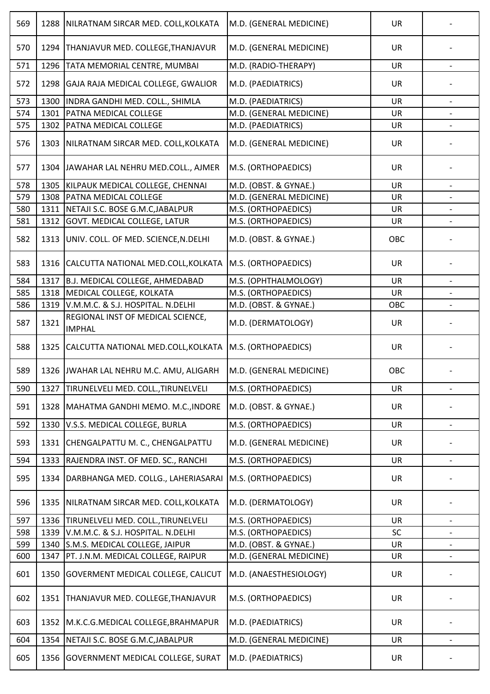| 569 | 1288 | NILRATNAM SIRCAR MED. COLL, KOLKATA                       | M.D. (GENERAL MEDICINE) | <b>UR</b> |                          |
|-----|------|-----------------------------------------------------------|-------------------------|-----------|--------------------------|
| 570 | 1294 | THANJAVUR MED. COLLEGE, THANJAVUR                         | M.D. (GENERAL MEDICINE) | UR        |                          |
| 571 | 1296 | TATA MEMORIAL CENTRE, MUMBAI                              | M.D. (RADIO-THERAPY)    | UR        |                          |
| 572 | 1298 | GAJA RAJA MEDICAL COLLEGE, GWALIOR                        | M.D. (PAEDIATRICS)      | <b>UR</b> |                          |
| 573 | 1300 | INDRA GANDHI MED. COLL., SHIMLA                           | M.D. (PAEDIATRICS)      | <b>UR</b> | $\qquad \qquad -$        |
| 574 | 1301 | PATNA MEDICAL COLLEGE                                     | M.D. (GENERAL MEDICINE) | <b>UR</b> |                          |
| 575 | 1302 | PATNA MEDICAL COLLEGE                                     | M.D. (PAEDIATRICS)      | <b>UR</b> |                          |
| 576 | 1303 | NILRATNAM SIRCAR MED. COLL, KOLKATA                       | M.D. (GENERAL MEDICINE) | UR        |                          |
| 577 | 1304 | JAWAHAR LAL NEHRU MED.COLL., AJMER                        | M.S. (ORTHOPAEDICS)     | <b>UR</b> |                          |
| 578 | 1305 | KILPAUK MEDICAL COLLEGE, CHENNAI                          | M.D. (OBST. & GYNAE.)   | UR        |                          |
| 579 | 1308 | PATNA MEDICAL COLLEGE                                     | M.D. (GENERAL MEDICINE) | <b>UR</b> |                          |
| 580 | 1311 | NETAJI S.C. BOSE G.M.C, JABALPUR                          | M.S. (ORTHOPAEDICS)     | <b>UR</b> |                          |
| 581 | 1312 | GOVT. MEDICAL COLLEGE, LATUR                              | M.S. (ORTHOPAEDICS)     | UR        |                          |
| 582 | 1313 | UNIV. COLL. OF MED. SCIENCE, N.DELHI                      | M.D. (OBST. & GYNAE.)   | OBC       |                          |
| 583 | 1316 | CALCUTTA NATIONAL MED.COLL, KOLKATA                       | M.S. (ORTHOPAEDICS)     | UR        |                          |
| 584 | 1317 | B.J. MEDICAL COLLEGE, AHMEDABAD                           | M.S. (OPHTHALMOLOGY)    | <b>UR</b> |                          |
| 585 | 1318 | MEDICAL COLLEGE, KOLKATA                                  | M.S. (ORTHOPAEDICS)     | <b>UR</b> |                          |
| 586 | 1319 | V.M.M.C. & S.J. HOSPITAL. N.DELHI                         | M.D. (OBST. & GYNAE.)   | OBC       |                          |
| 587 | 1321 | REGIONAL INST OF MEDICAL SCIENCE,<br><b>IMPHAL</b>        | M.D. (DERMATOLOGY)      | <b>UR</b> |                          |
| 588 | 1325 | CALCUTTA NATIONAL MED.COLL, KOLKATA   M.S. (ORTHOPAEDICS) |                         | <b>UR</b> |                          |
| 589 |      | 1326 JWAHAR LAL NEHRU M.C. AMU, ALIGARH                   | M.D. (GENERAL MEDICINE) | OBC       |                          |
| 590 | 1327 | TIRUNELVELI MED. COLL., TIRUNELVELI                       | M.S. (ORTHOPAEDICS)     | <b>UR</b> | $\overline{\phantom{a}}$ |
| 591 | 1328 | MAHATMA GANDHI MEMO. M.C., INDORE                         | M.D. (OBST. & GYNAE.)   | <b>UR</b> |                          |
| 592 | 1330 | V.S.S. MEDICAL COLLEGE, BURLA                             | M.S. (ORTHOPAEDICS)     | UR        |                          |
| 593 | 1331 | CHENGALPATTU M. C., CHENGALPATTU                          | M.D. (GENERAL MEDICINE) | UR        |                          |
| 594 | 1333 | RAJENDRA INST. OF MED. SC., RANCHI                        | M.S. (ORTHOPAEDICS)     | UR        |                          |
| 595 | 1334 | DARBHANGA MED. COLLG., LAHERIASARAI                       | M.S. (ORTHOPAEDICS)     | <b>UR</b> |                          |
| 596 | 1335 | NILRATNAM SIRCAR MED. COLL, KOLKATA                       | M.D. (DERMATOLOGY)      | <b>UR</b> |                          |
| 597 | 1336 | TIRUNELVELI MED. COLL., TIRUNELVELI                       | M.S. (ORTHOPAEDICS)     | UR        |                          |
| 598 | 1339 | V.M.M.C. & S.J. HOSPITAL. N.DELHI                         | M.S. (ORTHOPAEDICS)     | SC        |                          |
| 599 | 1340 | S.M.S. MEDICAL COLLEGE, JAIPUR                            | M.D. (OBST. & GYNAE.)   | UR        |                          |
| 600 | 1347 | PT. J.N.M. MEDICAL COLLEGE, RAIPUR                        | M.D. (GENERAL MEDICINE) | UR        | $\overline{\phantom{a}}$ |
| 601 | 1350 | GOVERMENT MEDICAL COLLEGE, CALICUT                        | M.D. (ANAESTHESIOLOGY)  | UR        |                          |
| 602 | 1351 | THANJAVUR MED. COLLEGE, THANJAVUR                         | M.S. (ORTHOPAEDICS)     | <b>UR</b> |                          |
| 603 | 1352 | M.K.C.G.MEDICAL COLLEGE, BRAHMAPUR                        | M.D. (PAEDIATRICS)      | <b>UR</b> |                          |
| 604 | 1354 | NETAJI S.C. BOSE G.M.C, JABALPUR                          | M.D. (GENERAL MEDICINE) | UR        | $\overline{\phantom{a}}$ |
| 605 | 1356 | <b>GOVERNMENT MEDICAL COLLEGE, SURAT</b>                  | M.D. (PAEDIATRICS)      | <b>UR</b> |                          |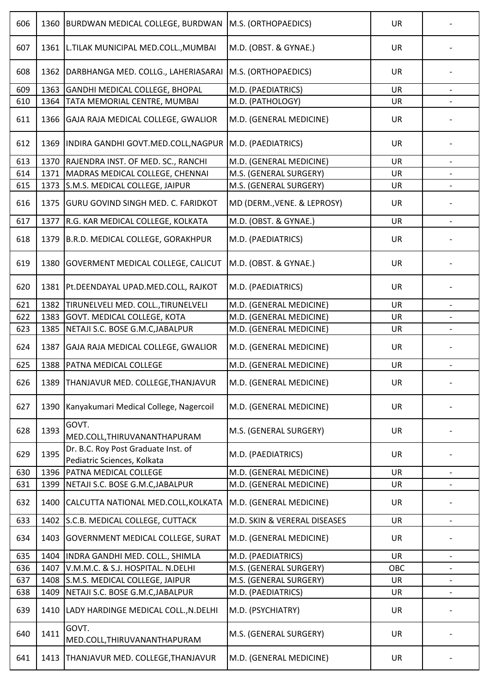| 606 | 1360 | <b>BURDWAN MEDICAL COLLEGE, BURDWAN</b>                            | M.S. (ORTHOPAEDICS)          | <b>UR</b> |                          |
|-----|------|--------------------------------------------------------------------|------------------------------|-----------|--------------------------|
| 607 | 1361 | L.TILAK MUNICIPAL MED.COLL., MUMBAI                                | M.D. (OBST. & GYNAE.)        | <b>UR</b> |                          |
| 608 | 1362 | DARBHANGA MED. COLLG., LAHERIASARAI                                | M.S. (ORTHOPAEDICS)          | <b>UR</b> |                          |
| 609 | 1363 | GANDHI MEDICAL COLLEGE, BHOPAL                                     | M.D. (PAEDIATRICS)           | <b>UR</b> |                          |
| 610 | 1364 | TATA MEMORIAL CENTRE, MUMBAI                                       | M.D. (PATHOLOGY)             | <b>UR</b> |                          |
| 611 | 1366 | GAJA RAJA MEDICAL COLLEGE, GWALIOR                                 | M.D. (GENERAL MEDICINE)      | <b>UR</b> |                          |
| 612 | 1369 | INDIRA GANDHI GOVT.MED.COLL, NAGPUR                                | M.D. (PAEDIATRICS)           | <b>UR</b> |                          |
| 613 | 1370 | RAJENDRA INST. OF MED. SC., RANCHI                                 | M.D. (GENERAL MEDICINE)      | <b>UR</b> | $\overline{\phantom{a}}$ |
| 614 | 1371 | MADRAS MEDICAL COLLEGE, CHENNAI                                    | M.S. (GENERAL SURGERY)       | <b>UR</b> |                          |
| 615 | 1373 | S.M.S. MEDICAL COLLEGE, JAIPUR                                     | M.S. (GENERAL SURGERY)       | <b>UR</b> |                          |
| 616 | 1375 | <b>GURU GOVIND SINGH MED. C. FARIDKOT</b>                          | MD (DERM., VENE. & LEPROSY)  | UR        |                          |
| 617 | 1377 | R.G. KAR MEDICAL COLLEGE, KOLKATA                                  | M.D. (OBST. & GYNAE.)        | UR        |                          |
| 618 | 1379 | B.R.D. MEDICAL COLLEGE, GORAKHPUR                                  | M.D. (PAEDIATRICS)           | UR        |                          |
| 619 | 1380 | <b>GOVERMENT MEDICAL COLLEGE, CALICUT</b>                          | M.D. (OBST. & GYNAE.)        | UR        |                          |
| 620 |      | 1381   Pt. DEENDAYAL UPAD. MED. COLL, RAJKOT                       | M.D. (PAEDIATRICS)           | <b>UR</b> |                          |
| 621 | 1382 | TIRUNELVELI MED. COLL., TIRUNELVELI                                | M.D. (GENERAL MEDICINE)      | UR        |                          |
| 622 | 1383 | GOVT. MEDICAL COLLEGE, KOTA                                        | M.D. (GENERAL MEDICINE)      | <b>UR</b> |                          |
| 623 | 1385 | NETAJI S.C. BOSE G.M.C, JABALPUR                                   | M.D. (GENERAL MEDICINE)      | <b>UR</b> |                          |
| 624 | 1387 | GAJA RAJA MEDICAL COLLEGE, GWALIOR                                 | M.D. (GENERAL MEDICINE)      | <b>UR</b> |                          |
| 625 | 1388 | PATNA MEDICAL COLLEGE                                              | M.D. (GENERAL MEDICINE)      | UR        |                          |
| 626 | 1389 | THANJAVUR MED. COLLEGE, THANJAVUR                                  | M.D. (GENERAL MEDICINE)      | UR.       |                          |
| 627 | 1390 | Kanyakumari Medical College, Nagercoil                             | M.D. (GENERAL MEDICINE)      | <b>UR</b> |                          |
| 628 | 1393 | GOVT.<br>MED.COLL, THIRUVANANTHAPURAM                              | M.S. (GENERAL SURGERY)       | <b>UR</b> |                          |
| 629 | 1395 | Dr. B.C. Roy Post Graduate Inst. of<br>Pediatric Sciences, Kolkata | M.D. (PAEDIATRICS)           | <b>UR</b> |                          |
| 630 | 1396 | PATNA MEDICAL COLLEGE                                              | M.D. (GENERAL MEDICINE)      | <b>UR</b> | $\overline{\phantom{a}}$ |
| 631 | 1399 | NETAJI S.C. BOSE G.M.C, JABALPUR                                   | M.D. (GENERAL MEDICINE)      | UR        |                          |
| 632 | 1400 | CALCUTTA NATIONAL MED.COLL, KOLKATA                                | M.D. (GENERAL MEDICINE)      | <b>UR</b> |                          |
| 633 | 1402 | S.C.B. MEDICAL COLLEGE, CUTTACK                                    | M.D. SKIN & VERERAL DISEASES | <b>UR</b> |                          |
| 634 | 1403 | GOVERNMENT MEDICAL COLLEGE, SURAT                                  | M.D. (GENERAL MEDICINE)      | <b>UR</b> |                          |
| 635 | 1404 | INDRA GANDHI MED. COLL., SHIMLA                                    | M.D. (PAEDIATRICS)           | UR        | $\overline{\phantom{a}}$ |
| 636 | 1407 | V.M.M.C. & S.J. HOSPITAL. N.DELHI                                  | M.S. (GENERAL SURGERY)       | OBC       |                          |
| 637 | 1408 | S.M.S. MEDICAL COLLEGE, JAIPUR                                     | M.S. (GENERAL SURGERY)       | UR        | $\overline{\phantom{a}}$ |
| 638 | 1409 | NETAJI S.C. BOSE G.M.C, JABALPUR                                   | M.D. (PAEDIATRICS)           | <b>UR</b> |                          |
| 639 | 1410 | LADY HARDINGE MEDICAL COLL., N.DELHI                               | M.D. (PSYCHIATRY)            | <b>UR</b> |                          |
| 640 | 1411 | GOVT.<br>MED.COLL, THIRUVANANTHAPURAM                              | M.S. (GENERAL SURGERY)       | <b>UR</b> |                          |
| 641 | 1413 | THANJAVUR MED. COLLEGE, THANJAVUR                                  | M.D. (GENERAL MEDICINE)      | <b>UR</b> |                          |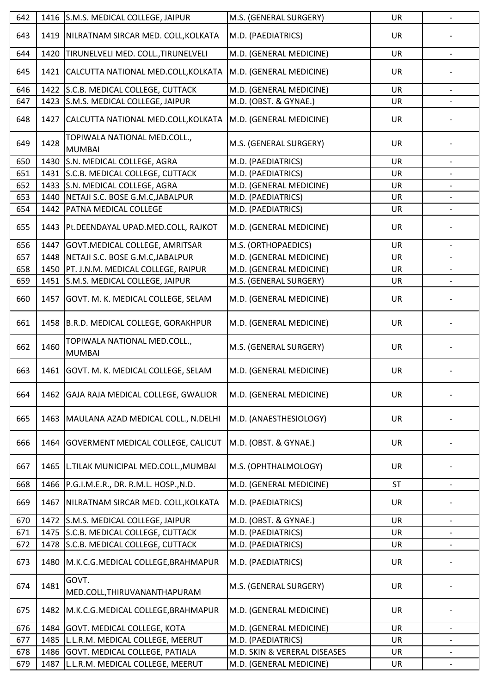| 642 |      | 1416 S.M.S. MEDICAL COLLEGE, JAIPUR           | M.S. (GENERAL SURGERY)       | <b>UR</b> | $\overline{\phantom{a}}$ |
|-----|------|-----------------------------------------------|------------------------------|-----------|--------------------------|
| 643 | 1419 | NILRATNAM SIRCAR MED. COLL, KOLKATA           | M.D. (PAEDIATRICS)           | <b>UR</b> |                          |
| 644 | 1420 | TIRUNELVELI MED. COLL., TIRUNELVELI           | M.D. (GENERAL MEDICINE)      | UR        |                          |
| 645 | 1421 | CALCUTTA NATIONAL MED.COLL, KOLKATA           | M.D. (GENERAL MEDICINE)      | <b>UR</b> |                          |
| 646 | 1422 | S.C.B. MEDICAL COLLEGE, CUTTACK               | M.D. (GENERAL MEDICINE)      | <b>UR</b> |                          |
| 647 | 1423 | S.M.S. MEDICAL COLLEGE, JAIPUR                | M.D. (OBST. & GYNAE.)        | UR        |                          |
| 648 | 1427 | CALCUTTA NATIONAL MED.COLL, KOLKATA           | M.D. (GENERAL MEDICINE)      | <b>UR</b> |                          |
| 649 | 1428 | TOPIWALA NATIONAL MED.COLL.,<br><b>MUMBAI</b> | M.S. (GENERAL SURGERY)       | UR        |                          |
| 650 | 1430 | S.N. MEDICAL COLLEGE, AGRA                    | M.D. (PAEDIATRICS)           | <b>UR</b> |                          |
| 651 | 1431 | S.C.B. MEDICAL COLLEGE, CUTTACK               | M.D. (PAEDIATRICS)           | UR        |                          |
| 652 | 1433 | S.N. MEDICAL COLLEGE, AGRA                    | M.D. (GENERAL MEDICINE)      | <b>UR</b> | $\overline{\phantom{a}}$ |
| 653 | 1440 | NETAJI S.C. BOSE G.M.C, JABALPUR              | M.D. (PAEDIATRICS)           | <b>UR</b> |                          |
| 654 | 1442 | PATNA MEDICAL COLLEGE                         | M.D. (PAEDIATRICS)           | <b>UR</b> | $\overline{\phantom{a}}$ |
| 655 |      | 1443   Pt. DEENDAYAL UPAD. MED. COLL, RAJKOT  | M.D. (GENERAL MEDICINE)      | <b>UR</b> |                          |
| 656 | 1447 | GOVT. MEDICAL COLLEGE, AMRITSAR               | M.S. (ORTHOPAEDICS)          | <b>UR</b> |                          |
| 657 | 1448 | NETAJI S.C. BOSE G.M.C, JABALPUR              | M.D. (GENERAL MEDICINE)      | <b>UR</b> |                          |
| 658 | 1450 | PT. J.N.M. MEDICAL COLLEGE, RAIPUR            | M.D. (GENERAL MEDICINE)      | <b>UR</b> | $\overline{\phantom{a}}$ |
| 659 | 1451 | S.M.S. MEDICAL COLLEGE, JAIPUR                | M.S. (GENERAL SURGERY)       | UR        |                          |
| 660 | 1457 | GOVT. M. K. MEDICAL COLLEGE, SELAM            | M.D. (GENERAL MEDICINE)      | UR        |                          |
| 661 | 1458 | B.R.D. MEDICAL COLLEGE, GORAKHPUR             | M.D. (GENERAL MEDICINE)      | UR        |                          |
| 662 | 1460 | TOPIWALA NATIONAL MED.COLL.,<br><b>MUMBAI</b> | M.S. (GENERAL SURGERY)       | <b>UR</b> |                          |
| 663 |      | 1461   GOVT. M. K. MEDICAL COLLEGE, SELAM     | M.D. (GENERAL MEDICINE)      | UR        |                          |
| 664 | 1462 | GAJA RAJA MEDICAL COLLEGE, GWALIOR            | M.D. (GENERAL MEDICINE)      | <b>UR</b> |                          |
| 665 | 1463 | MAULANA AZAD MEDICAL COLL., N.DELHI           | M.D. (ANAESTHESIOLOGY)       | <b>UR</b> |                          |
| 666 | 1464 | GOVERMENT MEDICAL COLLEGE, CALICUT            | M.D. (OBST. & GYNAE.)        | UR        |                          |
| 667 | 1465 | L.TILAK MUNICIPAL MED.COLL., MUMBAI           | M.S. (OPHTHALMOLOGY)         | <b>UR</b> |                          |
| 668 | 1466 | P.G.I.M.E.R., DR. R.M.L. HOSP., N.D.          | M.D. (GENERAL MEDICINE)      | <b>ST</b> |                          |
| 669 | 1467 | NILRATNAM SIRCAR MED. COLL, KOLKATA           | M.D. (PAEDIATRICS)           | <b>UR</b> |                          |
| 670 | 1472 | S.M.S. MEDICAL COLLEGE, JAIPUR                | M.D. (OBST. & GYNAE.)        | <b>UR</b> | $\overline{\phantom{a}}$ |
| 671 | 1475 | S.C.B. MEDICAL COLLEGE, CUTTACK               | M.D. (PAEDIATRICS)           | UR        |                          |
| 672 | 1478 | S.C.B. MEDICAL COLLEGE, CUTTACK               | M.D. (PAEDIATRICS)           | UR        |                          |
| 673 | 1480 | M.K.C.G.MEDICAL COLLEGE, BRAHMAPUR            | M.D. (PAEDIATRICS)           | <b>UR</b> |                          |
| 674 | 1481 | GOVT.<br>MED.COLL, THIRUVANANTHAPURAM         | M.S. (GENERAL SURGERY)       | <b>UR</b> |                          |
| 675 | 1482 | M.K.C.G.MEDICAL COLLEGE, BRAHMAPUR            | M.D. (GENERAL MEDICINE)      | UR        |                          |
| 676 | 1484 | GOVT. MEDICAL COLLEGE, KOTA                   | M.D. (GENERAL MEDICINE)      | <b>UR</b> |                          |
| 677 | 1485 | L.L.R.M. MEDICAL COLLEGE, MEERUT              | M.D. (PAEDIATRICS)           | UR        | $\overline{\phantom{a}}$ |
| 678 | 1486 | GOVT. MEDICAL COLLEGE, PATIALA                | M.D. SKIN & VERERAL DISEASES | UR        |                          |
| 679 | 1487 | L.L.R.M. MEDICAL COLLEGE, MEERUT              | M.D. (GENERAL MEDICINE)      | UR        | $\qquad \qquad -$        |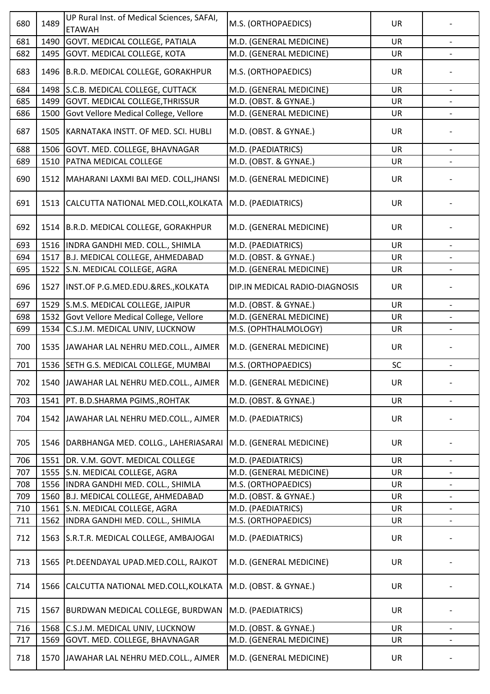| 680 | 1489 | UP Rural Inst. of Medical Sciences, SAFAI,<br><b>ETAWAH</b> | M.S. (ORTHOPAEDICS)            | <b>UR</b> |                          |
|-----|------|-------------------------------------------------------------|--------------------------------|-----------|--------------------------|
| 681 | 1490 | GOVT. MEDICAL COLLEGE, PATIALA                              | M.D. (GENERAL MEDICINE)        | <b>UR</b> | $\overline{\phantom{a}}$ |
| 682 | 1495 | GOVT. MEDICAL COLLEGE, KOTA                                 | M.D. (GENERAL MEDICINE)        | UR        |                          |
| 683 | 1496 | B.R.D. MEDICAL COLLEGE, GORAKHPUR                           | M.S. (ORTHOPAEDICS)            | UR        |                          |
| 684 | 1498 | S.C.B. MEDICAL COLLEGE, CUTTACK                             | M.D. (GENERAL MEDICINE)        | <b>UR</b> |                          |
| 685 | 1499 | GOVT. MEDICAL COLLEGE, THRISSUR                             | M.D. (OBST. & GYNAE.)          | <b>UR</b> |                          |
| 686 | 1500 | Govt Vellore Medical College, Vellore                       | M.D. (GENERAL MEDICINE)        | UR        |                          |
| 687 | 1505 | KARNATAKA INSTT. OF MED. SCI. HUBLI                         | M.D. (OBST. & GYNAE.)          | <b>UR</b> |                          |
| 688 | 1506 | GOVT. MED. COLLEGE, BHAVNAGAR                               | M.D. (PAEDIATRICS)             | <b>UR</b> |                          |
| 689 | 1510 | PATNA MEDICAL COLLEGE                                       | M.D. (OBST. & GYNAE.)          | <b>UR</b> |                          |
| 690 | 1512 | MAHARANI LAXMI BAI MED. COLL, JHANSI                        | M.D. (GENERAL MEDICINE)        | <b>UR</b> |                          |
| 691 | 1513 | CALCUTTA NATIONAL MED.COLL, KOLKATA                         | M.D. (PAEDIATRICS)             | <b>UR</b> |                          |
| 692 | 1514 | B.R.D. MEDICAL COLLEGE, GORAKHPUR                           | M.D. (GENERAL MEDICINE)        | <b>UR</b> |                          |
| 693 | 1516 | INDRA GANDHI MED. COLL., SHIMLA                             | M.D. (PAEDIATRICS)             | <b>UR</b> |                          |
| 694 | 1517 | B.J. MEDICAL COLLEGE, AHMEDABAD                             | M.D. (OBST. & GYNAE.)          | <b>UR</b> |                          |
| 695 | 1522 | S.N. MEDICAL COLLEGE, AGRA                                  | M.D. (GENERAL MEDICINE)        | <b>UR</b> |                          |
| 696 | 1527 | INST.OF P.G.MED.EDU.&RES., KOLKATA                          | DIP.IN MEDICAL RADIO-DIAGNOSIS | <b>UR</b> |                          |
| 697 | 1529 | S.M.S. MEDICAL COLLEGE, JAIPUR                              | M.D. (OBST. & GYNAE.)          | <b>UR</b> |                          |
| 698 | 1532 | Govt Vellore Medical College, Vellore                       | M.D. (GENERAL MEDICINE)        | <b>UR</b> |                          |
| 699 | 1534 | C.S.J.M. MEDICAL UNIV, LUCKNOW                              | M.S. (OPHTHALMOLOGY)           | <b>UR</b> | $\overline{\phantom{a}}$ |
| 700 | 1535 | JAWAHAR LAL NEHRU MED.COLL., AJMER                          | M.D. (GENERAL MEDICINE)        | <b>UR</b> |                          |
| 701 | 1536 | SETH G.S. MEDICAL COLLEGE, MUMBAI                           | M.S. (ORTHOPAEDICS)            | SC        |                          |
| 702 | 1540 | JAWAHAR LAL NEHRU MED.COLL., AJMER                          | M.D. (GENERAL MEDICINE)        | UR        | $\overline{\phantom{a}}$ |
| 703 | 1541 | PT. B.D.SHARMA PGIMS., ROHTAK                               | M.D. (OBST. & GYNAE.)          | UR        |                          |
| 704 | 1542 | JAWAHAR LAL NEHRU MED.COLL., AJMER                          | M.D. (PAEDIATRICS)             | <b>UR</b> |                          |
| 705 | 1546 | DARBHANGA MED. COLLG., LAHERIASARAI                         | M.D. (GENERAL MEDICINE)        | <b>UR</b> |                          |
| 706 | 1551 | DR. V.M. GOVT. MEDICAL COLLEGE                              | M.D. (PAEDIATRICS)             | <b>UR</b> |                          |
| 707 | 1555 | S.N. MEDICAL COLLEGE, AGRA                                  | M.D. (GENERAL MEDICINE)        | <b>UR</b> | $\overline{\phantom{0}}$ |
| 708 | 1556 | INDRA GANDHI MED. COLL., SHIMLA                             | M.S. (ORTHOPAEDICS)            | <b>UR</b> |                          |
| 709 | 1560 | B.J. MEDICAL COLLEGE, AHMEDABAD                             | M.D. (OBST. & GYNAE.)          | UR        | $\overline{\phantom{a}}$ |
| 710 | 1561 | S.N. MEDICAL COLLEGE, AGRA                                  | M.D. (PAEDIATRICS)             | UR        |                          |
| 711 | 1562 | INDRA GANDHI MED. COLL., SHIMLA                             | M.S. (ORTHOPAEDICS)            | UR        | $\qquad \qquad -$        |
| 712 | 1563 | S.R.T.R. MEDICAL COLLEGE, AMBAJOGAI                         | M.D. (PAEDIATRICS)             | <b>UR</b> |                          |
| 713 | 1565 | Pt.DEENDAYAL UPAD.MED.COLL, RAJKOT                          | M.D. (GENERAL MEDICINE)        | <b>UR</b> |                          |
| 714 | 1566 | CALCUTTA NATIONAL MED.COLL, KOLKATA                         | M.D. (OBST. & GYNAE.)          | <b>UR</b> |                          |
| 715 | 1567 | BURDWAN MEDICAL COLLEGE, BURDWAN                            | M.D. (PAEDIATRICS)             | <b>UR</b> |                          |
| 716 | 1568 | C.S.J.M. MEDICAL UNIV, LUCKNOW                              | M.D. (OBST. & GYNAE.)          | <b>UR</b> |                          |
| 717 | 1569 | GOVT. MED. COLLEGE, BHAVNAGAR                               | M.D. (GENERAL MEDICINE)        | <b>UR</b> | $\overline{\phantom{a}}$ |
| 718 | 1570 | JAWAHAR LAL NEHRU MED.COLL., AJMER                          | M.D. (GENERAL MEDICINE)        | UR        |                          |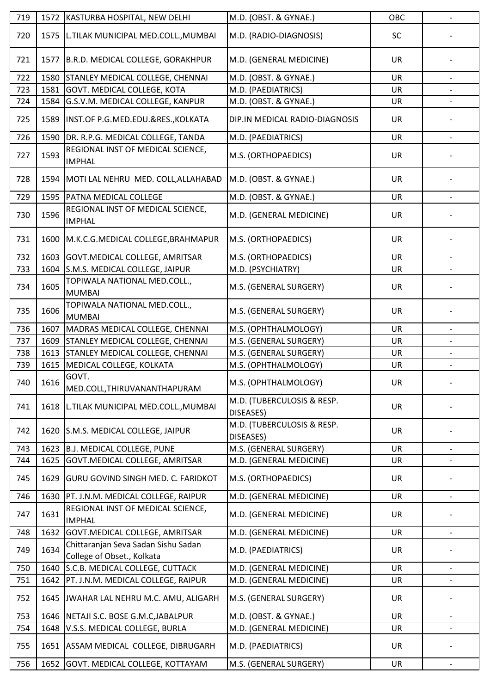| 719 | 1572 | KASTURBA HOSPITAL, NEW DELHI                                      | M.D. (OBST. & GYNAE.)                   | OBC       | $\overline{\phantom{a}}$ |
|-----|------|-------------------------------------------------------------------|-----------------------------------------|-----------|--------------------------|
| 720 | 1575 | L.TILAK MUNICIPAL MED.COLL., MUMBAI                               | M.D. (RADIO-DIAGNOSIS)                  | SC        |                          |
| 721 | 1577 | B.R.D. MEDICAL COLLEGE, GORAKHPUR                                 | M.D. (GENERAL MEDICINE)                 | <b>UR</b> |                          |
| 722 | 1580 | STANLEY MEDICAL COLLEGE, CHENNAI                                  | M.D. (OBST. & GYNAE.)                   | <b>UR</b> |                          |
| 723 | 1581 | GOVT. MEDICAL COLLEGE, KOTA                                       | M.D. (PAEDIATRICS)                      | <b>UR</b> |                          |
| 724 | 1584 | G.S.V.M. MEDICAL COLLEGE, KANPUR                                  | M.D. (OBST. & GYNAE.)                   | UR        | $\overline{\phantom{a}}$ |
| 725 | 1589 | INST.OF P.G.MED.EDU.&RES., KOLKATA                                | DIP.IN MEDICAL RADIO-DIAGNOSIS          | <b>UR</b> |                          |
| 726 | 1590 | DR. R.P.G. MEDICAL COLLEGE, TANDA                                 | M.D. (PAEDIATRICS)                      | <b>UR</b> |                          |
| 727 | 1593 | REGIONAL INST OF MEDICAL SCIENCE,<br><b>IMPHAL</b>                | M.S. (ORTHOPAEDICS)                     | <b>UR</b> |                          |
| 728 | 1594 | MOTI LAL NEHRU MED. COLL, ALLAHABAD                               | M.D. (OBST. & GYNAE.)                   | UR        |                          |
| 729 | 1595 | PATNA MEDICAL COLLEGE                                             | M.D. (OBST. & GYNAE.)                   | <b>UR</b> |                          |
| 730 | 1596 | REGIONAL INST OF MEDICAL SCIENCE,<br><b>IMPHAL</b>                | M.D. (GENERAL MEDICINE)                 | <b>UR</b> |                          |
| 731 | 1600 | M.K.C.G.MEDICAL COLLEGE, BRAHMAPUR                                | M.S. (ORTHOPAEDICS)                     | <b>UR</b> |                          |
| 732 | 1603 | GOVT.MEDICAL COLLEGE, AMRITSAR                                    | M.S. (ORTHOPAEDICS)                     | <b>UR</b> |                          |
| 733 | 1604 | S.M.S. MEDICAL COLLEGE, JAIPUR                                    | M.D. (PSYCHIATRY)                       | UR        | $\overline{\phantom{a}}$ |
| 734 | 1605 | TOPIWALA NATIONAL MED.COLL.,<br><b>MUMBAI</b>                     | M.S. (GENERAL SURGERY)                  | <b>UR</b> |                          |
| 735 | 1606 | TOPIWALA NATIONAL MED.COLL.,<br><b>MUMBAI</b>                     | M.S. (GENERAL SURGERY)                  | <b>UR</b> |                          |
| 736 | 1607 | MADRAS MEDICAL COLLEGE, CHENNAI                                   | M.S. (OPHTHALMOLOGY)                    | <b>UR</b> | $\overline{\phantom{a}}$ |
| 737 | 1609 | STANLEY MEDICAL COLLEGE, CHENNAI                                  | M.S. (GENERAL SURGERY)                  | <b>UR</b> |                          |
| 738 | 1613 | <b>STANLEY MEDICAL COLLEGE, CHENNAI</b>                           | M.S. (GENERAL SURGERY)                  | <b>UR</b> | $\overline{\phantom{a}}$ |
| 739 | 1615 | MEDICAL COLLEGE, KOLKATA                                          | M.S. (OPHTHALMOLOGY)                    | UR        |                          |
| 740 | 1616 | GOVT.<br>MED.COLL, THIRUVANANTHAPURAM                             | M.S. (OPHTHALMOLOGY)                    | UR        | $\overline{\phantom{a}}$ |
| 741 | 1618 | L.TILAK MUNICIPAL MED.COLL., MUMBAI                               | M.D. (TUBERCULOSIS & RESP.<br>DISEASES) | <b>UR</b> |                          |
| 742 |      | 1620 S.M.S. MEDICAL COLLEGE, JAIPUR                               | M.D. (TUBERCULOSIS & RESP.<br>DISEASES) | <b>UR</b> |                          |
| 743 | 1623 | <b>B.J. MEDICAL COLLEGE, PUNE</b>                                 | M.S. (GENERAL SURGERY)                  | <b>UR</b> |                          |
| 744 | 1625 | GOVT.MEDICAL COLLEGE, AMRITSAR                                    | M.D. (GENERAL MEDICINE)                 | <b>UR</b> | $\overline{\phantom{a}}$ |
| 745 | 1629 | GURU GOVIND SINGH MED. C. FARIDKOT                                | M.S. (ORTHOPAEDICS)                     | <b>UR</b> |                          |
| 746 | 1630 | PT. J.N.M. MEDICAL COLLEGE, RAIPUR                                | M.D. (GENERAL MEDICINE)                 | <b>UR</b> | $\overline{\phantom{a}}$ |
| 747 | 1631 | REGIONAL INST OF MEDICAL SCIENCE,<br><b>IMPHAL</b>                | M.D. (GENERAL MEDICINE)                 | <b>UR</b> |                          |
| 748 | 1632 | GOVT.MEDICAL COLLEGE, AMRITSAR                                    | M.D. (GENERAL MEDICINE)                 | <b>UR</b> |                          |
| 749 | 1634 | Chittaranjan Seva Sadan Sishu Sadan<br>College of Obset., Kolkata | M.D. (PAEDIATRICS)                      | UR        |                          |
| 750 | 1640 | S.C.B. MEDICAL COLLEGE, CUTTACK                                   | M.D. (GENERAL MEDICINE)                 | <b>UR</b> |                          |
| 751 | 1642 | PT. J.N.M. MEDICAL COLLEGE, RAIPUR                                | M.D. (GENERAL MEDICINE)                 | UR        | $\overline{\phantom{a}}$ |
| 752 |      | 1645 JWAHAR LAL NEHRU M.C. AMU, ALIGARH                           | M.S. (GENERAL SURGERY)                  | <b>UR</b> |                          |
| 753 | 1646 | NETAJI S.C. BOSE G.M.C, JABALPUR                                  | M.D. (OBST. & GYNAE.)                   | <b>UR</b> |                          |
| 754 | 1648 | V.S.S. MEDICAL COLLEGE, BURLA                                     | M.D. (GENERAL MEDICINE)                 | UR        |                          |
| 755 | 1651 | ASSAM MEDICAL COLLEGE, DIBRUGARH                                  | M.D. (PAEDIATRICS)                      | <b>UR</b> |                          |
| 756 | 1652 | GOVT. MEDICAL COLLEGE, KOTTAYAM                                   | M.S. (GENERAL SURGERY)                  | UR        | $\overline{\phantom{a}}$ |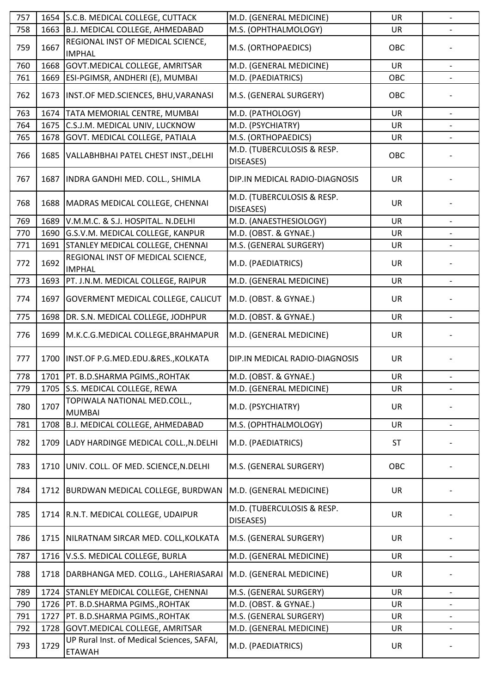| 757 | 1654 | S.C.B. MEDICAL COLLEGE, CUTTACK                             | M.D. (GENERAL MEDICINE)                 | <b>UR</b> | $\qquad \qquad \blacksquare$ |
|-----|------|-------------------------------------------------------------|-----------------------------------------|-----------|------------------------------|
| 758 | 1663 | B.J. MEDICAL COLLEGE, AHMEDABAD                             | M.S. (OPHTHALMOLOGY)                    | <b>UR</b> |                              |
| 759 | 1667 | REGIONAL INST OF MEDICAL SCIENCE,<br><b>IMPHAL</b>          | M.S. (ORTHOPAEDICS)                     | OBC       |                              |
| 760 | 1668 | GOVT. MEDICAL COLLEGE, AMRITSAR                             | M.D. (GENERAL MEDICINE)                 | <b>UR</b> |                              |
| 761 | 1669 | ESI-PGIMSR, ANDHERI (E), MUMBAI                             | M.D. (PAEDIATRICS)                      | OBC       |                              |
| 762 | 1673 | INST.OF MED.SCIENCES, BHU, VARANASI                         | M.S. (GENERAL SURGERY)                  | OBC       |                              |
| 763 | 1674 | TATA MEMORIAL CENTRE, MUMBAI                                | M.D. (PATHOLOGY)                        | <b>UR</b> |                              |
| 764 | 1675 | C.S.J.M. MEDICAL UNIV, LUCKNOW                              | M.D. (PSYCHIATRY)                       | <b>UR</b> |                              |
| 765 | 1678 | GOVT. MEDICAL COLLEGE, PATIALA                              | M.S. (ORTHOPAEDICS)                     | UR        | $\overline{\phantom{a}}$     |
| 766 | 1685 | VALLABHBHAI PATEL CHEST INST., DELHI                        | M.D. (TUBERCULOSIS & RESP.<br>DISEASES) | OBC       |                              |
| 767 | 1687 | INDRA GANDHI MED. COLL., SHIMLA                             | DIP.IN MEDICAL RADIO-DIAGNOSIS          | <b>UR</b> |                              |
| 768 | 1688 | MADRAS MEDICAL COLLEGE, CHENNAI                             | M.D. (TUBERCULOSIS & RESP.<br>DISEASES) | <b>UR</b> |                              |
| 769 | 1689 | V.M.M.C. & S.J. HOSPITAL. N.DELHI                           | M.D. (ANAESTHESIOLOGY)                  | <b>UR</b> | $\overline{\phantom{a}}$     |
| 770 | 1690 | G.S.V.M. MEDICAL COLLEGE, KANPUR                            | M.D. (OBST. & GYNAE.)                   | <b>UR</b> |                              |
| 771 | 1691 | <b>STANLEY MEDICAL COLLEGE, CHENNAI</b>                     | M.S. (GENERAL SURGERY)                  | UR        |                              |
| 772 | 1692 | REGIONAL INST OF MEDICAL SCIENCE,<br><b>IMPHAL</b>          | M.D. (PAEDIATRICS)                      | <b>UR</b> |                              |
| 773 | 1693 | PT. J.N.M. MEDICAL COLLEGE, RAIPUR                          | M.D. (GENERAL MEDICINE)                 | <b>UR</b> | $\qquad \qquad -$            |
| 774 | 1697 | <b>GOVERMENT MEDICAL COLLEGE, CALICUT</b>                   | M.D. (OBST. & GYNAE.)                   | <b>UR</b> |                              |
| 775 | 1698 | DR. S.N. MEDICAL COLLEGE, JODHPUR                           | M.D. (OBST. & GYNAE.)                   | <b>UR</b> |                              |
| 776 | 1699 | M.K.C.G.MEDICAL COLLEGE, BRAHMAPUR                          | M.D. (GENERAL MEDICINE)                 | <b>UR</b> |                              |
| 777 | 1700 | INST.OF P.G.MED.EDU.&RES., KOLKATA                          | DIP.IN MEDICAL RADIO-DIAGNOSIS          | <b>UR</b> |                              |
| 778 |      | 1701   PT. B.D.SHARMA PGIMS., ROHTAK                        | M.D. (OBST. & GYNAE.)                   | <b>UR</b> |                              |
| 779 | 1705 | S.S. MEDICAL COLLEGE, REWA                                  | M.D. (GENERAL MEDICINE)                 | UR        | $\qquad \qquad -$            |
| 780 | 1707 | TOPIWALA NATIONAL MED.COLL.,<br><b>MUMBAI</b>               | M.D. (PSYCHIATRY)                       | UR        |                              |
| 781 | 1708 | B.J. MEDICAL COLLEGE, AHMEDABAD                             | M.S. (OPHTHALMOLOGY)                    | <b>UR</b> | $\qquad \qquad -$            |
| 782 | 1709 | LADY HARDINGE MEDICAL COLL., N.DELHI                        | M.D. (PAEDIATRICS)                      | <b>ST</b> |                              |
| 783 | 1710 | UNIV. COLL. OF MED. SCIENCE, N. DELHI                       | M.S. (GENERAL SURGERY)                  | OBC       |                              |
| 784 | 1712 | BURDWAN MEDICAL COLLEGE, BURDWAN                            | M.D. (GENERAL MEDICINE)                 | <b>UR</b> |                              |
| 785 | 1714 | R.N.T. MEDICAL COLLEGE, UDAIPUR                             | M.D. (TUBERCULOSIS & RESP.<br>DISEASES) | <b>UR</b> |                              |
| 786 | 1715 | NILRATNAM SIRCAR MED. COLL, KOLKATA                         | M.S. (GENERAL SURGERY)                  | <b>UR</b> |                              |
| 787 | 1716 | V.S.S. MEDICAL COLLEGE, BURLA                               | M.D. (GENERAL MEDICINE)                 | <b>UR</b> |                              |
| 788 | 1718 | DARBHANGA MED. COLLG., LAHERIASARAI                         | M.D. (GENERAL MEDICINE)                 | UR        |                              |
| 789 | 1724 | STANLEY MEDICAL COLLEGE, CHENNAI                            | M.S. (GENERAL SURGERY)                  | <b>UR</b> | $\overline{\phantom{a}}$     |
| 790 | 1726 | PT. B.D.SHARMA PGIMS., ROHTAK                               | M.D. (OBST. & GYNAE.)                   | <b>UR</b> |                              |
| 791 | 1727 | PT. B.D.SHARMA PGIMS., ROHTAK                               | M.S. (GENERAL SURGERY)                  | UR        | $\overline{\phantom{a}}$     |
| 792 | 1728 | GOVT.MEDICAL COLLEGE, AMRITSAR                              | M.D. (GENERAL MEDICINE)                 | UR        |                              |
| 793 | 1729 | UP Rural Inst. of Medical Sciences, SAFAI,<br><b>ETAWAH</b> | M.D. (PAEDIATRICS)                      | UR        |                              |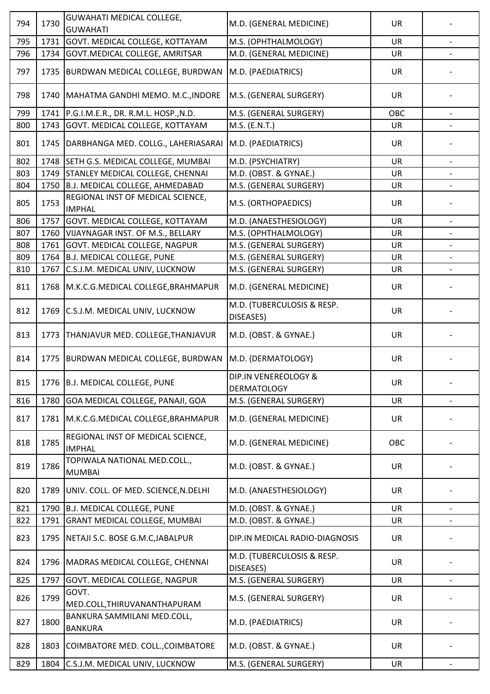| 794 | 1730 | <b>GUWAHATI MEDICAL COLLEGE,</b><br><b>GUWAHATI</b> | M.D. (GENERAL MEDICINE)                    | <b>UR</b> |                          |
|-----|------|-----------------------------------------------------|--------------------------------------------|-----------|--------------------------|
| 795 | 1731 | GOVT. MEDICAL COLLEGE, KOTTAYAM                     | M.S. (OPHTHALMOLOGY)                       | <b>UR</b> |                          |
| 796 | 1734 | GOVT. MEDICAL COLLEGE, AMRITSAR                     | M.D. (GENERAL MEDICINE)                    | <b>UR</b> |                          |
| 797 | 1735 | <b>BURDWAN MEDICAL COLLEGE, BURDWAN</b>             | M.D. (PAEDIATRICS)                         | <b>UR</b> |                          |
| 798 |      | 1740   MAHATMA GANDHI MEMO. M.C., INDORE            | M.S. (GENERAL SURGERY)                     | <b>UR</b> |                          |
| 799 | 1741 | P.G.I.M.E.R., DR. R.M.L. HOSP., N.D.                | M.S. (GENERAL SURGERY)                     | OBC       |                          |
| 800 | 1743 | GOVT. MEDICAL COLLEGE, KOTTAYAM                     | M.S. (E.N.T.)                              | UR        |                          |
| 801 | 1745 | DARBHANGA MED. COLLG., LAHERIASARAI                 | M.D. (PAEDIATRICS)                         | <b>UR</b> |                          |
| 802 |      | 1748 SETH G.S. MEDICAL COLLEGE, MUMBAI              | M.D. (PSYCHIATRY)                          | UR        | $\qquad \qquad -$        |
| 803 | 1749 | STANLEY MEDICAL COLLEGE, CHENNAI                    | M.D. (OBST. & GYNAE.)                      | <b>UR</b> |                          |
| 804 | 1750 | B.J. MEDICAL COLLEGE, AHMEDABAD                     | M.S. (GENERAL SURGERY)                     | <b>UR</b> |                          |
| 805 | 1753 | REGIONAL INST OF MEDICAL SCIENCE,<br><b>IMPHAL</b>  | M.S. (ORTHOPAEDICS)                        | <b>UR</b> |                          |
| 806 | 1757 | GOVT. MEDICAL COLLEGE, KOTTAYAM                     | M.D. (ANAESTHESIOLOGY)                     | UR        | $\overline{\phantom{a}}$ |
| 807 | 1760 | VIJAYNAGAR INST. OF M.S., BELLARY                   | M.S. (OPHTHALMOLOGY)                       | <b>UR</b> |                          |
| 808 | 1761 | GOVT. MEDICAL COLLEGE, NAGPUR                       | M.S. (GENERAL SURGERY)                     | UR        |                          |
| 809 | 1764 | <b>B.J. MEDICAL COLLEGE, PUNE</b>                   | M.S. (GENERAL SURGERY)                     | <b>UR</b> |                          |
| 810 | 1767 | C.S.J.M. MEDICAL UNIV, LUCKNOW                      | M.S. (GENERAL SURGERY)                     | <b>UR</b> |                          |
| 811 |      | 1768   M.K.C.G. MEDICAL COLLEGE, BRAHMAPUR          | M.D. (GENERAL MEDICINE)                    | <b>UR</b> |                          |
| 812 | 1769 | C.S.J.M. MEDICAL UNIV, LUCKNOW                      | M.D. (TUBERCULOSIS & RESP.<br>DISEASES)    | <b>UR</b> |                          |
| 813 | 1773 | THANJAVUR MED. COLLEGE, THANJAVUR                   | M.D. (OBST. & GYNAE.)                      | <b>UR</b> |                          |
| 814 | 1775 | BURDWAN MEDICAL COLLEGE, BURDWAN                    | M.D. (DERMATOLOGY)                         | <b>UR</b> |                          |
| 815 |      | 1776 B.J. MEDICAL COLLEGE, PUNE                     | DIP.IN VENEREOLOGY &<br><b>DERMATOLOGY</b> | UR        | $\overline{\phantom{a}}$ |
| 816 | 1780 | GOA MEDICAL COLLEGE, PANAJI, GOA                    | M.S. (GENERAL SURGERY)                     | <b>UR</b> |                          |
| 817 | 1781 | M.K.C.G.MEDICAL COLLEGE, BRAHMAPUR                  | M.D. (GENERAL MEDICINE)                    | UR        |                          |
| 818 | 1785 | REGIONAL INST OF MEDICAL SCIENCE,<br><b>IMPHAL</b>  | M.D. (GENERAL MEDICINE)                    | OBC       |                          |
| 819 | 1786 | TOPIWALA NATIONAL MED.COLL.,<br><b>MUMBAI</b>       | M.D. (OBST. & GYNAE.)                      | <b>UR</b> |                          |
| 820 | 1789 | UNIV. COLL. OF MED. SCIENCE, N.DELHI                | M.D. (ANAESTHESIOLOGY)                     | <b>UR</b> |                          |
| 821 | 1790 | B.J. MEDICAL COLLEGE, PUNE                          | M.D. (OBST. & GYNAE.)                      | <b>UR</b> |                          |
| 822 | 1791 | GRANT MEDICAL COLLEGE, MUMBAI                       | M.D. (OBST. & GYNAE.)                      | UR        |                          |
| 823 | 1795 | NETAJI S.C. BOSE G.M.C, JABALPUR                    | DIP.IN MEDICAL RADIO-DIAGNOSIS             | <b>UR</b> |                          |
| 824 | 1796 | MADRAS MEDICAL COLLEGE, CHENNAI                     | M.D. (TUBERCULOSIS & RESP.<br>DISEASES)    | <b>UR</b> |                          |
| 825 | 1797 | GOVT. MEDICAL COLLEGE, NAGPUR                       | M.S. (GENERAL SURGERY)                     | UR        |                          |
| 826 | 1799 | GOVT.<br>MED.COLL, THIRUVANANTHAPURAM               | M.S. (GENERAL SURGERY)                     | <b>UR</b> |                          |
| 827 | 1800 | BANKURA SAMMILANI MED.COLL,<br><b>BANKURA</b>       | M.D. (PAEDIATRICS)                         | <b>UR</b> |                          |
| 828 | 1803 | COIMBATORE MED. COLL., COIMBATORE                   | M.D. (OBST. & GYNAE.)                      | UR        |                          |
| 829 | 1804 | C.S.J.M. MEDICAL UNIV, LUCKNOW                      | M.S. (GENERAL SURGERY)                     | UR        |                          |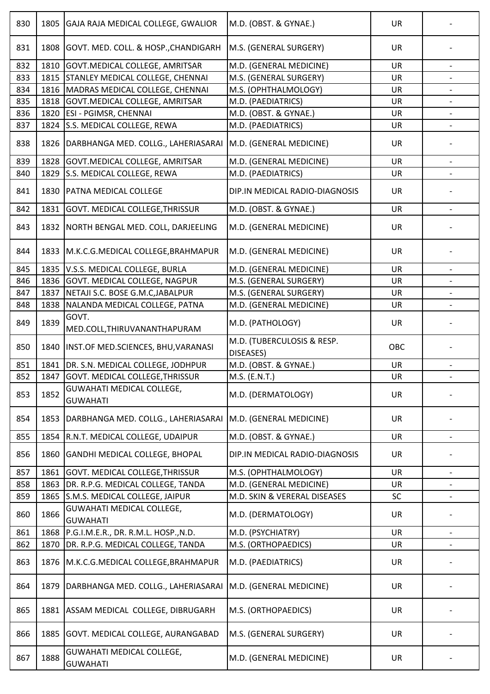| 830 | 1805 | GAJA RAJA MEDICAL COLLEGE, GWALIOR                  | M.D. (OBST. & GYNAE.)                   | <b>UR</b> |                          |
|-----|------|-----------------------------------------------------|-----------------------------------------|-----------|--------------------------|
| 831 | 1808 | GOVT. MED. COLL. & HOSP., CHANDIGARH                | M.S. (GENERAL SURGERY)                  | <b>UR</b> |                          |
| 832 | 1810 | GOVT.MEDICAL COLLEGE, AMRITSAR                      | M.D. (GENERAL MEDICINE)                 | <b>UR</b> |                          |
| 833 | 1815 | STANLEY MEDICAL COLLEGE, CHENNAI                    | M.S. (GENERAL SURGERY)                  | <b>UR</b> |                          |
| 834 | 1816 | MADRAS MEDICAL COLLEGE, CHENNAI                     | M.S. (OPHTHALMOLOGY)                    | <b>UR</b> |                          |
| 835 | 1818 | GOVT.MEDICAL COLLEGE, AMRITSAR                      | M.D. (PAEDIATRICS)                      | UR        |                          |
| 836 | 1820 | ESI - PGIMSR, CHENNAI                               | M.D. (OBST. & GYNAE.)                   | UR        |                          |
| 837 | 1824 | S.S. MEDICAL COLLEGE, REWA                          | M.D. (PAEDIATRICS)                      | <b>UR</b> | $\overline{\phantom{a}}$ |
| 838 | 1826 | DARBHANGA MED. COLLG., LAHERIASARAI                 | M.D. (GENERAL MEDICINE)                 | UR        |                          |
| 839 | 1828 | GOVT. MEDICAL COLLEGE, AMRITSAR                     | M.D. (GENERAL MEDICINE)                 | <b>UR</b> | $\blacksquare$           |
| 840 | 1829 | S.S. MEDICAL COLLEGE, REWA                          | M.D. (PAEDIATRICS)                      | UR        |                          |
| 841 | 1830 | PATNA MEDICAL COLLEGE                               | DIP.IN MEDICAL RADIO-DIAGNOSIS          | <b>UR</b> |                          |
| 842 | 1831 | GOVT. MEDICAL COLLEGE, THRISSUR                     | M.D. (OBST. & GYNAE.)                   | UR        |                          |
|     |      |                                                     |                                         |           |                          |
| 843 | 1832 | NORTH BENGAL MED. COLL, DARJEELING                  | M.D. (GENERAL MEDICINE)                 | <b>UR</b> |                          |
| 844 | 1833 | M.K.C.G.MEDICAL COLLEGE, BRAHMAPUR                  | M.D. (GENERAL MEDICINE)                 | <b>UR</b> |                          |
| 845 | 1835 | V.S.S. MEDICAL COLLEGE, BURLA                       | M.D. (GENERAL MEDICINE)                 | <b>UR</b> | $\qquad \qquad -$        |
| 846 | 1836 | GOVT. MEDICAL COLLEGE, NAGPUR                       | M.S. (GENERAL SURGERY)                  | <b>UR</b> |                          |
| 847 | 1837 | NETAJI S.C. BOSE G.M.C, JABALPUR                    | M.S. (GENERAL SURGERY)                  | <b>UR</b> |                          |
| 848 | 1838 | NALANDA MEDICAL COLLEGE, PATNA                      | M.D. (GENERAL MEDICINE)                 | <b>UR</b> | $\overline{\phantom{a}}$ |
| 849 | 1839 | GOVT.<br>MED.COLL, THIRUVANANTHAPURAM               | M.D. (PATHOLOGY)                        | UR        |                          |
| 850 | 1840 | INST.OF MED.SCIENCES, BHU, VARANASI                 | M.D. (TUBERCULOSIS & RESP.<br>DISEASES) | OBC       |                          |
| 851 | 1841 | DR. S.N. MEDICAL COLLEGE, JODHPUR                   | M.D. (OBST. & GYNAE.)                   | UR        |                          |
| 852 | 1847 | GOVT. MEDICAL COLLEGE, THRISSUR                     | M.S. (E.N.T.)                           | <b>UR</b> |                          |
| 853 | 1852 | <b>GUWAHATI MEDICAL COLLEGE,</b><br><b>GUWAHATI</b> | M.D. (DERMATOLOGY)                      | <b>UR</b> |                          |
| 854 | 1853 | DARBHANGA MED. COLLG., LAHERIASARAI                 | M.D. (GENERAL MEDICINE)                 | UR        |                          |
| 855 | 1854 | R.N.T. MEDICAL COLLEGE, UDAIPUR                     | M.D. (OBST. & GYNAE.)                   | <b>UR</b> |                          |
| 856 | 1860 | <b>GANDHI MEDICAL COLLEGE, BHOPAL</b>               | DIP.IN MEDICAL RADIO-DIAGNOSIS          | <b>UR</b> |                          |
| 857 | 1861 | GOVT. MEDICAL COLLEGE, THRISSUR                     | M.S. (OPHTHALMOLOGY)                    | <b>UR</b> | $\overline{\phantom{a}}$ |
| 858 | 1863 | DR. R.P.G. MEDICAL COLLEGE, TANDA                   | M.D. (GENERAL MEDICINE)                 | UR        |                          |
| 859 | 1865 | S.M.S. MEDICAL COLLEGE, JAIPUR                      | M.D. SKIN & VERERAL DISEASES            | SC        |                          |
| 860 | 1866 | <b>GUWAHATI MEDICAL COLLEGE,</b><br><b>GUWAHATI</b> | M.D. (DERMATOLOGY)                      | UR        |                          |
| 861 | 1868 | P.G.I.M.E.R., DR. R.M.L. HOSP., N.D.                | M.D. (PSYCHIATRY)                       | UR        | $\overline{\phantom{a}}$ |
| 862 | 1870 | DR. R.P.G. MEDICAL COLLEGE, TANDA                   | M.S. (ORTHOPAEDICS)                     | UR        |                          |
| 863 | 1876 | M.K.C.G.MEDICAL COLLEGE, BRAHMAPUR                  | M.D. (PAEDIATRICS)                      | <b>UR</b> |                          |
| 864 | 1879 | DARBHANGA MED. COLLG., LAHERIASARAI                 | M.D. (GENERAL MEDICINE)                 | UR        |                          |
| 865 | 1881 | ASSAM MEDICAL COLLEGE, DIBRUGARH                    | M.S. (ORTHOPAEDICS)                     | <b>UR</b> |                          |
| 866 | 1885 | GOVT. MEDICAL COLLEGE, AURANGABAD                   | M.S. (GENERAL SURGERY)                  | <b>UR</b> |                          |
| 867 | 1888 | GUWAHATI MEDICAL COLLEGE,<br><b>GUWAHATI</b>        | M.D. (GENERAL MEDICINE)                 | <b>UR</b> |                          |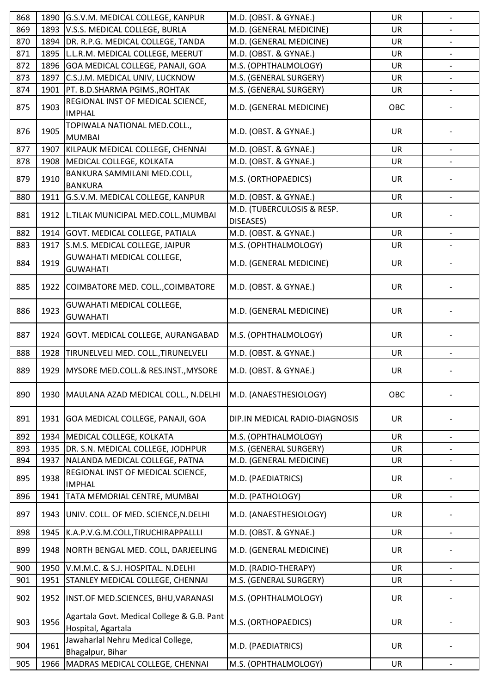| 868 | 1890 | G.S.V.M. MEDICAL COLLEGE, KANPUR                                 | M.D. (OBST. & GYNAE.)                   | <b>UR</b> | $\overline{\phantom{m}}$ |
|-----|------|------------------------------------------------------------------|-----------------------------------------|-----------|--------------------------|
| 869 | 1893 | V.S.S. MEDICAL COLLEGE, BURLA                                    | M.D. (GENERAL MEDICINE)                 | <b>UR</b> |                          |
| 870 | 1894 | DR. R.P.G. MEDICAL COLLEGE, TANDA                                | M.D. (GENERAL MEDICINE)                 | <b>UR</b> |                          |
| 871 | 1895 | L.L.R.M. MEDICAL COLLEGE, MEERUT                                 | M.D. (OBST. & GYNAE.)                   | <b>UR</b> | $\overline{\phantom{a}}$ |
| 872 | 1896 | GOA MEDICAL COLLEGE, PANAJI, GOA                                 | M.S. (OPHTHALMOLOGY)                    | <b>UR</b> |                          |
| 873 | 1897 | C.S.J.M. MEDICAL UNIV, LUCKNOW                                   | M.S. (GENERAL SURGERY)                  | <b>UR</b> | $\overline{\phantom{a}}$ |
| 874 | 1901 | PT. B.D.SHARMA PGIMS., ROHTAK                                    | M.S. (GENERAL SURGERY)                  | UR        |                          |
| 875 | 1903 | REGIONAL INST OF MEDICAL SCIENCE,<br><b>IMPHAL</b>               | M.D. (GENERAL MEDICINE)                 | OBC       |                          |
| 876 | 1905 | TOPIWALA NATIONAL MED.COLL.,<br><b>MUMBAI</b>                    | M.D. (OBST. & GYNAE.)                   | UR        |                          |
| 877 | 1907 | KILPAUK MEDICAL COLLEGE, CHENNAI                                 | M.D. (OBST. & GYNAE.)                   | <b>UR</b> |                          |
| 878 | 1908 | MEDICAL COLLEGE, KOLKATA                                         | M.D. (OBST. & GYNAE.)                   | UR        |                          |
| 879 | 1910 | BANKURA SAMMILANI MED.COLL,<br><b>BANKURA</b>                    | M.S. (ORTHOPAEDICS)                     | <b>UR</b> |                          |
| 880 | 1911 | G.S.V.M. MEDICAL COLLEGE, KANPUR                                 | M.D. (OBST. & GYNAE.)                   | <b>UR</b> | $\qquad \qquad -$        |
| 881 | 1912 | L.TILAK MUNICIPAL MED.COLL., MUMBAI                              | M.D. (TUBERCULOSIS & RESP.<br>DISEASES) | <b>UR</b> |                          |
| 882 | 1914 | GOVT. MEDICAL COLLEGE, PATIALA                                   | M.D. (OBST. & GYNAE.)                   | <b>UR</b> |                          |
| 883 | 1917 | S.M.S. MEDICAL COLLEGE, JAIPUR                                   | M.S. (OPHTHALMOLOGY)                    | UR        |                          |
| 884 | 1919 | <b>GUWAHATI MEDICAL COLLEGE,</b><br><b>GUWAHATI</b>              | M.D. (GENERAL MEDICINE)                 | <b>UR</b> |                          |
| 885 | 1922 | COIMBATORE MED. COLL., COIMBATORE                                | M.D. (OBST. & GYNAE.)                   | <b>UR</b> |                          |
| 886 | 1923 | <b>GUWAHATI MEDICAL COLLEGE,</b><br><b>GUWAHATI</b>              | M.D. (GENERAL MEDICINE)                 | <b>UR</b> |                          |
| 887 | 1924 | GOVT. MEDICAL COLLEGE, AURANGABAD                                | M.S. (OPHTHALMOLOGY)                    | <b>UR</b> |                          |
| 888 | 1928 | TIRUNELVELI MED. COLL., TIRUNELVELI                              | M.D. (OBST. & GYNAE.)                   | UR        |                          |
| 889 | 1929 | MYSORE MED.COLL.& RES.INST., MYSORE                              | M.D. (OBST. & GYNAE.)                   | <b>UR</b> |                          |
| 890 | 1930 | MAULANA AZAD MEDICAL COLL., N.DELHI                              | M.D. (ANAESTHESIOLOGY)                  | OBC       |                          |
| 891 | 1931 | GOA MEDICAL COLLEGE, PANAJI, GOA                                 | DIP.IN MEDICAL RADIO-DIAGNOSIS          | <b>UR</b> |                          |
| 892 | 1934 | MEDICAL COLLEGE, KOLKATA                                         | M.S. (OPHTHALMOLOGY)                    | <b>UR</b> |                          |
| 893 | 1935 | DR. S.N. MEDICAL COLLEGE, JODHPUR                                | M.S. (GENERAL SURGERY)                  | <b>UR</b> |                          |
| 894 | 1937 | NALANDA MEDICAL COLLEGE, PATNA                                   | M.D. (GENERAL MEDICINE)                 | UR        |                          |
| 895 | 1938 | REGIONAL INST OF MEDICAL SCIENCE,<br><b>IMPHAL</b>               | M.D. (PAEDIATRICS)                      | <b>UR</b> |                          |
| 896 | 1941 | TATA MEMORIAL CENTRE, MUMBAI                                     | M.D. (PATHOLOGY)                        | <b>UR</b> |                          |
| 897 | 1943 | UNIV. COLL. OF MED. SCIENCE, N.DELHI                             | M.D. (ANAESTHESIOLOGY)                  | <b>UR</b> |                          |
| 898 | 1945 | K.A.P.V.G.M.COLL,TIRUCHIRAPPALLLI                                | M.D. (OBST. & GYNAE.)                   | <b>UR</b> | $\overline{\phantom{a}}$ |
| 899 | 1948 | NORTH BENGAL MED. COLL, DARJEELING                               | M.D. (GENERAL MEDICINE)                 | <b>UR</b> |                          |
| 900 | 1950 | V.M.M.C. & S.J. HOSPITAL. N.DELHI                                | M.D. (RADIO-THERAPY)                    | <b>UR</b> |                          |
| 901 | 1951 | STANLEY MEDICAL COLLEGE, CHENNAI                                 | M.S. (GENERAL SURGERY)                  | UR        |                          |
| 902 | 1952 | INST.OF MED.SCIENCES, BHU, VARANASI                              | M.S. (OPHTHALMOLOGY)                    | <b>UR</b> |                          |
| 903 | 1956 | Agartala Govt. Medical College & G.B. Pant<br>Hospital, Agartala | M.S. (ORTHOPAEDICS)                     | <b>UR</b> |                          |
| 904 | 1961 | Jawaharlal Nehru Medical College,<br>Bhagalpur, Bihar            | M.D. (PAEDIATRICS)                      | UR        |                          |
| 905 | 1966 | MADRAS MEDICAL COLLEGE, CHENNAI                                  | M.S. (OPHTHALMOLOGY)                    | UR        |                          |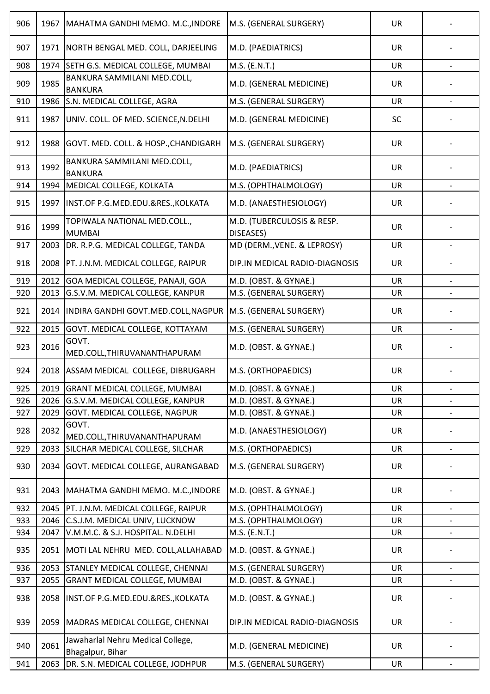| 906 | 1967 | MAHATMA GANDHI MEMO. M.C., INDORE                            | M.S. (GENERAL SURGERY)                  | <b>UR</b> |                          |
|-----|------|--------------------------------------------------------------|-----------------------------------------|-----------|--------------------------|
| 907 | 1971 | NORTH BENGAL MED. COLL, DARJEELING                           | M.D. (PAEDIATRICS)                      | <b>UR</b> |                          |
| 908 | 1974 | SETH G.S. MEDICAL COLLEGE, MUMBAI                            | M.S. (E.N.T.)                           | UR        |                          |
| 909 | 1985 | BANKURA SAMMILANI MED.COLL,<br><b>BANKURA</b>                | M.D. (GENERAL MEDICINE)                 | <b>UR</b> |                          |
| 910 | 1986 | S.N. MEDICAL COLLEGE, AGRA                                   | M.S. (GENERAL SURGERY)                  | UR        | $\overline{\phantom{0}}$ |
| 911 | 1987 | UNIV. COLL. OF MED. SCIENCE, N. DELHI                        | M.D. (GENERAL MEDICINE)                 | <b>SC</b> |                          |
| 912 | 1988 | GOVT. MED. COLL. & HOSP., CHANDIGARH                         | M.S. (GENERAL SURGERY)                  | <b>UR</b> |                          |
| 913 | 1992 | BANKURA SAMMILANI MED.COLL,<br><b>BANKURA</b>                | M.D. (PAEDIATRICS)                      | <b>UR</b> |                          |
| 914 | 1994 | MEDICAL COLLEGE, KOLKATA                                     | M.S. (OPHTHALMOLOGY)                    | <b>UR</b> |                          |
| 915 | 1997 | INST.OF P.G.MED.EDU.&RES., KOLKATA                           | M.D. (ANAESTHESIOLOGY)                  | <b>UR</b> |                          |
| 916 | 1999 | TOPIWALA NATIONAL MED.COLL.,<br><b>MUMBAI</b>                | M.D. (TUBERCULOSIS & RESP.<br>DISEASES) | <b>UR</b> |                          |
| 917 | 2003 | DR. R.P.G. MEDICAL COLLEGE, TANDA                            | MD (DERM., VENE. & LEPROSY)             | <b>UR</b> | $\overline{\phantom{0}}$ |
| 918 |      | 2008   PT. J.N.M. MEDICAL COLLEGE, RAIPUR                    | DIP.IN MEDICAL RADIO-DIAGNOSIS          | UR        |                          |
| 919 | 2012 | GOA MEDICAL COLLEGE, PANAJI, GOA                             | M.D. (OBST. & GYNAE.)                   | <b>UR</b> |                          |
| 920 | 2013 | G.S.V.M. MEDICAL COLLEGE, KANPUR                             | M.S. (GENERAL SURGERY)                  | <b>UR</b> |                          |
| 921 | 2014 | INDIRA GANDHI GOVT.MED.COLL, NAGPUR   M.S. (GENERAL SURGERY) |                                         | <b>UR</b> |                          |
| 922 | 2015 | GOVT. MEDICAL COLLEGE, KOTTAYAM                              | M.S. (GENERAL SURGERY)                  | <b>UR</b> | $\overline{\phantom{0}}$ |
| 923 | 2016 | GOVT.<br>MED.COLL, THIRUVANANTHAPURAM                        | M.D. (OBST. & GYNAE.)                   | <b>UR</b> |                          |
| 924 |      | 2018   ASSAM MEDICAL COLLEGE, DIBRUGARH                      | M.S. (ORTHOPAEDICS)                     | <b>UR</b> |                          |
| 925 | 2019 | <b>GRANT MEDICAL COLLEGE, MUMBAI</b>                         | M.D. (OBST. & GYNAE.)                   | <b>UR</b> | $\overline{\phantom{a}}$ |
| 926 | 2026 | G.S.V.M. MEDICAL COLLEGE, KANPUR                             | M.D. (OBST. & GYNAE.)                   | <b>UR</b> |                          |
| 927 | 2029 | <b>GOVT. MEDICAL COLLEGE, NAGPUR</b>                         | M.D. (OBST. & GYNAE.)                   | UR        | $\overline{\phantom{a}}$ |
| 928 | 2032 | GOVT.<br>MED.COLL, THIRUVANANTHAPURAM                        | M.D. (ANAESTHESIOLOGY)                  | UR        |                          |
| 929 | 2033 | SILCHAR MEDICAL COLLEGE, SILCHAR                             | M.S. (ORTHOPAEDICS)                     | UR        | $\overline{\phantom{a}}$ |
| 930 | 2034 | GOVT. MEDICAL COLLEGE, AURANGABAD                            | M.S. (GENERAL SURGERY)                  | UR        |                          |
| 931 | 2043 | MAHATMA GANDHI MEMO. M.C., INDORE                            | M.D. (OBST. & GYNAE.)                   | <b>UR</b> |                          |
| 932 |      | 2045   PT. J.N.M. MEDICAL COLLEGE, RAIPUR                    | M.S. (OPHTHALMOLOGY)                    | <b>UR</b> |                          |
| 933 | 2046 | C.S.J.M. MEDICAL UNIV, LUCKNOW                               | M.S. (OPHTHALMOLOGY)                    | <b>UR</b> |                          |
| 934 | 2047 | V.M.M.C. & S.J. HOSPITAL. N.DELHI                            | M.S. (E.N.T.)                           | UR        | $\overline{\phantom{a}}$ |
| 935 | 2051 | MOTI LAL NEHRU MED. COLL, ALLAHABAD                          | M.D. (OBST. & GYNAE.)                   | <b>UR</b> |                          |
| 936 | 2053 | STANLEY MEDICAL COLLEGE, CHENNAI                             | M.S. (GENERAL SURGERY)                  | <b>UR</b> |                          |
| 937 | 2055 | <b>GRANT MEDICAL COLLEGE, MUMBAI</b>                         | M.D. (OBST. & GYNAE.)                   | <b>UR</b> | $\overline{\phantom{a}}$ |
| 938 | 2058 | INST.OF P.G.MED.EDU.&RES., KOLKATA                           | M.D. (OBST. & GYNAE.)                   | UR        |                          |
| 939 | 2059 | MADRAS MEDICAL COLLEGE, CHENNAI                              | DIP.IN MEDICAL RADIO-DIAGNOSIS          | <b>UR</b> |                          |
| 940 | 2061 | Jawaharlal Nehru Medical College,<br>Bhagalpur, Bihar        | M.D. (GENERAL MEDICINE)                 | <b>UR</b> |                          |
| 941 | 2063 | DR. S.N. MEDICAL COLLEGE, JODHPUR                            | M.S. (GENERAL SURGERY)                  | <b>UR</b> |                          |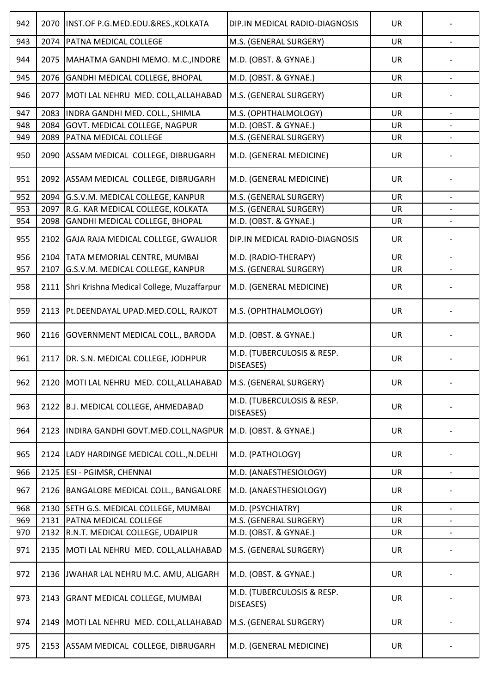| 942 | 2070 | INST.OF P.G.MED.EDU.&RES., KOLKATA                                  | DIP.IN MEDICAL RADIO-DIAGNOSIS          | <b>UR</b> |                          |
|-----|------|---------------------------------------------------------------------|-----------------------------------------|-----------|--------------------------|
| 943 | 2074 | PATNA MEDICAL COLLEGE                                               | M.S. (GENERAL SURGERY)                  | <b>UR</b> |                          |
| 944 | 2075 | MAHATMA GANDHI MEMO. M.C., INDORE                                   | M.D. (OBST. & GYNAE.)                   | <b>UR</b> |                          |
| 945 | 2076 | GANDHI MEDICAL COLLEGE, BHOPAL                                      | M.D. (OBST. & GYNAE.)                   | <b>UR</b> |                          |
| 946 | 2077 | MOTI LAL NEHRU MED. COLL, ALLAHABAD                                 | M.S. (GENERAL SURGERY)                  | UR        |                          |
| 947 | 2083 | INDRA GANDHI MED. COLL., SHIMLA                                     | M.S. (OPHTHALMOLOGY)                    | <b>UR</b> | $\overline{\phantom{a}}$ |
| 948 | 2084 | GOVT. MEDICAL COLLEGE, NAGPUR                                       | M.D. (OBST. & GYNAE.)                   | UR        |                          |
| 949 | 2089 | PATNA MEDICAL COLLEGE                                               | M.S. (GENERAL SURGERY)                  | UR        |                          |
| 950 | 2090 | ASSAM MEDICAL COLLEGE, DIBRUGARH                                    | M.D. (GENERAL MEDICINE)                 | <b>UR</b> |                          |
| 951 | 2092 | ASSAM MEDICAL COLLEGE, DIBRUGARH                                    | M.D. (GENERAL MEDICINE)                 | <b>UR</b> |                          |
| 952 | 2094 | G.S.V.M. MEDICAL COLLEGE, KANPUR                                    | M.S. (GENERAL SURGERY)                  | <b>UR</b> | $\overline{\phantom{a}}$ |
| 953 | 2097 | R.G. KAR MEDICAL COLLEGE, KOLKATA                                   | M.S. (GENERAL SURGERY)                  | UR        |                          |
| 954 | 2098 | GANDHI MEDICAL COLLEGE, BHOPAL                                      | M.D. (OBST. & GYNAE.)                   | <b>UR</b> |                          |
| 955 | 2102 | GAJA RAJA MEDICAL COLLEGE, GWALIOR                                  | DIP.IN MEDICAL RADIO-DIAGNOSIS          | <b>UR</b> |                          |
| 956 | 2104 | TATA MEMORIAL CENTRE, MUMBAI                                        | M.D. (RADIO-THERAPY)                    | <b>UR</b> | $\blacksquare$           |
| 957 | 2107 | G.S.V.M. MEDICAL COLLEGE, KANPUR                                    | M.S. (GENERAL SURGERY)                  | UR        |                          |
| 958 | 2111 | Shri Krishna Medical College, Muzaffarpur                           | M.D. (GENERAL MEDICINE)                 | <b>UR</b> |                          |
| 959 | 2113 | Pt.DEENDAYAL UPAD.MED.COLL, RAJKOT                                  | M.S. (OPHTHALMOLOGY)                    | <b>UR</b> |                          |
| 960 | 2116 | <b>GOVERNMENT MEDICAL COLL., BARODA</b>                             | M.D. (OBST. & GYNAE.)                   | <b>UR</b> |                          |
| 961 | 2117 | DR. S.N. MEDICAL COLLEGE, JODHPUR                                   | M.D. (TUBERCULOSIS & RESP.<br>DISEASES) | <b>UR</b> |                          |
| 962 |      | 2120   MOTI LAL NEHRU MED. COLL, ALLAHABAD   M.S. (GENERAL SURGERY) |                                         | UR        |                          |
| 963 | 2122 | B.J. MEDICAL COLLEGE, AHMEDABAD                                     | M.D. (TUBERCULOSIS & RESP.<br>DISEASES) | <b>UR</b> |                          |
| 964 | 2123 | INDIRA GANDHI GOVT.MED.COLL, NAGPUR                                 | M.D. (OBST. & GYNAE.)                   | <b>UR</b> |                          |
| 965 | 2124 | LADY HARDINGE MEDICAL COLL., N.DELHI                                | M.D. (PATHOLOGY)                        | <b>UR</b> |                          |
| 966 | 2125 | ESI - PGIMSR, CHENNAI                                               | M.D. (ANAESTHESIOLOGY)                  | UR        |                          |
| 967 | 2126 | BANGALORE MEDICAL COLL., BANGALORE                                  | M.D. (ANAESTHESIOLOGY)                  | <b>UR</b> |                          |
| 968 | 2130 | SETH G.S. MEDICAL COLLEGE, MUMBAI                                   | M.D. (PSYCHIATRY)                       | <b>UR</b> | $\overline{\phantom{a}}$ |
| 969 | 2131 | PATNA MEDICAL COLLEGE                                               | M.S. (GENERAL SURGERY)                  | <b>UR</b> |                          |
| 970 | 2132 | R.N.T. MEDICAL COLLEGE, UDAIPUR                                     | M.D. (OBST. & GYNAE.)                   | UR        |                          |
| 971 | 2135 | MOTI LAL NEHRU MED. COLL, ALLAHABAD                                 | M.S. (GENERAL SURGERY)                  | <b>UR</b> |                          |
| 972 | 2136 | JWAHAR LAL NEHRU M.C. AMU, ALIGARH                                  | M.D. (OBST. & GYNAE.)                   | <b>UR</b> |                          |
| 973 | 2143 | <b>GRANT MEDICAL COLLEGE, MUMBAI</b>                                | M.D. (TUBERCULOSIS & RESP.<br>DISEASES) | <b>UR</b> |                          |
| 974 | 2149 | MOTI LAL NEHRU MED. COLL, ALLAHABAD                                 | M.S. (GENERAL SURGERY)                  | <b>UR</b> |                          |
| 975 | 2153 | ASSAM MEDICAL COLLEGE, DIBRUGARH                                    | M.D. (GENERAL MEDICINE)                 | <b>UR</b> |                          |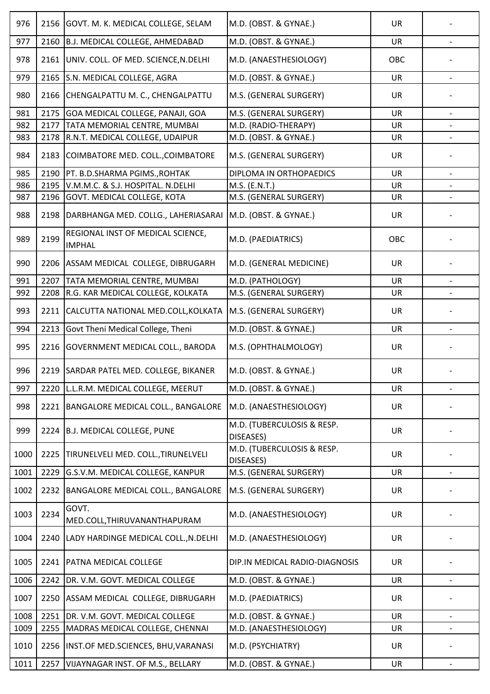| 976  | 2156 | GOVT. M. K. MEDICAL COLLEGE, SELAM                 | M.D. (OBST. & GYNAE.)                   | <b>UR</b> |                          |
|------|------|----------------------------------------------------|-----------------------------------------|-----------|--------------------------|
| 977  | 2160 | B.J. MEDICAL COLLEGE, AHMEDABAD                    | M.D. (OBST. & GYNAE.)                   | UR        | $\overline{\phantom{a}}$ |
| 978  | 2161 | UNIV. COLL. OF MED. SCIENCE, N.DELHI               | M.D. (ANAESTHESIOLOGY)                  | OBC       |                          |
| 979  | 2165 | S.N. MEDICAL COLLEGE, AGRA                         | M.D. (OBST. & GYNAE.)                   | <b>UR</b> | $\overline{\phantom{a}}$ |
| 980  | 2166 | CHENGALPATTU M. C., CHENGALPATTU                   | M.S. (GENERAL SURGERY)                  | UR        |                          |
| 981  | 2175 | GOA MEDICAL COLLEGE, PANAJI, GOA                   | M.S. (GENERAL SURGERY)                  | <b>UR</b> |                          |
| 982  | 2177 | TATA MEMORIAL CENTRE, MUMBAI                       | M.D. (RADIO-THERAPY)                    | <b>UR</b> |                          |
| 983  | 2178 | R.N.T. MEDICAL COLLEGE, UDAIPUR                    | M.D. (OBST. & GYNAE.)                   | <b>UR</b> |                          |
| 984  | 2183 | COIMBATORE MED. COLL., COIMBATORE                  | M.S. (GENERAL SURGERY)                  | <b>UR</b> |                          |
| 985  | 2190 | PT. B.D.SHARMA PGIMS., ROHTAK                      | DIPLOMA IN ORTHOPAEDICS                 | <b>UR</b> |                          |
| 986  | 2195 | V.M.M.C. & S.J. HOSPITAL. N.DELHI                  | M.S. (E.N.T.)                           | <b>UR</b> |                          |
| 987  | 2196 | GOVT. MEDICAL COLLEGE, KOTA                        | M.S. (GENERAL SURGERY)                  | UR        |                          |
| 988  | 2198 | DARBHANGA MED. COLLG., LAHERIASARAI                | M.D. (OBST. & GYNAE.)                   | <b>UR</b> |                          |
| 989  | 2199 | REGIONAL INST OF MEDICAL SCIENCE,<br><b>IMPHAL</b> | M.D. (PAEDIATRICS)                      | OBC       |                          |
| 990  | 2206 | ASSAM MEDICAL COLLEGE, DIBRUGARH                   | M.D. (GENERAL MEDICINE)                 | UR        |                          |
| 991  | 2207 | TATA MEMORIAL CENTRE, MUMBAI                       | M.D. (PATHOLOGY)                        | <b>UR</b> |                          |
| 992  | 2208 | R.G. KAR MEDICAL COLLEGE, KOLKATA                  | M.S. (GENERAL SURGERY)                  | <b>UR</b> |                          |
| 993  | 2211 | CALCUTTA NATIONAL MED.COLL, KOLKATA                | M.S. (GENERAL SURGERY)                  | <b>UR</b> |                          |
| 994  | 2213 | Govt Theni Medical College, Theni                  | M.D. (OBST. & GYNAE.)                   | <b>UR</b> | $\overline{\phantom{a}}$ |
| 995  | 2216 | GOVERNMENT MEDICAL COLL., BARODA                   | M.S. (OPHTHALMOLOGY)                    | <b>UR</b> |                          |
| 996  |      | 2219 SARDAR PATEL MED. COLLEGE, BIKANER            | M.D. (OBST. & GYNAE.)                   | <b>UR</b> |                          |
| 997  | 2220 | L.L.R.M. MEDICAL COLLEGE, MEERUT                   | M.D. (OBST. & GYNAE.)                   | <b>UR</b> | $\frac{1}{2}$            |
| 998  | 2221 | BANGALORE MEDICAL COLL., BANGALORE                 | M.D. (ANAESTHESIOLOGY)                  | UR        |                          |
| 999  | 2224 | B.J. MEDICAL COLLEGE, PUNE                         | M.D. (TUBERCULOSIS & RESP.<br>DISEASES) | <b>UR</b> |                          |
| 1000 | 2225 | TIRUNELVELI MED. COLL., TIRUNELVELI                | M.D. (TUBERCULOSIS & RESP.<br>DISEASES) | <b>UR</b> |                          |
| 1001 | 2229 | G.S.V.M. MEDICAL COLLEGE, KANPUR                   | M.S. (GENERAL SURGERY)                  | <b>UR</b> | $\overline{\phantom{a}}$ |
| 1002 | 2232 | BANGALORE MEDICAL COLL., BANGALORE                 | M.S. (GENERAL SURGERY)                  | <b>UR</b> |                          |
| 1003 | 2234 | GOVT.<br>MED.COLL, THIRUVANANTHAPURAM              | M.D. (ANAESTHESIOLOGY)                  | <b>UR</b> |                          |
| 1004 | 2240 | LADY HARDINGE MEDICAL COLL., N.DELHI               | M.D. (ANAESTHESIOLOGY)                  | <b>UR</b> |                          |
| 1005 | 2241 | PATNA MEDICAL COLLEGE                              | DIP.IN MEDICAL RADIO-DIAGNOSIS          | <b>UR</b> |                          |
| 1006 | 2242 | DR. V.M. GOVT. MEDICAL COLLEGE                     | M.D. (OBST. & GYNAE.)                   | UR        | $\overline{\phantom{a}}$ |
| 1007 | 2250 | ASSAM MEDICAL COLLEGE, DIBRUGARH                   | M.D. (PAEDIATRICS)                      | <b>UR</b> |                          |
| 1008 | 2251 | DR. V.M. GOVT. MEDICAL COLLEGE                     | M.D. (OBST. & GYNAE.)                   | <b>UR</b> | $\overline{\phantom{a}}$ |
| 1009 | 2255 | MADRAS MEDICAL COLLEGE, CHENNAI                    | M.D. (ANAESTHESIOLOGY)                  | UR        |                          |
| 1010 | 2256 | INST.OF MED.SCIENCES, BHU, VARANASI                | M.D. (PSYCHIATRY)                       | <b>UR</b> |                          |
| 1011 | 2257 | VIJAYNAGAR INST. OF M.S., BELLARY                  | M.D. (OBST. & GYNAE.)                   | UR        | $\overline{\phantom{a}}$ |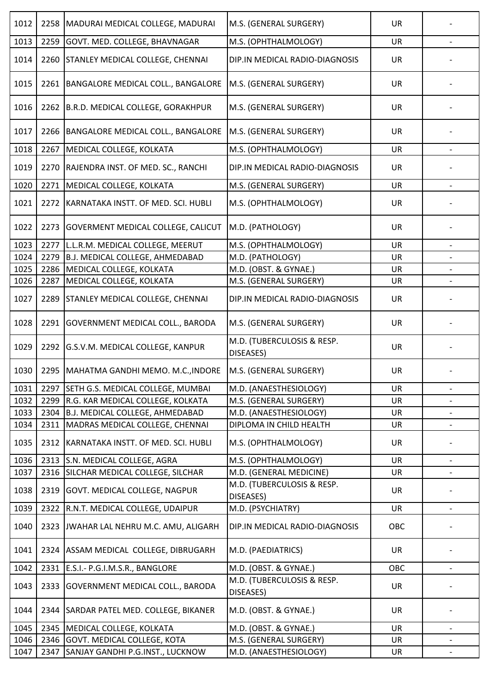| 1012 | 2258 | MADURAI MEDICAL COLLEGE, MADURAI          | M.S. (GENERAL SURGERY)                  | UR        |                          |
|------|------|-------------------------------------------|-----------------------------------------|-----------|--------------------------|
| 1013 | 2259 | GOVT. MED. COLLEGE, BHAVNAGAR             | M.S. (OPHTHALMOLOGY)                    | UR        |                          |
| 1014 | 2260 | <b>STANLEY MEDICAL COLLEGE, CHENNAI</b>   | DIP.IN MEDICAL RADIO-DIAGNOSIS          | <b>UR</b> |                          |
| 1015 | 2261 | BANGALORE MEDICAL COLL., BANGALORE        | M.S. (GENERAL SURGERY)                  | <b>UR</b> |                          |
| 1016 | 2262 | B.R.D. MEDICAL COLLEGE, GORAKHPUR         | M.S. (GENERAL SURGERY)                  | UR        |                          |
| 1017 | 2266 | BANGALORE MEDICAL COLL., BANGALORE        | M.S. (GENERAL SURGERY)                  | <b>UR</b> |                          |
| 1018 | 2267 | MEDICAL COLLEGE, KOLKATA                  | M.S. (OPHTHALMOLOGY)                    | <b>UR</b> |                          |
| 1019 | 2270 | RAJENDRA INST. OF MED. SC., RANCHI        | DIP.IN MEDICAL RADIO-DIAGNOSIS          | <b>UR</b> |                          |
| 1020 | 2271 | MEDICAL COLLEGE, KOLKATA                  | M.S. (GENERAL SURGERY)                  | UR        | $\overline{\phantom{a}}$ |
| 1021 | 2272 | KARNATAKA INSTT. OF MED. SCI. HUBLI       | M.S. (OPHTHALMOLOGY)                    | UR        |                          |
| 1022 | 2273 | <b>GOVERMENT MEDICAL COLLEGE, CALICUT</b> | M.D. (PATHOLOGY)                        | <b>UR</b> |                          |
| 1023 | 2277 | L.L.R.M. MEDICAL COLLEGE, MEERUT          | M.S. (OPHTHALMOLOGY)                    | <b>UR</b> | $\overline{\phantom{a}}$ |
| 1024 | 2279 | <b>B.J. MEDICAL COLLEGE, AHMEDABAD</b>    | M.D. (PATHOLOGY)                        | UR        |                          |
| 1025 | 2286 | MEDICAL COLLEGE, KOLKATA                  | M.D. (OBST. & GYNAE.)                   | UR        | $\overline{\phantom{a}}$ |
| 1026 | 2287 | MEDICAL COLLEGE, KOLKATA                  | M.S. (GENERAL SURGERY)                  | <b>UR</b> |                          |
| 1027 | 2289 | <b>STANLEY MEDICAL COLLEGE, CHENNAI</b>   | DIP.IN MEDICAL RADIO-DIAGNOSIS          | UR        |                          |
| 1028 | 2291 | <b>GOVERNMENT MEDICAL COLL., BARODA</b>   | M.S. (GENERAL SURGERY)                  | <b>UR</b> |                          |
| 1029 | 2292 | G.S.V.M. MEDICAL COLLEGE, KANPUR          | M.D. (TUBERCULOSIS & RESP.<br>DISEASES) | <b>UR</b> |                          |
| 1030 |      | 2295   MAHATMA GANDHI MEMO. M.C., INDORE  | M.S. (GENERAL SURGERY)                  | UR        |                          |
| 1031 | 2297 | SETH G.S. MEDICAL COLLEGE, MUMBAI         | M.D. (ANAESTHESIOLOGY)                  | UR        | $\overline{\phantom{a}}$ |
| 1032 | 2299 | R.G. KAR MEDICAL COLLEGE, KOLKATA         | M.S. (GENERAL SURGERY)                  | UR        | $\overline{\phantom{a}}$ |
| 1033 | 2304 | B.J. MEDICAL COLLEGE, AHMEDABAD           | M.D. (ANAESTHESIOLOGY)                  | UR        | $\overline{\phantom{a}}$ |
| 1034 | 2311 | MADRAS MEDICAL COLLEGE, CHENNAI           | DIPLOMA IN CHILD HEALTH                 | <b>UR</b> |                          |
| 1035 | 2312 | KARNATAKA INSTT. OF MED. SCI. HUBLI       | M.S. (OPHTHALMOLOGY)                    | UR        |                          |
| 1036 | 2313 | S.N. MEDICAL COLLEGE, AGRA                | M.S. (OPHTHALMOLOGY)                    | <b>UR</b> | $\overline{\phantom{a}}$ |
| 1037 | 2316 | SILCHAR MEDICAL COLLEGE, SILCHAR          | M.D. (GENERAL MEDICINE)                 | UR        | $\overline{\phantom{a}}$ |
| 1038 | 2319 | GOVT. MEDICAL COLLEGE, NAGPUR             | M.D. (TUBERCULOSIS & RESP.<br>DISEASES) | <b>UR</b> |                          |
| 1039 | 2322 | R.N.T. MEDICAL COLLEGE, UDAIPUR           | M.D. (PSYCHIATRY)                       | <b>UR</b> |                          |
| 1040 | 2323 | JWAHAR LAL NEHRU M.C. AMU, ALIGARH        | DIP.IN MEDICAL RADIO-DIAGNOSIS          | OBC       |                          |
| 1041 |      | 2324 ASSAM MEDICAL COLLEGE, DIBRUGARH     | M.D. (PAEDIATRICS)                      | <b>UR</b> |                          |
| 1042 | 2331 | E.S.I.- P.G.I.M.S.R., BANGLORE            | M.D. (OBST. & GYNAE.)                   | OBC       |                          |
| 1043 | 2333 | <b>GOVERNMENT MEDICAL COLL., BARODA</b>   | M.D. (TUBERCULOSIS & RESP.<br>DISEASES) | <b>UR</b> |                          |
| 1044 | 2344 | SARDAR PATEL MED. COLLEGE, BIKANER        | M.D. (OBST. & GYNAE.)                   | <b>UR</b> |                          |
| 1045 | 2345 | MEDICAL COLLEGE, KOLKATA                  | M.D. (OBST. & GYNAE.)                   | <b>UR</b> | $\overline{\phantom{a}}$ |
| 1046 | 2346 | <b>GOVT. MEDICAL COLLEGE, KOTA</b>        | M.S. (GENERAL SURGERY)                  | UR        | $\overline{\phantom{a}}$ |
| 1047 | 2347 | SANJAY GANDHI P.G.INST., LUCKNOW          | M.D. (ANAESTHESIOLOGY)                  | UR        |                          |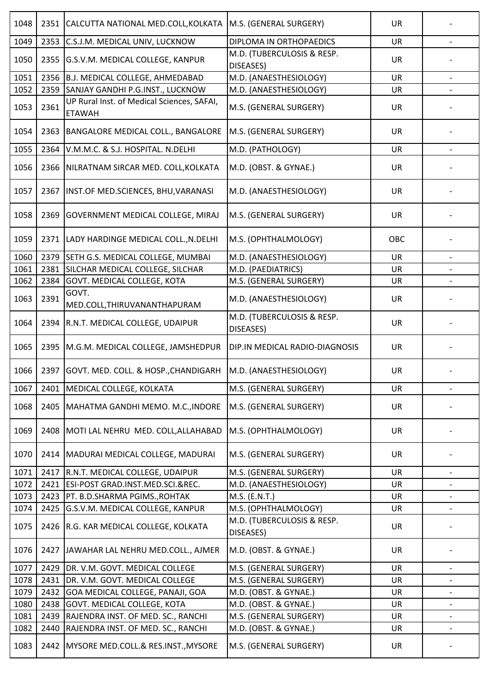| 1048 | 2351 | CALCUTTA NATIONAL MED.COLL, KOLKATA                         | M.S. (GENERAL SURGERY)                  | <b>UR</b> |                          |
|------|------|-------------------------------------------------------------|-----------------------------------------|-----------|--------------------------|
| 1049 | 2353 | C.S.J.M. MEDICAL UNIV, LUCKNOW                              | DIPLOMA IN ORTHOPAEDICS                 | <b>UR</b> |                          |
| 1050 | 2355 | G.S.V.M. MEDICAL COLLEGE, KANPUR                            | M.D. (TUBERCULOSIS & RESP.<br>DISEASES) | <b>UR</b> |                          |
| 1051 | 2356 | <b>B.J. MEDICAL COLLEGE, AHMEDABAD</b>                      | M.D. (ANAESTHESIOLOGY)                  | <b>UR</b> | $\overline{\phantom{a}}$ |
| 1052 | 2359 | SANJAY GANDHI P.G.INST., LUCKNOW                            | M.D. (ANAESTHESIOLOGY)                  | UR        |                          |
| 1053 | 2361 | UP Rural Inst. of Medical Sciences, SAFAI,<br><b>ETAWAH</b> | M.S. (GENERAL SURGERY)                  | <b>UR</b> |                          |
| 1054 | 2363 | BANGALORE MEDICAL COLL., BANGALORE                          | M.S. (GENERAL SURGERY)                  | UR        |                          |
| 1055 | 2364 | V.M.M.C. & S.J. HOSPITAL. N.DELHI                           | M.D. (PATHOLOGY)                        | <b>UR</b> |                          |
| 1056 | 2366 | NILRATNAM SIRCAR MED. COLL, KOLKATA                         | M.D. (OBST. & GYNAE.)                   | <b>UR</b> |                          |
| 1057 | 2367 | INST.OF MED.SCIENCES, BHU, VARANASI                         | M.D. (ANAESTHESIOLOGY)                  | <b>UR</b> |                          |
| 1058 | 2369 | <b>GOVERNMENT MEDICAL COLLEGE, MIRAJ</b>                    | M.S. (GENERAL SURGERY)                  | UR        |                          |
| 1059 | 2371 | LADY HARDINGE MEDICAL COLL., N.DELHI                        | M.S. (OPHTHALMOLOGY)                    | OBC       |                          |
| 1060 | 2379 | SETH G.S. MEDICAL COLLEGE, MUMBAI                           | M.D. (ANAESTHESIOLOGY)                  | <b>UR</b> |                          |
| 1061 | 2381 | SILCHAR MEDICAL COLLEGE, SILCHAR                            | M.D. (PAEDIATRICS)                      | <b>UR</b> |                          |
| 1062 | 2384 | GOVT. MEDICAL COLLEGE, KOTA                                 | M.S. (GENERAL SURGERY)                  | <b>UR</b> |                          |
| 1063 | 2391 | GOVT.<br>MED.COLL, THIRUVANANTHAPURAM                       | M.D. (ANAESTHESIOLOGY)                  | UR        |                          |
| 1064 | 2394 | R.N.T. MEDICAL COLLEGE, UDAIPUR                             | M.D. (TUBERCULOSIS & RESP.<br>DISEASES) | <b>UR</b> |                          |
| 1065 | 2395 | M.G.M. MEDICAL COLLEGE, JAMSHEDPUR                          | DIP.IN MEDICAL RADIO-DIAGNOSIS          | <b>UR</b> |                          |
| 1066 |      | 2397 GOVT. MED. COLL. & HOSP., CHANDIGARH                   | M.D. (ANAESTHESIOLOGY)                  | <b>UR</b> |                          |
| 1067 | 2401 | MEDICAL COLLEGE, KOLKATA                                    | M.S. (GENERAL SURGERY)                  | UR        | $\overline{\phantom{a}}$ |
| 1068 | 2405 | MAHATMA GANDHI MEMO. M.C., INDORE                           | M.S. (GENERAL SURGERY)                  | <b>UR</b> |                          |
| 1069 | 2408 | MOTI LAL NEHRU MED. COLL, ALLAHABAD                         | M.S. (OPHTHALMOLOGY)                    | <b>UR</b> |                          |
| 1070 | 2414 | MADURAI MEDICAL COLLEGE, MADURAI                            | M.S. (GENERAL SURGERY)                  | <b>UR</b> |                          |
| 1071 | 2417 | R.N.T. MEDICAL COLLEGE, UDAIPUR                             | M.S. (GENERAL SURGERY)                  | UR        | $\overline{\phantom{0}}$ |
| 1072 | 2421 | ESI-POST GRAD.INST.MED.SCI.&REC.                            | M.D. (ANAESTHESIOLOGY)                  | <b>UR</b> |                          |
| 1073 | 2423 | PT. B.D.SHARMA PGIMS., ROHTAK                               | M.S. (E.N.T.)                           | UR        |                          |
| 1074 | 2425 | G.S.V.M. MEDICAL COLLEGE, KANPUR                            | M.S. (OPHTHALMOLOGY)                    | UR        | $\overline{\phantom{a}}$ |
| 1075 | 2426 | R.G. KAR MEDICAL COLLEGE, KOLKATA                           | M.D. (TUBERCULOSIS & RESP.<br>DISEASES) | <b>UR</b> |                          |
| 1076 | 2427 | JAWAHAR LAL NEHRU MED.COLL., AJMER                          | M.D. (OBST. & GYNAE.)                   | <b>UR</b> |                          |
| 1077 | 2429 | DR. V.M. GOVT. MEDICAL COLLEGE                              | M.S. (GENERAL SURGERY)                  | <b>UR</b> |                          |
| 1078 | 2431 | DR. V.M. GOVT. MEDICAL COLLEGE                              | M.S. (GENERAL SURGERY)                  | UR        | $\overline{\phantom{0}}$ |
| 1079 | 2432 | GOA MEDICAL COLLEGE, PANAJI, GOA                            | M.D. (OBST. & GYNAE.)                   | <b>UR</b> | $\overline{\phantom{a}}$ |
| 1080 | 2438 | <b>GOVT. MEDICAL COLLEGE, KOTA</b>                          | M.D. (OBST. & GYNAE.)                   | UR        |                          |
| 1081 | 2439 | RAJENDRA INST. OF MED. SC., RANCHI                          | M.S. (GENERAL SURGERY)                  | UR        | $\overline{\phantom{a}}$ |
| 1082 | 2440 | RAJENDRA INST. OF MED. SC., RANCHI                          | M.D. (OBST. & GYNAE.)                   | UR        |                          |
| 1083 | 2442 | MYSORE MED.COLL.& RES.INST., MYSORE                         | M.S. (GENERAL SURGERY)                  | UR        |                          |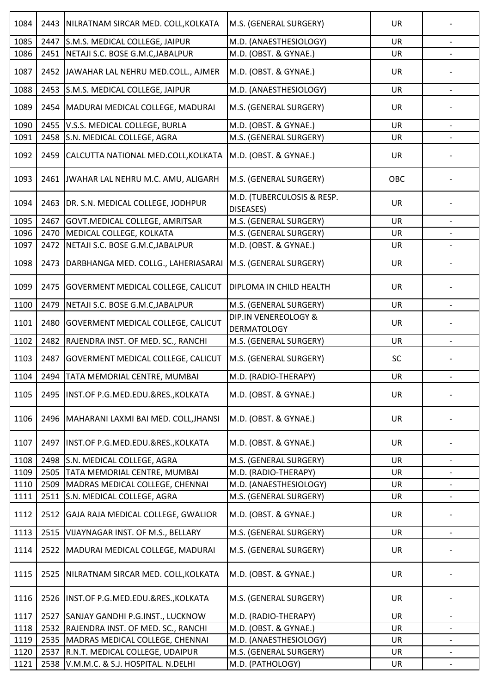| 1084 | 2443 | NILRATNAM SIRCAR MED. COLL, KOLKATA       | M.S. (GENERAL SURGERY)                     | <b>UR</b> |                          |
|------|------|-------------------------------------------|--------------------------------------------|-----------|--------------------------|
| 1085 | 2447 | S.M.S. MEDICAL COLLEGE, JAIPUR            | M.D. (ANAESTHESIOLOGY)                     | <b>UR</b> |                          |
| 1086 | 2451 | NETAJI S.C. BOSE G.M.C, JABALPUR          | M.D. (OBST. & GYNAE.)                      | <b>UR</b> |                          |
| 1087 | 2452 | JAWAHAR LAL NEHRU MED.COLL., AJMER        | M.D. (OBST. & GYNAE.)                      | UR        |                          |
| 1088 | 2453 | S.M.S. MEDICAL COLLEGE, JAIPUR            | M.D. (ANAESTHESIOLOGY)                     | UR        |                          |
| 1089 | 2454 | MADURAI MEDICAL COLLEGE, MADURAI          | M.S. (GENERAL SURGERY)                     | <b>UR</b> |                          |
| 1090 | 2455 | V.S.S. MEDICAL COLLEGE, BURLA             | M.D. (OBST. & GYNAE.)                      | <b>UR</b> | $\overline{\phantom{a}}$ |
| 1091 | 2458 | S.N. MEDICAL COLLEGE, AGRA                | M.S. (GENERAL SURGERY)                     | <b>UR</b> |                          |
| 1092 | 2459 | CALCUTTA NATIONAL MED.COLL, KOLKATA       | M.D. (OBST. & GYNAE.)                      | <b>UR</b> |                          |
| 1093 | 2461 | JWAHAR LAL NEHRU M.C. AMU, ALIGARH        | M.S. (GENERAL SURGERY)                     | OBC       |                          |
| 1094 | 2463 | DR. S.N. MEDICAL COLLEGE, JODHPUR         | M.D. (TUBERCULOSIS & RESP.<br>DISEASES)    | <b>UR</b> |                          |
| 1095 | 2467 | GOVT.MEDICAL COLLEGE, AMRITSAR            | M.S. (GENERAL SURGERY)                     | <b>UR</b> |                          |
| 1096 | 2470 | MEDICAL COLLEGE, KOLKATA                  | M.S. (GENERAL SURGERY)                     | <b>UR</b> |                          |
| 1097 | 2472 | NETAJI S.C. BOSE G.M.C, JABALPUR          | M.D. (OBST. & GYNAE.)                      | UR        | $\overline{\phantom{0}}$ |
| 1098 | 2473 | DARBHANGA MED. COLLG., LAHERIASARAI       | M.S. (GENERAL SURGERY)                     | <b>UR</b> |                          |
| 1099 | 2475 | <b>GOVERMENT MEDICAL COLLEGE, CALICUT</b> | DIPLOMA IN CHILD HEALTH                    | <b>UR</b> |                          |
| 1100 | 2479 | NETAJI S.C. BOSE G.M.C, JABALPUR          | M.S. (GENERAL SURGERY)                     | <b>UR</b> |                          |
| 1101 | 2480 | <b>GOVERMENT MEDICAL COLLEGE, CALICUT</b> | DIP.IN VENEREOLOGY &<br><b>DERMATOLOGY</b> | <b>UR</b> |                          |
| 1102 | 2482 | RAJENDRA INST. OF MED. SC., RANCHI        | M.S. (GENERAL SURGERY)                     | <b>UR</b> |                          |
| 1103 | 2487 | GOVERMENT MEDICAL COLLEGE, CALICUT        | M.S. (GENERAL SURGERY)                     | SC        |                          |
| 1104 |      | 2494 TATA MEMORIAL CENTRE, MUMBAI         | M.D. (RADIO-THERAPY)                       | UR        |                          |
| 1105 | 2495 | INST.OF P.G.MED.EDU.&RES., KOLKATA        | M.D. (OBST. & GYNAE.)                      | <b>UR</b> |                          |
| 1106 | 2496 | MAHARANI LAXMI BAI MED. COLL, JHANSI      | M.D. (OBST. & GYNAE.)                      | UR        |                          |
| 1107 | 2497 | INST.OF P.G.MED.EDU.&RES., KOLKATA        | M.D. (OBST. & GYNAE.)                      | <b>UR</b> |                          |
| 1108 | 2498 | S.N. MEDICAL COLLEGE, AGRA                | M.S. (GENERAL SURGERY)                     | <b>UR</b> |                          |
| 1109 | 2505 | TATA MEMORIAL CENTRE, MUMBAI              | M.D. (RADIO-THERAPY)                       | UR        | $\overline{\phantom{a}}$ |
| 1110 | 2509 | MADRAS MEDICAL COLLEGE, CHENNAI           | M.D. (ANAESTHESIOLOGY)                     | UR        |                          |
| 1111 | 2511 | S.N. MEDICAL COLLEGE, AGRA                | M.S. (GENERAL SURGERY)                     | UR        | $\overline{\phantom{a}}$ |
| 1112 | 2512 | GAJA RAJA MEDICAL COLLEGE, GWALIOR        | M.D. (OBST. & GYNAE.)                      | UR        |                          |
| 1113 | 2515 | VIJAYNAGAR INST. OF M.S., BELLARY         | M.S. (GENERAL SURGERY)                     | UR        | $\overline{\phantom{a}}$ |
| 1114 | 2522 | MADURAI MEDICAL COLLEGE, MADURAI          | M.S. (GENERAL SURGERY)                     | <b>UR</b> |                          |
| 1115 | 2525 | NILRATNAM SIRCAR MED. COLL, KOLKATA       | M.D. (OBST. & GYNAE.)                      | UR        |                          |
| 1116 | 2526 | INST.OF P.G.MED.EDU.&RES., KOLKATA        | M.S. (GENERAL SURGERY)                     | <b>UR</b> |                          |
| 1117 | 2527 | SANJAY GANDHI P.G.INST., LUCKNOW          | M.D. (RADIO-THERAPY)                       | <b>UR</b> | $\overline{\phantom{a}}$ |
| 1118 | 2532 | RAJENDRA INST. OF MED. SC., RANCHI        | M.D. (OBST. & GYNAE.)                      | UR        |                          |
| 1119 | 2535 | MADRAS MEDICAL COLLEGE, CHENNAI           | M.D. (ANAESTHESIOLOGY)                     | UR        | $\overline{\phantom{0}}$ |
| 1120 | 2537 | R.N.T. MEDICAL COLLEGE, UDAIPUR           | M.S. (GENERAL SURGERY)                     | <b>UR</b> |                          |
| 1121 | 2538 | V.M.M.C. & S.J. HOSPITAL. N.DELHI         | M.D. (PATHOLOGY)                           | UR        |                          |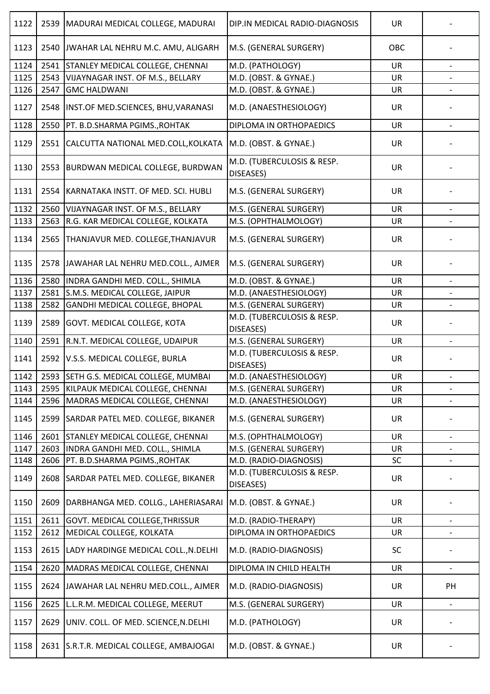| 1122 | 2539 | MADURAI MEDICAL COLLEGE, MADURAI          | DIP.IN MEDICAL RADIO-DIAGNOSIS          | <b>UR</b> |                          |
|------|------|-------------------------------------------|-----------------------------------------|-----------|--------------------------|
| 1123 | 2540 | JWAHAR LAL NEHRU M.C. AMU, ALIGARH        | M.S. (GENERAL SURGERY)                  | OBC       |                          |
| 1124 | 2541 | <b>STANLEY MEDICAL COLLEGE, CHENNAI</b>   | M.D. (PATHOLOGY)                        | <b>UR</b> |                          |
| 1125 | 2543 | VIJAYNAGAR INST. OF M.S., BELLARY         | M.D. (OBST. & GYNAE.)                   | <b>UR</b> |                          |
| 1126 | 2547 | <b>GMC HALDWANI</b>                       | M.D. (OBST. & GYNAE.)                   | UR        |                          |
| 1127 | 2548 | INST.OF MED.SCIENCES, BHU, VARANASI       | M.D. (ANAESTHESIOLOGY)                  | UR        |                          |
| 1128 | 2550 | PT. B.D.SHARMA PGIMS., ROHTAK             | DIPLOMA IN ORTHOPAEDICS                 | UR        |                          |
| 1129 | 2551 | CALCUTTA NATIONAL MED.COLL, KOLKATA       | M.D. (OBST. & GYNAE.)                   | <b>UR</b> |                          |
| 1130 | 2553 | <b>BURDWAN MEDICAL COLLEGE, BURDWAN</b>   | M.D. (TUBERCULOSIS & RESP.<br>DISEASES) | <b>UR</b> |                          |
| 1131 | 2554 | KARNATAKA INSTT. OF MED. SCI. HUBLI       | M.S. (GENERAL SURGERY)                  | UR        |                          |
| 1132 | 2560 | VIJAYNAGAR INST. OF M.S., BELLARY         | M.S. (GENERAL SURGERY)                  | <b>UR</b> |                          |
| 1133 | 2563 | R.G. KAR MEDICAL COLLEGE, KOLKATA         | M.S. (OPHTHALMOLOGY)                    | UR        |                          |
| 1134 | 2565 | THANJAVUR MED. COLLEGE, THANJAVUR         | M.S. (GENERAL SURGERY)                  | <b>UR</b> |                          |
| 1135 |      | 2578 JAWAHAR LAL NEHRU MED.COLL., AJMER   | M.S. (GENERAL SURGERY)                  | UR        |                          |
| 1136 | 2580 | INDRA GANDHI MED. COLL., SHIMLA           | M.D. (OBST. & GYNAE.)                   | <b>UR</b> | $\blacksquare$           |
| 1137 | 2581 | S.M.S. MEDICAL COLLEGE, JAIPUR            | M.D. (ANAESTHESIOLOGY)                  | UR        |                          |
| 1138 | 2582 | GANDHI MEDICAL COLLEGE, BHOPAL            | M.S. (GENERAL SURGERY)                  | UR        |                          |
| 1139 | 2589 | <b>GOVT. MEDICAL COLLEGE, KOTA</b>        | M.D. (TUBERCULOSIS & RESP.<br>DISEASES) | <b>UR</b> |                          |
| 1140 | 2591 | R.N.T. MEDICAL COLLEGE, UDAIPUR           | M.S. (GENERAL SURGERY)                  | <b>UR</b> |                          |
| 1141 | 2592 | V.S.S. MEDICAL COLLEGE, BURLA             | M.D. (TUBERCULOSIS & RESP.<br>DISEASES) | <b>UR</b> |                          |
| 1142 |      | 2593 SETH G.S. MEDICAL COLLEGE, MUMBAI    | M.D. (ANAESTHESIOLOGY)                  | UR        |                          |
| 1143 | 2595 | KILPAUK MEDICAL COLLEGE, CHENNAI          | M.S. (GENERAL SURGERY)                  | UR        | $\overline{\phantom{a}}$ |
| 1144 | 2596 | MADRAS MEDICAL COLLEGE, CHENNAI           | M.D. (ANAESTHESIOLOGY)                  | <b>UR</b> |                          |
| 1145 | 2599 | SARDAR PATEL MED. COLLEGE, BIKANER        | M.S. (GENERAL SURGERY)                  | UR        |                          |
| 1146 | 2601 | STANLEY MEDICAL COLLEGE, CHENNAI          | M.S. (OPHTHALMOLOGY)                    | <b>UR</b> |                          |
| 1147 | 2603 | INDRA GANDHI MED. COLL., SHIMLA           | M.S. (GENERAL SURGERY)                  | <b>UR</b> | $\overline{\phantom{a}}$ |
| 1148 | 2606 | PT. B.D.SHARMA PGIMS., ROHTAK             | M.D. (RADIO-DIAGNOSIS)                  | SC        |                          |
| 1149 | 2608 | SARDAR PATEL MED. COLLEGE, BIKANER        | M.D. (TUBERCULOSIS & RESP.<br>DISEASES) | UR        |                          |
| 1150 | 2609 | DARBHANGA MED. COLLG., LAHERIASARAI       | M.D. (OBST. & GYNAE.)                   | UR        |                          |
| 1151 | 2611 | GOVT. MEDICAL COLLEGE, THRISSUR           | M.D. (RADIO-THERAPY)                    | <b>UR</b> |                          |
| 1152 | 2612 | MEDICAL COLLEGE, KOLKATA                  | DIPLOMA IN ORTHOPAEDICS                 | UR        | $\overline{\phantom{a}}$ |
| 1153 |      | 2615 LADY HARDINGE MEDICAL COLL., N.DELHI | M.D. (RADIO-DIAGNOSIS)                  | SC        |                          |
| 1154 | 2620 | MADRAS MEDICAL COLLEGE, CHENNAI           | DIPLOMA IN CHILD HEALTH                 | <b>UR</b> |                          |
| 1155 | 2624 | JAWAHAR LAL NEHRU MED.COLL., AJMER        | M.D. (RADIO-DIAGNOSIS)                  | UR        | PH                       |
| 1156 | 2625 | L.L.R.M. MEDICAL COLLEGE, MEERUT          | M.S. (GENERAL SURGERY)                  | UR        |                          |
| 1157 | 2629 | UNIV. COLL. OF MED. SCIENCE, N.DELHI      | M.D. (PATHOLOGY)                        | <b>UR</b> |                          |
| 1158 | 2631 | S.R.T.R. MEDICAL COLLEGE, AMBAJOGAI       | M.D. (OBST. & GYNAE.)                   | UR        |                          |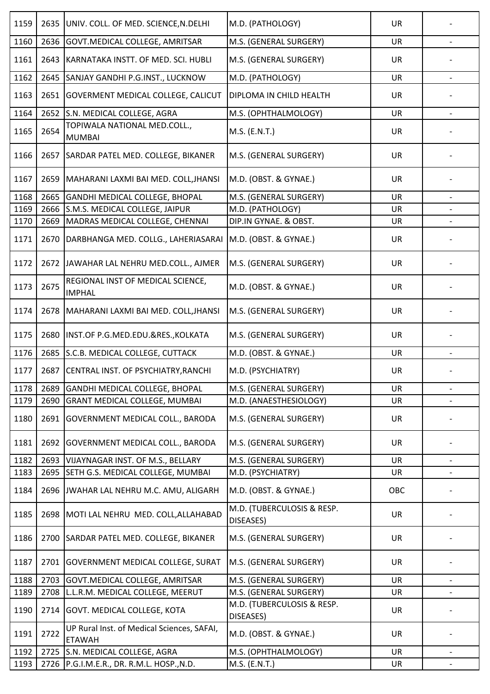| 1159 | 2635 | UNIV. COLL. OF MED. SCIENCE, N. DELHI                       | M.D. (PATHOLOGY)                        | <b>UR</b> |                              |
|------|------|-------------------------------------------------------------|-----------------------------------------|-----------|------------------------------|
| 1160 | 2636 | <b>GOVT.MEDICAL COLLEGE, AMRITSAR</b>                       | M.S. (GENERAL SURGERY)                  | <b>UR</b> |                              |
| 1161 | 2643 | KARNATAKA INSTT. OF MED. SCI. HUBLI                         | M.S. (GENERAL SURGERY)                  | UR        |                              |
| 1162 | 2645 | SANJAY GANDHI P.G.INST., LUCKNOW                            | M.D. (PATHOLOGY)                        | UR        | $\overline{\phantom{a}}$     |
| 1163 | 2651 | <b>GOVERMENT MEDICAL COLLEGE, CALICUT</b>                   | <b>DIPLOMA IN CHILD HEALTH</b>          | UR        |                              |
| 1164 | 2652 | S.N. MEDICAL COLLEGE, AGRA                                  | M.S. (OPHTHALMOLOGY)                    | <b>UR</b> |                              |
| 1165 | 2654 | TOPIWALA NATIONAL MED.COLL.,<br><b>MUMBAI</b>               | M.S. (E.N.T.)                           | <b>UR</b> |                              |
| 1166 | 2657 | SARDAR PATEL MED. COLLEGE, BIKANER                          | M.S. (GENERAL SURGERY)                  | <b>UR</b> |                              |
| 1167 | 2659 | MAHARANI LAXMI BAI MED. COLL, JHANSI                        | M.D. (OBST. & GYNAE.)                   | <b>UR</b> |                              |
| 1168 | 2665 | GANDHI MEDICAL COLLEGE, BHOPAL                              | M.S. (GENERAL SURGERY)                  | <b>UR</b> |                              |
| 1169 | 2666 | S.M.S. MEDICAL COLLEGE, JAIPUR                              | M.D. (PATHOLOGY)                        | UR        |                              |
| 1170 | 2669 | MADRAS MEDICAL COLLEGE, CHENNAI                             | DIP.IN GYNAE. & OBST.                   | <b>UR</b> | $\overline{\phantom{a}}$     |
| 1171 | 2670 | DARBHANGA MED. COLLG., LAHERIASARAI                         | M.D. (OBST. & GYNAE.)                   | <b>UR</b> |                              |
| 1172 | 2672 | JAWAHAR LAL NEHRU MED.COLL., AJMER                          | M.S. (GENERAL SURGERY)                  | UR        |                              |
| 1173 | 2675 | REGIONAL INST OF MEDICAL SCIENCE,<br><b>IMPHAL</b>          | M.D. (OBST. & GYNAE.)                   | <b>UR</b> |                              |
| 1174 | 2678 | MAHARANI LAXMI BAI MED. COLL, JHANSI                        | M.S. (GENERAL SURGERY)                  | <b>UR</b> |                              |
| 1175 | 2680 | INST.OF P.G.MED.EDU.&RES., KOLKATA                          | M.S. (GENERAL SURGERY)                  | <b>UR</b> |                              |
| 1176 | 2685 | S.C.B. MEDICAL COLLEGE, CUTTACK                             | M.D. (OBST. & GYNAE.)                   | UR        |                              |
| 1177 | 2687 | CENTRAL INST. OF PSYCHIATRY, RANCHI                         | M.D. (PSYCHIATRY)                       | <b>UR</b> |                              |
| 1178 | 2689 | <b>GANDHI MEDICAL COLLEGE, BHOPAL</b>                       | M.S. (GENERAL SURGERY)                  | <b>UR</b> | $\qquad \qquad \blacksquare$ |
| 1179 | 2690 | <b>GRANT MEDICAL COLLEGE, MUMBAI</b>                        | M.D. (ANAESTHESIOLOGY)                  | UR        |                              |
| 1180 | 2691 | <b>GOVERNMENT MEDICAL COLL., BARODA</b>                     | M.S. (GENERAL SURGERY)                  | <b>UR</b> |                              |
| 1181 | 2692 | GOVERNMENT MEDICAL COLL., BARODA                            | M.S. (GENERAL SURGERY)                  | UR        |                              |
| 1182 | 2693 | VIJAYNAGAR INST. OF M.S., BELLARY                           | M.S. (GENERAL SURGERY)                  | UR        |                              |
| 1183 | 2695 | SETH G.S. MEDICAL COLLEGE, MUMBAI                           | M.D. (PSYCHIATRY)                       | UR        | $\overline{\phantom{a}}$     |
| 1184 | 2696 | JWAHAR LAL NEHRU M.C. AMU, ALIGARH                          | M.D. (OBST. & GYNAE.)                   | OBC       |                              |
| 1185 | 2698 | MOTI LAL NEHRU MED. COLL, ALLAHABAD                         | M.D. (TUBERCULOSIS & RESP.<br>DISEASES) | <b>UR</b> |                              |
| 1186 | 2700 | SARDAR PATEL MED. COLLEGE, BIKANER                          | M.S. (GENERAL SURGERY)                  | <b>UR</b> |                              |
| 1187 | 2701 | <b>GOVERNMENT MEDICAL COLLEGE, SURAT</b>                    | M.S. (GENERAL SURGERY)                  | <b>UR</b> |                              |
| 1188 | 2703 | <b>GOVT.MEDICAL COLLEGE, AMRITSAR</b>                       | M.S. (GENERAL SURGERY)                  | <b>UR</b> |                              |
| 1189 | 2708 | L.L.R.M. MEDICAL COLLEGE, MEERUT                            | M.S. (GENERAL SURGERY)                  | <b>UR</b> | $\overline{\phantom{a}}$     |
| 1190 | 2714 | <b>GOVT. MEDICAL COLLEGE, KOTA</b>                          | M.D. (TUBERCULOSIS & RESP.<br>DISEASES) | <b>UR</b> |                              |
| 1191 | 2722 | UP Rural Inst. of Medical Sciences, SAFAI,<br><b>ETAWAH</b> | M.D. (OBST. & GYNAE.)                   | <b>UR</b> |                              |
| 1192 | 2725 | S.N. MEDICAL COLLEGE, AGRA                                  | M.S. (OPHTHALMOLOGY)                    | <b>UR</b> |                              |
| 1193 | 2726 | P.G.I.M.E.R., DR. R.M.L. HOSP., N.D.                        | M.S. (E.N.T.)                           | UR        |                              |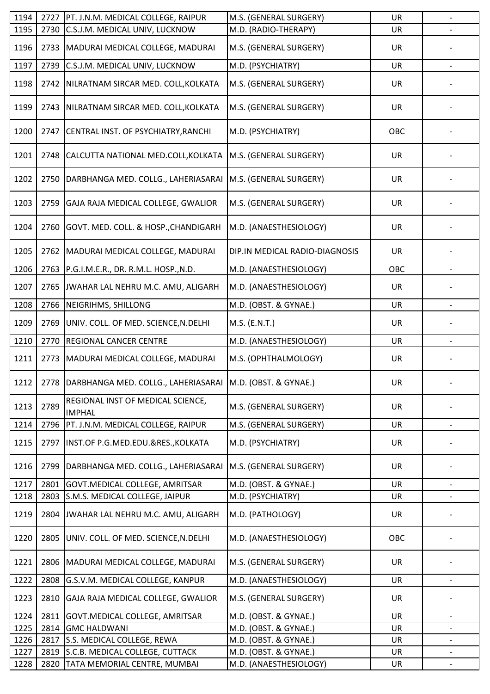| 1194         | 2727         | PT. J.N.M. MEDICAL COLLEGE, RAIPUR                              | M.S. (GENERAL SURGERY)                          | UR              | $\qquad \qquad -$        |
|--------------|--------------|-----------------------------------------------------------------|-------------------------------------------------|-----------------|--------------------------|
| 1195         | 2730         | C.S.J.M. MEDICAL UNIV, LUCKNOW                                  | M.D. (RADIO-THERAPY)                            | UR              |                          |
| 1196         | 2733         | MADURAI MEDICAL COLLEGE, MADURAI                                | M.S. (GENERAL SURGERY)                          | UR              |                          |
| 1197         | 2739         | C.S.J.M. MEDICAL UNIV, LUCKNOW                                  | M.D. (PSYCHIATRY)                               | UR              |                          |
| 1198         | 2742         | NILRATNAM SIRCAR MED. COLL, KOLKATA                             | M.S. (GENERAL SURGERY)                          | <b>UR</b>       |                          |
| 1199         | 2743         | NILRATNAM SIRCAR MED. COLL, KOLKATA                             | M.S. (GENERAL SURGERY)                          | UR              |                          |
| 1200         | 2747         | CENTRAL INST. OF PSYCHIATRY, RANCHI                             | M.D. (PSYCHIATRY)                               | OBC             |                          |
| 1201         | 2748         | CALCUTTA NATIONAL MED.COLL, KOLKATA                             | M.S. (GENERAL SURGERY)                          | UR              |                          |
| 1202         | 2750         | DARBHANGA MED. COLLG., LAHERIASARAI                             | M.S. (GENERAL SURGERY)                          | <b>UR</b>       |                          |
| 1203         | 2759         | GAJA RAJA MEDICAL COLLEGE, GWALIOR                              | M.S. (GENERAL SURGERY)                          | <b>UR</b>       |                          |
| 1204         | 2760         | GOVT. MED. COLL. & HOSP., CHANDIGARH                            | M.D. (ANAESTHESIOLOGY)                          | <b>UR</b>       |                          |
| 1205         | 2762         | MADURAI MEDICAL COLLEGE, MADURAI                                | DIP.IN MEDICAL RADIO-DIAGNOSIS                  | <b>UR</b>       |                          |
| 1206         | 2763         | P.G.I.M.E.R., DR. R.M.L. HOSP., N.D.                            | M.D. (ANAESTHESIOLOGY)                          | OBC             |                          |
| 1207         | 2765         | JWAHAR LAL NEHRU M.C. AMU, ALIGARH                              | M.D. (ANAESTHESIOLOGY)                          | <b>UR</b>       |                          |
| 1208         | 2766         | NEIGRIHMS, SHILLONG                                             | M.D. (OBST. & GYNAE.)                           | <b>UR</b>       |                          |
| 1209         | 2769         | UNIV. COLL. OF MED. SCIENCE, N.DELHI                            | M.S. (E.N.T.)                                   | <b>UR</b>       |                          |
| 1210         | 2770         | <b>REGIONAL CANCER CENTRE</b>                                   | M.D. (ANAESTHESIOLOGY)                          | <b>UR</b>       |                          |
| 1211         | 2773         | MADURAI MEDICAL COLLEGE, MADURAI                                | M.S. (OPHTHALMOLOGY)                            | UR              |                          |
| 1212         | 2778         | DARBHANGA MED. COLLG., LAHERIASARAI   M.D. (OBST. & GYNAE.)     |                                                 | <b>UR</b>       |                          |
| 1213         | 2789         | REGIONAL INST OF MEDICAL SCIENCE,<br><b>IMPHAL</b>              | M.S. (GENERAL SURGERY)                          | <b>UR</b>       |                          |
| 1214         | 2796         | PT. J.N.M. MEDICAL COLLEGE, RAIPUR                              | M.S. (GENERAL SURGERY)                          | <b>UR</b>       |                          |
| 1215         | 2797         | INST.OF P.G.MED.EDU.&RES., KOLKATA                              | M.D. (PSYCHIATRY)                               | UR              |                          |
| 1216         | 2799         | DARBHANGA MED. COLLG., LAHERIASARAI                             | M.S. (GENERAL SURGERY)                          | UR              |                          |
| 1217         | 2801         | GOVT. MEDICAL COLLEGE, AMRITSAR                                 | M.D. (OBST. & GYNAE.)                           | <b>UR</b>       |                          |
| 1218         | 2803         | S.M.S. MEDICAL COLLEGE, JAIPUR                                  | M.D. (PSYCHIATRY)                               | UR              |                          |
| 1219         | 2804         | JWAHAR LAL NEHRU M.C. AMU, ALIGARH                              | M.D. (PATHOLOGY)                                | <b>UR</b>       |                          |
| 1220         | 2805         | UNIV. COLL. OF MED. SCIENCE, N. DELHI                           | M.D. (ANAESTHESIOLOGY)                          | OBC             |                          |
| 1221         | 2806         | MADURAI MEDICAL COLLEGE, MADURAI                                | M.S. (GENERAL SURGERY)                          | UR              |                          |
| 1222         | 2808         | G.S.V.M. MEDICAL COLLEGE, KANPUR                                | M.D. (ANAESTHESIOLOGY)                          | <b>UR</b>       |                          |
| 1223         | 2810         | GAJA RAJA MEDICAL COLLEGE, GWALIOR                              | M.S. (GENERAL SURGERY)                          | <b>UR</b>       |                          |
| 1224         | 2811         | GOVT.MEDICAL COLLEGE, AMRITSAR                                  | M.D. (OBST. & GYNAE.)                           | <b>UR</b>       | $\overline{\phantom{a}}$ |
| 1225         | 2814         | <b>GMC HALDWANI</b>                                             | M.D. (OBST. & GYNAE.)                           | <b>UR</b>       |                          |
| 1226         | 2817         | S.S. MEDICAL COLLEGE, REWA                                      | M.D. (OBST. & GYNAE.)                           | <b>UR</b>       | $\overline{\phantom{a}}$ |
| 1227<br>1228 | 2819<br>2820 | S.C.B. MEDICAL COLLEGE, CUTTACK<br>TATA MEMORIAL CENTRE, MUMBAI | M.D. (OBST. & GYNAE.)<br>M.D. (ANAESTHESIOLOGY) | <b>UR</b><br>UR |                          |
|              |              |                                                                 |                                                 |                 |                          |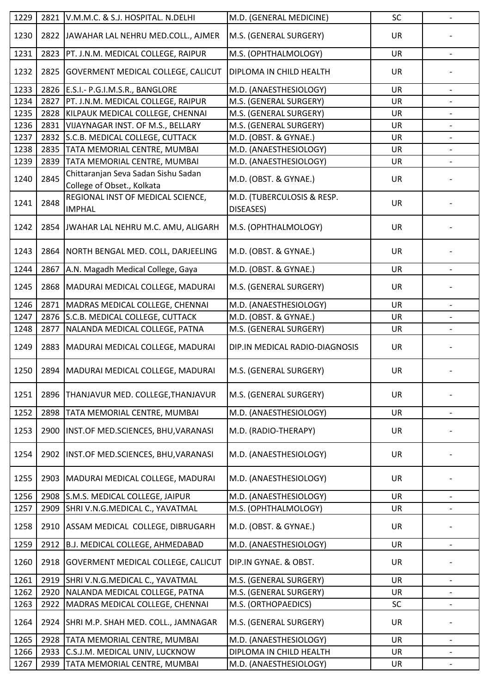| 1229 | 2821 | V.M.M.C. & S.J. HOSPITAL. N.DELHI                                 | M.D. (GENERAL MEDICINE)                 | SC        | $\overline{a}$           |
|------|------|-------------------------------------------------------------------|-----------------------------------------|-----------|--------------------------|
| 1230 | 2822 | JAWAHAR LAL NEHRU MED.COLL., AJMER                                | M.S. (GENERAL SURGERY)                  | <b>UR</b> |                          |
| 1231 | 2823 | PT. J.N.M. MEDICAL COLLEGE, RAIPUR                                | M.S. (OPHTHALMOLOGY)                    | <b>UR</b> |                          |
| 1232 | 2825 | <b>GOVERMENT MEDICAL COLLEGE, CALICUT</b>                         | DIPLOMA IN CHILD HEALTH                 | <b>UR</b> |                          |
| 1233 | 2826 | E.S.I.- P.G.I.M.S.R., BANGLORE                                    | M.D. (ANAESTHESIOLOGY)                  | <b>UR</b> |                          |
| 1234 | 2827 | PT. J.N.M. MEDICAL COLLEGE, RAIPUR                                | M.S. (GENERAL SURGERY)                  | <b>UR</b> |                          |
| 1235 | 2828 | KILPAUK MEDICAL COLLEGE, CHENNAI                                  | M.S. (GENERAL SURGERY)                  | <b>UR</b> |                          |
| 1236 | 2831 | VIJAYNAGAR INST. OF M.S., BELLARY                                 | M.S. (GENERAL SURGERY)                  | <b>UR</b> | $\overline{\phantom{a}}$ |
| 1237 | 2832 | S.C.B. MEDICAL COLLEGE, CUTTACK                                   | M.D. (OBST. & GYNAE.)                   | UR        |                          |
| 1238 | 2835 | TATA MEMORIAL CENTRE, MUMBAI                                      | M.D. (ANAESTHESIOLOGY)                  | <b>UR</b> |                          |
| 1239 | 2839 | TATA MEMORIAL CENTRE, MUMBAI                                      | M.D. (ANAESTHESIOLOGY)                  | <b>UR</b> |                          |
| 1240 | 2845 | Chittaranjan Seva Sadan Sishu Sadan<br>College of Obset., Kolkata | M.D. (OBST. & GYNAE.)                   | UR        |                          |
| 1241 | 2848 | REGIONAL INST OF MEDICAL SCIENCE,<br><b>IMPHAL</b>                | M.D. (TUBERCULOSIS & RESP.<br>DISEASES) | <b>UR</b> |                          |
| 1242 |      | 2854 JWAHAR LAL NEHRU M.C. AMU, ALIGARH                           | M.S. (OPHTHALMOLOGY)                    | <b>UR</b> |                          |
| 1243 |      | 2864 NORTH BENGAL MED. COLL, DARJEELING                           | M.D. (OBST. & GYNAE.)                   | <b>UR</b> |                          |
| 1244 | 2867 | A.N. Magadh Medical College, Gaya                                 | M.D. (OBST. & GYNAE.)                   | <b>UR</b> |                          |
| 1245 | 2868 | MADURAI MEDICAL COLLEGE, MADURAI                                  | M.S. (GENERAL SURGERY)                  | <b>UR</b> |                          |
| 1246 | 2871 | MADRAS MEDICAL COLLEGE, CHENNAI                                   | M.D. (ANAESTHESIOLOGY)                  | <b>UR</b> |                          |
| 1247 | 2876 | S.C.B. MEDICAL COLLEGE, CUTTACK                                   | M.D. (OBST. & GYNAE.)                   | <b>UR</b> |                          |
| 1248 | 2877 | NALANDA MEDICAL COLLEGE, PATNA                                    | M.S. (GENERAL SURGERY)                  | <b>UR</b> |                          |
| 1249 | 2883 | MADURAI MEDICAL COLLEGE, MADURAI                                  | DIP.IN MEDICAL RADIO-DIAGNOSIS          | <b>UR</b> |                          |
| 1250 |      | 2894   MADURAI MEDICAL COLLEGE, MADURAI                           | M.S. (GENERAL SURGERY)                  | <b>UR</b> |                          |
| 1251 | 2896 | THANJAVUR MED. COLLEGE, THANJAVUR                                 | M.S. (GENERAL SURGERY)                  | <b>UR</b> |                          |
| 1252 | 2898 | TATA MEMORIAL CENTRE, MUMBAI                                      | M.D. (ANAESTHESIOLOGY)                  | <b>UR</b> |                          |
| 1253 | 2900 | INST.OF MED.SCIENCES, BHU, VARANASI                               | M.D. (RADIO-THERAPY)                    | <b>UR</b> |                          |
| 1254 | 2902 | INST.OF MED.SCIENCES, BHU, VARANASI                               | M.D. (ANAESTHESIOLOGY)                  | UR        |                          |
| 1255 | 2903 | MADURAI MEDICAL COLLEGE, MADURAI                                  | M.D. (ANAESTHESIOLOGY)                  | UR        |                          |
| 1256 | 2908 | S.M.S. MEDICAL COLLEGE, JAIPUR                                    | M.D. (ANAESTHESIOLOGY)                  | <b>UR</b> | $\overline{\phantom{a}}$ |
| 1257 | 2909 | SHRI V.N.G.MEDICAL C., YAVATMAL                                   | M.S. (OPHTHALMOLOGY)                    | UR        |                          |
| 1258 | 2910 | ASSAM MEDICAL COLLEGE, DIBRUGARH                                  | M.D. (OBST. & GYNAE.)                   | <b>UR</b> |                          |
| 1259 | 2912 | B.J. MEDICAL COLLEGE, AHMEDABAD                                   | M.D. (ANAESTHESIOLOGY)                  | <b>UR</b> |                          |
| 1260 | 2918 | <b>GOVERMENT MEDICAL COLLEGE, CALICUT</b>                         | DIP.IN GYNAE. & OBST.                   | UR        |                          |
| 1261 | 2919 | SHRI V.N.G.MEDICAL C., YAVATMAL                                   | M.S. (GENERAL SURGERY)                  | <b>UR</b> | $\overline{\phantom{a}}$ |
| 1262 | 2920 | NALANDA MEDICAL COLLEGE, PATNA                                    | M.S. (GENERAL SURGERY)                  | UR        |                          |
| 1263 | 2922 | MADRAS MEDICAL COLLEGE, CHENNAI                                   | M.S. (ORTHOPAEDICS)                     | <b>SC</b> |                          |
| 1264 | 2924 | SHRI M.P. SHAH MED. COLL., JAMNAGAR                               | M.S. (GENERAL SURGERY)                  | UR        |                          |
| 1265 | 2928 | TATA MEMORIAL CENTRE, MUMBAI                                      | M.D. (ANAESTHESIOLOGY)                  | <b>UR</b> | $\overline{\phantom{a}}$ |
| 1266 | 2933 | C.S.J.M. MEDICAL UNIV, LUCKNOW                                    | DIPLOMA IN CHILD HEALTH                 | <b>UR</b> |                          |
| 1267 | 2939 | TATA MEMORIAL CENTRE, MUMBAI                                      | M.D. (ANAESTHESIOLOGY)                  | <b>UR</b> | $\overline{\phantom{a}}$ |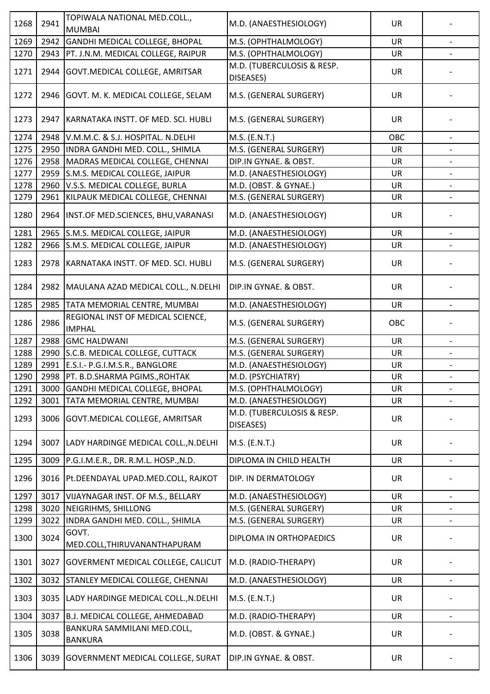| 1268 | 2941 | TOPIWALA NATIONAL MED.COLL.,<br><b>MUMBAI</b>      | M.D. (ANAESTHESIOLOGY)                  | <b>UR</b> |                          |
|------|------|----------------------------------------------------|-----------------------------------------|-----------|--------------------------|
| 1269 | 2942 | GANDHI MEDICAL COLLEGE, BHOPAL                     | M.S. (OPHTHALMOLOGY)                    | UR        | $\overline{\phantom{a}}$ |
| 1270 | 2943 | PT. J.N.M. MEDICAL COLLEGE, RAIPUR                 | M.S. (OPHTHALMOLOGY)                    | <b>UR</b> |                          |
|      |      |                                                    | M.D. (TUBERCULOSIS & RESP.              |           |                          |
| 1271 | 2944 | <b>GOVT.MEDICAL COLLEGE, AMRITSAR</b>              | DISEASES)                               | <b>UR</b> |                          |
| 1272 |      | 2946 GOVT. M. K. MEDICAL COLLEGE, SELAM            | M.S. (GENERAL SURGERY)                  | UR        |                          |
| 1273 | 2947 | KARNATAKA INSTT. OF MED. SCI. HUBLI                | M.S. (GENERAL SURGERY)                  | <b>UR</b> |                          |
| 1274 | 2948 | V.M.M.C. & S.J. HOSPITAL. N.DELHI                  | M.S. (E.N.T.)                           | OBC       |                          |
| 1275 | 2950 | INDRA GANDHI MED. COLL., SHIMLA                    | M.S. (GENERAL SURGERY)                  | <b>UR</b> |                          |
| 1276 | 2958 | MADRAS MEDICAL COLLEGE, CHENNAI                    | DIP.IN GYNAE. & OBST.                   | UR        |                          |
| 1277 | 2959 | S.M.S. MEDICAL COLLEGE, JAIPUR                     | M.D. (ANAESTHESIOLOGY)                  | UR        |                          |
| 1278 | 2960 | V.S.S. MEDICAL COLLEGE, BURLA                      | M.D. (OBST. & GYNAE.)                   | UR        |                          |
| 1279 | 2961 | KILPAUK MEDICAL COLLEGE, CHENNAI                   | M.S. (GENERAL SURGERY)                  | UR        |                          |
| 1280 | 2964 | INST.OF MED.SCIENCES, BHU, VARANASI                | M.D. (ANAESTHESIOLOGY)                  | <b>UR</b> |                          |
| 1281 |      | 2965 S.M.S. MEDICAL COLLEGE, JAIPUR                | M.D. (ANAESTHESIOLOGY)                  | <b>UR</b> |                          |
| 1282 | 2966 | S.M.S. MEDICAL COLLEGE, JAIPUR                     | M.D. (ANAESTHESIOLOGY)                  | <b>UR</b> | $\overline{\phantom{a}}$ |
| 1283 | 2978 | KARNATAKA INSTT. OF MED. SCI. HUBLI                | M.S. (GENERAL SURGERY)                  | <b>UR</b> |                          |
| 1284 |      | 2982   MAULANA AZAD MEDICAL COLL., N.DELHI         | DIP.IN GYNAE. & OBST.                   | <b>UR</b> |                          |
| 1285 | 2985 | TATA MEMORIAL CENTRE, MUMBAI                       | M.D. (ANAESTHESIOLOGY)                  | <b>UR</b> |                          |
| 1286 | 2986 | REGIONAL INST OF MEDICAL SCIENCE,<br><b>IMPHAL</b> | M.S. (GENERAL SURGERY)                  | OBC       |                          |
| 1287 | 2988 | <b>GMC HALDWANI</b>                                | M.S. (GENERAL SURGERY)                  | <b>UR</b> |                          |
| 1288 | 2990 | S.C.B. MEDICAL COLLEGE, CUTTACK                    | M.S. (GENERAL SURGERY)                  | UR        |                          |
| 1289 |      | 2991 E.S.I.- P.G.I.M.S.R., BANGLORE                | M.D. (ANAESTHESIOLOGY)                  | <b>UR</b> |                          |
| 1290 |      | 2998   PT. B.D.SHARMA PGIMS., ROHTAK               | M.D. (PSYCHIATRY)                       | UR        |                          |
| 1291 | 3000 | <b>GANDHI MEDICAL COLLEGE, BHOPAL</b>              | M.S. (OPHTHALMOLOGY)                    | <b>UR</b> | $\qquad \qquad -$        |
| 1292 | 3001 | TATA MEMORIAL CENTRE, MUMBAI                       | M.D. (ANAESTHESIOLOGY)                  | UR        |                          |
| 1293 | 3006 | GOVT. MEDICAL COLLEGE, AMRITSAR                    | M.D. (TUBERCULOSIS & RESP.<br>DISEASES) | <b>UR</b> |                          |
| 1294 | 3007 | LADY HARDINGE MEDICAL COLL., N.DELHI               | M.S. (E.N.T.)                           | <b>UR</b> |                          |
| 1295 | 3009 | P.G.I.M.E.R., DR. R.M.L. HOSP., N.D.               | DIPLOMA IN CHILD HEALTH                 | UR        |                          |
| 1296 | 3016 | Pt.DEENDAYAL UPAD.MED.COLL, RAJKOT                 | DIP. IN DERMATOLOGY                     | <b>UR</b> |                          |
| 1297 | 3017 | VIJAYNAGAR INST. OF M.S., BELLARY                  | M.D. (ANAESTHESIOLOGY)                  | <b>UR</b> | $\overline{\phantom{a}}$ |
| 1298 | 3020 | NEIGRIHMS, SHILLONG                                | M.S. (GENERAL SURGERY)                  | <b>UR</b> |                          |
| 1299 | 3022 | INDRA GANDHI MED. COLL., SHIMLA                    | M.S. (GENERAL SURGERY)                  | UR        | $\overline{\phantom{a}}$ |
| 1300 | 3024 | GOVT.<br>MED.COLL, THIRUVANANTHAPURAM              | DIPLOMA IN ORTHOPAEDICS                 | <b>UR</b> |                          |
| 1301 | 3027 | <b>GOVERMENT MEDICAL COLLEGE, CALICUT</b>          | M.D. (RADIO-THERAPY)                    | <b>UR</b> |                          |
| 1302 | 3032 | <b>STANLEY MEDICAL COLLEGE, CHENNAI</b>            | M.D. (ANAESTHESIOLOGY)                  | UR        | $\overline{\phantom{a}}$ |
| 1303 | 3035 | LADY HARDINGE MEDICAL COLL., N.DELHI               | M.S. (E.N.T.)                           | <b>UR</b> |                          |
| 1304 | 3037 | B.J. MEDICAL COLLEGE, AHMEDABAD                    | M.D. (RADIO-THERAPY)                    | <b>UR</b> | $\overline{\phantom{a}}$ |
| 1305 | 3038 | BANKURA SAMMILANI MED.COLL,<br><b>BANKURA</b>      | M.D. (OBST. & GYNAE.)                   | <b>UR</b> |                          |
| 1306 | 3039 | <b>GOVERNMENT MEDICAL COLLEGE, SURAT</b>           | DIP.IN GYNAE. & OBST.                   | <b>UR</b> |                          |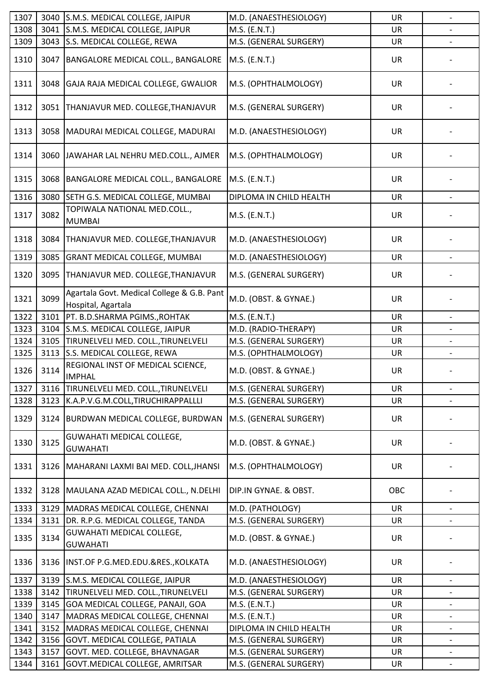| 1307 | 3040 | S.M.S. MEDICAL COLLEGE, JAIPUR                                   | M.D. (ANAESTHESIOLOGY)  | UR        | $\overline{a}$           |
|------|------|------------------------------------------------------------------|-------------------------|-----------|--------------------------|
| 1308 | 3041 | S.M.S. MEDICAL COLLEGE, JAIPUR                                   | M.S. (E.N.T.)           | <b>UR</b> |                          |
| 1309 | 3043 | S.S. MEDICAL COLLEGE, REWA                                       | M.S. (GENERAL SURGERY)  | UR        |                          |
| 1310 | 3047 | BANGALORE MEDICAL COLL., BANGALORE                               | M.S. (E.N.T.)           | <b>UR</b> |                          |
| 1311 | 3048 | GAJA RAJA MEDICAL COLLEGE, GWALIOR                               | M.S. (OPHTHALMOLOGY)    | <b>UR</b> |                          |
| 1312 | 3051 | THANJAVUR MED. COLLEGE, THANJAVUR                                | M.S. (GENERAL SURGERY)  | UR        |                          |
| 1313 | 3058 | MADURAI MEDICAL COLLEGE, MADURAI                                 | M.D. (ANAESTHESIOLOGY)  | UR        |                          |
| 1314 | 3060 | JAWAHAR LAL NEHRU MED.COLL., AJMER                               | M.S. (OPHTHALMOLOGY)    | UR        |                          |
| 1315 | 3068 | BANGALORE MEDICAL COLL., BANGALORE                               | M.S. (E.N.T.)           | <b>UR</b> |                          |
| 1316 | 3080 | SETH G.S. MEDICAL COLLEGE, MUMBAI                                | DIPLOMA IN CHILD HEALTH | <b>UR</b> |                          |
| 1317 | 3082 | TOPIWALA NATIONAL MED.COLL.,<br><b>MUMBAI</b>                    | M.S. (E.N.T.)           | UR        |                          |
| 1318 | 3084 | THANJAVUR MED. COLLEGE, THANJAVUR                                | M.D. (ANAESTHESIOLOGY)  | <b>UR</b> |                          |
| 1319 | 3085 | <b>GRANT MEDICAL COLLEGE, MUMBAI</b>                             | M.D. (ANAESTHESIOLOGY)  | <b>UR</b> |                          |
| 1320 | 3095 | THANJAVUR MED. COLLEGE, THANJAVUR                                | M.S. (GENERAL SURGERY)  | UR        |                          |
| 1321 | 3099 | Agartala Govt. Medical College & G.B. Pant<br>Hospital, Agartala | M.D. (OBST. & GYNAE.)   | <b>UR</b> |                          |
| 1322 | 3101 | PT. B.D.SHARMA PGIMS., ROHTAK                                    | M.S. (E.N.T.)           | <b>UR</b> |                          |
| 1323 | 3104 | S.M.S. MEDICAL COLLEGE, JAIPUR                                   | M.D. (RADIO-THERAPY)    | <b>UR</b> |                          |
| 1324 | 3105 | TIRUNELVELI MED. COLL., TIRUNELVELI                              | M.S. (GENERAL SURGERY)  | <b>UR</b> |                          |
| 1325 | 3113 | S.S. MEDICAL COLLEGE, REWA                                       | M.S. (OPHTHALMOLOGY)    | UR        |                          |
| 1326 | 3114 | REGIONAL INST OF MEDICAL SCIENCE,<br><b>IMPHAL</b>               | M.D. (OBST. & GYNAE.)   | <b>UR</b> |                          |
| 1327 | 3116 | TIRUNELVELI MED. COLL., TIRUNELVELI                              | M.S. (GENERAL SURGERY)  | UR        | $\overline{\phantom{a}}$ |
| 1328 | 3123 | K.A.P.V.G.M.COLL,TIRUCHIRAPPALLLI                                | M.S. (GENERAL SURGERY)  | UR        |                          |
| 1329 | 3124 | BURDWAN MEDICAL COLLEGE, BURDWAN                                 | M.S. (GENERAL SURGERY)  | UR        |                          |
| 1330 | 3125 | <b>GUWAHATI MEDICAL COLLEGE,</b><br><b>GUWAHATI</b>              | M.D. (OBST. & GYNAE.)   | <b>UR</b> |                          |
| 1331 | 3126 | MAHARANI LAXMI BAI MED. COLL, JHANSI                             | M.S. (OPHTHALMOLOGY)    | UR        |                          |
| 1332 | 3128 | MAULANA AZAD MEDICAL COLL., N.DELHI                              | DIP.IN GYNAE. & OBST.   | OBC       |                          |
| 1333 | 3129 | MADRAS MEDICAL COLLEGE, CHENNAI                                  | M.D. (PATHOLOGY)        | <b>UR</b> |                          |
| 1334 | 3131 | DR. R.P.G. MEDICAL COLLEGE, TANDA                                | M.S. (GENERAL SURGERY)  | UR        |                          |
| 1335 | 3134 | GUWAHATI MEDICAL COLLEGE,<br><b>GUWAHATI</b>                     | M.D. (OBST. & GYNAE.)   | <b>UR</b> |                          |
| 1336 | 3136 | INST.OF P.G.MED.EDU.&RES., KOLKATA                               | M.D. (ANAESTHESIOLOGY)  | <b>UR</b> |                          |
| 1337 | 3139 | S.M.S. MEDICAL COLLEGE, JAIPUR                                   | M.D. (ANAESTHESIOLOGY)  | <b>UR</b> |                          |
| 1338 | 3142 | TIRUNELVELI MED. COLL., TIRUNELVELI                              | M.S. (GENERAL SURGERY)  | UR        | $\overline{\phantom{a}}$ |
| 1339 | 3145 | GOA MEDICAL COLLEGE, PANAJI, GOA                                 | M.S. (E.N.T.)           | UR        |                          |
| 1340 | 3147 | MADRAS MEDICAL COLLEGE, CHENNAI                                  | M.S. (E.N.T.)           | UR        | $\overline{\phantom{a}}$ |
| 1341 | 3152 | MADRAS MEDICAL COLLEGE, CHENNAI                                  | DIPLOMA IN CHILD HEALTH | UR        |                          |
| 1342 | 3156 | GOVT. MEDICAL COLLEGE, PATIALA                                   | M.S. (GENERAL SURGERY)  | <b>UR</b> | $\overline{\phantom{0}}$ |
| 1343 | 3157 | GOVT. MED. COLLEGE, BHAVNAGAR                                    | M.S. (GENERAL SURGERY)  | UR        |                          |
| 1344 | 3161 | GOVT. MEDICAL COLLEGE, AMRITSAR                                  | M.S. (GENERAL SURGERY)  | UR        |                          |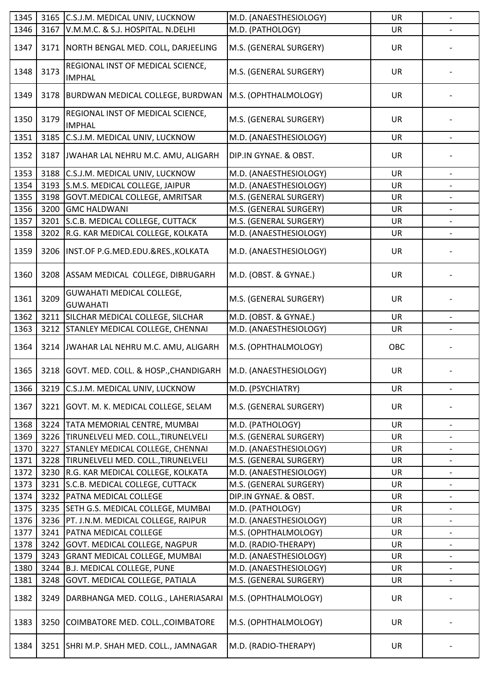| 1345 | 3165 | C.S.J.M. MEDICAL UNIV, LUCKNOW                     | M.D. (ANAESTHESIOLOGY) | UR        |                          |
|------|------|----------------------------------------------------|------------------------|-----------|--------------------------|
| 1346 | 3167 | V.M.M.C. & S.J. HOSPITAL. N.DELHI                  | M.D. (PATHOLOGY)       | UR        |                          |
| 1347 | 3171 | NORTH BENGAL MED. COLL, DARJEELING                 | M.S. (GENERAL SURGERY) | UR        |                          |
| 1348 | 3173 | REGIONAL INST OF MEDICAL SCIENCE,<br><b>IMPHAL</b> | M.S. (GENERAL SURGERY) | <b>UR</b> |                          |
| 1349 | 3178 | BURDWAN MEDICAL COLLEGE, BURDWAN                   | M.S. (OPHTHALMOLOGY)   | <b>UR</b> |                          |
| 1350 | 3179 | REGIONAL INST OF MEDICAL SCIENCE,<br><b>IMPHAL</b> | M.S. (GENERAL SURGERY) | <b>UR</b> |                          |
| 1351 | 3185 | C.S.J.M. MEDICAL UNIV, LUCKNOW                     | M.D. (ANAESTHESIOLOGY) | UR        | $\overline{\phantom{a}}$ |
| 1352 | 3187 | JWAHAR LAL NEHRU M.C. AMU, ALIGARH                 | DIP.IN GYNAE. & OBST.  | UR        |                          |
| 1353 | 3188 | C.S.J.M. MEDICAL UNIV, LUCKNOW                     | M.D. (ANAESTHESIOLOGY) | <b>UR</b> |                          |
| 1354 | 3193 | S.M.S. MEDICAL COLLEGE, JAIPUR                     | M.D. (ANAESTHESIOLOGY) | UR        |                          |
| 1355 | 3198 | GOVT. MEDICAL COLLEGE, AMRITSAR                    | M.S. (GENERAL SURGERY) | <b>UR</b> |                          |
| 1356 | 3200 | <b>GMC HALDWANI</b>                                | M.S. (GENERAL SURGERY) | UR        |                          |
| 1357 | 3201 | S.C.B. MEDICAL COLLEGE, CUTTACK                    | M.S. (GENERAL SURGERY) | UR        | $\overline{\phantom{a}}$ |
| 1358 | 3202 | R.G. KAR MEDICAL COLLEGE, KOLKATA                  | M.D. (ANAESTHESIOLOGY) | UR        |                          |
| 1359 | 3206 | INST.OF P.G.MED.EDU.&RES., KOLKATA                 | M.D. (ANAESTHESIOLOGY) | UR        |                          |
| 1360 | 3208 | ASSAM MEDICAL COLLEGE, DIBRUGARH                   | M.D. (OBST. & GYNAE.)  | UR        |                          |
| 1361 | 3209 | GUWAHATI MEDICAL COLLEGE,<br><b>GUWAHATI</b>       | M.S. (GENERAL SURGERY) | <b>UR</b> |                          |
| 1362 | 3211 | SILCHAR MEDICAL COLLEGE, SILCHAR                   | M.D. (OBST. & GYNAE.)  | UR        |                          |
| 1363 | 3212 | STANLEY MEDICAL COLLEGE, CHENNAI                   | M.D. (ANAESTHESIOLOGY) | <b>UR</b> |                          |
| 1364 | 3214 | JWAHAR LAL NEHRU M.C. AMU, ALIGARH                 | M.S. (OPHTHALMOLOGY)   | OBC       |                          |
| 1365 |      | 3218 GOVT. MED. COLL. & HOSP., CHANDIGARH          | M.D. (ANAESTHESIOLOGY) | UR        |                          |
| 1366 | 3219 | C.S.J.M. MEDICAL UNIV, LUCKNOW                     | M.D. (PSYCHIATRY)      | UR        | $\blacksquare$           |
| 1367 | 3221 | GOVT. M. K. MEDICAL COLLEGE, SELAM                 | M.S. (GENERAL SURGERY) | UR        |                          |
| 1368 |      | 3224 TATA MEMORIAL CENTRE, MUMBAI                  | M.D. (PATHOLOGY)       | UR        |                          |
| 1369 |      | 3226 TIRUNELVELI MED. COLL., TIRUNELVELI           | M.S. (GENERAL SURGERY) | UR        |                          |
| 1370 | 3227 | STANLEY MEDICAL COLLEGE, CHENNAI                   | M.D. (ANAESTHESIOLOGY) | <b>UR</b> | -                        |
| 1371 |      | 3228  TIRUNELVELI MED. COLL., TIRUNELVELI          | M.S. (GENERAL SURGERY) | UR        |                          |
| 1372 | 3230 | R.G. KAR MEDICAL COLLEGE, KOLKATA                  | M.D. (ANAESTHESIOLOGY) | UR        | $\overline{\phantom{0}}$ |
| 1373 | 3231 | S.C.B. MEDICAL COLLEGE, CUTTACK                    | M.S. (GENERAL SURGERY) | <b>UR</b> |                          |
| 1374 | 3232 | <b>PATNA MEDICAL COLLEGE</b>                       | DIP.IN GYNAE. & OBST.  | UR        |                          |
| 1375 | 3235 | SETH G.S. MEDICAL COLLEGE, MUMBAI                  | M.D. (PATHOLOGY)       | UR        |                          |
| 1376 | 3236 | PT. J.N.M. MEDICAL COLLEGE, RAIPUR                 | M.D. (ANAESTHESIOLOGY) | <b>UR</b> |                          |
| 1377 | 3241 | PATNA MEDICAL COLLEGE                              | M.S. (OPHTHALMOLOGY)   | <b>UR</b> | $\overline{\phantom{a}}$ |
| 1378 | 3242 | GOVT. MEDICAL COLLEGE, NAGPUR                      | M.D. (RADIO-THERAPY)   | UR        |                          |
| 1379 | 3243 | <b>GRANT MEDICAL COLLEGE, MUMBAI</b>               | M.D. (ANAESTHESIOLOGY) | <b>UR</b> | -                        |
| 1380 | 3244 | <b>B.J. MEDICAL COLLEGE, PUNE</b>                  | M.D. (ANAESTHESIOLOGY) | <b>UR</b> |                          |
| 1381 | 3248 | GOVT. MEDICAL COLLEGE, PATIALA                     | M.S. (GENERAL SURGERY) | UR        |                          |
| 1382 | 3249 | DARBHANGA MED. COLLG., LAHERIASARAI                | M.S. (OPHTHALMOLOGY)   | <b>UR</b> |                          |
| 1383 | 3250 | COIMBATORE MED. COLL., COIMBATORE                  | M.S. (OPHTHALMOLOGY)   | UR        |                          |
| 1384 | 3251 | SHRI M.P. SHAH MED. COLL., JAMNAGAR                | M.D. (RADIO-THERAPY)   | UR        |                          |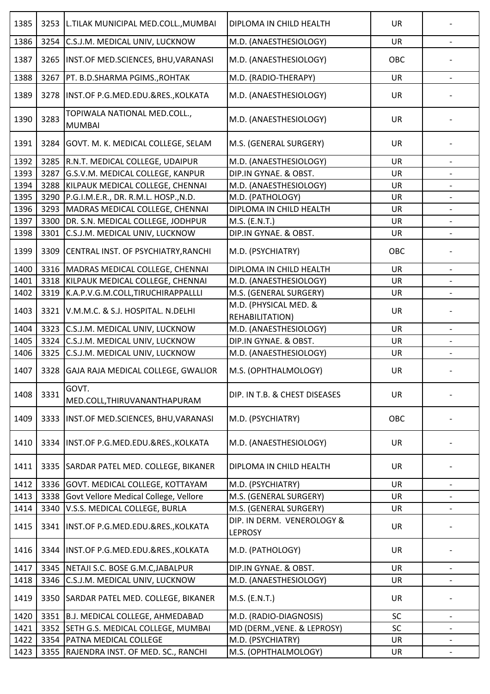| 1385 | 3253 | L.TILAK MUNICIPAL MED.COLL., MUMBAI           | DIPLOMA IN CHILD HEALTH                      | <b>UR</b> |                          |
|------|------|-----------------------------------------------|----------------------------------------------|-----------|--------------------------|
| 1386 | 3254 | C.S.J.M. MEDICAL UNIV, LUCKNOW                | M.D. (ANAESTHESIOLOGY)                       | <b>UR</b> |                          |
| 1387 | 3265 | INST.OF MED.SCIENCES, BHU, VARANASI           | M.D. (ANAESTHESIOLOGY)                       | OBC       |                          |
| 1388 | 3267 | PT. B.D.SHARMA PGIMS., ROHTAK                 | M.D. (RADIO-THERAPY)                         | <b>UR</b> | $\overline{\phantom{a}}$ |
| 1389 | 3278 | INST.OF P.G.MED.EDU.&RES., KOLKATA            | M.D. (ANAESTHESIOLOGY)                       | UR        |                          |
| 1390 | 3283 | TOPIWALA NATIONAL MED.COLL.,<br><b>MUMBAI</b> | M.D. (ANAESTHESIOLOGY)                       | <b>UR</b> |                          |
| 1391 | 3284 | GOVT. M. K. MEDICAL COLLEGE, SELAM            | M.S. (GENERAL SURGERY)                       | <b>UR</b> |                          |
| 1392 | 3285 | R.N.T. MEDICAL COLLEGE, UDAIPUR               | M.D. (ANAESTHESIOLOGY)                       | <b>UR</b> | $\overline{\phantom{a}}$ |
| 1393 | 3287 | G.S.V.M. MEDICAL COLLEGE, KANPUR              | DIP.IN GYNAE. & OBST.                        | <b>UR</b> |                          |
| 1394 | 3288 | KILPAUK MEDICAL COLLEGE, CHENNAI              | M.D. (ANAESTHESIOLOGY)                       | <b>UR</b> |                          |
| 1395 | 3290 | P.G.I.M.E.R., DR. R.M.L. HOSP., N.D.          | M.D. (PATHOLOGY)                             | <b>UR</b> |                          |
| 1396 | 3293 | MADRAS MEDICAL COLLEGE, CHENNAI               | DIPLOMA IN CHILD HEALTH                      | <b>UR</b> |                          |
| 1397 | 3300 | DR. S.N. MEDICAL COLLEGE, JODHPUR             | M.S. (E.N.T.)                                | UR        | $\overline{\phantom{a}}$ |
| 1398 | 3301 | C.S.J.M. MEDICAL UNIV, LUCKNOW                | DIP.IN GYNAE. & OBST.                        | UR        |                          |
| 1399 | 3309 | CENTRAL INST. OF PSYCHIATRY, RANCHI           | M.D. (PSYCHIATRY)                            | OBC       |                          |
| 1400 | 3316 | MADRAS MEDICAL COLLEGE, CHENNAI               | DIPLOMA IN CHILD HEALTH                      | <b>UR</b> |                          |
| 1401 | 3318 | KILPAUK MEDICAL COLLEGE, CHENNAI              | M.D. (ANAESTHESIOLOGY)                       | <b>UR</b> |                          |
| 1402 | 3319 | K.A.P.V.G.M.COLL,TIRUCHIRAPPALLLI             | M.S. (GENERAL SURGERY)                       | <b>UR</b> |                          |
| 1403 | 3321 | V.M.M.C. & S.J. HOSPITAL. N.DELHI             | M.D. (PHYSICAL MED. &<br>REHABILITATION)     | <b>UR</b> |                          |
| 1404 | 3323 | C.S.J.M. MEDICAL UNIV, LUCKNOW                | M.D. (ANAESTHESIOLOGY)                       | <b>UR</b> |                          |
| 1405 | 3324 | C.S.J.M. MEDICAL UNIV, LUCKNOW                | DIP.IN GYNAE. & OBST.                        | <b>UR</b> |                          |
| 1406 | 3325 | C.S.J.M. MEDICAL UNIV, LUCKNOW                | M.D. (ANAESTHESIOLOGY)                       | UR        |                          |
| 1407 | 3328 | GAJA RAJA MEDICAL COLLEGE, GWALIOR            | M.S. (OPHTHALMOLOGY)                         | <b>UR</b> |                          |
| 1408 | 3331 | GOVT.<br>MED.COLL, THIRUVANANTHAPURAM         | DIP. IN T.B. & CHEST DISEASES                | <b>UR</b> |                          |
| 1409 | 3333 | INST.OF MED.SCIENCES, BHU, VARANASI           | M.D. (PSYCHIATRY)                            | OBC       |                          |
| 1410 | 3334 | INST.OF P.G.MED.EDU.&RES., KOLKATA            | M.D. (ANAESTHESIOLOGY)                       | <b>UR</b> |                          |
| 1411 | 3335 | SARDAR PATEL MED. COLLEGE, BIKANER            | DIPLOMA IN CHILD HEALTH                      | UR        |                          |
| 1412 | 3336 | GOVT. MEDICAL COLLEGE, KOTTAYAM               | M.D. (PSYCHIATRY)                            | <b>UR</b> |                          |
| 1413 | 3338 | Govt Vellore Medical College, Vellore         | M.S. (GENERAL SURGERY)                       | <b>UR</b> |                          |
| 1414 | 3340 | V.S.S. MEDICAL COLLEGE, BURLA                 | M.S. (GENERAL SURGERY)                       | UR        |                          |
| 1415 | 3341 | INST.OF P.G.MED.EDU.&RES., KOLKATA            | DIP. IN DERM. VENEROLOGY &<br><b>LEPROSY</b> | <b>UR</b> |                          |
| 1416 | 3344 | INST.OF P.G.MED.EDU.&RES., KOLKATA            | M.D. (PATHOLOGY)                             | <b>UR</b> |                          |
| 1417 | 3345 | NETAJI S.C. BOSE G.M.C, JABALPUR              | DIP.IN GYNAE. & OBST.                        | <b>UR</b> |                          |
| 1418 | 3346 | C.S.J.M. MEDICAL UNIV, LUCKNOW                | M.D. (ANAESTHESIOLOGY)                       | UR        |                          |
| 1419 | 3350 | SARDAR PATEL MED. COLLEGE, BIKANER            | M.S. (E.N.T.)                                | <b>UR</b> |                          |
| 1420 | 3351 | B.J. MEDICAL COLLEGE, AHMEDABAD               | M.D. (RADIO-DIAGNOSIS)                       | SC        | $\qquad \qquad -$        |
| 1421 | 3352 | SETH G.S. MEDICAL COLLEGE, MUMBAI             | MD (DERM., VENE. & LEPROSY)                  | SC        |                          |
| 1422 | 3354 | <b>PATNA MEDICAL COLLEGE</b>                  | M.D. (PSYCHIATRY)                            | <b>UR</b> | -                        |
| 1423 | 3355 | RAJENDRA INST. OF MED. SC., RANCHI            | M.S. (OPHTHALMOLOGY)                         | UR        |                          |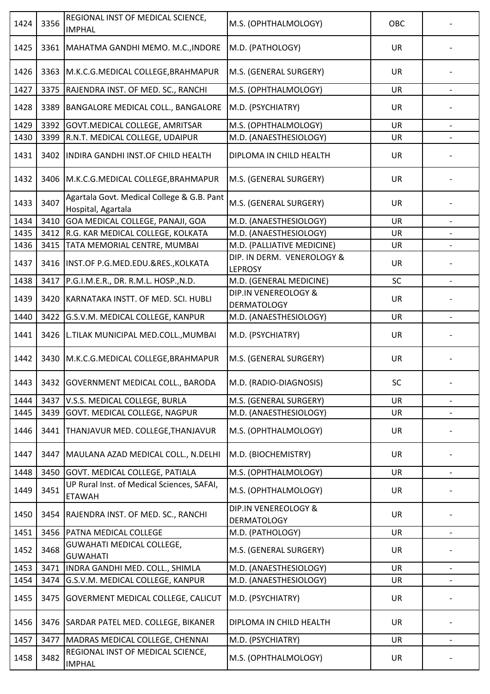| 1424         | 3356         | REGIONAL INST OF MEDICAL SCIENCE,<br><b>IMPHAL</b>                          | M.S. (OPHTHALMOLOGY)                            | OBC       |                          |
|--------------|--------------|-----------------------------------------------------------------------------|-------------------------------------------------|-----------|--------------------------|
| 1425         | 3361         | MAHATMA GANDHI MEMO. M.C., INDORE                                           | M.D. (PATHOLOGY)                                | <b>UR</b> |                          |
| 1426         | 3363         | M.K.C.G.MEDICAL COLLEGE, BRAHMAPUR                                          | M.S. (GENERAL SURGERY)                          | UR        |                          |
| 1427         | 3375         | RAJENDRA INST. OF MED. SC., RANCHI                                          | M.S. (OPHTHALMOLOGY)                            | <b>UR</b> |                          |
| 1428         | 3389         | <b>BANGALORE MEDICAL COLL., BANGALORE</b>                                   | M.D. (PSYCHIATRY)                               | <b>UR</b> |                          |
| 1429         | 3392         | GOVT. MEDICAL COLLEGE, AMRITSAR                                             | M.S. (OPHTHALMOLOGY)                            | UR        | $\overline{\phantom{a}}$ |
| 1430         | 3399         | R.N.T. MEDICAL COLLEGE, UDAIPUR                                             | M.D. (ANAESTHESIOLOGY)                          | <b>UR</b> |                          |
| 1431         | 3402         | INDIRA GANDHI INST.OF CHILD HEALTH                                          | DIPLOMA IN CHILD HEALTH                         | <b>UR</b> |                          |
| 1432         | 3406         | M.K.C.G.MEDICAL COLLEGE, BRAHMAPUR                                          | M.S. (GENERAL SURGERY)                          | <b>UR</b> |                          |
| 1433         | 3407         | Agartala Govt. Medical College & G.B. Pant<br>Hospital, Agartala            | M.S. (GENERAL SURGERY)                          | UR        |                          |
| 1434         | 3410         | GOA MEDICAL COLLEGE, PANAJI, GOA                                            | M.D. (ANAESTHESIOLOGY)                          | <b>UR</b> |                          |
| 1435         | 3412         | R.G. KAR MEDICAL COLLEGE, KOLKATA                                           | M.D. (ANAESTHESIOLOGY)                          | <b>UR</b> |                          |
| 1436         | 3415         | TATA MEMORIAL CENTRE, MUMBAI                                                | M.D. (PALLIATIVE MEDICINE)                      | UR        |                          |
| 1437         | 3416         | INST.OF P.G.MED.EDU.&RES., KOLKATA                                          | DIP. IN DERM. VENEROLOGY &                      | UR        |                          |
|              |              |                                                                             | <b>LEPROSY</b>                                  |           |                          |
| 1438<br>1439 | 3417<br>3420 | P.G.I.M.E.R., DR. R.M.L. HOSP., N.D.<br>KARNATAKA INSTT. OF MED. SCI. HUBLI | M.D. (GENERAL MEDICINE)<br>DIP.IN VENEREOLOGY & | SC<br>UR  |                          |
|              |              |                                                                             | <b>DERMATOLOGY</b>                              |           |                          |
| 1440         | 3422         | G.S.V.M. MEDICAL COLLEGE, KANPUR                                            | M.D. (ANAESTHESIOLOGY)                          | UR        |                          |
| 1441         | 3426         | L.TILAK MUNICIPAL MED.COLL., MUMBAI                                         | M.D. (PSYCHIATRY)                               | <b>UR</b> |                          |
| 1442         |              | 3430   M.K.C.G.MEDICAL COLLEGE, BRAHMAPUR                                   | M.S. (GENERAL SURGERY)                          | <b>UR</b> |                          |
| 1443         |              | 3432  GOVERNMENT MEDICAL COLL., BARODA                                      | M.D. (RADIO-DIAGNOSIS)                          | SC        |                          |
| 1444         | 3437         | V.S.S. MEDICAL COLLEGE, BURLA                                               | M.S. (GENERAL SURGERY)                          | <b>UR</b> |                          |
| 1445         | 3439         | <b>GOVT. MEDICAL COLLEGE, NAGPUR</b>                                        | M.D. (ANAESTHESIOLOGY)                          | UR        | $\overline{\phantom{a}}$ |
| 1446         | 3441         | THANJAVUR MED. COLLEGE, THANJAVUR                                           | M.S. (OPHTHALMOLOGY)                            | <b>UR</b> |                          |
| 1447         | 3447         | MAULANA AZAD MEDICAL COLL., N.DELHI                                         | M.D. (BIOCHEMISTRY)                             | UR        |                          |
| 1448         | 3450         | <b>GOVT. MEDICAL COLLEGE, PATIALA</b>                                       | M.S. (OPHTHALMOLOGY)                            | <b>UR</b> | $\overline{\phantom{a}}$ |
| 1449         | 3451         | UP Rural Inst. of Medical Sciences, SAFAI,<br><b>ETAWAH</b>                 | M.S. (OPHTHALMOLOGY)                            | <b>UR</b> |                          |
| 1450         | 3454         | RAJENDRA INST. OF MED. SC., RANCHI                                          | DIP.IN VENEREOLOGY &<br><b>DERMATOLOGY</b>      | UR        |                          |
| 1451         |              | 3456 PATNA MEDICAL COLLEGE                                                  | M.D. (PATHOLOGY)                                | UR        |                          |
| 1452         | 3468         | <b>GUWAHATI MEDICAL COLLEGE,</b><br><b>GUWAHATI</b>                         | M.S. (GENERAL SURGERY)                          | UR        |                          |
| 1453         | 3471         | INDRA GANDHI MED. COLL., SHIMLA                                             | M.D. (ANAESTHESIOLOGY)                          | <b>UR</b> |                          |
| 1454         | 3474         | G.S.V.M. MEDICAL COLLEGE, KANPUR                                            | M.D. (ANAESTHESIOLOGY)                          | UR        |                          |
| 1455         | 3475         | <b>GOVERMENT MEDICAL COLLEGE, CALICUT</b>                                   | M.D. (PSYCHIATRY)                               | UR        |                          |
| 1456         |              | 3476 SARDAR PATEL MED. COLLEGE, BIKANER                                     | DIPLOMA IN CHILD HEALTH                         | <b>UR</b> |                          |
| 1457         | 3477         | MADRAS MEDICAL COLLEGE, CHENNAI                                             | M.D. (PSYCHIATRY)                               | UR        | $\qquad \qquad -$        |
| 1458         | 3482         | REGIONAL INST OF MEDICAL SCIENCE,<br><b>IMPHAL</b>                          | M.S. (OPHTHALMOLOGY)                            | <b>UR</b> |                          |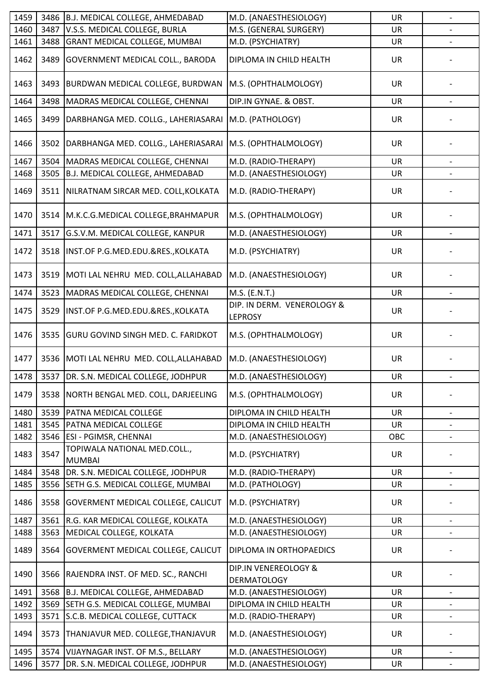| 1459 | 3486 | B.J. MEDICAL COLLEGE, AHMEDABAD               | M.D. (ANAESTHESIOLOGY)                       | <b>UR</b> | $\overline{\phantom{m}}$ |
|------|------|-----------------------------------------------|----------------------------------------------|-----------|--------------------------|
| 1460 | 3487 | V.S.S. MEDICAL COLLEGE, BURLA                 | M.S. (GENERAL SURGERY)                       | UR        |                          |
| 1461 | 3488 | <b>GRANT MEDICAL COLLEGE, MUMBAI</b>          | M.D. (PSYCHIATRY)                            | UR        |                          |
| 1462 | 3489 | <b>GOVERNMENT MEDICAL COLL., BARODA</b>       | DIPLOMA IN CHILD HEALTH                      | <b>UR</b> |                          |
| 1463 | 3493 | <b>BURDWAN MEDICAL COLLEGE, BURDWAN</b>       | M.S. (OPHTHALMOLOGY)                         | <b>UR</b> |                          |
| 1464 | 3498 | MADRAS MEDICAL COLLEGE, CHENNAI               | DIP.IN GYNAE. & OBST.                        | UR        | $\overline{\phantom{a}}$ |
| 1465 | 3499 | DARBHANGA MED. COLLG., LAHERIASARAI           | M.D. (PATHOLOGY)                             | <b>UR</b> |                          |
| 1466 | 3502 | DARBHANGA MED. COLLG., LAHERIASARAI           | M.S. (OPHTHALMOLOGY)                         | UR        |                          |
| 1467 | 3504 | MADRAS MEDICAL COLLEGE, CHENNAI               | M.D. (RADIO-THERAPY)                         | <b>UR</b> | $\overline{\phantom{a}}$ |
| 1468 | 3505 | B.J. MEDICAL COLLEGE, AHMEDABAD               | M.D. (ANAESTHESIOLOGY)                       | UR        |                          |
| 1469 | 3511 | NILRATNAM SIRCAR MED. COLL, KOLKATA           | M.D. (RADIO-THERAPY)                         | <b>UR</b> |                          |
| 1470 |      | 3514   M.K.C.G.MEDICAL COLLEGE, BRAHMAPUR     | M.S. (OPHTHALMOLOGY)                         | UR        |                          |
| 1471 | 3517 | G.S.V.M. MEDICAL COLLEGE, KANPUR              | M.D. (ANAESTHESIOLOGY)                       | UR        |                          |
| 1472 | 3518 | INST.OF P.G.MED.EDU.&RES., KOLKATA            | M.D. (PSYCHIATRY)                            | <b>UR</b> |                          |
| 1473 | 3519 | MOTI LAL NEHRU MED. COLL, ALLAHABAD           | M.D. (ANAESTHESIOLOGY)                       | <b>UR</b> |                          |
| 1474 | 3523 | MADRAS MEDICAL COLLEGE, CHENNAI               | M.S. (E.N.T.)                                | <b>UR</b> |                          |
| 1475 | 3529 | INST.OF P.G.MED.EDU.&RES., KOLKATA            | DIP. IN DERM. VENEROLOGY &<br><b>LEPROSY</b> | <b>UR</b> |                          |
| 1476 | 3535 | <b>GURU GOVIND SINGH MED. C. FARIDKOT</b>     | M.S. (OPHTHALMOLOGY)                         | <b>UR</b> |                          |
| 1477 | 3536 | MOTI LAL NEHRU MED. COLL, ALLAHABAD           | M.D. (ANAESTHESIOLOGY)                       | UR        |                          |
| 1478 |      | 3537   DR. S.N. MEDICAL COLLEGE, JODHPUR      | M.D. (ANAESTHESIOLOGY)                       | UR        |                          |
| 1479 | 3538 | NORTH BENGAL MED. COLL, DARJEELING            | M.S. (OPHTHALMOLOGY)                         | <b>UR</b> |                          |
| 1480 | 3539 | <b>PATNA MEDICAL COLLEGE</b>                  | DIPLOMA IN CHILD HEALTH                      | <b>UR</b> | $\overline{\phantom{a}}$ |
| 1481 | 3545 | <b>PATNA MEDICAL COLLEGE</b>                  | DIPLOMA IN CHILD HEALTH                      | <b>UR</b> |                          |
| 1482 |      | 3546   ESI - PGIMSR, CHENNAI                  | M.D. (ANAESTHESIOLOGY)                       | OBC       |                          |
| 1483 | 3547 | TOPIWALA NATIONAL MED.COLL.,<br><b>MUMBAI</b> | M.D. (PSYCHIATRY)                            | UR        |                          |
| 1484 | 3548 | DR. S.N. MEDICAL COLLEGE, JODHPUR             | M.D. (RADIO-THERAPY)                         | <b>UR</b> | $\overline{\phantom{a}}$ |
| 1485 | 3556 | SETH G.S. MEDICAL COLLEGE, MUMBAI             | M.D. (PATHOLOGY)                             | UR        |                          |
| 1486 | 3558 | <b>GOVERMENT MEDICAL COLLEGE, CALICUT</b>     | M.D. (PSYCHIATRY)                            | UR        |                          |
| 1487 | 3561 | R.G. KAR MEDICAL COLLEGE, KOLKATA             | M.D. (ANAESTHESIOLOGY)                       | <b>UR</b> |                          |
| 1488 | 3563 | MEDICAL COLLEGE, KOLKATA                      | M.D. (ANAESTHESIOLOGY)                       | UR        |                          |
| 1489 | 3564 | <b>GOVERMENT MEDICAL COLLEGE, CALICUT</b>     | DIPLOMA IN ORTHOPAEDICS                      | <b>UR</b> |                          |
| 1490 |      | 3566 RAJENDRA INST. OF MED. SC., RANCHI       | DIP.IN VENEREOLOGY &<br><b>DERMATOLOGY</b>   | <b>UR</b> |                          |
| 1491 | 3568 | B.J. MEDICAL COLLEGE, AHMEDABAD               | M.D. (ANAESTHESIOLOGY)                       | <b>UR</b> |                          |
| 1492 |      | 3569 SETH G.S. MEDICAL COLLEGE, MUMBAI        | DIPLOMA IN CHILD HEALTH                      | <b>UR</b> |                          |
| 1493 | 3571 | S.C.B. MEDICAL COLLEGE, CUTTACK               | M.D. (RADIO-THERAPY)                         | <b>UR</b> | $\overline{\phantom{a}}$ |
| 1494 | 3573 | THANJAVUR MED. COLLEGE, THANJAVUR             | M.D. (ANAESTHESIOLOGY)                       | UR        |                          |
| 1495 | 3574 | VIJAYNAGAR INST. OF M.S., BELLARY             | M.D. (ANAESTHESIOLOGY)                       | <b>UR</b> |                          |
| 1496 | 3577 | DR. S.N. MEDICAL COLLEGE, JODHPUR             | M.D. (ANAESTHESIOLOGY)                       | UR        |                          |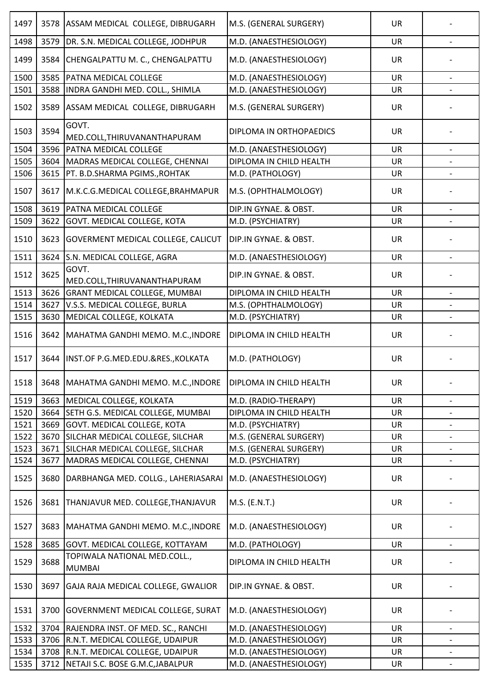| 1497 | 3578 | ASSAM MEDICAL COLLEGE, DIBRUGARH              | M.S. (GENERAL SURGERY)   | <b>UR</b> |                          |
|------|------|-----------------------------------------------|--------------------------|-----------|--------------------------|
| 1498 | 3579 | DR. S.N. MEDICAL COLLEGE, JODHPUR             | M.D. (ANAESTHESIOLOGY)   | UR        |                          |
| 1499 | 3584 | CHENGALPATTU M. C., CHENGALPATTU              | M.D. (ANAESTHESIOLOGY)   | <b>UR</b> |                          |
| 1500 | 3585 | PATNA MEDICAL COLLEGE                         | M.D. (ANAESTHESIOLOGY)   | <b>UR</b> |                          |
| 1501 | 3588 | INDRA GANDHI MED. COLL., SHIMLA               | M.D. (ANAESTHESIOLOGY)   | <b>UR</b> |                          |
| 1502 | 3589 | ASSAM MEDICAL COLLEGE, DIBRUGARH              | M.S. (GENERAL SURGERY)   | <b>UR</b> |                          |
| 1503 | 3594 | GOVT.<br>MED.COLL, THIRUVANANTHAPURAM         | DIPLOMA IN ORTHOPAEDICS  | <b>UR</b> |                          |
| 1504 | 3596 | PATNA MEDICAL COLLEGE                         | M.D. (ANAESTHESIOLOGY)   | <b>UR</b> |                          |
| 1505 | 3604 | MADRAS MEDICAL COLLEGE, CHENNAI               | DIPLOMA IN CHILD HEALTH  | <b>UR</b> |                          |
| 1506 | 3615 | PT. B.D.SHARMA PGIMS., ROHTAK                 | M.D. (PATHOLOGY)         | <b>UR</b> |                          |
| 1507 | 3617 | M.K.C.G.MEDICAL COLLEGE, BRAHMAPUR            | M.S. (OPHTHALMOLOGY)     | <b>UR</b> |                          |
| 1508 | 3619 | PATNA MEDICAL COLLEGE                         | DIP.IN GYNAE. & OBST.    | <b>UR</b> |                          |
| 1509 | 3622 | <b>GOVT. MEDICAL COLLEGE, KOTA</b>            | M.D. (PSYCHIATRY)        | <b>UR</b> |                          |
|      |      |                                               |                          |           |                          |
| 1510 | 3623 | <b>GOVERMENT MEDICAL COLLEGE, CALICUT</b>     | DIP.IN GYNAE. & OBST.    | UR        |                          |
| 1511 | 3624 | S.N. MEDICAL COLLEGE, AGRA                    | M.D. (ANAESTHESIOLOGY)   | <b>UR</b> |                          |
| 1512 | 3625 | GOVT.<br>MED.COLL, THIRUVANANTHAPURAM         | DIP.IN GYNAE. & OBST.    | <b>UR</b> |                          |
| 1513 | 3626 | <b>GRANT MEDICAL COLLEGE, MUMBAI</b>          | DIPLOMA IN CHILD HEALTH  | <b>UR</b> |                          |
| 1514 | 3627 | V.S.S. MEDICAL COLLEGE, BURLA                 | M.S. (OPHTHALMOLOGY)     | UR        |                          |
| 1515 | 3630 | MEDICAL COLLEGE, KOLKATA                      | M.D. (PSYCHIATRY)        | UR        |                          |
| 1516 | 3642 | MAHATMA GANDHI MEMO. M.C., INDORE             | DIPLOMA IN CHILD HEALTH  | <b>UR</b> |                          |
| 1517 |      | 3644  INST.OF P.G.MED.EDU.&RES., KOLKATA      | M.D. (PATHOLOGY)         | UR        |                          |
| 1518 |      | 3648   MAHATMA GANDHI MEMO. M.C., INDORE      | IDIPLOMA IN CHILD HEALTH | UR        |                          |
| 1519 | 3663 | MEDICAL COLLEGE, KOLKATA                      | M.D. (RADIO-THERAPY)     | <b>UR</b> |                          |
| 1520 | 3664 | SETH G.S. MEDICAL COLLEGE, MUMBAI             | DIPLOMA IN CHILD HEALTH  | UR        | $\overline{\phantom{a}}$ |
| 1521 | 3669 | <b>GOVT. MEDICAL COLLEGE, KOTA</b>            | M.D. (PSYCHIATRY)        | UR        |                          |
| 1522 | 3670 | SILCHAR MEDICAL COLLEGE, SILCHAR              | M.S. (GENERAL SURGERY)   | UR        | $\overline{\phantom{0}}$ |
| 1523 | 3671 | SILCHAR MEDICAL COLLEGE, SILCHAR              | M.S. (GENERAL SURGERY)   | <b>UR</b> |                          |
| 1524 | 3677 | MADRAS MEDICAL COLLEGE, CHENNAI               | M.D. (PSYCHIATRY)        | UR        |                          |
| 1525 | 3680 | DARBHANGA MED. COLLG., LAHERIASARAI           | M.D. (ANAESTHESIOLOGY)   | <b>UR</b> |                          |
| 1526 | 3681 | THANJAVUR MED. COLLEGE, THANJAVUR             | M.S. (E.N.T.)            | <b>UR</b> |                          |
| 1527 | 3683 | MAHATMA GANDHI MEMO. M.C., INDORE             | M.D. (ANAESTHESIOLOGY)   | UR        |                          |
| 1528 | 3685 | GOVT. MEDICAL COLLEGE, KOTTAYAM               | M.D. (PATHOLOGY)         | UR        |                          |
| 1529 | 3688 | TOPIWALA NATIONAL MED.COLL.,<br><b>MUMBAI</b> | DIPLOMA IN CHILD HEALTH  | <b>UR</b> |                          |
| 1530 | 3697 | GAJA RAJA MEDICAL COLLEGE, GWALIOR            | DIP.IN GYNAE. & OBST.    | UR        |                          |
| 1531 | 3700 | <b>GOVERNMENT MEDICAL COLLEGE, SURAT</b>      | M.D. (ANAESTHESIOLOGY)   | UR        |                          |
| 1532 | 3704 | RAJENDRA INST. OF MED. SC., RANCHI            | M.D. (ANAESTHESIOLOGY)   | <b>UR</b> |                          |
| 1533 | 3706 | R.N.T. MEDICAL COLLEGE, UDAIPUR               | M.D. (ANAESTHESIOLOGY)   | UR        | $\overline{\phantom{a}}$ |
| 1534 |      | 3708 R.N.T. MEDICAL COLLEGE, UDAIPUR          | M.D. (ANAESTHESIOLOGY)   | UR        |                          |
| 1535 | 3712 | NETAJI S.C. BOSE G.M.C, JABALPUR              | M.D. (ANAESTHESIOLOGY)   | UR        | $\overline{\phantom{a}}$ |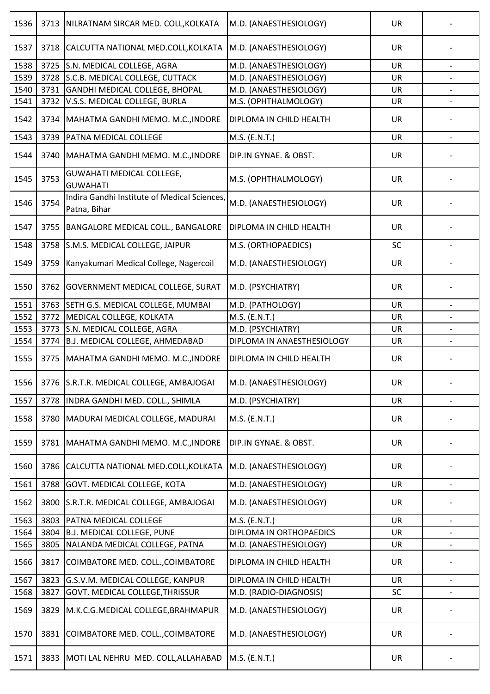| 1536 | 3713 | NILRATNAM SIRCAR MED. COLL, KOLKATA                          | M.D. (ANAESTHESIOLOGY)         | <b>UR</b> |                          |
|------|------|--------------------------------------------------------------|--------------------------------|-----------|--------------------------|
| 1537 | 3718 | CALCUTTA NATIONAL MED.COLL, KOLKATA                          | M.D. (ANAESTHESIOLOGY)         | UR        |                          |
| 1538 | 3725 | S.N. MEDICAL COLLEGE, AGRA                                   | M.D. (ANAESTHESIOLOGY)         | <b>UR</b> |                          |
| 1539 | 3728 | S.C.B. MEDICAL COLLEGE, CUTTACK                              | M.D. (ANAESTHESIOLOGY)         | <b>UR</b> |                          |
| 1540 | 3731 | GANDHI MEDICAL COLLEGE, BHOPAL                               | M.D. (ANAESTHESIOLOGY)         | <b>UR</b> |                          |
| 1541 | 3732 | V.S.S. MEDICAL COLLEGE, BURLA                                | M.S. (OPHTHALMOLOGY)           | UR        |                          |
| 1542 | 3734 | MAHATMA GANDHI MEMO. M.C., INDORE                            | <b>DIPLOMA IN CHILD HEALTH</b> | <b>UR</b> |                          |
| 1543 | 3739 | PATNA MEDICAL COLLEGE                                        | M.S. (E.N.T.)                  | <b>UR</b> |                          |
| 1544 | 3740 | MAHATMA GANDHI MEMO. M.C., INDORE                            | DIP.IN GYNAE. & OBST.          | <b>UR</b> |                          |
| 1545 | 3753 | <b>GUWAHATI MEDICAL COLLEGE,</b><br><b>GUWAHATI</b>          | M.S. (OPHTHALMOLOGY)           | <b>UR</b> |                          |
| 1546 | 3754 | Indira Gandhi Institute of Medical Sciences,<br>Patna, Bihar | M.D. (ANAESTHESIOLOGY)         | <b>UR</b> |                          |
| 1547 | 3755 | BANGALORE MEDICAL COLL., BANGALORE                           | <b>DIPLOMA IN CHILD HEALTH</b> | <b>UR</b> |                          |
| 1548 | 3758 | S.M.S. MEDICAL COLLEGE, JAIPUR                               | M.S. (ORTHOPAEDICS)            | SC        | $\overline{\phantom{a}}$ |
| 1549 | 3759 | Kanyakumari Medical College, Nagercoil                       | M.D. (ANAESTHESIOLOGY)         | UR        |                          |
| 1550 | 3762 | <b>GOVERNMENT MEDICAL COLLEGE, SURAT</b>                     | M.D. (PSYCHIATRY)              | <b>UR</b> |                          |
| 1551 | 3763 | SETH G.S. MEDICAL COLLEGE, MUMBAI                            | M.D. (PATHOLOGY)               | <b>UR</b> |                          |
| 1552 | 3772 | MEDICAL COLLEGE, KOLKATA                                     | M.S. (E.N.T.)                  | <b>UR</b> |                          |
| 1553 | 3773 | S.N. MEDICAL COLLEGE, AGRA                                   | M.D. (PSYCHIATRY)              | <b>UR</b> |                          |
| 1554 | 3774 | B.J. MEDICAL COLLEGE, AHMEDABAD                              | DIPLOMA IN ANAESTHESIOLOGY     | UR        |                          |
| 1555 | 3775 | MAHATMA GANDHI MEMO. M.C., INDORE                            | <b>DIPLOMA IN CHILD HEALTH</b> | <b>UR</b> |                          |
| 1556 |      | 3776 S.R.T.R. MEDICAL COLLEGE, AMBAJOGAI                     | JM.D. (ANAESTHESIOLOGY)        | UR        |                          |
| 1557 | 3778 | INDRA GANDHI MED. COLL., SHIMLA                              | M.D. (PSYCHIATRY)              | <b>UR</b> |                          |
| 1558 | 3780 | MADURAI MEDICAL COLLEGE, MADURAI                             | M.S. (E.N.T.)                  | <b>UR</b> |                          |
| 1559 | 3781 | MAHATMA GANDHI MEMO. M.C., INDORE                            | DIP.IN GYNAE. & OBST.          | <b>UR</b> |                          |
| 1560 | 3786 | CALCUTTA NATIONAL MED.COLL, KOLKATA                          | M.D. (ANAESTHESIOLOGY)         | UR        |                          |
| 1561 | 3788 | GOVT. MEDICAL COLLEGE, KOTA                                  | M.D. (ANAESTHESIOLOGY)         | <b>UR</b> |                          |
| 1562 | 3800 | S.R.T.R. MEDICAL COLLEGE, AMBAJOGAI                          | M.D. (ANAESTHESIOLOGY)         | UR        |                          |
| 1563 | 3803 | PATNA MEDICAL COLLEGE                                        | M.S. (E.N.T.)                  | <b>UR</b> |                          |
| 1564 | 3804 | <b>B.J. MEDICAL COLLEGE, PUNE</b>                            | DIPLOMA IN ORTHOPAEDICS        | <b>UR</b> |                          |
| 1565 | 3805 | NALANDA MEDICAL COLLEGE, PATNA                               | M.D. (ANAESTHESIOLOGY)         | UR        |                          |
| 1566 | 3817 | COIMBATORE MED. COLL., COIMBATORE                            | DIPLOMA IN CHILD HEALTH        | UR        |                          |
| 1567 | 3823 | G.S.V.M. MEDICAL COLLEGE, KANPUR                             | DIPLOMA IN CHILD HEALTH        | UR        | $\overline{\phantom{a}}$ |
| 1568 | 3827 | GOVT. MEDICAL COLLEGE, THRISSUR                              | M.D. (RADIO-DIAGNOSIS)         | SC        |                          |
| 1569 | 3829 | M.K.C.G.MEDICAL COLLEGE, BRAHMAPUR                           | M.D. (ANAESTHESIOLOGY)         | UR        |                          |
| 1570 | 3831 | COIMBATORE MED. COLL., COIMBATORE                            | M.D. (ANAESTHESIOLOGY)         | <b>UR</b> |                          |
| 1571 | 3833 | MOTI LAL NEHRU MED. COLL, ALLAHABAD                          | M.S. (E.N.T.)                  | <b>UR</b> |                          |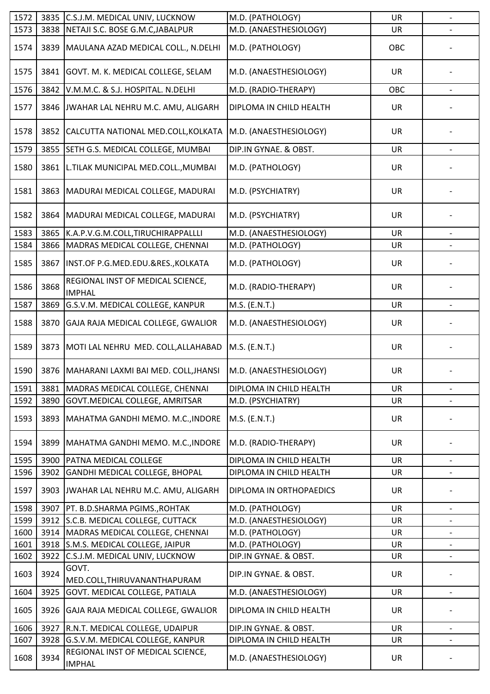| 1572         | 3835         | C.S.J.M. MEDICAL UNIV, LUCKNOW                     | M.D. (PATHOLOGY)                               | <b>UR</b> | $\overline{\phantom{a}}$ |
|--------------|--------------|----------------------------------------------------|------------------------------------------------|-----------|--------------------------|
| 1573         | 3838         | NETAJI S.C. BOSE G.M.C, JABALPUR                   | M.D. (ANAESTHESIOLOGY)                         | <b>UR</b> |                          |
| 1574         | 3839         | MAULANA AZAD MEDICAL COLL., N.DELHI                | M.D. (PATHOLOGY)                               | OBC       |                          |
| 1575         | 3841         | GOVT. M. K. MEDICAL COLLEGE, SELAM                 | M.D. (ANAESTHESIOLOGY)                         | UR        |                          |
| 1576         | 3842         | V.M.M.C. & S.J. HOSPITAL. N.DELHI                  | M.D. (RADIO-THERAPY)                           | OBC       |                          |
| 1577         | 3846         | JWAHAR LAL NEHRU M.C. AMU, ALIGARH                 | DIPLOMA IN CHILD HEALTH                        | <b>UR</b> |                          |
| 1578         | 3852         | CALCUTTA NATIONAL MED.COLL, KOLKATA                | M.D. (ANAESTHESIOLOGY)                         | <b>UR</b> |                          |
| 1579         | 3855         | SETH G.S. MEDICAL COLLEGE, MUMBAI                  | DIP.IN GYNAE. & OBST.                          | <b>UR</b> |                          |
| 1580         | 3861         | L.TILAK MUNICIPAL MED.COLL., MUMBAI                | M.D. (PATHOLOGY)                               | UR        |                          |
| 1581         | 3863         | MADURAI MEDICAL COLLEGE, MADURAI                   | M.D. (PSYCHIATRY)                              | UR        |                          |
| 1582         | 3864         | MADURAI MEDICAL COLLEGE, MADURAI                   | M.D. (PSYCHIATRY)                              | <b>UR</b> |                          |
| 1583         | 3865         | K.A.P.V.G.M.COLL,TIRUCHIRAPPALLLI                  | M.D. (ANAESTHESIOLOGY)                         | <b>UR</b> |                          |
| 1584         | 3866         | MADRAS MEDICAL COLLEGE, CHENNAI                    | M.D. (PATHOLOGY)                               | <b>UR</b> |                          |
| 1585         | 3867         | INST.OF P.G.MED.EDU.&RES., KOLKATA                 | M.D. (PATHOLOGY)                               | UR        |                          |
| 1586         | 3868         | REGIONAL INST OF MEDICAL SCIENCE,<br><b>IMPHAL</b> | M.D. (RADIO-THERAPY)                           | <b>UR</b> |                          |
| 1587         | 3869         | G.S.V.M. MEDICAL COLLEGE, KANPUR                   | M.S. (E.N.T.)                                  | <b>UR</b> | $\overline{a}$           |
| 1588         | 3870         | GAJA RAJA MEDICAL COLLEGE, GWALIOR                 | M.D. (ANAESTHESIOLOGY)                         | UR        |                          |
| 1589         | 3873         | MOTI LAL NEHRU MED. COLL, ALLAHABAD                | M.S. (E.N.T.)                                  | <b>UR</b> |                          |
| 1590         |              | 3876   MAHARANI LAXMI BAI MED. COLL, JHANSI        | M.D. (ANAESTHESIOLOGY)                         | <b>UR</b> |                          |
| 1591         |              | 3881 MADRAS MEDICAL COLLEGE, CHENNAI               | DIPLOMA IN CHILD HEALTH                        | <b>UR</b> | $\overline{\phantom{a}}$ |
| 1592         | 3890         | GOVT. MEDICAL COLLEGE, AMRITSAR                    | M.D. (PSYCHIATRY)                              | <b>UR</b> |                          |
| 1593         | 3893         | MAHATMA GANDHI MEMO. M.C., INDORE                  | M.S. (E.N.T.)                                  | UR        |                          |
| 1594         | 3899         | MAHATMA GANDHI MEMO. M.C., INDORE                  | M.D. (RADIO-THERAPY)                           | <b>UR</b> |                          |
| 1595         | 3900         | <b>PATNA MEDICAL COLLEGE</b>                       | DIPLOMA IN CHILD HEALTH                        | <b>UR</b> |                          |
| 1596         | 3902         | <b>GANDHI MEDICAL COLLEGE, BHOPAL</b>              | DIPLOMA IN CHILD HEALTH                        | <b>UR</b> | $\overline{\phantom{a}}$ |
| 1597         | 3903         | JWAHAR LAL NEHRU M.C. AMU, ALIGARH                 | DIPLOMA IN ORTHOPAEDICS                        | UR        |                          |
| 1598         | 3907         | PT. B.D.SHARMA PGIMS., ROHTAK                      | M.D. (PATHOLOGY)                               | <b>UR</b> | $\overline{\phantom{a}}$ |
| 1599         |              | 3912 S.C.B. MEDICAL COLLEGE, CUTTACK               | M.D. (ANAESTHESIOLOGY)                         | <b>UR</b> |                          |
| 1600         | 3914         | MADRAS MEDICAL COLLEGE, CHENNAI                    | M.D. (PATHOLOGY)                               | UR        | $\overline{\phantom{a}}$ |
| 1601         |              | 3918 S.M.S. MEDICAL COLLEGE, JAIPUR                | M.D. (PATHOLOGY)                               | <b>UR</b> |                          |
| 1602<br>1603 | 3922<br>3924 | C.S.J.M. MEDICAL UNIV, LUCKNOW<br>GOVT.            | DIP.IN GYNAE. & OBST.<br>DIP.IN GYNAE. & OBST. | UR<br>UR  | $\overline{\phantom{a}}$ |
|              |              | MED.COLL, THIRUVANANTHAPURAM                       |                                                |           |                          |
| 1604         | 3925         | <b>GOVT. MEDICAL COLLEGE, PATIALA</b>              | M.D. (ANAESTHESIOLOGY)                         | UR        | $\overline{\phantom{a}}$ |
| 1605         | 3926         | GAJA RAJA MEDICAL COLLEGE, GWALIOR                 | DIPLOMA IN CHILD HEALTH                        | <b>UR</b> |                          |
| 1606         | 3927         | R.N.T. MEDICAL COLLEGE, UDAIPUR                    | DIP.IN GYNAE. & OBST.                          | <b>UR</b> |                          |
| 1607         | 3928         | G.S.V.M. MEDICAL COLLEGE, KANPUR                   | DIPLOMA IN CHILD HEALTH                        | UR        |                          |
| 1608         | 3934         | REGIONAL INST OF MEDICAL SCIENCE,<br><b>IMPHAL</b> | M.D. (ANAESTHESIOLOGY)                         | UR        |                          |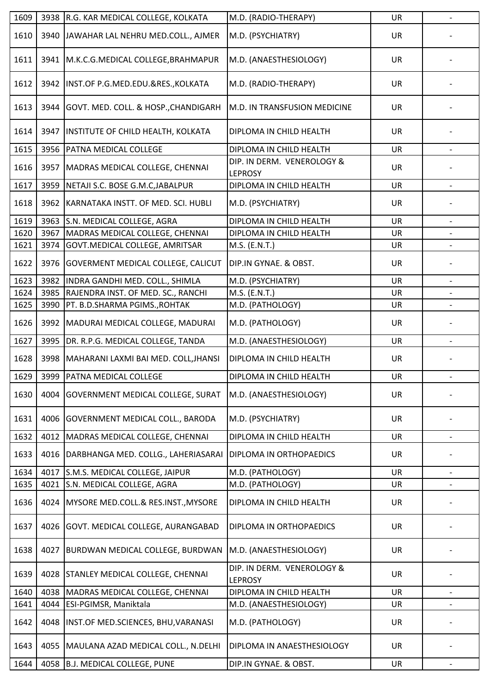| 1609 | 3938 | R.G. KAR MEDICAL COLLEGE, KOLKATA         | M.D. (RADIO-THERAPY)                         | <b>UR</b> | $\overline{a}$           |
|------|------|-------------------------------------------|----------------------------------------------|-----------|--------------------------|
| 1610 | 3940 | JAWAHAR LAL NEHRU MED.COLL., AJMER        | M.D. (PSYCHIATRY)                            | UR        |                          |
| 1611 | 3941 | M.K.C.G.MEDICAL COLLEGE, BRAHMAPUR        | M.D. (ANAESTHESIOLOGY)                       | <b>UR</b> |                          |
| 1612 | 3942 | INST.OF P.G.MED.EDU.&RES., KOLKATA        | M.D. (RADIO-THERAPY)                         | <b>UR</b> |                          |
| 1613 | 3944 | GOVT. MED. COLL. & HOSP., CHANDIGARH      | M.D. IN TRANSFUSION MEDICINE                 | <b>UR</b> |                          |
| 1614 | 3947 | INSTITUTE OF CHILD HEALTH, KOLKATA        | DIPLOMA IN CHILD HEALTH                      | <b>UR</b> |                          |
| 1615 | 3956 | <b>PATNA MEDICAL COLLEGE</b>              | DIPLOMA IN CHILD HEALTH                      | UR        | $\overline{\phantom{a}}$ |
| 1616 | 3957 | MADRAS MEDICAL COLLEGE, CHENNAI           | DIP. IN DERM. VENEROLOGY &<br><b>LEPROSY</b> | <b>UR</b> |                          |
| 1617 | 3959 | NETAJI S.C. BOSE G.M.C, JABALPUR          | DIPLOMA IN CHILD HEALTH                      | <b>UR</b> | $\overline{\phantom{a}}$ |
| 1618 | 3962 | KARNATAKA INSTT. OF MED. SCI. HUBLI       | M.D. (PSYCHIATRY)                            | <b>UR</b> |                          |
| 1619 | 3963 | S.N. MEDICAL COLLEGE, AGRA                | DIPLOMA IN CHILD HEALTH                      | <b>UR</b> |                          |
| 1620 | 3967 | MADRAS MEDICAL COLLEGE, CHENNAI           | DIPLOMA IN CHILD HEALTH                      | <b>UR</b> |                          |
| 1621 | 3974 | GOVT. MEDICAL COLLEGE, AMRITSAR           | M.S. (E.N.T.)                                | <b>UR</b> |                          |
| 1622 | 3976 | <b>GOVERMENT MEDICAL COLLEGE, CALICUT</b> | DIP.IN GYNAE. & OBST.                        | UR        |                          |
| 1623 | 3982 | INDRA GANDHI MED. COLL., SHIMLA           | M.D. (PSYCHIATRY)                            | <b>UR</b> |                          |
| 1624 | 3985 | RAJENDRA INST. OF MED. SC., RANCHI        | M.S. (E.N.T.)                                | UR        |                          |
| 1625 | 3990 | PT. B.D.SHARMA PGIMS., ROHTAK             | M.D. (PATHOLOGY)                             | UR        |                          |
| 1626 | 3992 | MADURAI MEDICAL COLLEGE, MADURAI          | M.D. (PATHOLOGY)                             | <b>UR</b> |                          |
| 1627 | 3995 | DR. R.P.G. MEDICAL COLLEGE, TANDA         | M.D. (ANAESTHESIOLOGY)                       | UR        |                          |
| 1628 | 3998 | MAHARANI LAXMI BAI MED. COLL, JHANSI      | DIPLOMA IN CHILD HEALTH                      | <b>UR</b> |                          |
| 1629 |      | 3999   PATNA MEDICAL COLLEGE              | DIPLOMA IN CHILD HEALTH                      | UR        |                          |
| 1630 | 4004 | <b>GOVERNMENT MEDICAL COLLEGE, SURAT</b>  | M.D. (ANAESTHESIOLOGY)                       | <b>UR</b> |                          |
| 1631 | 4006 | <b>GOVERNMENT MEDICAL COLL., BARODA</b>   | M.D. (PSYCHIATRY)                            | <b>UR</b> |                          |
| 1632 | 4012 | MADRAS MEDICAL COLLEGE, CHENNAI           | DIPLOMA IN CHILD HEALTH                      | <b>UR</b> | $\overline{\phantom{a}}$ |
| 1633 | 4016 | DARBHANGA MED. COLLG., LAHERIASARAI       | DIPLOMA IN ORTHOPAEDICS                      | UR        |                          |
| 1634 | 4017 | S.M.S. MEDICAL COLLEGE, JAIPUR            | M.D. (PATHOLOGY)                             | <b>UR</b> |                          |
| 1635 | 4021 | S.N. MEDICAL COLLEGE, AGRA                | M.D. (PATHOLOGY)                             | UR        |                          |
| 1636 | 4024 | MYSORE MED.COLL.& RES.INST., MYSORE       | DIPLOMA IN CHILD HEALTH                      | <b>UR</b> |                          |
| 1637 | 4026 | GOVT. MEDICAL COLLEGE, AURANGABAD         | DIPLOMA IN ORTHOPAEDICS                      | <b>UR</b> |                          |
| 1638 | 4027 | BURDWAN MEDICAL COLLEGE, BURDWAN          | M.D. (ANAESTHESIOLOGY)                       | UR        |                          |
| 1639 | 4028 | <b>STANLEY MEDICAL COLLEGE, CHENNAI</b>   | DIP. IN DERM. VENEROLOGY &<br><b>LEPROSY</b> | <b>UR</b> |                          |
| 1640 | 4038 | MADRAS MEDICAL COLLEGE, CHENNAI           | DIPLOMA IN CHILD HEALTH                      | <b>UR</b> |                          |
| 1641 | 4044 | ESI-PGIMSR, Maniktala                     | M.D. (ANAESTHESIOLOGY)                       | UR        |                          |
| 1642 | 4048 | INST.OF MED.SCIENCES, BHU, VARANASI       | M.D. (PATHOLOGY)                             | UR        |                          |
| 1643 | 4055 | MAULANA AZAD MEDICAL COLL., N.DELHI       | DIPLOMA IN ANAESTHESIOLOGY                   | <b>UR</b> |                          |
| 1644 | 4058 | B.J. MEDICAL COLLEGE, PUNE                | DIP.IN GYNAE. & OBST.                        | UR        | $\overline{\phantom{a}}$ |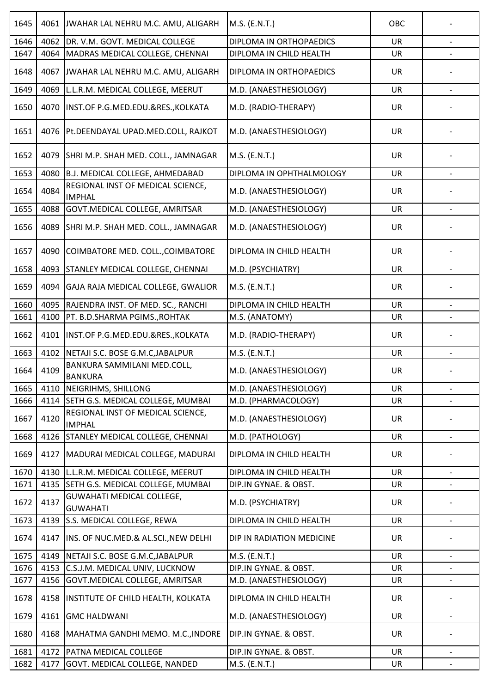| 1645 | 4061 | JWAHAR LAL NEHRU M.C. AMU, ALIGARH                  | M.S. (E.N.T.)             | OBC       |                          |
|------|------|-----------------------------------------------------|---------------------------|-----------|--------------------------|
| 1646 | 4062 | DR. V.M. GOVT. MEDICAL COLLEGE                      | DIPLOMA IN ORTHOPAEDICS   | <b>UR</b> |                          |
| 1647 | 4064 | MADRAS MEDICAL COLLEGE, CHENNAI                     | DIPLOMA IN CHILD HEALTH   | <b>UR</b> |                          |
| 1648 | 4067 | JWAHAR LAL NEHRU M.C. AMU, ALIGARH                  | DIPLOMA IN ORTHOPAEDICS   | UR        |                          |
| 1649 | 4069 | L.L.R.M. MEDICAL COLLEGE, MEERUT                    | M.D. (ANAESTHESIOLOGY)    | UR        |                          |
| 1650 | 4070 | INST.OF P.G.MED.EDU.&RES., KOLKATA                  | M.D. (RADIO-THERAPY)      | <b>UR</b> |                          |
| 1651 | 4076 | Pt.DEENDAYAL UPAD.MED.COLL, RAJKOT                  | M.D. (ANAESTHESIOLOGY)    | UR        |                          |
| 1652 | 4079 | SHRI M.P. SHAH MED. COLL., JAMNAGAR                 | M.S. (E.N.T.)             | <b>UR</b> |                          |
| 1653 | 4080 | <b>B.J. MEDICAL COLLEGE, AHMEDABAD</b>              | DIPLOMA IN OPHTHALMOLOGY  | <b>UR</b> |                          |
| 1654 | 4084 | REGIONAL INST OF MEDICAL SCIENCE,<br><b>IMPHAL</b>  | M.D. (ANAESTHESIOLOGY)    | UR        |                          |
| 1655 | 4088 | GOVT. MEDICAL COLLEGE, AMRITSAR                     | M.D. (ANAESTHESIOLOGY)    | <b>UR</b> |                          |
| 1656 | 4089 | SHRI M.P. SHAH MED. COLL., JAMNAGAR                 | M.D. (ANAESTHESIOLOGY)    | <b>UR</b> |                          |
| 1657 | 4090 | COIMBATORE MED. COLL., COIMBATORE                   | DIPLOMA IN CHILD HEALTH   | <b>UR</b> |                          |
| 1658 | 4093 | STANLEY MEDICAL COLLEGE, CHENNAI                    | M.D. (PSYCHIATRY)         | UR        |                          |
| 1659 | 4094 | GAJA RAJA MEDICAL COLLEGE, GWALIOR                  | M.S. (E.N.T.)             | <b>UR</b> |                          |
| 1660 | 4095 | RAJENDRA INST. OF MED. SC., RANCHI                  | DIPLOMA IN CHILD HEALTH   | <b>UR</b> |                          |
| 1661 | 4100 | PT. B.D.SHARMA PGIMS., ROHTAK                       | M.S. (ANATOMY)            | <b>UR</b> |                          |
| 1662 | 4101 | INST.OF P.G.MED.EDU.&RES., KOLKATA                  | M.D. (RADIO-THERAPY)      | <b>UR</b> |                          |
| 1663 | 4102 | NETAJI S.C. BOSE G.M.C, JABALPUR                    | M.S. (E.N.T.)             | <b>UR</b> |                          |
| 1664 | 4109 | BANKURA SAMMILANI MED.COLL,<br><b>BANKURA</b>       | M.D. (ANAESTHESIOLOGY)    | <b>UR</b> |                          |
| 1665 | 4110 | NEIGRIHMS, SHILLONG                                 | M.D. (ANAESTHESIOLOGY)    | <b>UR</b> | $\overline{\phantom{a}}$ |
| 1666 | 4114 | SETH G.S. MEDICAL COLLEGE, MUMBAI                   | M.D. (PHARMACOLOGY)       | <b>UR</b> |                          |
| 1667 | 4120 | REGIONAL INST OF MEDICAL SCIENCE,<br><b>IMPHAL</b>  | M.D. (ANAESTHESIOLOGY)    | <b>UR</b> |                          |
| 1668 | 4126 | STANLEY MEDICAL COLLEGE, CHENNAI                    | M.D. (PATHOLOGY)          | <b>UR</b> |                          |
| 1669 | 4127 | MADURAI MEDICAL COLLEGE, MADURAI                    | DIPLOMA IN CHILD HEALTH   | <b>UR</b> |                          |
| 1670 | 4130 | L.L.R.M. MEDICAL COLLEGE, MEERUT                    | DIPLOMA IN CHILD HEALTH   | <b>UR</b> | $\overline{\phantom{a}}$ |
| 1671 | 4135 | SETH G.S. MEDICAL COLLEGE, MUMBAI                   | DIP.IN GYNAE. & OBST.     | UR        |                          |
| 1672 | 4137 | <b>GUWAHATI MEDICAL COLLEGE,</b><br><b>GUWAHATI</b> | M.D. (PSYCHIATRY)         | <b>UR</b> |                          |
| 1673 | 4139 | S.S. MEDICAL COLLEGE, REWA                          | DIPLOMA IN CHILD HEALTH   | <b>UR</b> |                          |
| 1674 | 4147 | INS. OF NUC.MED.& AL.SCI., NEW DELHI                | DIP IN RADIATION MEDICINE | <b>UR</b> |                          |
| 1675 | 4149 | NETAJI S.C. BOSE G.M.C, JABALPUR                    | M.S. (E.N.T.)             | <b>UR</b> | $\overline{\phantom{a}}$ |
| 1676 | 4153 | C.S.J.M. MEDICAL UNIV, LUCKNOW                      | DIP.IN GYNAE. & OBST.     | <b>UR</b> |                          |
| 1677 | 4156 | GOVT. MEDICAL COLLEGE, AMRITSAR                     | M.D. (ANAESTHESIOLOGY)    | UR        | $\overline{\phantom{0}}$ |
| 1678 | 4158 | <b>INSTITUTE OF CHILD HEALTH, KOLKATA</b>           | DIPLOMA IN CHILD HEALTH   | <b>UR</b> |                          |
| 1679 | 4161 | <b>GMC HALDWANI</b>                                 | M.D. (ANAESTHESIOLOGY)    | <b>UR</b> | $\overline{\phantom{a}}$ |
| 1680 | 4168 | MAHATMA GANDHI MEMO. M.C., INDORE                   | DIP.IN GYNAE. & OBST.     | <b>UR</b> |                          |
| 1681 | 4172 | PATNA MEDICAL COLLEGE                               | DIP.IN GYNAE. & OBST.     | <b>UR</b> |                          |
| 1682 | 4177 | GOVT. MEDICAL COLLEGE, NANDED                       | M.S. (E.N.T.)             | UR        |                          |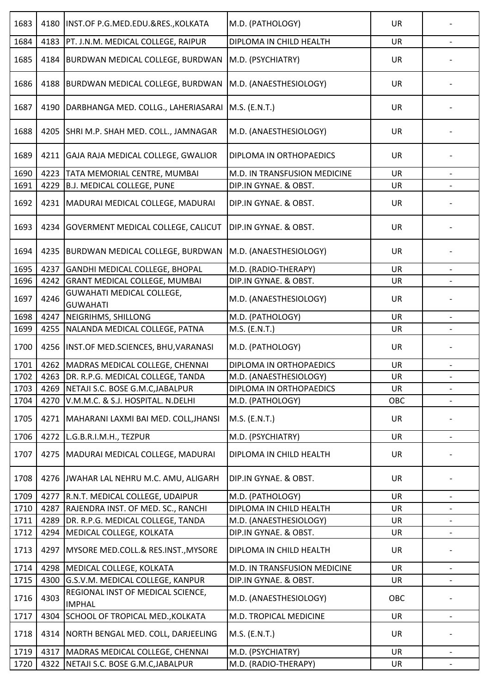| 1683 | 4180 | INST.OF P.G.MED.EDU.&RES., KOLKATA                  | M.D. (PATHOLOGY)             | <b>UR</b> |                          |
|------|------|-----------------------------------------------------|------------------------------|-----------|--------------------------|
| 1684 | 4183 | PT. J.N.M. MEDICAL COLLEGE, RAIPUR                  | DIPLOMA IN CHILD HEALTH      | UR        |                          |
| 1685 | 4184 | BURDWAN MEDICAL COLLEGE, BURDWAN M.D. (PSYCHIATRY)  |                              | <b>UR</b> |                          |
| 1686 | 4188 | BURDWAN MEDICAL COLLEGE, BURDWAN                    | M.D. (ANAESTHESIOLOGY)       | <b>UR</b> |                          |
| 1687 | 4190 | DARBHANGA MED. COLLG., LAHERIASARAI                 | $M.S.$ (E.N.T.)              | <b>UR</b> |                          |
| 1688 | 4205 | SHRI M.P. SHAH MED. COLL., JAMNAGAR                 | M.D. (ANAESTHESIOLOGY)       | <b>UR</b> |                          |
| 1689 | 4211 | GAJA RAJA MEDICAL COLLEGE, GWALIOR                  | DIPLOMA IN ORTHOPAEDICS      | <b>UR</b> |                          |
| 1690 | 4223 | TATA MEMORIAL CENTRE, MUMBAI                        | M.D. IN TRANSFUSION MEDICINE | <b>UR</b> |                          |
| 1691 | 4229 | <b>B.J. MEDICAL COLLEGE, PUNE</b>                   | DIP.IN GYNAE. & OBST.        | UR        |                          |
| 1692 |      | 4231   MADURAI MEDICAL COLLEGE, MADURAI             | DIP.IN GYNAE. & OBST.        | <b>UR</b> |                          |
| 1693 | 4234 | GOVERMENT MEDICAL COLLEGE, CALICUT                  | DIP.IN GYNAE. & OBST.        | <b>UR</b> |                          |
| 1694 | 4235 | <b>BURDWAN MEDICAL COLLEGE, BURDWAN</b>             | M.D. (ANAESTHESIOLOGY)       | UR        |                          |
| 1695 | 4237 | GANDHI MEDICAL COLLEGE, BHOPAL                      | M.D. (RADIO-THERAPY)         | UR        |                          |
| 1696 | 4242 | <b>GRANT MEDICAL COLLEGE, MUMBAI</b>                | DIP.IN GYNAE. & OBST.        | <b>UR</b> |                          |
| 1697 | 4246 | <b>GUWAHATI MEDICAL COLLEGE,</b><br><b>GUWAHATI</b> | M.D. (ANAESTHESIOLOGY)       | UR        |                          |
| 1698 | 4247 | NEIGRIHMS, SHILLONG                                 | M.D. (PATHOLOGY)             | <b>UR</b> |                          |
| 1699 | 4255 | NALANDA MEDICAL COLLEGE, PATNA                      | M.S. (E.N.T.)                | UR        |                          |
| 1700 |      | 4256   INST.OF MED.SCIENCES, BHU, VARANASI          | M.D. (PATHOLOGY)             | <b>UR</b> |                          |
| 1701 | 4262 | MADRAS MEDICAL COLLEGE, CHENNAI                     | DIPLOMA IN ORTHOPAEDICS      | <b>UR</b> |                          |
| 1702 |      | 4263 DR. R.P.G. MEDICAL COLLEGE, TANDA              | M.D. (ANAESTHESIOLOGY)       | UR        |                          |
| 1703 | 4269 | NETAJI S.C. BOSE G.M.C, JABALPUR                    | DIPLOMA IN ORTHOPAEDICS      | <b>UR</b> | $\overline{\phantom{a}}$ |
| 1704 | 4270 | V.M.M.C. & S.J. HOSPITAL. N.DELHI                   | M.D. (PATHOLOGY)             | OBC       |                          |
| 1705 | 4271 | MAHARANI LAXMI BAI MED. COLL, JHANSI                | M.S. (E.N.T.)                | <b>UR</b> |                          |
| 1706 | 4272 | L.G.B.R.I.M.H., TEZPUR                              | M.D. (PSYCHIATRY)            | <b>UR</b> |                          |
| 1707 | 4275 | MADURAI MEDICAL COLLEGE, MADURAI                    | DIPLOMA IN CHILD HEALTH      | <b>UR</b> |                          |
| 1708 | 4276 | JWAHAR LAL NEHRU M.C. AMU, ALIGARH                  | DIP.IN GYNAE. & OBST.        | <b>UR</b> |                          |
| 1709 | 4277 | R.N.T. MEDICAL COLLEGE, UDAIPUR                     | M.D. (PATHOLOGY)             | <b>UR</b> | $\overline{\phantom{0}}$ |
| 1710 | 4287 | RAJENDRA INST. OF MED. SC., RANCHI                  | DIPLOMA IN CHILD HEALTH      | <b>UR</b> |                          |
| 1711 | 4289 | DR. R.P.G. MEDICAL COLLEGE, TANDA                   | M.D. (ANAESTHESIOLOGY)       | <b>UR</b> |                          |
| 1712 | 4294 | MEDICAL COLLEGE, KOLKATA                            | DIP.IN GYNAE. & OBST.        | UR        | $\overline{\phantom{a}}$ |
| 1713 | 4297 | MYSORE MED.COLL.& RES.INST., MYSORE                 | DIPLOMA IN CHILD HEALTH      | <b>UR</b> |                          |
| 1714 | 4298 | MEDICAL COLLEGE, KOLKATA                            | M.D. IN TRANSFUSION MEDICINE | <b>UR</b> |                          |
| 1715 | 4300 | G.S.V.M. MEDICAL COLLEGE, KANPUR                    | DIP.IN GYNAE. & OBST.        | UR        | $\overline{\phantom{a}}$ |
| 1716 | 4303 | REGIONAL INST OF MEDICAL SCIENCE,<br><b>IMPHAL</b>  | M.D. (ANAESTHESIOLOGY)       | OBC       |                          |
| 1717 | 4304 | SCHOOL OF TROPICAL MED., KOLKATA                    | M.D. TROPICAL MEDICINE       | <b>UR</b> | $\overline{\phantom{a}}$ |
| 1718 | 4314 | NORTH BENGAL MED. COLL, DARJEELING                  | M.S. (E.N.T.)                | UR        |                          |
| 1719 | 4317 | MADRAS MEDICAL COLLEGE, CHENNAI                     | M.D. (PSYCHIATRY)            | <b>UR</b> |                          |
| 1720 | 4322 | NETAJI S.C. BOSE G.M.C, JABALPUR                    | M.D. (RADIO-THERAPY)         | UR        |                          |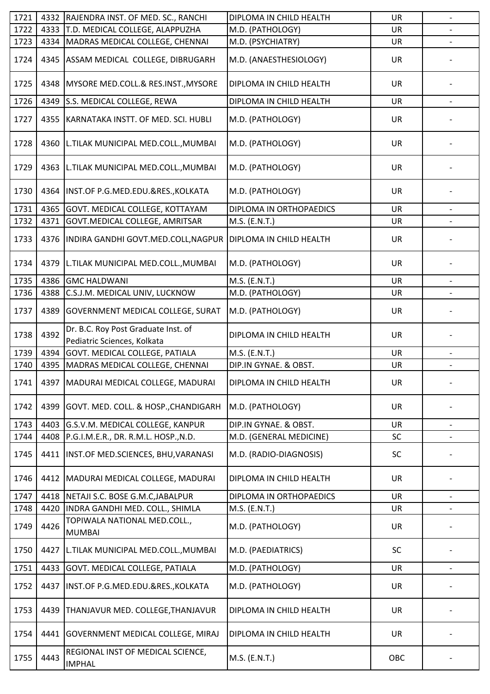| 1721 | 4332 | RAJENDRA INST. OF MED. SC., RANCHI                                 | DIPLOMA IN CHILD HEALTH | <b>UR</b> | $\overline{\phantom{a}}$ |
|------|------|--------------------------------------------------------------------|-------------------------|-----------|--------------------------|
| 1722 |      | 4333 T.D. MEDICAL COLLEGE, ALAPPUZHA                               | M.D. (PATHOLOGY)        | <b>UR</b> |                          |
| 1723 | 4334 | MADRAS MEDICAL COLLEGE, CHENNAI                                    | M.D. (PSYCHIATRY)       | <b>UR</b> |                          |
| 1724 | 4345 | ASSAM MEDICAL COLLEGE, DIBRUGARH                                   | M.D. (ANAESTHESIOLOGY)  | <b>UR</b> |                          |
| 1725 | 4348 | MYSORE MED.COLL.& RES.INST., MYSORE                                | DIPLOMA IN CHILD HEALTH | UR        |                          |
| 1726 | 4349 | S.S. MEDICAL COLLEGE, REWA                                         | DIPLOMA IN CHILD HEALTH | <b>UR</b> |                          |
| 1727 | 4355 | KARNATAKA INSTT. OF MED. SCI. HUBLI                                | M.D. (PATHOLOGY)        | <b>UR</b> |                          |
| 1728 | 4360 | L.TILAK MUNICIPAL MED.COLL., MUMBAI                                | M.D. (PATHOLOGY)        | <b>UR</b> |                          |
| 1729 | 4363 | L.TILAK MUNICIPAL MED.COLL., MUMBAI                                | M.D. (PATHOLOGY)        | <b>UR</b> |                          |
| 1730 | 4364 | INST.OF P.G.MED.EDU.&RES., KOLKATA                                 | M.D. (PATHOLOGY)        | <b>UR</b> |                          |
| 1731 | 4365 | GOVT. MEDICAL COLLEGE, KOTTAYAM                                    | DIPLOMA IN ORTHOPAEDICS | <b>UR</b> |                          |
| 1732 | 4371 | GOVT.MEDICAL COLLEGE, AMRITSAR                                     | M.S. (E.N.T.)           | UR        | $\blacksquare$           |
| 1733 | 4376 | INDIRA GANDHI GOVT.MED.COLL, NAGPUR                                | DIPLOMA IN CHILD HEALTH | <b>UR</b> |                          |
| 1734 | 4379 | L.TILAK MUNICIPAL MED.COLL., MUMBAI                                | M.D. (PATHOLOGY)        | <b>UR</b> |                          |
| 1735 | 4386 | <b>GMC HALDWANI</b>                                                | M.S. (E.N.T.)           | <b>UR</b> |                          |
| 1736 | 4388 | C.S.J.M. MEDICAL UNIV, LUCKNOW                                     | M.D. (PATHOLOGY)        | <b>UR</b> |                          |
| 1737 | 4389 | GOVERNMENT MEDICAL COLLEGE, SURAT                                  | M.D. (PATHOLOGY)        | <b>UR</b> |                          |
| 1738 | 4392 | Dr. B.C. Roy Post Graduate Inst. of<br>Pediatric Sciences, Kolkata | DIPLOMA IN CHILD HEALTH | <b>UR</b> |                          |
| 1739 | 4394 | GOVT. MEDICAL COLLEGE, PATIALA                                     | M.S. (E.N.T.)           | UR        |                          |
| 1740 | 4395 | MADRAS MEDICAL COLLEGE, CHENNAI                                    | DIP.IN GYNAE. & OBST.   | <b>UR</b> | $\overline{\phantom{a}}$ |
| 1741 |      | 4397   MADURAI MEDICAL COLLEGE, MADURAI                            | DIPLOMA IN CHILD HEALTH | <b>UR</b> |                          |
| 1742 | 4399 | GOVT. MED. COLL. & HOSP., CHANDIGARH                               | M.D. (PATHOLOGY)        | <b>UR</b> |                          |
| 1743 | 4403 | G.S.V.M. MEDICAL COLLEGE, KANPUR                                   | DIP.IN GYNAE. & OBST.   | <b>UR</b> |                          |
| 1744 | 4408 | P.G.I.M.E.R., DR. R.M.L. HOSP., N.D.                               | M.D. (GENERAL MEDICINE) | SC        |                          |
| 1745 | 4411 | INST.OF MED.SCIENCES, BHU, VARANASI                                | M.D. (RADIO-DIAGNOSIS)  | SC        |                          |
| 1746 | 4412 | MADURAI MEDICAL COLLEGE, MADURAI                                   | DIPLOMA IN CHILD HEALTH | <b>UR</b> |                          |
| 1747 | 4418 | NETAJI S.C. BOSE G.M.C, JABALPUR                                   | DIPLOMA IN ORTHOPAEDICS | UR        |                          |
| 1748 | 4420 | INDRA GANDHI MED. COLL., SHIMLA                                    | M.S. (E.N.T.)           | <b>UR</b> |                          |
| 1749 | 4426 | TOPIWALA NATIONAL MED.COLL.,<br><b>MUMBAI</b>                      | M.D. (PATHOLOGY)        | <b>UR</b> |                          |
| 1750 | 4427 | L.TILAK MUNICIPAL MED.COLL., MUMBAI                                | M.D. (PAEDIATRICS)      | SC        |                          |
| 1751 | 4433 | GOVT. MEDICAL COLLEGE, PATIALA                                     | M.D. (PATHOLOGY)        | <b>UR</b> |                          |
| 1752 | 4437 | INST.OF P.G.MED.EDU.&RES., KOLKATA                                 | M.D. (PATHOLOGY)        | <b>UR</b> |                          |
| 1753 | 4439 | THANJAVUR MED. COLLEGE, THANJAVUR                                  | DIPLOMA IN CHILD HEALTH | <b>UR</b> |                          |
| 1754 | 4441 | GOVERNMENT MEDICAL COLLEGE, MIRAJ                                  | DIPLOMA IN CHILD HEALTH | <b>UR</b> |                          |
| 1755 | 4443 | REGIONAL INST OF MEDICAL SCIENCE,<br><b>IMPHAL</b>                 | M.S. (E.N.T.)           | OBC       |                          |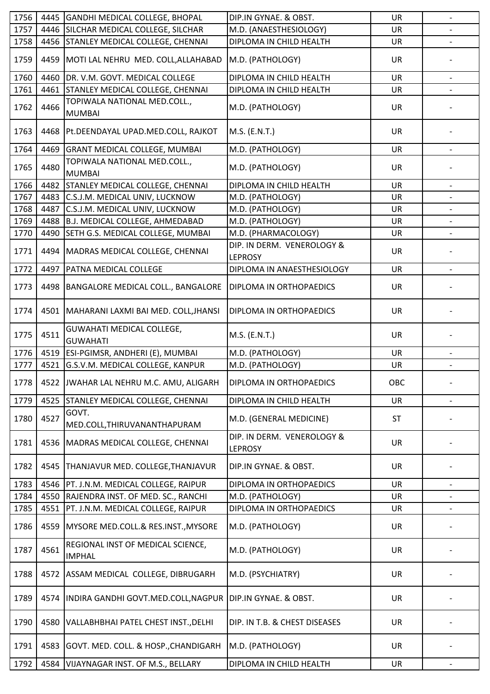| 1756 | 4445 | GANDHI MEDICAL COLLEGE, BHOPAL                     | DIP.IN GYNAE. & OBST.                        | <b>UR</b> | $\overline{\phantom{a}}$ |
|------|------|----------------------------------------------------|----------------------------------------------|-----------|--------------------------|
| 1757 | 4446 | SILCHAR MEDICAL COLLEGE, SILCHAR                   | M.D. (ANAESTHESIOLOGY)                       | <b>UR</b> |                          |
| 1758 | 4456 | <b>STANLEY MEDICAL COLLEGE, CHENNAI</b>            | DIPLOMA IN CHILD HEALTH                      | UR        |                          |
| 1759 |      | 4459 MOTI LAL NEHRU MED. COLL, ALLAHABAD           | M.D. (PATHOLOGY)                             | <b>UR</b> |                          |
| 1760 | 4460 | DR. V.M. GOVT. MEDICAL COLLEGE                     | DIPLOMA IN CHILD HEALTH                      | UR        | $\blacksquare$           |
| 1761 | 4461 | STANLEY MEDICAL COLLEGE, CHENNAI                   | DIPLOMA IN CHILD HEALTH                      | <b>UR</b> |                          |
| 1762 | 4466 | TOPIWALA NATIONAL MED.COLL.,<br><b>MUMBAI</b>      | M.D. (PATHOLOGY)                             | <b>UR</b> |                          |
| 1763 |      | 4468 Pt.DEENDAYAL UPAD.MED.COLL, RAJKOT            | M.S. (E.N.T.)                                | <b>UR</b> |                          |
| 1764 | 4469 | <b>GRANT MEDICAL COLLEGE, MUMBAI</b>               | M.D. (PATHOLOGY)                             | <b>UR</b> |                          |
| 1765 | 4480 | TOPIWALA NATIONAL MED.COLL.,<br><b>MUMBAI</b>      | M.D. (PATHOLOGY)                             | <b>UR</b> |                          |
| 1766 | 4482 | <b>STANLEY MEDICAL COLLEGE, CHENNAI</b>            | DIPLOMA IN CHILD HEALTH                      | <b>UR</b> | $\overline{\phantom{a}}$ |
| 1767 | 4483 | C.S.J.M. MEDICAL UNIV, LUCKNOW                     | M.D. (PATHOLOGY)                             | <b>UR</b> |                          |
| 1768 | 4487 | C.S.J.M. MEDICAL UNIV, LUCKNOW                     | M.D. (PATHOLOGY)                             | <b>UR</b> | $\overline{\phantom{a}}$ |
| 1769 | 4488 | B.J. MEDICAL COLLEGE, AHMEDABAD                    | M.D. (PATHOLOGY)                             | <b>UR</b> |                          |
| 1770 | 4490 | SETH G.S. MEDICAL COLLEGE, MUMBAI                  | M.D. (PHARMACOLOGY)                          | UR        |                          |
| 1771 |      | 4494   MADRAS MEDICAL COLLEGE, CHENNAI             | DIP. IN DERM. VENEROLOGY &<br><b>LEPROSY</b> | <b>UR</b> |                          |
| 1772 | 4497 | <b>PATNA MEDICAL COLLEGE</b>                       | DIPLOMA IN ANAESTHESIOLOGY                   | UR        | $\overline{\phantom{a}}$ |
| 1773 |      | 4498 BANGALORE MEDICAL COLL., BANGALORE            | DIPLOMA IN ORTHOPAEDICS                      | <b>UR</b> |                          |
| 1774 |      | 4501   MAHARANI LAXMI BAI MED. COLL, JHANSI        | DIPLOMA IN ORTHOPAEDICS                      | <b>UR</b> |                          |
| 1775 | 4511 | GUWAHATI MEDICAL COLLEGE,<br><b>GUWAHATI</b>       | M.S. (E.N.T.)                                | <b>UR</b> |                          |
| 1776 | 4519 | ESI-PGIMSR, ANDHERI (E), MUMBAI                    | M.D. (PATHOLOGY)                             | <b>UR</b> |                          |
| 1777 | 4521 | G.S.V.M. MEDICAL COLLEGE, KANPUR                   | M.D. (PATHOLOGY)                             | <b>UR</b> |                          |
| 1778 |      | 4522 JJWAHAR LAL NEHRU M.C. AMU, ALIGARH           | IDIPLOMA IN ORTHOPAEDICS                     | OBC       |                          |
| 1779 | 4525 | STANLEY MEDICAL COLLEGE, CHENNAI                   | DIPLOMA IN CHILD HEALTH                      | <b>UR</b> |                          |
| 1780 | 4527 | GOVT.<br>MED.COLL, THIRUVANANTHAPURAM              | M.D. (GENERAL MEDICINE)                      | <b>ST</b> |                          |
| 1781 | 4536 | MADRAS MEDICAL COLLEGE, CHENNAI                    | DIP. IN DERM. VENEROLOGY &<br><b>LEPROSY</b> | <b>UR</b> |                          |
| 1782 | 4545 | THANJAVUR MED. COLLEGE, THANJAVUR                  | DIP.IN GYNAE. & OBST.                        | <b>UR</b> |                          |
| 1783 | 4546 | PT. J.N.M. MEDICAL COLLEGE, RAIPUR                 | DIPLOMA IN ORTHOPAEDICS                      | <b>UR</b> |                          |
| 1784 | 4550 | RAJENDRA INST. OF MED. SC., RANCHI                 | M.D. (PATHOLOGY)                             | <b>UR</b> |                          |
| 1785 | 4551 | PT. J.N.M. MEDICAL COLLEGE, RAIPUR                 | DIPLOMA IN ORTHOPAEDICS                      | <b>UR</b> |                          |
| 1786 | 4559 | <b>IMYSORE MED.COLL.&amp; RES.INST., MYSORE</b>    | M.D. (PATHOLOGY)                             | UR        |                          |
| 1787 | 4561 | REGIONAL INST OF MEDICAL SCIENCE,<br><b>IMPHAL</b> | M.D. (PATHOLOGY)                             | <b>UR</b> |                          |
| 1788 | 4572 | ASSAM MEDICAL COLLEGE, DIBRUGARH                   | M.D. (PSYCHIATRY)                            | <b>UR</b> |                          |
| 1789 | 4574 | INDIRA GANDHI GOVT.MED.COLL, NAGPUR                | DIP.IN GYNAE. & OBST.                        | <b>UR</b> |                          |
| 1790 | 4580 | VALLABHBHAI PATEL CHEST INST., DELHI               | DIP. IN T.B. & CHEST DISEASES                | <b>UR</b> |                          |
| 1791 | 4583 | GOVT. MED. COLL. & HOSP., CHANDIGARH               | M.D. (PATHOLOGY)                             | <b>UR</b> |                          |
| 1792 | 4584 | VIJAYNAGAR INST. OF M.S., BELLARY                  | DIPLOMA IN CHILD HEALTH                      | <b>UR</b> | $\overline{\phantom{a}}$ |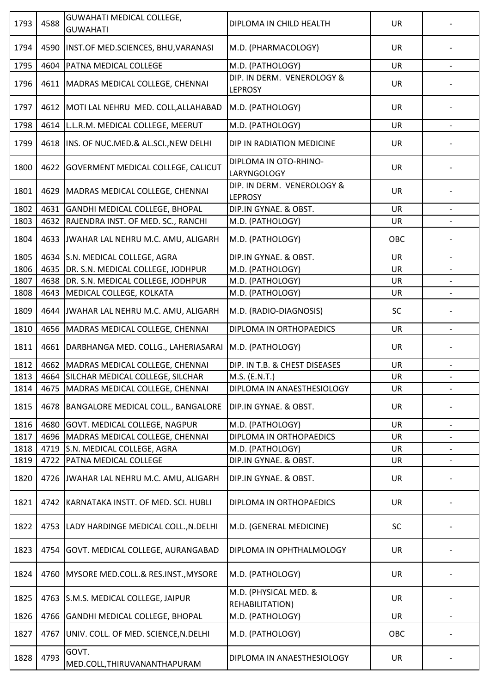| 1793 | 4588 | <b>GUWAHATI MEDICAL COLLEGE,</b><br><b>GUWAHATI</b>  | DIPLOMA IN CHILD HEALTH                      | <b>UR</b> |                          |
|------|------|------------------------------------------------------|----------------------------------------------|-----------|--------------------------|
| 1794 | 4590 | INST.OF MED.SCIENCES, BHU, VARANASI                  | M.D. (PHARMACOLOGY)                          | UR        |                          |
| 1795 | 4604 | PATNA MEDICAL COLLEGE                                | M.D. (PATHOLOGY)                             | <b>UR</b> |                          |
| 1796 | 4611 | MADRAS MEDICAL COLLEGE, CHENNAI                      | DIP. IN DERM. VENEROLOGY &<br><b>LEPROSY</b> | <b>UR</b> |                          |
| 1797 | 4612 | MOTI LAL NEHRU MED. COLL, ALLAHABAD                  | M.D. (PATHOLOGY)                             | <b>UR</b> |                          |
| 1798 | 4614 | L.L.R.M. MEDICAL COLLEGE, MEERUT                     | M.D. (PATHOLOGY)                             | UR        |                          |
| 1799 | 4618 | INS. OF NUC.MED.& AL.SCI., NEW DELHI                 | DIP IN RADIATION MEDICINE                    | <b>UR</b> |                          |
| 1800 | 4622 | <b>GOVERMENT MEDICAL COLLEGE, CALICUT</b>            | DIPLOMA IN OTO-RHINO-<br><b>LARYNGOLOGY</b>  | <b>UR</b> |                          |
| 1801 | 4629 | MADRAS MEDICAL COLLEGE, CHENNAI                      | DIP. IN DERM. VENEROLOGY &<br><b>LEPROSY</b> | <b>UR</b> |                          |
| 1802 | 4631 | GANDHI MEDICAL COLLEGE, BHOPAL                       | DIP.IN GYNAE. & OBST.                        | <b>UR</b> |                          |
| 1803 | 4632 | RAJENDRA INST. OF MED. SC., RANCHI                   | M.D. (PATHOLOGY)                             | <b>UR</b> | $\overline{\phantom{a}}$ |
| 1804 | 4633 | JWAHAR LAL NEHRU M.C. AMU, ALIGARH                   | M.D. (PATHOLOGY)                             | OBC       |                          |
| 1805 | 4634 | S.N. MEDICAL COLLEGE, AGRA                           | DIP.IN GYNAE. & OBST.                        | <b>UR</b> |                          |
| 1806 | 4635 | DR. S.N. MEDICAL COLLEGE, JODHPUR                    | M.D. (PATHOLOGY)                             | <b>UR</b> |                          |
| 1807 | 4638 | DR. S.N. MEDICAL COLLEGE, JODHPUR                    | M.D. (PATHOLOGY)                             | <b>UR</b> |                          |
| 1808 | 4643 | MEDICAL COLLEGE, KOLKATA                             | M.D. (PATHOLOGY)                             | UR        |                          |
| 1809 | 4644 | JWAHAR LAL NEHRU M.C. AMU, ALIGARH                   | M.D. (RADIO-DIAGNOSIS)                       | <b>SC</b> |                          |
| 1810 | 4656 | MADRAS MEDICAL COLLEGE, CHENNAI                      | DIPLOMA IN ORTHOPAEDICS                      | <b>UR</b> | $\qquad \qquad -$        |
| 1811 | 4661 | DARBHANGA MED. COLLG., LAHERIASARAI M.D. (PATHOLOGY) |                                              | <b>UR</b> |                          |
| 1812 | 4662 | MADRAS MEDICAL COLLEGE, CHENNAI                      | DIP. IN T.B. & CHEST DISEASES                | UR        | $\overline{\phantom{a}}$ |
| 1813 |      | 4664 SILCHAR MEDICAL COLLEGE, SILCHAR                | M.S. (E.N.T.)                                | UR        |                          |
| 1814 | 4675 | MADRAS MEDICAL COLLEGE, CHENNAI                      | DIPLOMA IN ANAESTHESIOLOGY                   | UR        | $\overline{\phantom{a}}$ |
| 1815 | 4678 | BANGALORE MEDICAL COLL., BANGALORE                   | DIP.IN GYNAE. & OBST.                        | UR        |                          |
| 1816 | 4680 | GOVT. MEDICAL COLLEGE, NAGPUR                        | M.D. (PATHOLOGY)                             | <b>UR</b> |                          |
| 1817 | 4696 | MADRAS MEDICAL COLLEGE, CHENNAI                      | DIPLOMA IN ORTHOPAEDICS                      | <b>UR</b> |                          |
| 1818 | 4719 | S.N. MEDICAL COLLEGE, AGRA                           | M.D. (PATHOLOGY)                             | <b>UR</b> | $\overline{\phantom{a}}$ |
| 1819 | 4722 | PATNA MEDICAL COLLEGE                                | DIP.IN GYNAE. & OBST.                        | UR        |                          |
| 1820 | 4726 | JWAHAR LAL NEHRU M.C. AMU, ALIGARH                   | DIP.IN GYNAE. & OBST.                        | UR        |                          |
| 1821 | 4742 | KARNATAKA INSTT. OF MED. SCI. HUBLI                  | DIPLOMA IN ORTHOPAEDICS                      | UR        |                          |
| 1822 | 4753 | LADY HARDINGE MEDICAL COLL., N.DELHI                 | M.D. (GENERAL MEDICINE)                      | SC        |                          |
| 1823 | 4754 | GOVT. MEDICAL COLLEGE, AURANGABAD                    | DIPLOMA IN OPHTHALMOLOGY                     | <b>UR</b> |                          |
| 1824 | 4760 | MYSORE MED.COLL.& RES.INST., MYSORE                  | M.D. (PATHOLOGY)                             | UR        |                          |
| 1825 | 4763 | S.M.S. MEDICAL COLLEGE, JAIPUR                       | M.D. (PHYSICAL MED. &<br>REHABILITATION)     | <b>UR</b> |                          |
| 1826 | 4766 | GANDHI MEDICAL COLLEGE, BHOPAL                       | M.D. (PATHOLOGY)                             | UR        | $\overline{\phantom{a}}$ |
| 1827 | 4767 | UNIV. COLL. OF MED. SCIENCE, N.DELHI                 | M.D. (PATHOLOGY)                             | OBC       |                          |
| 1828 | 4793 | GOVT.<br>MED.COLL, THIRUVANANTHAPURAM                | DIPLOMA IN ANAESTHESIOLOGY                   | UR        |                          |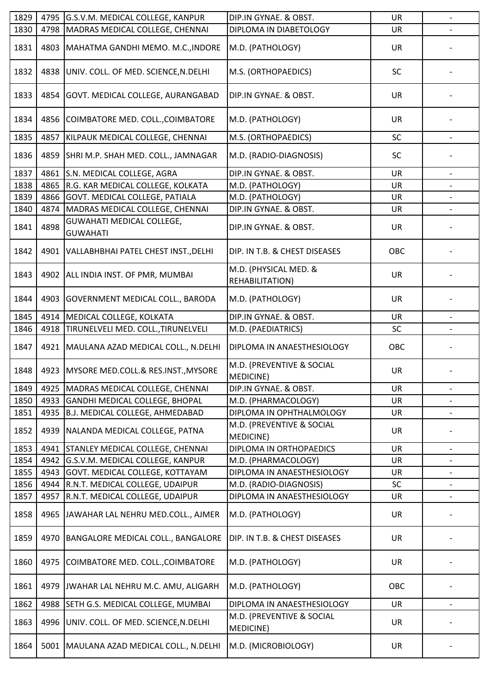| 1829 | 4795 | G.S.V.M. MEDICAL COLLEGE, KANPUR                    | DIP.IN GYNAE. & OBST.                         | <b>UR</b> | $\overline{\phantom{a}}$ |
|------|------|-----------------------------------------------------|-----------------------------------------------|-----------|--------------------------|
| 1830 | 4798 | MADRAS MEDICAL COLLEGE, CHENNAI                     | DIPLOMA IN DIABETOLOGY                        | <b>UR</b> |                          |
| 1831 | 4803 | MAHATMA GANDHI MEMO. M.C., INDORE                   | M.D. (PATHOLOGY)                              | UR        |                          |
| 1832 | 4838 | UNIV. COLL. OF MED. SCIENCE, N. DELHI               | M.S. (ORTHOPAEDICS)                           | <b>SC</b> |                          |
| 1833 | 4854 | GOVT. MEDICAL COLLEGE, AURANGABAD                   | DIP.IN GYNAE. & OBST.                         | <b>UR</b> |                          |
| 1834 |      | 4856 COIMBATORE MED. COLL., COIMBATORE              | M.D. (PATHOLOGY)                              | <b>UR</b> |                          |
| 1835 | 4857 | KILPAUK MEDICAL COLLEGE, CHENNAI                    | M.S. (ORTHOPAEDICS)                           | SC        | $\overline{\phantom{a}}$ |
| 1836 | 4859 | SHRI M.P. SHAH MED. COLL., JAMNAGAR                 | M.D. (RADIO-DIAGNOSIS)                        | <b>SC</b> |                          |
| 1837 | 4861 | S.N. MEDICAL COLLEGE, AGRA                          | DIP.IN GYNAE. & OBST.                         | <b>UR</b> |                          |
| 1838 |      | 4865 R.G. KAR MEDICAL COLLEGE, KOLKATA              | M.D. (PATHOLOGY)                              | <b>UR</b> |                          |
| 1839 | 4866 | GOVT. MEDICAL COLLEGE, PATIALA                      | M.D. (PATHOLOGY)                              | <b>UR</b> | $\overline{\phantom{a}}$ |
| 1840 | 4874 | MADRAS MEDICAL COLLEGE, CHENNAI                     | DIP.IN GYNAE. & OBST.                         | <b>UR</b> |                          |
| 1841 | 4898 | <b>GUWAHATI MEDICAL COLLEGE,</b><br><b>GUWAHATI</b> | DIP.IN GYNAE. & OBST.                         | <b>UR</b> |                          |
| 1842 | 4901 | VALLABHBHAI PATEL CHEST INST., DELHI                | DIP. IN T.B. & CHEST DISEASES                 | OBC       |                          |
| 1843 | 4902 | ALL INDIA INST. OF PMR, MUMBAI                      | M.D. (PHYSICAL MED. &<br>REHABILITATION)      | <b>UR</b> |                          |
| 1844 | 4903 | <b>GOVERNMENT MEDICAL COLL., BARODA</b>             | M.D. (PATHOLOGY)                              | <b>UR</b> |                          |
| 1845 | 4914 | MEDICAL COLLEGE, KOLKATA                            | DIP.IN GYNAE. & OBST.                         | <b>UR</b> |                          |
| 1846 | 4918 | TIRUNELVELI MED. COLL., TIRUNELVELI                 | M.D. (PAEDIATRICS)                            | SC        |                          |
| 1847 | 4921 | MAULANA AZAD MEDICAL COLL., N.DELHI                 | DIPLOMA IN ANAESTHESIOLOGY                    | OBC       |                          |
| 1848 |      | 4923 MYSORE MED.COLL.& RES.INST., MYSORE            | M.D. (PREVENTIVE & SOCIAL<br>MEDICINE)        | <b>UR</b> |                          |
| 1849 | 4925 | MADRAS MEDICAL COLLEGE, CHENNAI                     | DIP.IN GYNAE. & OBST.                         | <b>UR</b> | $\overline{\phantom{a}}$ |
| 1850 |      | 4933 GANDHI MEDICAL COLLEGE, BHOPAL                 | M.D. (PHARMACOLOGY)                           | <b>UR</b> |                          |
| 1851 |      | 4935 B.J. MEDICAL COLLEGE, AHMEDABAD                | DIPLOMA IN OPHTHALMOLOGY                      | UR        |                          |
| 1852 | 4939 | NALANDA MEDICAL COLLEGE, PATNA                      | M.D. (PREVENTIVE & SOCIAL<br><b>MEDICINE)</b> | <b>UR</b> |                          |
| 1853 | 4941 | <b>STANLEY MEDICAL COLLEGE, CHENNAI</b>             | DIPLOMA IN ORTHOPAEDICS                       | UR        | $\overline{\phantom{a}}$ |
| 1854 |      | 4942 G.S.V.M. MEDICAL COLLEGE, KANPUR               | M.D. (PHARMACOLOGY)                           | <b>UR</b> |                          |
| 1855 | 4943 | GOVT. MEDICAL COLLEGE, KOTTAYAM                     | DIPLOMA IN ANAESTHESIOLOGY                    | UR        | $\overline{\phantom{a}}$ |
| 1856 | 4944 | R.N.T. MEDICAL COLLEGE, UDAIPUR                     | M.D. (RADIO-DIAGNOSIS)                        | SC        |                          |
| 1857 | 4957 | R.N.T. MEDICAL COLLEGE, UDAIPUR                     | DIPLOMA IN ANAESTHESIOLOGY                    | UR        |                          |
| 1858 | 4965 | JAWAHAR LAL NEHRU MED.COLL., AJMER                  | M.D. (PATHOLOGY)                              | <b>UR</b> |                          |
| 1859 | 4970 | <b>BANGALORE MEDICAL COLL., BANGALORE</b>           | DIP. IN T.B. & CHEST DISEASES                 | UR        |                          |
| 1860 | 4975 | COIMBATORE MED. COLL., COIMBATORE                   | M.D. (PATHOLOGY)                              | UR        |                          |
| 1861 | 4979 | JWAHAR LAL NEHRU M.C. AMU, ALIGARH                  | M.D. (PATHOLOGY)                              | OBC       |                          |
| 1862 | 4988 | SETH G.S. MEDICAL COLLEGE, MUMBAI                   | DIPLOMA IN ANAESTHESIOLOGY                    | UR        |                          |
| 1863 | 4996 | UNIV. COLL. OF MED. SCIENCE, N. DELHI               | M.D. (PREVENTIVE & SOCIAL<br>MEDICINE)        | <b>UR</b> |                          |
| 1864 | 5001 | MAULANA AZAD MEDICAL COLL., N.DELHI                 | M.D. (MICROBIOLOGY)                           | UR        |                          |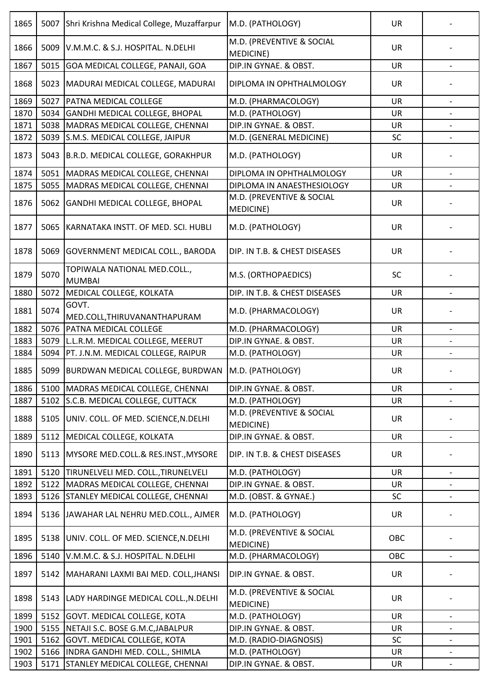| 1865 | 5007 | Shri Krishna Medical College, Muzaffarpur     | M.D. (PATHOLOGY)                       | <b>UR</b> |                          |
|------|------|-----------------------------------------------|----------------------------------------|-----------|--------------------------|
| 1866 | 5009 | V.M.M.C. & S.J. HOSPITAL. N.DELHI             | M.D. (PREVENTIVE & SOCIAL<br>MEDICINE) | <b>UR</b> |                          |
| 1867 | 5015 | GOA MEDICAL COLLEGE, PANAJI, GOA              | DIP.IN GYNAE. & OBST.                  | <b>UR</b> |                          |
| 1868 | 5023 | MADURAI MEDICAL COLLEGE, MADURAI              | DIPLOMA IN OPHTHALMOLOGY               | <b>UR</b> |                          |
| 1869 | 5027 | PATNA MEDICAL COLLEGE                         | M.D. (PHARMACOLOGY)                    | <b>UR</b> |                          |
| 1870 | 5034 | GANDHI MEDICAL COLLEGE, BHOPAL                | M.D. (PATHOLOGY)                       | <b>UR</b> |                          |
| 1871 | 5038 | MADRAS MEDICAL COLLEGE, CHENNAI               | DIP.IN GYNAE. & OBST.                  | <b>UR</b> |                          |
| 1872 | 5039 | S.M.S. MEDICAL COLLEGE, JAIPUR                | M.D. (GENERAL MEDICINE)                | SC        | $\overline{\phantom{a}}$ |
| 1873 | 5043 | B.R.D. MEDICAL COLLEGE, GORAKHPUR             | M.D. (PATHOLOGY)                       | UR        |                          |
| 1874 | 5051 | MADRAS MEDICAL COLLEGE, CHENNAI               | DIPLOMA IN OPHTHALMOLOGY               | <b>UR</b> |                          |
| 1875 | 5055 | MADRAS MEDICAL COLLEGE, CHENNAI               | DIPLOMA IN ANAESTHESIOLOGY             | <b>UR</b> |                          |
| 1876 | 5062 | <b>GANDHI MEDICAL COLLEGE, BHOPAL</b>         | M.D. (PREVENTIVE & SOCIAL<br>MEDICINE) | <b>UR</b> |                          |
| 1877 | 5065 | KARNATAKA INSTT. OF MED. SCI. HUBLI           | M.D. (PATHOLOGY)                       | <b>UR</b> |                          |
| 1878 | 5069 | <b>GOVERNMENT MEDICAL COLL., BARODA</b>       | DIP. IN T.B. & CHEST DISEASES          | <b>UR</b> |                          |
| 1879 | 5070 | TOPIWALA NATIONAL MED.COLL.,<br><b>MUMBAI</b> | M.S. (ORTHOPAEDICS)                    | <b>SC</b> |                          |
| 1880 | 5072 | MEDICAL COLLEGE, KOLKATA                      | DIP. IN T.B. & CHEST DISEASES          | UR        |                          |
| 1881 | 5074 | GOVT.<br>MED.COLL, THIRUVANANTHAPURAM         | M.D. (PHARMACOLOGY)                    | UR        |                          |
| 1882 | 5076 | PATNA MEDICAL COLLEGE                         | M.D. (PHARMACOLOGY)                    | <b>UR</b> |                          |
| 1883 | 5079 | L.L.R.M. MEDICAL COLLEGE, MEERUT              | DIP.IN GYNAE. & OBST.                  | UR        |                          |
| 1884 | 5094 | PT. J.N.M. MEDICAL COLLEGE, RAIPUR            | M.D. (PATHOLOGY)                       | UR        |                          |
| 1885 | 5099 | BURDWAN MEDICAL COLLEGE, BURDWAN              | M.D. (PATHOLOGY)                       | <b>UR</b> |                          |
| 1886 | 5100 | MADRAS MEDICAL COLLEGE, CHENNAI               | DIP.IN GYNAE. & OBST.                  | <b>UR</b> | $\overline{\phantom{a}}$ |
| 1887 | 5102 | S.C.B. MEDICAL COLLEGE, CUTTACK               | M.D. (PATHOLOGY)                       | <b>UR</b> |                          |
| 1888 | 5105 | UNIV. COLL. OF MED. SCIENCE, N. DELHI         | M.D. (PREVENTIVE & SOCIAL<br>MEDICINE) | <b>UR</b> |                          |
| 1889 | 5112 | MEDICAL COLLEGE, KOLKATA                      | DIP.IN GYNAE. & OBST.                  | <b>UR</b> |                          |
| 1890 | 5113 | MYSORE MED.COLL.& RES.INST., MYSORE           | DIP. IN T.B. & CHEST DISEASES          | <b>UR</b> |                          |
| 1891 | 5120 | TIRUNELVELI MED. COLL., TIRUNELVELI           | M.D. (PATHOLOGY)                       | <b>UR</b> | $\overline{\phantom{a}}$ |
| 1892 | 5122 | MADRAS MEDICAL COLLEGE, CHENNAI               | DIP.IN GYNAE. & OBST.                  | <b>UR</b> |                          |
| 1893 | 5126 | <b>STANLEY MEDICAL COLLEGE, CHENNAI</b>       | M.D. (OBST. & GYNAE.)                  | SC        |                          |
| 1894 | 5136 | JAWAHAR LAL NEHRU MED.COLL., AJMER            | M.D. (PATHOLOGY)                       | <b>UR</b> |                          |
| 1895 | 5138 | UNIV. COLL. OF MED. SCIENCE, N. DELHI         | M.D. (PREVENTIVE & SOCIAL<br>MEDICINE) | OBC       |                          |
| 1896 | 5140 | V.M.M.C. & S.J. HOSPITAL. N.DELHI             | M.D. (PHARMACOLOGY)                    | OBC       |                          |
| 1897 | 5142 | MAHARANI LAXMI BAI MED. COLL, JHANSI          | DIP.IN GYNAE. & OBST.                  | <b>UR</b> |                          |
| 1898 | 5143 | LADY HARDINGE MEDICAL COLL., N. DELHI         | M.D. (PREVENTIVE & SOCIAL<br>MEDICINE) | <b>UR</b> |                          |
| 1899 | 5152 | <b>GOVT. MEDICAL COLLEGE, KOTA</b>            | M.D. (PATHOLOGY)                       | <b>UR</b> | $\overline{\phantom{0}}$ |
| 1900 |      | 5155 NETAJI S.C. BOSE G.M.C, JABALPUR         | DIP.IN GYNAE. & OBST.                  | <b>UR</b> |                          |
| 1901 | 5162 | <b>GOVT. MEDICAL COLLEGE, KOTA</b>            | M.D. (RADIO-DIAGNOSIS)                 | SC        |                          |
| 1902 | 5166 | INDRA GANDHI MED. COLL., SHIMLA               | M.D. (PATHOLOGY)                       | UR        | $\overline{\phantom{a}}$ |
| 1903 | 5171 | <b>STANLEY MEDICAL COLLEGE, CHENNAI</b>       | DIP.IN GYNAE. & OBST.                  | UR        |                          |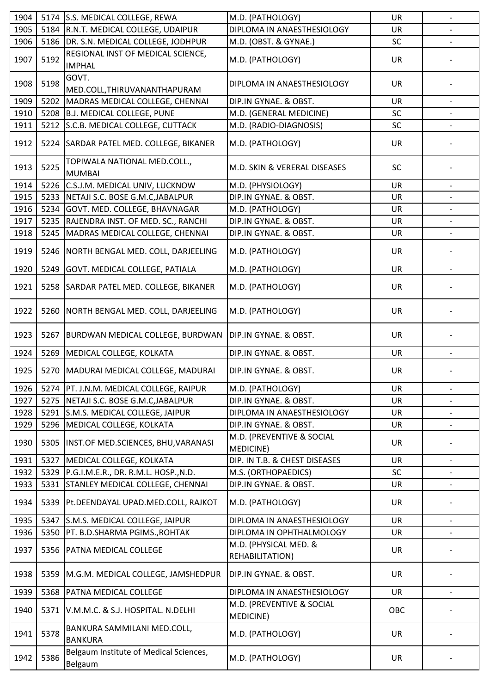| 1904 |      | 5174 S.S. MEDICAL COLLEGE, REWA                    | M.D. (PATHOLOGY)                              | UR        | $\overline{\phantom{0}}$ |
|------|------|----------------------------------------------------|-----------------------------------------------|-----------|--------------------------|
| 1905 |      | 5184 R.N.T. MEDICAL COLLEGE, UDAIPUR               | DIPLOMA IN ANAESTHESIOLOGY                    | <b>UR</b> |                          |
| 1906 | 5186 | DR. S.N. MEDICAL COLLEGE, JODHPUR                  | M.D. (OBST. & GYNAE.)                         | SC        |                          |
| 1907 | 5192 | REGIONAL INST OF MEDICAL SCIENCE,<br><b>IMPHAL</b> | M.D. (PATHOLOGY)                              | <b>UR</b> |                          |
| 1908 | 5198 | GOVT.<br>MED.COLL, THIRUVANANTHAPURAM              | DIPLOMA IN ANAESTHESIOLOGY                    | <b>UR</b> |                          |
| 1909 | 5202 | MADRAS MEDICAL COLLEGE, CHENNAI                    | DIP.IN GYNAE. & OBST.                         | <b>UR</b> |                          |
| 1910 |      | 5208 B.J. MEDICAL COLLEGE, PUNE                    | M.D. (GENERAL MEDICINE)                       | SC        |                          |
| 1911 | 5212 | S.C.B. MEDICAL COLLEGE, CUTTACK                    | M.D. (RADIO-DIAGNOSIS)                        | SC        |                          |
|      |      |                                                    |                                               |           |                          |
| 1912 |      | 5224 SARDAR PATEL MED. COLLEGE, BIKANER            | M.D. (PATHOLOGY)                              | <b>UR</b> |                          |
| 1913 | 5225 | TOPIWALA NATIONAL MED.COLL.,<br><b>MUMBAI</b>      | M.D. SKIN & VERERAL DISEASES                  | <b>SC</b> |                          |
| 1914 |      | 5226 C.S.J.M. MEDICAL UNIV, LUCKNOW                | M.D. (PHYSIOLOGY)                             | <b>UR</b> |                          |
| 1915 | 5233 | NETAJI S.C. BOSE G.M.C, JABALPUR                   | DIP.IN GYNAE. & OBST.                         | <b>UR</b> |                          |
| 1916 | 5234 | GOVT. MED. COLLEGE, BHAVNAGAR                      | M.D. (PATHOLOGY)                              | <b>UR</b> |                          |
| 1917 | 5235 | RAJENDRA INST. OF MED. SC., RANCHI                 | DIP.IN GYNAE. & OBST.                         | <b>UR</b> | $\overline{\phantom{a}}$ |
| 1918 | 5245 | MADRAS MEDICAL COLLEGE, CHENNAI                    | DIP.IN GYNAE. & OBST.                         | UR        |                          |
| 1919 |      | 5246 NORTH BENGAL MED. COLL, DARJEELING            | M.D. (PATHOLOGY)                              | <b>UR</b> |                          |
| 1920 | 5249 | GOVT. MEDICAL COLLEGE, PATIALA                     | M.D. (PATHOLOGY)                              | <b>UR</b> |                          |
|      |      |                                                    |                                               |           |                          |
| 1921 |      | 5258 SARDAR PATEL MED. COLLEGE, BIKANER            | M.D. (PATHOLOGY)                              | <b>UR</b> |                          |
| 1922 | 5260 | NORTH BENGAL MED. COLL, DARJEELING                 | M.D. (PATHOLOGY)                              | <b>UR</b> |                          |
| 1923 | 5267 | <b>BURDWAN MEDICAL COLLEGE, BURDWAN</b>            | DIP.IN GYNAE. & OBST.                         | <b>UR</b> |                          |
| 1924 | 5269 | MEDICAL COLLEGE, KOLKATA                           | DIP.IN GYNAE. & OBST.                         | UR        |                          |
| 1925 |      | 5270 MADURAI MEDICAL COLLEGE, MADURAI              | DIP.IN GYNAE. & OBST.                         | <b>UR</b> |                          |
| 1926 | 5274 | PT. J.N.M. MEDICAL COLLEGE, RAIPUR                 | M.D. (PATHOLOGY)                              | UR        | $\overline{\phantom{a}}$ |
| 1927 | 5275 | NETAJI S.C. BOSE G.M.C, JABALPUR                   | DIP.IN GYNAE. & OBST.                         | UR        |                          |
| 1928 | 5291 | S.M.S. MEDICAL COLLEGE, JAIPUR                     | DIPLOMA IN ANAESTHESIOLOGY                    | <b>UR</b> |                          |
| 1929 | 5296 | MEDICAL COLLEGE, KOLKATA                           | DIP.IN GYNAE. & OBST.                         | <b>UR</b> |                          |
|      |      |                                                    | M.D. (PREVENTIVE & SOCIAL                     |           |                          |
| 1930 | 5305 | INST.OF MED.SCIENCES, BHU, VARANASI                | MEDICINE)                                     | <b>UR</b> |                          |
| 1931 | 5327 | MEDICAL COLLEGE, KOLKATA                           | DIP. IN T.B. & CHEST DISEASES                 | <b>UR</b> |                          |
| 1932 | 5329 | P.G.I.M.E.R., DR. R.M.L. HOSP., N.D.               | M.S. (ORTHOPAEDICS)                           | <b>SC</b> | $\overline{\phantom{0}}$ |
| 1933 | 5331 | <b>STANLEY MEDICAL COLLEGE, CHENNAI</b>            | DIP.IN GYNAE. & OBST.                         | <b>UR</b> |                          |
| 1934 | 5339 | Pt.DEENDAYAL UPAD.MED.COLL, RAJKOT                 | M.D. (PATHOLOGY)                              | UR        |                          |
| 1935 | 5347 | S.M.S. MEDICAL COLLEGE, JAIPUR                     | DIPLOMA IN ANAESTHESIOLOGY                    | <b>UR</b> |                          |
| 1936 | 5350 | PT. B.D.SHARMA PGIMS., ROHTAK                      | DIPLOMA IN OPHTHALMOLOGY                      | UR        | $\overline{\phantom{a}}$ |
|      |      |                                                    | M.D. (PHYSICAL MED. &                         |           |                          |
| 1937 | 5356 | <b>PATNA MEDICAL COLLEGE</b>                       | REHABILITATION)                               | <b>UR</b> |                          |
| 1938 | 5359 | M.G.M. MEDICAL COLLEGE, JAMSHEDPUR                 | DIP.IN GYNAE. & OBST.                         | UR        |                          |
| 1939 | 5368 | PATNA MEDICAL COLLEGE                              | DIPLOMA IN ANAESTHESIOLOGY                    | <b>UR</b> | $\blacksquare$           |
| 1940 | 5371 | V.M.M.C. & S.J. HOSPITAL. N.DELHI                  | M.D. (PREVENTIVE & SOCIAL<br><b>MEDICINE)</b> | OBC       |                          |
| 1941 | 5378 | BANKURA SAMMILANI MED.COLL,<br><b>BANKURA</b>      | M.D. (PATHOLOGY)                              | UR        |                          |
| 1942 | 5386 | Belgaum Institute of Medical Sciences,<br>Belgaum  | M.D. (PATHOLOGY)                              | <b>UR</b> |                          |
|      |      |                                                    |                                               |           |                          |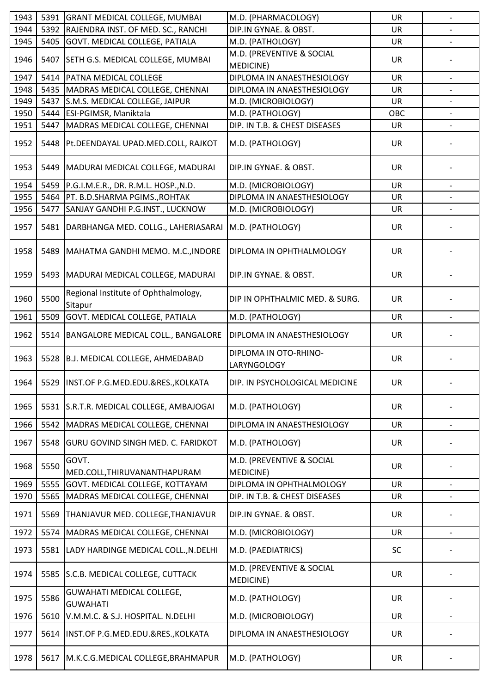| 1943 | 5391 | <b>GRANT MEDICAL COLLEGE, MUMBAI</b>            | M.D. (PHARMACOLOGY)                    | <b>UR</b> | $\overline{\phantom{a}}$ |
|------|------|-------------------------------------------------|----------------------------------------|-----------|--------------------------|
| 1944 | 5392 | RAJENDRA INST. OF MED. SC., RANCHI              | DIP.IN GYNAE. & OBST.                  | <b>UR</b> |                          |
| 1945 | 5405 | GOVT. MEDICAL COLLEGE, PATIALA                  | M.D. (PATHOLOGY)                       | <b>UR</b> |                          |
|      |      |                                                 | M.D. (PREVENTIVE & SOCIAL              |           |                          |
| 1946 | 5407 | SETH G.S. MEDICAL COLLEGE, MUMBAI               | MEDICINE)                              | <b>UR</b> |                          |
| 1947 | 5414 | PATNA MEDICAL COLLEGE                           | DIPLOMA IN ANAESTHESIOLOGY             | <b>UR</b> | $\overline{\phantom{a}}$ |
| 1948 | 5435 | MADRAS MEDICAL COLLEGE, CHENNAI                 | DIPLOMA IN ANAESTHESIOLOGY             | UR        |                          |
| 1949 | 5437 | S.M.S. MEDICAL COLLEGE, JAIPUR                  | M.D. (MICROBIOLOGY)                    | <b>UR</b> | $\overline{\phantom{a}}$ |
| 1950 | 5444 | ESI-PGIMSR, Maniktala                           | M.D. (PATHOLOGY)                       | OBC       |                          |
| 1951 | 5447 | MADRAS MEDICAL COLLEGE, CHENNAI                 | DIP. IN T.B. & CHEST DISEASES          | UR        |                          |
| 1952 | 5448 | Pt.DEENDAYAL UPAD.MED.COLL, RAJKOT              | M.D. (PATHOLOGY)                       | <b>UR</b> |                          |
| 1953 | 5449 | MADURAI MEDICAL COLLEGE, MADURAI                | DIP.IN GYNAE. & OBST.                  | <b>UR</b> |                          |
| 1954 | 5459 | P.G.I.M.E.R., DR. R.M.L. HOSP., N.D.            | M.D. (MICROBIOLOGY)                    | <b>UR</b> |                          |
| 1955 | 5464 | PT. B.D.SHARMA PGIMS., ROHTAK                   | DIPLOMA IN ANAESTHESIOLOGY             | UR        |                          |
| 1956 | 5477 | SANJAY GANDHI P.G.INST., LUCKNOW                | M.D. (MICROBIOLOGY)                    | UR        |                          |
| 1957 | 5481 | DARBHANGA MED. COLLG., LAHERIASARAI             | M.D. (PATHOLOGY)                       | <b>UR</b> |                          |
| 1958 | 5489 | MAHATMA GANDHI MEMO. M.C., INDORE               | DIPLOMA IN OPHTHALMOLOGY               | <b>UR</b> |                          |
| 1959 | 5493 | MADURAI MEDICAL COLLEGE, MADURAI                | DIP.IN GYNAE. & OBST.                  | <b>UR</b> |                          |
| 1960 | 5500 | Regional Institute of Ophthalmology,<br>Sitapur | DIP IN OPHTHALMIC MED. & SURG.         | <b>UR</b> |                          |
| 1961 | 5509 | GOVT. MEDICAL COLLEGE, PATIALA                  | M.D. (PATHOLOGY)                       | <b>UR</b> |                          |
| 1962 | 5514 | BANGALORE MEDICAL COLL., BANGALORE              | DIPLOMA IN ANAESTHESIOLOGY             | <b>UR</b> |                          |
| 1963 | 5528 | B.J. MEDICAL COLLEGE, AHMEDABAD                 | DIPLOMA IN OTO-RHINO-<br>LARYNGOLOGY   | <b>UR</b> |                          |
| 1964 |      | 5529 INST.OF P.G.MED.EDU.&RES.,KOLKATA          | DIP. IN PSYCHOLOGICAL MEDICINE         | <b>UR</b> |                          |
| 1965 | 5531 | S.R.T.R. MEDICAL COLLEGE, AMBAJOGAI             | M.D. (PATHOLOGY)                       | <b>UR</b> |                          |
| 1966 | 5542 | MADRAS MEDICAL COLLEGE, CHENNAI                 | DIPLOMA IN ANAESTHESIOLOGY             | <b>UR</b> |                          |
| 1967 | 5548 | <b>GURU GOVIND SINGH MED. C. FARIDKOT</b>       | M.D. (PATHOLOGY)                       | <b>UR</b> |                          |
| 1968 | 5550 | GOVT.<br>MED.COLL, THIRUVANANTHAPURAM           | M.D. (PREVENTIVE & SOCIAL<br>MEDICINE) | <b>UR</b> |                          |
| 1969 | 5555 | GOVT. MEDICAL COLLEGE, KOTTAYAM                 | DIPLOMA IN OPHTHALMOLOGY               | <b>UR</b> |                          |
| 1970 | 5565 | MADRAS MEDICAL COLLEGE, CHENNAI                 | DIP. IN T.B. & CHEST DISEASES          | UR        |                          |
| 1971 | 5569 | THANJAVUR MED. COLLEGE, THANJAVUR               | DIP.IN GYNAE. & OBST.                  | <b>UR</b> |                          |
| 1972 | 5574 | MADRAS MEDICAL COLLEGE, CHENNAI                 | M.D. (MICROBIOLOGY)                    | <b>UR</b> | $\overline{\phantom{a}}$ |
| 1973 | 5581 | LADY HARDINGE MEDICAL COLL., N.DELHI            | M.D. (PAEDIATRICS)                     | SC        |                          |
| 1974 | 5585 | S.C.B. MEDICAL COLLEGE, CUTTACK                 | M.D. (PREVENTIVE & SOCIAL<br>MEDICINE) | <b>UR</b> |                          |
| 1975 | 5586 | GUWAHATI MEDICAL COLLEGE,<br><b>GUWAHATI</b>    | M.D. (PATHOLOGY)                       | <b>UR</b> |                          |
| 1976 | 5610 | V.M.M.C. & S.J. HOSPITAL. N.DELHI               | M.D. (MICROBIOLOGY)                    | <b>UR</b> | $\overline{\phantom{a}}$ |
| 1977 | 5614 | INST.OF P.G.MED.EDU.&RES., KOLKATA              | DIPLOMA IN ANAESTHESIOLOGY             | <b>UR</b> |                          |
| 1978 | 5617 | M.K.C.G.MEDICAL COLLEGE, BRAHMAPUR              | M.D. (PATHOLOGY)                       | <b>UR</b> |                          |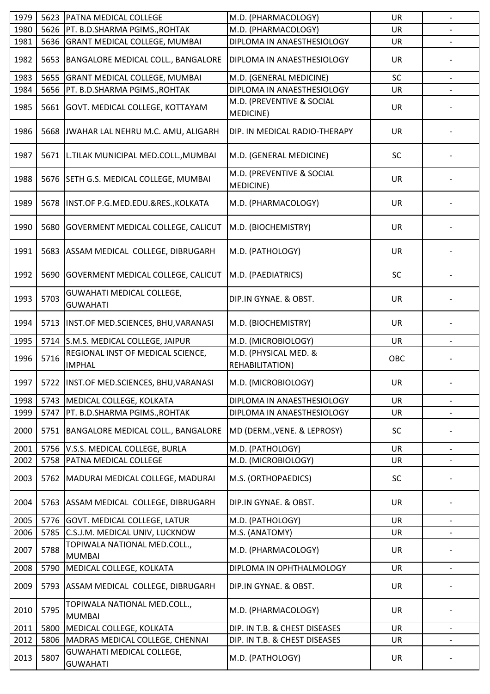| 1979 | 5623 | PATNA MEDICAL COLLEGE                               | M.D. (PHARMACOLOGY)                             | <b>UR</b> | $\frac{1}{2}$            |
|------|------|-----------------------------------------------------|-------------------------------------------------|-----------|--------------------------|
| 1980 | 5626 | PT. B.D.SHARMA PGIMS., ROHTAK                       | M.D. (PHARMACOLOGY)                             | <b>UR</b> |                          |
| 1981 | 5636 | <b>GRANT MEDICAL COLLEGE, MUMBAI</b>                | DIPLOMA IN ANAESTHESIOLOGY                      | UR        |                          |
| 1982 | 5653 | BANGALORE MEDICAL COLL., BANGALORE                  | <b>DIPLOMA IN ANAESTHESIOLOGY</b>               | <b>UR</b> |                          |
| 1983 | 5655 | <b>GRANT MEDICAL COLLEGE, MUMBAI</b>                | M.D. (GENERAL MEDICINE)                         | SC        |                          |
| 1984 | 5656 | PT. B.D.SHARMA PGIMS., ROHTAK                       | DIPLOMA IN ANAESTHESIOLOGY                      | UR        |                          |
| 1985 | 5661 | GOVT. MEDICAL COLLEGE, KOTTAYAM                     | M.D. (PREVENTIVE & SOCIAL<br>MEDICINE)          | <b>UR</b> |                          |
| 1986 | 5668 | JWAHAR LAL NEHRU M.C. AMU, ALIGARH                  | DIP. IN MEDICAL RADIO-THERAPY                   | <b>UR</b> |                          |
| 1987 | 5671 | L.TILAK MUNICIPAL MED.COLL., MUMBAI                 | M.D. (GENERAL MEDICINE)                         | <b>SC</b> |                          |
| 1988 | 5676 | SETH G.S. MEDICAL COLLEGE, MUMBAI                   | M.D. (PREVENTIVE & SOCIAL<br>MEDICINE)          | <b>UR</b> |                          |
| 1989 | 5678 | INST.OF P.G.MED.EDU.&RES., KOLKATA                  | M.D. (PHARMACOLOGY)                             | <b>UR</b> |                          |
| 1990 | 5680 | <b>GOVERMENT MEDICAL COLLEGE, CALICUT</b>           | M.D. (BIOCHEMISTRY)                             | <b>UR</b> |                          |
| 1991 | 5683 | ASSAM MEDICAL COLLEGE, DIBRUGARH                    | M.D. (PATHOLOGY)                                | <b>UR</b> |                          |
| 1992 | 5690 | GOVERMENT MEDICAL COLLEGE, CALICUT                  | M.D. (PAEDIATRICS)                              | SC        |                          |
| 1993 | 5703 | <b>GUWAHATI MEDICAL COLLEGE,</b><br><b>GUWAHATI</b> | DIP.IN GYNAE. & OBST.                           | UR        |                          |
| 1994 | 5713 | INST.OF MED.SCIENCES, BHU, VARANASI                 | M.D. (BIOCHEMISTRY)                             | <b>UR</b> |                          |
| 1995 | 5714 | S.M.S. MEDICAL COLLEGE, JAIPUR                      | M.D. (MICROBIOLOGY)                             | UR        |                          |
| 1996 | 5716 | REGIONAL INST OF MEDICAL SCIENCE,<br><b>IMPHAL</b>  | M.D. (PHYSICAL MED. &<br><b>REHABILITATION)</b> | OBC       |                          |
| 1997 |      | 5722 IINST.OF MED.SCIENCES, BHU, VARANASI           | M.D. (MICROBIOLOGY)                             | UR        |                          |
| 1998 | 5743 | MEDICAL COLLEGE, KOLKATA                            | DIPLOMA IN ANAESTHESIOLOGY                      | <b>UR</b> |                          |
| 1999 | 5747 | PT. B.D.SHARMA PGIMS., ROHTAK                       | DIPLOMA IN ANAESTHESIOLOGY                      | UR        | $\overline{\phantom{a}}$ |
| 2000 | 5751 | BANGALORE MEDICAL COLL., BANGALORE                  | MD (DERM., VENE. & LEPROSY)                     | SC        |                          |
| 2001 | 5756 | V.S.S. MEDICAL COLLEGE, BURLA                       | M.D. (PATHOLOGY)                                | <b>UR</b> |                          |
| 2002 | 5758 | PATNA MEDICAL COLLEGE                               | M.D. (MICROBIOLOGY)                             | UR        |                          |
| 2003 | 5762 | MADURAI MEDICAL COLLEGE, MADURAI                    | M.S. (ORTHOPAEDICS)                             | SC        |                          |
| 2004 | 5763 | ASSAM MEDICAL COLLEGE, DIBRUGARH                    | DIP.IN GYNAE. & OBST.                           | <b>UR</b> |                          |
| 2005 | 5776 | GOVT. MEDICAL COLLEGE, LATUR                        | M.D. (PATHOLOGY)                                | <b>UR</b> |                          |
| 2006 | 5785 | C.S.J.M. MEDICAL UNIV, LUCKNOW                      | M.S. (ANATOMY)                                  | <b>UR</b> |                          |
| 2007 | 5788 | TOPIWALA NATIONAL MED.COLL.,<br><b>MUMBAI</b>       | M.D. (PHARMACOLOGY)                             | UR        |                          |
| 2008 | 5790 | MEDICAL COLLEGE, KOLKATA                            | DIPLOMA IN OPHTHALMOLOGY                        | <b>UR</b> |                          |
| 2009 | 5793 | ASSAM MEDICAL COLLEGE, DIBRUGARH                    | DIP.IN GYNAE. & OBST.                           | <b>UR</b> |                          |
| 2010 | 5795 | TOPIWALA NATIONAL MED.COLL.,<br><b>MUMBAI</b>       | M.D. (PHARMACOLOGY)                             | UR        |                          |
| 2011 | 5800 | MEDICAL COLLEGE, KOLKATA                            | DIP. IN T.B. & CHEST DISEASES                   | <b>UR</b> |                          |
| 2012 | 5806 | MADRAS MEDICAL COLLEGE, CHENNAI                     | DIP. IN T.B. & CHEST DISEASES                   | UR        | $\overline{\phantom{a}}$ |
| 2013 | 5807 | <b>GUWAHATI MEDICAL COLLEGE,</b><br><b>GUWAHATI</b> | M.D. (PATHOLOGY)                                | <b>UR</b> |                          |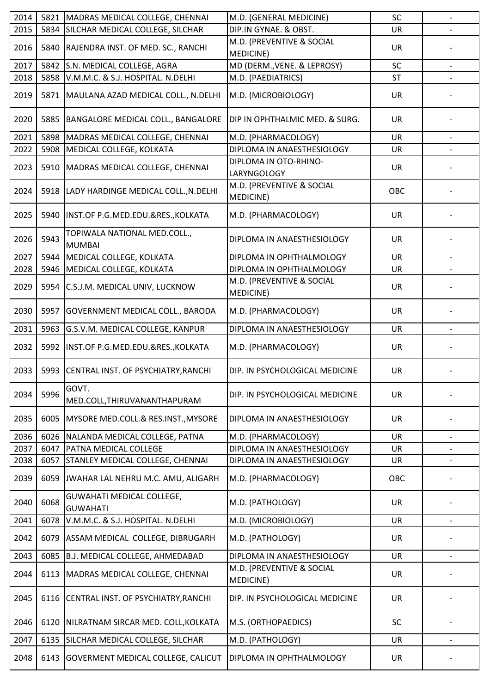| 2014 | 5821 | MADRAS MEDICAL COLLEGE, CHENNAI                     | M.D. (GENERAL MEDICINE)                       | SC        | $\blacksquare$           |
|------|------|-----------------------------------------------------|-----------------------------------------------|-----------|--------------------------|
| 2015 | 5834 | SILCHAR MEDICAL COLLEGE, SILCHAR                    | DIP.IN GYNAE. & OBST.                         | <b>UR</b> |                          |
| 2016 | 5840 | RAJENDRA INST. OF MED. SC., RANCHI                  | M.D. (PREVENTIVE & SOCIAL<br>MEDICINE)        | <b>UR</b> |                          |
| 2017 | 5842 | S.N. MEDICAL COLLEGE, AGRA                          | MD (DERM., VENE. & LEPROSY)                   | SC        |                          |
| 2018 | 5858 | V.M.M.C. & S.J. HOSPITAL. N.DELHI                   | M.D. (PAEDIATRICS)                            | <b>ST</b> |                          |
| 2019 |      | 5871   MAULANA AZAD MEDICAL COLL., N.DELHI          | M.D. (MICROBIOLOGY)                           | <b>UR</b> |                          |
| 2020 | 5885 | <b>BANGALORE MEDICAL COLL., BANGALORE</b>           | DIP IN OPHTHALMIC MED. & SURG.                | <b>UR</b> |                          |
| 2021 |      | 5898 MADRAS MEDICAL COLLEGE, CHENNAI                | M.D. (PHARMACOLOGY)                           | <b>UR</b> |                          |
| 2022 | 5908 | MEDICAL COLLEGE, KOLKATA                            | DIPLOMA IN ANAESTHESIOLOGY                    | <b>UR</b> |                          |
| 2023 |      | 5910   MADRAS MEDICAL COLLEGE, CHENNAI              | DIPLOMA IN OTO-RHINO-<br>LARYNGOLOGY          | <b>UR</b> |                          |
| 2024 | 5918 | LADY HARDINGE MEDICAL COLL., N.DELHI                | M.D. (PREVENTIVE & SOCIAL<br><b>MEDICINE)</b> | OBC       |                          |
| 2025 |      | 5940   INST.OF P.G.MED.EDU.&RES., KOLKATA           | M.D. (PHARMACOLOGY)                           | <b>UR</b> |                          |
| 2026 | 5943 | TOPIWALA NATIONAL MED.COLL.,<br><b>MUMBAI</b>       | DIPLOMA IN ANAESTHESIOLOGY                    | <b>UR</b> |                          |
| 2027 | 5944 | MEDICAL COLLEGE, KOLKATA                            | DIPLOMA IN OPHTHALMOLOGY                      | <b>UR</b> |                          |
| 2028 | 5946 | MEDICAL COLLEGE, KOLKATA                            | DIPLOMA IN OPHTHALMOLOGY                      | UR        |                          |
| 2029 | 5954 | C.S.J.M. MEDICAL UNIV, LUCKNOW                      | M.D. (PREVENTIVE & SOCIAL<br>MEDICINE)        | <b>UR</b> |                          |
| 2030 | 5957 | <b>GOVERNMENT MEDICAL COLL., BARODA</b>             | M.D. (PHARMACOLOGY)                           | <b>UR</b> |                          |
| 2031 | 5963 | G.S.V.M. MEDICAL COLLEGE, KANPUR                    | DIPLOMA IN ANAESTHESIOLOGY                    | <b>UR</b> |                          |
| 2032 | 5992 | INST.OF P.G.MED.EDU.&RES., KOLKATA                  | M.D. (PHARMACOLOGY)                           | <b>UR</b> |                          |
| 2033 |      | 5993 CENTRAL INST. OF PSYCHIATRY, RANCHI            | DIP. IN PSYCHOLOGICAL MEDICINE                | <b>UR</b> |                          |
| 2034 | 5996 | GOVT.<br>MED.COLL, THIRUVANANTHAPURAM               | DIP. IN PSYCHOLOGICAL MEDICINE                | <b>UR</b> |                          |
| 2035 | 6005 | MYSORE MED.COLL.& RES.INST., MYSORE                 | DIPLOMA IN ANAESTHESIOLOGY                    | <b>UR</b> |                          |
| 2036 | 6026 | NALANDA MEDICAL COLLEGE, PATNA                      | M.D. (PHARMACOLOGY)                           | <b>UR</b> | $\overline{\phantom{a}}$ |
| 2037 | 6047 | <b>PATNA MEDICAL COLLEGE</b>                        | DIPLOMA IN ANAESTHESIOLOGY                    | <b>UR</b> |                          |
| 2038 | 6057 | <b>STANLEY MEDICAL COLLEGE, CHENNAI</b>             | DIPLOMA IN ANAESTHESIOLOGY                    | UR        |                          |
| 2039 | 6059 | JWAHAR LAL NEHRU M.C. AMU, ALIGARH                  | M.D. (PHARMACOLOGY)                           | OBC       |                          |
| 2040 | 6068 | <b>GUWAHATI MEDICAL COLLEGE,</b><br><b>GUWAHATI</b> | M.D. (PATHOLOGY)                              | <b>UR</b> |                          |
| 2041 | 6078 | V.M.M.C. & S.J. HOSPITAL. N.DELHI                   | M.D. (MICROBIOLOGY)                           | <b>UR</b> |                          |
| 2042 | 6079 | ASSAM MEDICAL COLLEGE, DIBRUGARH                    | M.D. (PATHOLOGY)                              | <b>UR</b> |                          |
| 2043 | 6085 | B.J. MEDICAL COLLEGE, AHMEDABAD                     | DIPLOMA IN ANAESTHESIOLOGY                    | <b>UR</b> | $\overline{\phantom{a}}$ |
| 2044 | 6113 | MADRAS MEDICAL COLLEGE, CHENNAI                     | M.D. (PREVENTIVE & SOCIAL<br>MEDICINE)        | UR        |                          |
| 2045 | 6116 | CENTRAL INST. OF PSYCHIATRY, RANCHI                 | DIP. IN PSYCHOLOGICAL MEDICINE                | <b>UR</b> |                          |
| 2046 | 6120 | NILRATNAM SIRCAR MED. COLL, KOLKATA                 | M.S. (ORTHOPAEDICS)                           | SC        |                          |
| 2047 | 6135 | SILCHAR MEDICAL COLLEGE, SILCHAR                    | M.D. (PATHOLOGY)                              | UR        | $\overline{\phantom{a}}$ |
| 2048 | 6143 | <b>GOVERMENT MEDICAL COLLEGE, CALICUT</b>           | DIPLOMA IN OPHTHALMOLOGY                      | UR        |                          |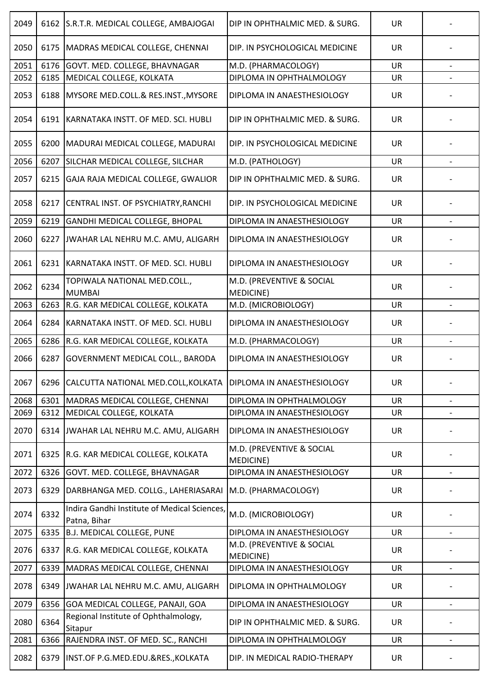| 2049 | 6162 | S.R.T.R. MEDICAL COLLEGE, AMBAJOGAI                          | DIP IN OPHTHALMIC MED. & SURG.         | <b>UR</b> |                          |
|------|------|--------------------------------------------------------------|----------------------------------------|-----------|--------------------------|
| 2050 | 6175 | MADRAS MEDICAL COLLEGE, CHENNAI                              | DIP. IN PSYCHOLOGICAL MEDICINE         | <b>UR</b> |                          |
| 2051 | 6176 | GOVT. MED. COLLEGE, BHAVNAGAR                                | M.D. (PHARMACOLOGY)                    | <b>UR</b> |                          |
| 2052 | 6185 | MEDICAL COLLEGE, KOLKATA                                     | DIPLOMA IN OPHTHALMOLOGY               | <b>UR</b> |                          |
| 2053 | 6188 | MYSORE MED.COLL.& RES.INST., MYSORE                          | DIPLOMA IN ANAESTHESIOLOGY             | <b>UR</b> |                          |
| 2054 | 6191 | KARNATAKA INSTT. OF MED. SCI. HUBLI                          | DIP IN OPHTHALMIC MED. & SURG.         | <b>UR</b> |                          |
| 2055 | 6200 | MADURAI MEDICAL COLLEGE, MADURAI                             | DIP. IN PSYCHOLOGICAL MEDICINE         | UR        |                          |
| 2056 | 6207 | SILCHAR MEDICAL COLLEGE, SILCHAR                             | M.D. (PATHOLOGY)                       | <b>UR</b> | $\blacksquare$           |
| 2057 | 6215 | GAJA RAJA MEDICAL COLLEGE, GWALIOR                           | DIP IN OPHTHALMIC MED. & SURG.         | <b>UR</b> |                          |
| 2058 | 6217 | CENTRAL INST. OF PSYCHIATRY, RANCHI                          | DIP. IN PSYCHOLOGICAL MEDICINE         | UR        |                          |
| 2059 | 6219 | GANDHI MEDICAL COLLEGE, BHOPAL                               | DIPLOMA IN ANAESTHESIOLOGY             | <b>UR</b> |                          |
| 2060 | 6227 | JWAHAR LAL NEHRU M.C. AMU, ALIGARH                           | DIPLOMA IN ANAESTHESIOLOGY             | <b>UR</b> |                          |
| 2061 | 6231 | KARNATAKA INSTT. OF MED. SCI. HUBLI                          | DIPLOMA IN ANAESTHESIOLOGY             | <b>UR</b> |                          |
| 2062 | 6234 | TOPIWALA NATIONAL MED.COLL.,<br><b>MUMBAI</b>                | M.D. (PREVENTIVE & SOCIAL<br>MEDICINE) | <b>UR</b> |                          |
| 2063 | 6263 | R.G. KAR MEDICAL COLLEGE, KOLKATA                            | M.D. (MICROBIOLOGY)                    | <b>UR</b> |                          |
| 2064 | 6284 | KARNATAKA INSTT. OF MED. SCI. HUBLI                          | DIPLOMA IN ANAESTHESIOLOGY             | <b>UR</b> |                          |
| 2065 | 6286 | R.G. KAR MEDICAL COLLEGE, KOLKATA                            | M.D. (PHARMACOLOGY)                    | <b>UR</b> |                          |
| 2066 | 6287 | <b>GOVERNMENT MEDICAL COLL., BARODA</b>                      | DIPLOMA IN ANAESTHESIOLOGY             | UR        |                          |
| 2067 |      | 6296 ICALCUTTA NATIONAL MED.COLL, KOLKATA                    | DIPLOMA IN ANAESTHESIOLOGY             | UR        | $\overline{\phantom{a}}$ |
| 2068 | 6301 | MADRAS MEDICAL COLLEGE, CHENNAI                              | DIPLOMA IN OPHTHALMOLOGY               | <b>UR</b> |                          |
| 2069 | 6312 | MEDICAL COLLEGE, KOLKATA                                     | DIPLOMA IN ANAESTHESIOLOGY             | UR        |                          |
| 2070 | 6314 | JWAHAR LAL NEHRU M.C. AMU, ALIGARH                           | DIPLOMA IN ANAESTHESIOLOGY             | <b>UR</b> |                          |
| 2071 | 6325 | R.G. KAR MEDICAL COLLEGE, KOLKATA                            | M.D. (PREVENTIVE & SOCIAL<br>MEDICINE) | <b>UR</b> |                          |
| 2072 | 6326 | GOVT. MED. COLLEGE, BHAVNAGAR                                | DIPLOMA IN ANAESTHESIOLOGY             | <b>UR</b> | $\overline{\phantom{a}}$ |
| 2073 | 6329 | DARBHANGA MED. COLLG., LAHERIASARAI                          | M.D. (PHARMACOLOGY)                    | <b>UR</b> |                          |
| 2074 | 6332 | Indira Gandhi Institute of Medical Sciences,<br>Patna, Bihar | M.D. (MICROBIOLOGY)                    | UR        |                          |
| 2075 | 6335 | <b>B.J. MEDICAL COLLEGE, PUNE</b>                            | DIPLOMA IN ANAESTHESIOLOGY             | <b>UR</b> | $\overline{\phantom{a}}$ |
| 2076 | 6337 | R.G. KAR MEDICAL COLLEGE, KOLKATA                            | M.D. (PREVENTIVE & SOCIAL<br>MEDICINE) | <b>UR</b> |                          |
| 2077 | 6339 | MADRAS MEDICAL COLLEGE, CHENNAI                              | DIPLOMA IN ANAESTHESIOLOGY             | <b>UR</b> |                          |
| 2078 | 6349 | JWAHAR LAL NEHRU M.C. AMU, ALIGARH                           | DIPLOMA IN OPHTHALMOLOGY               | <b>UR</b> |                          |
| 2079 | 6356 | GOA MEDICAL COLLEGE, PANAJI, GOA                             | DIPLOMA IN ANAESTHESIOLOGY             | UR        |                          |
| 2080 | 6364 | Regional Institute of Ophthalmology,<br>Sitapur              | DIP IN OPHTHALMIC MED. & SURG.         | <b>UR</b> |                          |
| 2081 | 6366 | RAJENDRA INST. OF MED. SC., RANCHI                           | DIPLOMA IN OPHTHALMOLOGY               | UR        | $\overline{\phantom{a}}$ |
| 2082 | 6379 | INST.OF P.G.MED.EDU.&RES., KOLKATA                           | DIP. IN MEDICAL RADIO-THERAPY          | <b>UR</b> |                          |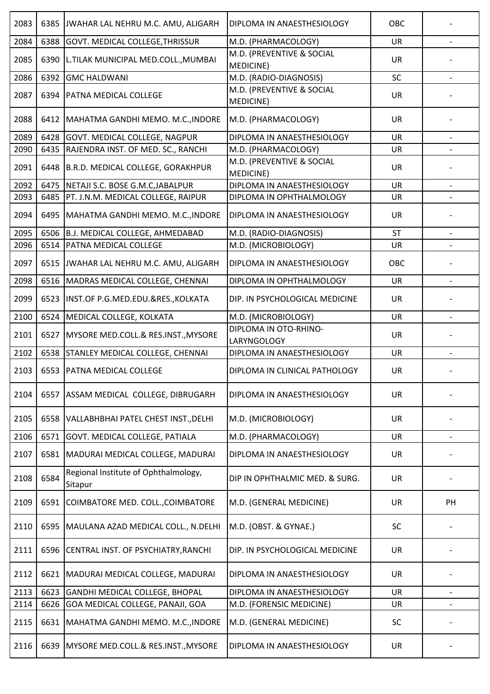| 2083 | 6385 | JWAHAR LAL NEHRU M.C. AMU, ALIGARH              | DIPLOMA IN ANAESTHESIOLOGY             | OBC       |                          |
|------|------|-------------------------------------------------|----------------------------------------|-----------|--------------------------|
| 2084 | 6388 | GOVT. MEDICAL COLLEGE, THRISSUR                 | M.D. (PHARMACOLOGY)                    | <b>UR</b> |                          |
| 2085 | 6390 | L.TILAK MUNICIPAL MED.COLL., MUMBAI             | M.D. (PREVENTIVE & SOCIAL<br>MEDICINE) | <b>UR</b> |                          |
| 2086 | 6392 | <b>GMC HALDWANI</b>                             | M.D. (RADIO-DIAGNOSIS)                 | SC        | $\overline{\phantom{a}}$ |
| 2087 | 6394 | <b>PATNA MEDICAL COLLEGE</b>                    | M.D. (PREVENTIVE & SOCIAL<br>MEDICINE) | <b>UR</b> |                          |
| 2088 | 6412 | MAHATMA GANDHI MEMO. M.C., INDORE               | M.D. (PHARMACOLOGY)                    | <b>UR</b> |                          |
| 2089 | 6428 | GOVT. MEDICAL COLLEGE, NAGPUR                   | DIPLOMA IN ANAESTHESIOLOGY             | <b>UR</b> | $\overline{\phantom{a}}$ |
| 2090 | 6435 | RAJENDRA INST. OF MED. SC., RANCHI              | M.D. (PHARMACOLOGY)                    | <b>UR</b> |                          |
| 2091 | 6448 | B.R.D. MEDICAL COLLEGE, GORAKHPUR               | M.D. (PREVENTIVE & SOCIAL<br>MEDICINE) | <b>UR</b> |                          |
| 2092 | 6475 | NETAJI S.C. BOSE G.M.C, JABALPUR                | DIPLOMA IN ANAESTHESIOLOGY             | <b>UR</b> |                          |
| 2093 | 6485 | PT. J.N.M. MEDICAL COLLEGE, RAIPUR              | DIPLOMA IN OPHTHALMOLOGY               | <b>UR</b> |                          |
| 2094 | 6495 | MAHATMA GANDHI MEMO. M.C., INDORE               | DIPLOMA IN ANAESTHESIOLOGY             | <b>UR</b> |                          |
| 2095 | 6506 | <b>B.J. MEDICAL COLLEGE, AHMEDABAD</b>          | M.D. (RADIO-DIAGNOSIS)                 | <b>ST</b> |                          |
| 2096 | 6514 | PATNA MEDICAL COLLEGE                           | M.D. (MICROBIOLOGY)                    | UR        |                          |
| 2097 |      | 6515 JWAHAR LAL NEHRU M.C. AMU, ALIGARH         | DIPLOMA IN ANAESTHESIOLOGY             | OBC       |                          |
| 2098 | 6516 | MADRAS MEDICAL COLLEGE, CHENNAI                 | DIPLOMA IN OPHTHALMOLOGY               | <b>UR</b> | $\overline{\phantom{0}}$ |
| 2099 | 6523 | INST.OF P.G.MED.EDU.&RES., KOLKATA              | DIP. IN PSYCHOLOGICAL MEDICINE         | <b>UR</b> |                          |
| 2100 | 6524 | MEDICAL COLLEGE, KOLKATA                        | M.D. (MICROBIOLOGY)                    | <b>UR</b> |                          |
| 2101 | 6527 | MYSORE MED.COLL.& RES.INST., MYSORE             | DIPLOMA IN OTO-RHINO-<br>LARYNGOLOGY   | <b>UR</b> |                          |
| 2102 | 6538 | STANLEY MEDICAL COLLEGE, CHENNAI                | DIPLOMA IN ANAESTHESIOLOGY             | <b>UR</b> |                          |
| 2103 |      | 6553 PATNA MEDICAL COLLEGE                      | DIPLOMA IN CLINICAL PATHOLOGY          | <b>UR</b> |                          |
| 2104 | 6557 | ASSAM MEDICAL COLLEGE, DIBRUGARH                | DIPLOMA IN ANAESTHESIOLOGY             | <b>UR</b> |                          |
| 2105 | 6558 | VALLABHBHAI PATEL CHEST INST., DELHI            | M.D. (MICROBIOLOGY)                    | <b>UR</b> |                          |
| 2106 | 6571 | GOVT. MEDICAL COLLEGE, PATIALA                  | M.D. (PHARMACOLOGY)                    | <b>UR</b> |                          |
| 2107 | 6581 | MADURAI MEDICAL COLLEGE, MADURAI                | DIPLOMA IN ANAESTHESIOLOGY             | <b>UR</b> |                          |
| 2108 | 6584 | Regional Institute of Ophthalmology,<br>Sitapur | DIP IN OPHTHALMIC MED. & SURG.         | UR        |                          |
| 2109 | 6591 | COIMBATORE MED. COLL., COIMBATORE               | M.D. (GENERAL MEDICINE)                | UR        | PH                       |
| 2110 | 6595 | MAULANA AZAD MEDICAL COLL., N.DELHI             | M.D. (OBST. & GYNAE.)                  | SC        |                          |
| 2111 | 6596 | CENTRAL INST. OF PSYCHIATRY, RANCHI             | DIP. IN PSYCHOLOGICAL MEDICINE         | <b>UR</b> |                          |
| 2112 | 6621 | MADURAI MEDICAL COLLEGE, MADURAI                | DIPLOMA IN ANAESTHESIOLOGY             | UR        |                          |
| 2113 | 6623 | GANDHI MEDICAL COLLEGE, BHOPAL                  | DIPLOMA IN ANAESTHESIOLOGY             | <b>UR</b> | $\blacksquare$           |
| 2114 | 6626 | GOA MEDICAL COLLEGE, PANAJI, GOA                | M.D. (FORENSIC MEDICINE)               | UR        |                          |
| 2115 | 6631 | MAHATMA GANDHI MEMO. M.C., INDORE               | M.D. (GENERAL MEDICINE)                | SC        |                          |
| 2116 | 6639 | MYSORE MED.COLL.& RES.INST., MYSORE             | DIPLOMA IN ANAESTHESIOLOGY             | UR        |                          |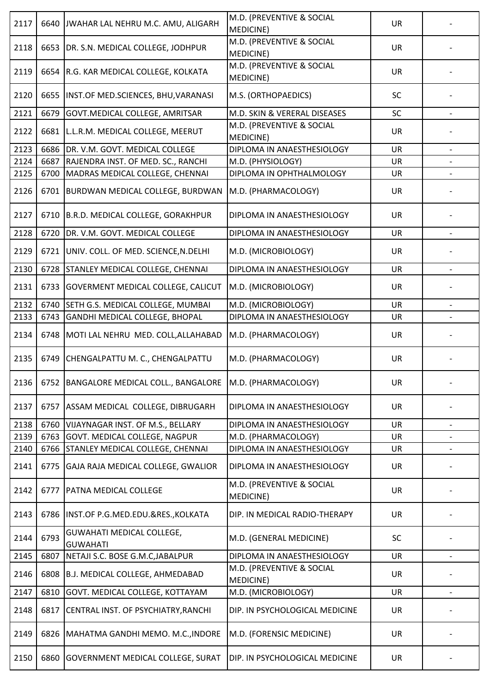| 2117 | 6640 | JWAHAR LAL NEHRU M.C. AMU, ALIGARH                              | M.D. (PREVENTIVE & SOCIAL<br><b>MEDICINE)</b> | <b>UR</b> |                          |
|------|------|-----------------------------------------------------------------|-----------------------------------------------|-----------|--------------------------|
| 2118 |      | 6653   DR. S.N. MEDICAL COLLEGE, JODHPUR                        | M.D. (PREVENTIVE & SOCIAL<br><b>MEDICINE)</b> | <b>UR</b> |                          |
| 2119 | 6654 | R.G. KAR MEDICAL COLLEGE, KOLKATA                               | M.D. (PREVENTIVE & SOCIAL<br><b>MEDICINE)</b> | <b>UR</b> |                          |
| 2120 | 6655 | INST.OF MED.SCIENCES, BHU, VARANASI                             | M.S. (ORTHOPAEDICS)                           | <b>SC</b> |                          |
| 2121 | 6679 | GOVT. MEDICAL COLLEGE, AMRITSAR                                 | M.D. SKIN & VERERAL DISEASES                  | SC        |                          |
| 2122 | 6681 | L.L.R.M. MEDICAL COLLEGE, MEERUT                                | M.D. (PREVENTIVE & SOCIAL<br>MEDICINE)        | <b>UR</b> |                          |
| 2123 | 6686 | DR. V.M. GOVT. MEDICAL COLLEGE                                  | DIPLOMA IN ANAESTHESIOLOGY                    | <b>UR</b> |                          |
| 2124 | 6687 | RAJENDRA INST. OF MED. SC., RANCHI                              | M.D. (PHYSIOLOGY)                             | <b>UR</b> |                          |
| 2125 | 6700 | MADRAS MEDICAL COLLEGE, CHENNAI                                 | DIPLOMA IN OPHTHALMOLOGY                      | UR        |                          |
| 2126 | 6701 | BURDWAN MEDICAL COLLEGE, BURDWAN                                | M.D. (PHARMACOLOGY)                           | <b>UR</b> |                          |
| 2127 | 6710 | B.R.D. MEDICAL COLLEGE, GORAKHPUR                               | DIPLOMA IN ANAESTHESIOLOGY                    | <b>UR</b> |                          |
| 2128 | 6720 | DR. V.M. GOVT. MEDICAL COLLEGE                                  | DIPLOMA IN ANAESTHESIOLOGY                    | UR        |                          |
| 2129 | 6721 | UNIV. COLL. OF MED. SCIENCE, N. DELHI                           | M.D. (MICROBIOLOGY)                           | <b>UR</b> |                          |
| 2130 | 6728 | STANLEY MEDICAL COLLEGE, CHENNAI                                | DIPLOMA IN ANAESTHESIOLOGY                    | UR        | $\overline{\phantom{a}}$ |
| 2131 | 6733 | <b>GOVERMENT MEDICAL COLLEGE, CALICUT</b>                       | M.D. (MICROBIOLOGY)                           | <b>UR</b> |                          |
| 2132 | 6740 | SETH G.S. MEDICAL COLLEGE, MUMBAI                               | M.D. (MICROBIOLOGY)                           | <b>UR</b> |                          |
| 2133 | 6743 | GANDHI MEDICAL COLLEGE, BHOPAL                                  | DIPLOMA IN ANAESTHESIOLOGY                    | UR        |                          |
| 2134 | 6748 | MOTI LAL NEHRU MED. COLL, ALLAHABAD                             | M.D. (PHARMACOLOGY)                           | <b>UR</b> |                          |
| 2135 | 6749 | CHENGALPATTU M. C., CHENGALPATTU                                | M.D. (PHARMACOLOGY)                           | <b>UR</b> |                          |
| 2136 |      | 6752   BANGALORE MEDICAL COLL., BANGALORE   M.D. (PHARMACOLOGY) |                                               | UR        |                          |
| 2137 | 6757 | ASSAM MEDICAL COLLEGE, DIBRUGARH                                | DIPLOMA IN ANAESTHESIOLOGY                    | UR        |                          |
| 2138 | 6760 | VIJAYNAGAR INST. OF M.S., BELLARY                               | DIPLOMA IN ANAESTHESIOLOGY                    | <b>UR</b> |                          |
| 2139 | 6763 | GOVT. MEDICAL COLLEGE, NAGPUR                                   | M.D. (PHARMACOLOGY)                           | <b>UR</b> |                          |
| 2140 | 6766 | STANLEY MEDICAL COLLEGE, CHENNAI                                | DIPLOMA IN ANAESTHESIOLOGY                    | <b>UR</b> |                          |
| 2141 | 6775 | GAJA RAJA MEDICAL COLLEGE, GWALIOR                              | DIPLOMA IN ANAESTHESIOLOGY                    | <b>UR</b> |                          |
| 2142 | 6777 | <b>PATNA MEDICAL COLLEGE</b>                                    | M.D. (PREVENTIVE & SOCIAL<br>MEDICINE)        | <b>UR</b> |                          |
| 2143 | 6786 | INST.OF P.G.MED.EDU.&RES., KOLKATA                              | DIP. IN MEDICAL RADIO-THERAPY                 | <b>UR</b> |                          |
| 2144 | 6793 | GUWAHATI MEDICAL COLLEGE,<br><b>GUWAHATI</b>                    | M.D. (GENERAL MEDICINE)                       | SC        |                          |
| 2145 | 6807 | NETAJI S.C. BOSE G.M.C, JABALPUR                                | DIPLOMA IN ANAESTHESIOLOGY                    | <b>UR</b> | $\overline{\phantom{a}}$ |
| 2146 | 6808 | B.J. MEDICAL COLLEGE, AHMEDABAD                                 | M.D. (PREVENTIVE & SOCIAL<br>MEDICINE)        | UR        |                          |
| 2147 | 6810 | GOVT. MEDICAL COLLEGE, KOTTAYAM                                 | M.D. (MICROBIOLOGY)                           | <b>UR</b> |                          |
| 2148 | 6817 | CENTRAL INST. OF PSYCHIATRY, RANCHI                             | DIP. IN PSYCHOLOGICAL MEDICINE                | UR        |                          |
| 2149 | 6826 | MAHATMA GANDHI MEMO. M.C., INDORE                               | M.D. (FORENSIC MEDICINE)                      | UR        |                          |
| 2150 | 6860 | <b>GOVERNMENT MEDICAL COLLEGE, SURAT</b>                        | DIP. IN PSYCHOLOGICAL MEDICINE                | <b>UR</b> |                          |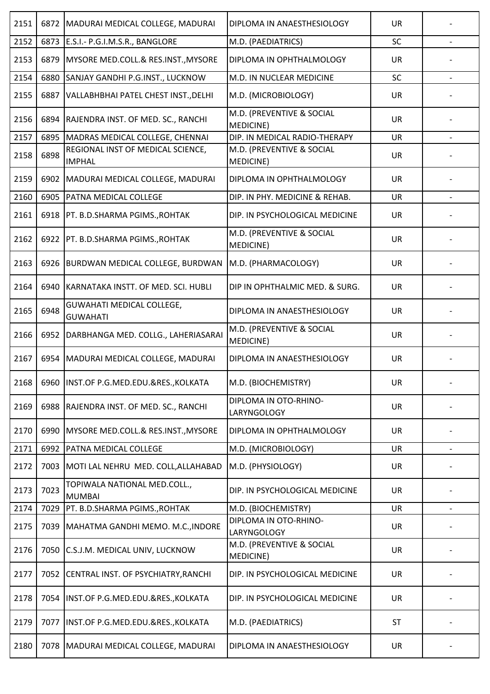| 2151 | 6872 | MADURAI MEDICAL COLLEGE, MADURAI                    | DIPLOMA IN ANAESTHESIOLOGY                    | <b>UR</b> |                          |
|------|------|-----------------------------------------------------|-----------------------------------------------|-----------|--------------------------|
| 2152 | 6873 | E.S.I.- P.G.I.M.S.R., BANGLORE                      | M.D. (PAEDIATRICS)                            | SC        |                          |
| 2153 | 6879 | MYSORE MED.COLL.& RES.INST., MYSORE                 | DIPLOMA IN OPHTHALMOLOGY                      | <b>UR</b> |                          |
| 2154 | 6880 | SANJAY GANDHI P.G.INST., LUCKNOW                    | M.D. IN NUCLEAR MEDICINE                      | SC        | $\overline{\phantom{a}}$ |
| 2155 | 6887 | VALLABHBHAI PATEL CHEST INST., DELHI                | M.D. (MICROBIOLOGY)                           | <b>UR</b> |                          |
| 2156 | 6894 | RAJENDRA INST. OF MED. SC., RANCHI                  | M.D. (PREVENTIVE & SOCIAL<br><b>MEDICINE)</b> | <b>UR</b> |                          |
| 2157 | 6895 | MADRAS MEDICAL COLLEGE, CHENNAI                     | DIP. IN MEDICAL RADIO-THERAPY                 | <b>UR</b> |                          |
| 2158 | 6898 | REGIONAL INST OF MEDICAL SCIENCE,<br><b>IMPHAL</b>  | M.D. (PREVENTIVE & SOCIAL<br><b>MEDICINE)</b> | <b>UR</b> |                          |
| 2159 | 6902 | MADURAI MEDICAL COLLEGE, MADURAI                    | DIPLOMA IN OPHTHALMOLOGY                      | <b>UR</b> |                          |
| 2160 | 6905 | PATNA MEDICAL COLLEGE                               | DIP. IN PHY. MEDICINE & REHAB.                | <b>UR</b> |                          |
| 2161 | 6918 | PT. B.D.SHARMA PGIMS., ROHTAK                       | DIP. IN PSYCHOLOGICAL MEDICINE                | UR        |                          |
| 2162 | 6922 | PT. B.D.SHARMA PGIMS., ROHTAK                       | M.D. (PREVENTIVE & SOCIAL<br><b>MEDICINE)</b> | <b>UR</b> |                          |
| 2163 |      | 6926 BURDWAN MEDICAL COLLEGE, BURDWAN               | M.D. (PHARMACOLOGY)                           | <b>UR</b> |                          |
| 2164 | 6940 | KARNATAKA INSTT. OF MED. SCI. HUBLI                 | DIP IN OPHTHALMIC MED. & SURG.                | <b>UR</b> |                          |
| 2165 | 6948 | <b>GUWAHATI MEDICAL COLLEGE,</b><br><b>GUWAHATI</b> | DIPLOMA IN ANAESTHESIOLOGY                    | <b>UR</b> |                          |
| 2166 | 6952 | DARBHANGA MED. COLLG., LAHERIASARAI                 | M.D. (PREVENTIVE & SOCIAL<br><b>MEDICINE)</b> | <b>UR</b> |                          |
| 2167 | 6954 | MADURAI MEDICAL COLLEGE, MADURAI                    | DIPLOMA IN ANAESTHESIOLOGY                    | UR        |                          |
| 2168 |      | 6960 INST.OF P.G.MED.EDU.&RES., KOLKATA             | M.D. (BIOCHEMISTRY)                           | <b>UR</b> |                          |
| 2169 | 6988 | RAJENDRA INST. OF MED. SC., RANCHI                  | DIPLOMA IN OTO-RHINO-<br>LARYNGOLOGY          | <b>UR</b> |                          |
| 2170 | 6990 | <b>IMYSORE MED.COLL.&amp; RES.INST., MYSORE</b>     | DIPLOMA IN OPHTHALMOLOGY                      | <b>UR</b> |                          |
| 2171 | 6992 | PATNA MEDICAL COLLEGE                               | M.D. (MICROBIOLOGY)                           | <b>UR</b> | $\overline{\phantom{0}}$ |
| 2172 | 7003 | MOTI LAL NEHRU MED. COLL, ALLAHABAD                 | M.D. (PHYSIOLOGY)                             | UR        |                          |
| 2173 | 7023 | TOPIWALA NATIONAL MED.COLL.,<br><b>MUMBAI</b>       | DIP. IN PSYCHOLOGICAL MEDICINE                | <b>UR</b> |                          |
| 2174 | 7029 | PT. B.D.SHARMA PGIMS., ROHTAK                       | M.D. (BIOCHEMISTRY)                           | <b>UR</b> |                          |
| 2175 | 7039 | MAHATMA GANDHI MEMO. M.C., INDORE                   | DIPLOMA IN OTO-RHINO-<br>LARYNGOLOGY          | <b>UR</b> |                          |
| 2176 | 7050 | C.S.J.M. MEDICAL UNIV, LUCKNOW                      | M.D. (PREVENTIVE & SOCIAL<br>MEDICINE)        | <b>UR</b> |                          |
| 2177 | 7052 | CENTRAL INST. OF PSYCHIATRY, RANCHI                 | DIP. IN PSYCHOLOGICAL MEDICINE                | <b>UR</b> |                          |
| 2178 | 7054 | INST.OF P.G.MED.EDU.&RES., KOLKATA                  | DIP. IN PSYCHOLOGICAL MEDICINE                | <b>UR</b> |                          |
| 2179 | 7077 | INST.OF P.G.MED.EDU.&RES., KOLKATA                  | M.D. (PAEDIATRICS)                            | <b>ST</b> |                          |
| 2180 | 7078 | MADURAI MEDICAL COLLEGE, MADURAI                    | DIPLOMA IN ANAESTHESIOLOGY                    | UR        |                          |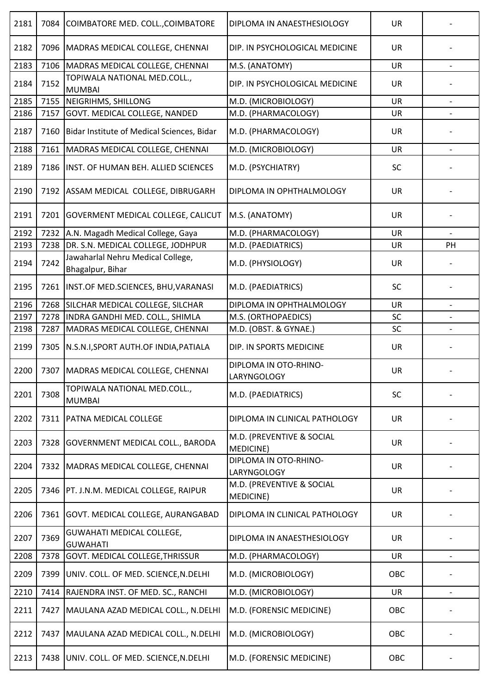| 2181 | 7084 | COIMBATORE MED. COLL., COIMBATORE                     | DIPLOMA IN ANAESTHESIOLOGY                    | <b>UR</b> |                          |
|------|------|-------------------------------------------------------|-----------------------------------------------|-----------|--------------------------|
| 2182 | 7096 | MADRAS MEDICAL COLLEGE, CHENNAI                       | DIP. IN PSYCHOLOGICAL MEDICINE                | <b>UR</b> |                          |
| 2183 | 7106 | MADRAS MEDICAL COLLEGE, CHENNAI                       | M.S. (ANATOMY)                                | <b>UR</b> |                          |
| 2184 | 7152 | TOPIWALA NATIONAL MED.COLL.,<br><b>MUMBAI</b>         | DIP. IN PSYCHOLOGICAL MEDICINE                | <b>UR</b> |                          |
| 2185 | 7155 | NEIGRIHMS, SHILLONG                                   | M.D. (MICROBIOLOGY)                           | <b>UR</b> | $\overline{\phantom{a}}$ |
| 2186 | 7157 | GOVT. MEDICAL COLLEGE, NANDED                         | M.D. (PHARMACOLOGY)                           | UR        |                          |
| 2187 | 7160 | Bidar Institute of Medical Sciences, Bidar            | M.D. (PHARMACOLOGY)                           | <b>UR</b> |                          |
| 2188 | 7161 | MADRAS MEDICAL COLLEGE, CHENNAI                       | M.D. (MICROBIOLOGY)                           | <b>UR</b> |                          |
| 2189 | 7186 | INST. OF HUMAN BEH. ALLIED SCIENCES                   | M.D. (PSYCHIATRY)                             | SC        |                          |
| 2190 | 7192 | ASSAM MEDICAL COLLEGE, DIBRUGARH                      | DIPLOMA IN OPHTHALMOLOGY                      | <b>UR</b> |                          |
| 2191 | 7201 | <b>GOVERMENT MEDICAL COLLEGE, CALICUT</b>             | M.S. (ANATOMY)                                | UR        |                          |
| 2192 | 7232 | A.N. Magadh Medical College, Gaya                     | M.D. (PHARMACOLOGY)                           | UR        |                          |
| 2193 | 7238 | DR. S.N. MEDICAL COLLEGE, JODHPUR                     | M.D. (PAEDIATRICS)                            | <b>UR</b> | PH                       |
| 2194 | 7242 | Jawaharlal Nehru Medical College,<br>Bhagalpur, Bihar | M.D. (PHYSIOLOGY)                             | UR        |                          |
| 2195 |      | 7261   INST.OF MED.SCIENCES, BHU, VARANASI            | M.D. (PAEDIATRICS)                            | SC        |                          |
| 2196 | 7268 | SILCHAR MEDICAL COLLEGE, SILCHAR                      | DIPLOMA IN OPHTHALMOLOGY                      | <b>UR</b> |                          |
| 2197 | 7278 | INDRA GANDHI MED. COLL., SHIMLA                       | M.S. (ORTHOPAEDICS)                           | SC        |                          |
| 2198 | 7287 | MADRAS MEDICAL COLLEGE, CHENNAI                       | M.D. (OBST. & GYNAE.)                         | SC        |                          |
| 2199 | 7305 | N.S.N.I, SPORT AUTH.OF INDIA, PATIALA                 | DIP. IN SPORTS MEDICINE                       | <b>UR</b> |                          |
| 2200 | 7307 | MADRAS MEDICAL COLLEGE, CHENNAI                       | DIPLOMA IN OTO-RHINO-<br>LARYNGOLOGY          | UR        |                          |
| 2201 | 7308 | TOPIWALA NATIONAL MED.COLL.,<br><b>MUMBAI</b>         | M.D. (PAEDIATRICS)                            | <b>SC</b> |                          |
| 2202 | 7311 | <b>PATNA MEDICAL COLLEGE</b>                          | DIPLOMA IN CLINICAL PATHOLOGY                 | <b>UR</b> |                          |
| 2203 | 7328 | <b>GOVERNMENT MEDICAL COLL., BARODA</b>               | M.D. (PREVENTIVE & SOCIAL<br><b>MEDICINE)</b> | <b>UR</b> |                          |
| 2204 | 7332 | MADRAS MEDICAL COLLEGE, CHENNAI                       | DIPLOMA IN OTO-RHINO-<br>LARYNGOLOGY          | <b>UR</b> |                          |
| 2205 |      | 7346   PT. J.N.M. MEDICAL COLLEGE, RAIPUR             | M.D. (PREVENTIVE & SOCIAL<br>MEDICINE)        | <b>UR</b> |                          |
| 2206 | 7361 | <b>GOVT. MEDICAL COLLEGE, AURANGABAD</b>              | DIPLOMA IN CLINICAL PATHOLOGY                 | <b>UR</b> |                          |
| 2207 | 7369 | <b>GUWAHATI MEDICAL COLLEGE,</b><br><b>GUWAHATI</b>   | DIPLOMA IN ANAESTHESIOLOGY                    | <b>UR</b> |                          |
| 2208 | 7378 | GOVT. MEDICAL COLLEGE, THRISSUR                       | M.D. (PHARMACOLOGY)                           | UR        | $\overline{\phantom{a}}$ |
| 2209 | 7399 | UNIV. COLL. OF MED. SCIENCE, N. DELHI                 | M.D. (MICROBIOLOGY)                           | OBC       |                          |
| 2210 | 7414 | RAJENDRA INST. OF MED. SC., RANCHI                    | M.D. (MICROBIOLOGY)                           | <b>UR</b> | $\overline{\phantom{a}}$ |
| 2211 | 7427 | MAULANA AZAD MEDICAL COLL., N.DELHI                   | M.D. (FORENSIC MEDICINE)                      | OBC       |                          |
| 2212 | 7437 | MAULANA AZAD MEDICAL COLL., N.DELHI                   | M.D. (MICROBIOLOGY)                           | OBC       |                          |
| 2213 |      | 7438 UNIV. COLL. OF MED. SCIENCE, N.DELHI             | M.D. (FORENSIC MEDICINE)                      | OBC       |                          |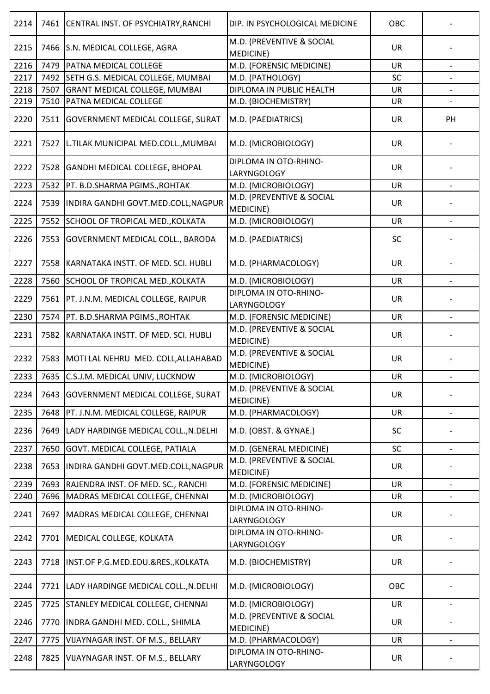| 2214 | 7461 | CENTRAL INST. OF PSYCHIATRY, RANCHI       | DIP. IN PSYCHOLOGICAL MEDICINE                 | OBC       |                          |
|------|------|-------------------------------------------|------------------------------------------------|-----------|--------------------------|
| 2215 |      | 7466 S.N. MEDICAL COLLEGE, AGRA           | M.D. (PREVENTIVE & SOCIAL<br>MEDICINE)         | <b>UR</b> |                          |
| 2216 | 7479 | PATNA MEDICAL COLLEGE                     | M.D. (FORENSIC MEDICINE)                       | <b>UR</b> |                          |
| 2217 | 7492 | SETH G.S. MEDICAL COLLEGE, MUMBAI         | M.D. (PATHOLOGY)                               | SC        |                          |
| 2218 | 7507 | <b>GRANT MEDICAL COLLEGE, MUMBAI</b>      | DIPLOMA IN PUBLIC HEALTH                       | UR        |                          |
| 2219 | 7510 | PATNA MEDICAL COLLEGE                     | M.D. (BIOCHEMISTRY)                            | UR        | $\overline{\phantom{0}}$ |
| 2220 |      | 7511 GOVERNMENT MEDICAL COLLEGE, SURAT    | M.D. (PAEDIATRICS)                             | <b>UR</b> | PH                       |
| 2221 | 7527 | L.TILAK MUNICIPAL MED.COLL., MUMBAI       | M.D. (MICROBIOLOGY)                            | <b>UR</b> |                          |
| 2222 | 7528 | <b>GANDHI MEDICAL COLLEGE, BHOPAL</b>     | DIPLOMA IN OTO-RHINO-<br>LARYNGOLOGY           | <b>UR</b> |                          |
| 2223 | 7532 | PT. B.D.SHARMA PGIMS., ROHTAK             | M.D. (MICROBIOLOGY)                            | <b>UR</b> |                          |
| 2224 |      | 7539  INDIRA GANDHI GOVT.MED.COLL, NAGPUR | M.D. (PREVENTIVE & SOCIAL<br><b>MEDICINE)</b>  | <b>UR</b> |                          |
| 2225 | 7552 | SCHOOL OF TROPICAL MED., KOLKATA          | M.D. (MICROBIOLOGY)                            | <b>UR</b> |                          |
| 2226 | 7553 | GOVERNMENT MEDICAL COLL., BARODA          | M.D. (PAEDIATRICS)                             | SC        |                          |
| 2227 | 7558 | KARNATAKA INSTT. OF MED. SCI. HUBLI       | M.D. (PHARMACOLOGY)                            | <b>UR</b> |                          |
| 2228 | 7560 | SCHOOL OF TROPICAL MED., KOLKATA          | M.D. (MICROBIOLOGY)                            | <b>UR</b> |                          |
| 2229 | 7561 | PT. J.N.M. MEDICAL COLLEGE, RAIPUR        | DIPLOMA IN OTO-RHINO-<br>LARYNGOLOGY           | <b>UR</b> |                          |
| 2230 | 7574 | PT. B.D.SHARMA PGIMS., ROHTAK             | M.D. (FORENSIC MEDICINE)                       | <b>UR</b> |                          |
| 2231 | 7582 | KARNATAKA INSTT. OF MED. SCI. HUBLI       | M.D. (PREVENTIVE & SOCIAL<br><b>MEDICINE)</b>  | <b>UR</b> |                          |
| 2232 | 7583 | MOTI LAL NEHRU MED. COLL, ALLAHABAD       | M.D. (PREVENTIVE & SOCIAL<br><b>MEDICINE</b> ) | UR        |                          |
| 2233 |      | 7635 C.S.J.M. MEDICAL UNIV, LUCKNOW       | M.D. (MICROBIOLOGY)                            | <b>UR</b> |                          |
| 2234 | 7643 | <b>GOVERNMENT MEDICAL COLLEGE, SURAT</b>  | M.D. (PREVENTIVE & SOCIAL<br><b>MEDICINE)</b>  | <b>UR</b> |                          |
| 2235 | 7648 | PT. J.N.M. MEDICAL COLLEGE, RAIPUR        | M.D. (PHARMACOLOGY)                            | UR        |                          |
| 2236 | 7649 | LADY HARDINGE MEDICAL COLL., N.DELHI      | M.D. (OBST. & GYNAE.)                          | SC        |                          |
| 2237 | 7650 | GOVT. MEDICAL COLLEGE, PATIALA            | M.D. (GENERAL MEDICINE)                        | SC        | $\overline{\phantom{0}}$ |
| 2238 | 7653 | INDIRA GANDHI GOVT.MED.COLL, NAGPUR       | M.D. (PREVENTIVE & SOCIAL<br>MEDICINE)         | <b>UR</b> |                          |
| 2239 | 7693 | RAJENDRA INST. OF MED. SC., RANCHI        | M.D. (FORENSIC MEDICINE)                       | <b>UR</b> |                          |
| 2240 | 7696 | MADRAS MEDICAL COLLEGE, CHENNAI           | M.D. (MICROBIOLOGY)                            | UR        |                          |
| 2241 | 7697 | MADRAS MEDICAL COLLEGE, CHENNAI           | DIPLOMA IN OTO-RHINO-<br>LARYNGOLOGY           | <b>UR</b> |                          |
| 2242 |      | 7701   MEDICAL COLLEGE, KOLKATA           | DIPLOMA IN OTO-RHINO-<br>LARYNGOLOGY           | <b>UR</b> |                          |
| 2243 | 7718 | INST.OF P.G.MED.EDU.&RES., KOLKATA        | M.D. (BIOCHEMISTRY)                            | <b>UR</b> |                          |
| 2244 | 7721 | LADY HARDINGE MEDICAL COLL., N. DELHI     | M.D. (MICROBIOLOGY)                            | OBC       |                          |
| 2245 | 7725 | STANLEY MEDICAL COLLEGE, CHENNAI          | M.D. (MICROBIOLOGY)                            | UR        |                          |
| 2246 | 7770 | INDRA GANDHI MED. COLL., SHIMLA           | M.D. (PREVENTIVE & SOCIAL<br>MEDICINE)         | <b>UR</b> |                          |
| 2247 | 7775 | VIJAYNAGAR INST. OF M.S., BELLARY         | M.D. (PHARMACOLOGY)                            | UR        | $\overline{\phantom{a}}$ |
| 2248 | 7825 | VIJAYNAGAR INST. OF M.S., BELLARY         | DIPLOMA IN OTO-RHINO-<br>LARYNGOLOGY           | <b>UR</b> |                          |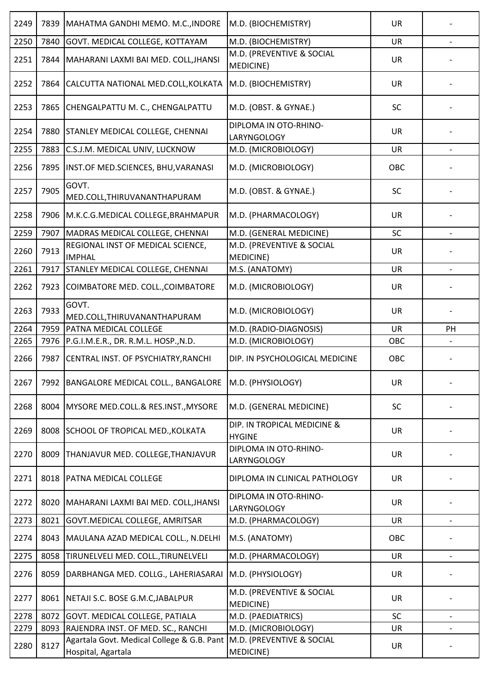| 2249 | 7839 | MAHATMA GANDHI MEMO. M.C., INDORE                                | M.D. (BIOCHEMISTRY)                          | <b>UR</b> |                          |
|------|------|------------------------------------------------------------------|----------------------------------------------|-----------|--------------------------|
| 2250 | 7840 | GOVT. MEDICAL COLLEGE, KOTTAYAM                                  | M.D. (BIOCHEMISTRY)                          | <b>UR</b> |                          |
| 2251 | 7844 | MAHARANI LAXMI BAI MED. COLL, JHANSI                             | M.D. (PREVENTIVE & SOCIAL<br>MEDICINE)       | <b>UR</b> |                          |
| 2252 | 7864 | CALCUTTA NATIONAL MED.COLL, KOLKATA                              | M.D. (BIOCHEMISTRY)                          | <b>UR</b> |                          |
| 2253 | 7865 | CHENGALPATTU M. C., CHENGALPATTU                                 | M.D. (OBST. & GYNAE.)                        | SC        |                          |
| 2254 | 7880 | <b>STANLEY MEDICAL COLLEGE, CHENNAI</b>                          | DIPLOMA IN OTO-RHINO-<br>LARYNGOLOGY         | <b>UR</b> |                          |
| 2255 | 7883 | C.S.J.M. MEDICAL UNIV, LUCKNOW                                   | M.D. (MICROBIOLOGY)                          | <b>UR</b> |                          |
| 2256 | 7895 | INST.OF MED.SCIENCES, BHU, VARANASI                              | M.D. (MICROBIOLOGY)                          | OBC       |                          |
| 2257 | 7905 | GOVT.<br>MED.COLL, THIRUVANANTHAPURAM                            | M.D. (OBST. & GYNAE.)                        | SC        |                          |
| 2258 | 7906 | M.K.C.G.MEDICAL COLLEGE, BRAHMAPUR                               | M.D. (PHARMACOLOGY)                          | <b>UR</b> |                          |
| 2259 | 7907 | MADRAS MEDICAL COLLEGE, CHENNAI                                  | M.D. (GENERAL MEDICINE)                      | SC        |                          |
| 2260 | 7913 | REGIONAL INST OF MEDICAL SCIENCE,<br><b>IMPHAL</b>               | M.D. (PREVENTIVE & SOCIAL<br>MEDICINE)       | <b>UR</b> |                          |
| 2261 | 7917 | STANLEY MEDICAL COLLEGE, CHENNAI                                 | M.S. (ANATOMY)                               | <b>UR</b> |                          |
| 2262 | 7923 | COIMBATORE MED. COLL., COIMBATORE                                | M.D. (MICROBIOLOGY)                          | <b>UR</b> |                          |
| 2263 | 7933 | GOVT.<br>MED.COLL, THIRUVANANTHAPURAM                            | M.D. (MICROBIOLOGY)                          | <b>UR</b> |                          |
| 2264 | 7959 | PATNA MEDICAL COLLEGE                                            | M.D. (RADIO-DIAGNOSIS)                       | <b>UR</b> | PH                       |
| 2265 | 7976 | P.G.I.M.E.R., DR. R.M.L. HOSP., N.D.                             | M.D. (MICROBIOLOGY)                          | OBC       |                          |
| 2266 | 7987 | CENTRAL INST. OF PSYCHIATRY, RANCHI                              | DIP. IN PSYCHOLOGICAL MEDICINE               | OBC       |                          |
| 2267 |      | 7992 BANGALORE MEDICAL COLL., BANGALORE                          | M.D. (PHYSIOLOGY)                            | <b>UR</b> |                          |
| 2268 | 8004 | MYSORE MED.COLL.& RES.INST., MYSORE                              | M.D. (GENERAL MEDICINE)                      | SC        |                          |
| 2269 |      | 8008 SCHOOL OF TROPICAL MED., KOLKATA                            | DIP. IN TROPICAL MEDICINE &<br><b>HYGINE</b> | <b>UR</b> |                          |
| 2270 | 8009 | THANJAVUR MED. COLLEGE, THANJAVUR                                | DIPLOMA IN OTO-RHINO-<br>LARYNGOLOGY         | <b>UR</b> |                          |
| 2271 | 8018 | <b>PATNA MEDICAL COLLEGE</b>                                     | DIPLOMA IN CLINICAL PATHOLOGY                | <b>UR</b> |                          |
| 2272 | 8020 | MAHARANI LAXMI BAI MED. COLL, JHANSI                             | DIPLOMA IN OTO-RHINO-<br>LARYNGOLOGY         | UR        |                          |
| 2273 | 8021 | GOVT. MEDICAL COLLEGE, AMRITSAR                                  | M.D. (PHARMACOLOGY)                          | <b>UR</b> |                          |
| 2274 | 8043 | MAULANA AZAD MEDICAL COLL., N.DELHI                              | M.S. (ANATOMY)                               | OBC       |                          |
| 2275 | 8058 | TIRUNELVELI MED. COLL., TIRUNELVELI                              | M.D. (PHARMACOLOGY)                          | <b>UR</b> | $\overline{\phantom{a}}$ |
| 2276 | 8059 | DARBHANGA MED. COLLG., LAHERIASARAI                              | M.D. (PHYSIOLOGY)                            | <b>UR</b> |                          |
| 2277 | 8061 | NETAJI S.C. BOSE G.M.C, JABALPUR                                 | M.D. (PREVENTIVE & SOCIAL<br>MEDICINE)       | <b>UR</b> |                          |
| 2278 | 8072 | GOVT. MEDICAL COLLEGE, PATIALA                                   | M.D. (PAEDIATRICS)                           | SC        | $\overline{\phantom{a}}$ |
| 2279 | 8093 | RAJENDRA INST. OF MED. SC., RANCHI                               | M.D. (MICROBIOLOGY)                          | UR        |                          |
| 2280 | 8127 | Agartala Govt. Medical College & G.B. Pant<br>Hospital, Agartala | M.D. (PREVENTIVE & SOCIAL<br>MEDICINE)       | UR        |                          |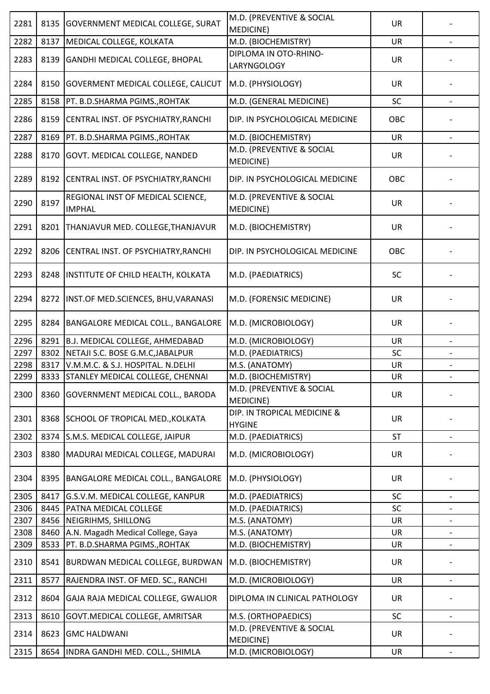| 2281 | 8135 | <b>GOVERNMENT MEDICAL COLLEGE, SURAT</b>           | M.D. (PREVENTIVE & SOCIAL<br>MEDICINE)       | <b>UR</b> |                          |
|------|------|----------------------------------------------------|----------------------------------------------|-----------|--------------------------|
| 2282 | 8137 | MEDICAL COLLEGE, KOLKATA                           | M.D. (BIOCHEMISTRY)                          | UR        |                          |
|      | 8139 |                                                    | DIPLOMA IN OTO-RHINO-                        | <b>UR</b> |                          |
| 2283 |      | GANDHI MEDICAL COLLEGE, BHOPAL                     | LARYNGOLOGY                                  |           |                          |
| 2284 | 8150 | GOVERMENT MEDICAL COLLEGE, CALICUT                 | M.D. (PHYSIOLOGY)                            | UR        |                          |
| 2285 | 8158 | PT. B.D.SHARMA PGIMS., ROHTAK                      | M.D. (GENERAL MEDICINE)                      | SC        |                          |
| 2286 | 8159 | CENTRAL INST. OF PSYCHIATRY, RANCHI                | DIP. IN PSYCHOLOGICAL MEDICINE               | OBC       |                          |
| 2287 | 8169 | PT. B.D.SHARMA PGIMS., ROHTAK                      | M.D. (BIOCHEMISTRY)                          | <b>UR</b> | $\overline{\phantom{a}}$ |
| 2288 | 8170 | GOVT. MEDICAL COLLEGE, NANDED                      | M.D. (PREVENTIVE & SOCIAL<br>MEDICINE)       | <b>UR</b> |                          |
| 2289 | 8192 | CENTRAL INST. OF PSYCHIATRY, RANCHI                | DIP. IN PSYCHOLOGICAL MEDICINE               | OBC       |                          |
| 2290 | 8197 | REGIONAL INST OF MEDICAL SCIENCE,<br><b>IMPHAL</b> | M.D. (PREVENTIVE & SOCIAL<br>MEDICINE)       | <b>UR</b> |                          |
| 2291 | 8201 | THANJAVUR MED. COLLEGE, THANJAVUR                  | M.D. (BIOCHEMISTRY)                          | <b>UR</b> |                          |
| 2292 | 8206 | CENTRAL INST. OF PSYCHIATRY, RANCHI                | DIP. IN PSYCHOLOGICAL MEDICINE               | OBC       |                          |
| 2293 | 8248 | INSTITUTE OF CHILD HEALTH, KOLKATA                 | M.D. (PAEDIATRICS)                           | SC        |                          |
| 2294 | 8272 | INST.OF MED.SCIENCES, BHU, VARANASI                | M.D. (FORENSIC MEDICINE)                     | <b>UR</b> |                          |
| 2295 | 8284 | BANGALORE MEDICAL COLL., BANGALORE                 | M.D. (MICROBIOLOGY)                          | <b>UR</b> |                          |
| 2296 | 8291 | B.J. MEDICAL COLLEGE, AHMEDABAD                    | M.D. (MICROBIOLOGY)                          | <b>UR</b> |                          |
| 2297 | 8302 | NETAJI S.C. BOSE G.M.C, JABALPUR                   | M.D. (PAEDIATRICS)                           | SC        |                          |
| 2298 | 8317 | V.M.M.C. & S.J. HOSPITAL. N.DELHI                  | M.S. (ANATOMY)                               | UR        |                          |
| 2299 |      | 8333 STANLEY MEDICAL COLLEGE, CHENNAI              | M.D. (BIOCHEMISTRY)                          | UR        |                          |
| 2300 | 8360 | <b>GOVERNMENT MEDICAL COLL., BARODA</b>            | M.D. (PREVENTIVE & SOCIAL<br>MEDICINE)       | <b>UR</b> |                          |
| 2301 | 8368 | SCHOOL OF TROPICAL MED., KOLKATA                   | DIP. IN TROPICAL MEDICINE &<br><b>HYGINE</b> | <b>UR</b> |                          |
| 2302 | 8374 | S.M.S. MEDICAL COLLEGE, JAIPUR                     | M.D. (PAEDIATRICS)                           | <b>ST</b> |                          |
| 2303 | 8380 | MADURAI MEDICAL COLLEGE, MADURAI                   | M.D. (MICROBIOLOGY)                          | <b>UR</b> |                          |
| 2304 | 8395 | BANGALORE MEDICAL COLL., BANGALORE                 | M.D. (PHYSIOLOGY)                            | UR        |                          |
| 2305 | 8417 | G.S.V.M. MEDICAL COLLEGE, KANPUR                   | M.D. (PAEDIATRICS)                           | SC        |                          |
| 2306 | 8445 | PATNA MEDICAL COLLEGE                              | M.D. (PAEDIATRICS)                           | SC        | $\overline{\phantom{a}}$ |
| 2307 | 8456 | NEIGRIHMS, SHILLONG                                | M.S. (ANATOMY)                               | UR        |                          |
| 2308 | 8460 | A.N. Magadh Medical College, Gaya                  | M.S. (ANATOMY)                               | UR        | $\overline{\phantom{a}}$ |
| 2309 | 8533 | PT. B.D.SHARMA PGIMS., ROHTAK                      | M.D. (BIOCHEMISTRY)                          | <b>UR</b> |                          |
| 2310 | 8541 | BURDWAN MEDICAL COLLEGE, BURDWAN                   | M.D. (BIOCHEMISTRY)                          | <b>UR</b> |                          |
| 2311 | 8577 | RAJENDRA INST. OF MED. SC., RANCHI                 | M.D. (MICROBIOLOGY)                          | UR        |                          |
| 2312 | 8604 | GAJA RAJA MEDICAL COLLEGE, GWALIOR                 | DIPLOMA IN CLINICAL PATHOLOGY                | <b>UR</b> |                          |
| 2313 | 8610 | GOVT.MEDICAL COLLEGE, AMRITSAR                     | M.S. (ORTHOPAEDICS)                          | SC        |                          |
| 2314 | 8623 | <b>GMC HALDWANI</b>                                | M.D. (PREVENTIVE & SOCIAL<br>MEDICINE)       | UR        |                          |
| 2315 | 8654 | INDRA GANDHI MED. COLL., SHIMLA                    | M.D. (MICROBIOLOGY)                          | <b>UR</b> | $\overline{\phantom{a}}$ |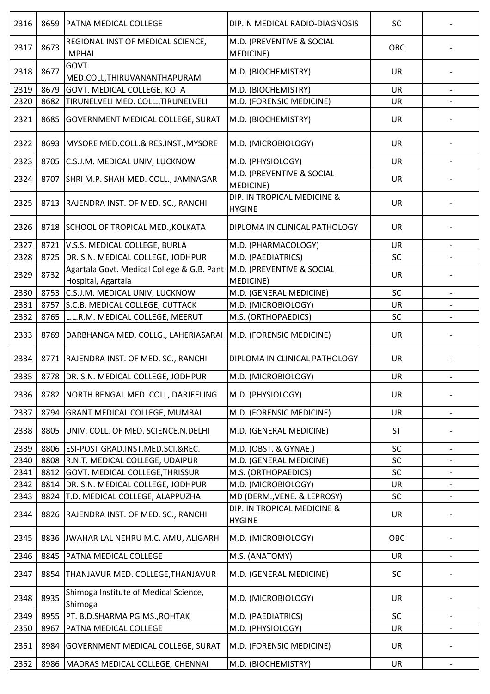| 2316 | 8659 | PATNA MEDICAL COLLEGE                                            | DIP.IN MEDICAL RADIO-DIAGNOSIS               | SC        |                          |
|------|------|------------------------------------------------------------------|----------------------------------------------|-----------|--------------------------|
| 2317 | 8673 | REGIONAL INST OF MEDICAL SCIENCE,<br><b>IMPHAL</b>               | M.D. (PREVENTIVE & SOCIAL<br>MEDICINE)       | OBC       |                          |
| 2318 | 8677 | GOVT.<br>MED.COLL, THIRUVANANTHAPURAM                            | M.D. (BIOCHEMISTRY)                          | <b>UR</b> |                          |
| 2319 | 8679 | GOVT. MEDICAL COLLEGE, KOTA                                      | M.D. (BIOCHEMISTRY)                          | <b>UR</b> |                          |
| 2320 | 8682 | TIRUNELVELI MED. COLL., TIRUNELVELI                              | M.D. (FORENSIC MEDICINE)                     | UR        |                          |
| 2321 | 8685 | <b>GOVERNMENT MEDICAL COLLEGE, SURAT</b>                         | M.D. (BIOCHEMISTRY)                          | <b>UR</b> |                          |
| 2322 | 8693 | MYSORE MED.COLL.& RES.INST., MYSORE                              | M.D. (MICROBIOLOGY)                          | <b>UR</b> |                          |
| 2323 | 8705 | C.S.J.M. MEDICAL UNIV, LUCKNOW                                   | M.D. (PHYSIOLOGY)                            | <b>UR</b> | $\overline{\phantom{a}}$ |
| 2324 | 8707 | SHRI M.P. SHAH MED. COLL., JAMNAGAR                              | M.D. (PREVENTIVE & SOCIAL<br>MEDICINE)       | <b>UR</b> |                          |
| 2325 | 8713 | RAJENDRA INST. OF MED. SC., RANCHI                               | DIP. IN TROPICAL MEDICINE &<br><b>HYGINE</b> | <b>UR</b> |                          |
| 2326 |      | 8718 SCHOOL OF TROPICAL MED., KOLKATA                            | DIPLOMA IN CLINICAL PATHOLOGY                | <b>UR</b> |                          |
| 2327 | 8721 | V.S.S. MEDICAL COLLEGE, BURLA                                    | M.D. (PHARMACOLOGY)                          | UR        |                          |
| 2328 | 8725 | DR. S.N. MEDICAL COLLEGE, JODHPUR                                | M.D. (PAEDIATRICS)                           | SC        |                          |
| 2329 | 8732 | Agartala Govt. Medical College & G.B. Pant<br>Hospital, Agartala | M.D. (PREVENTIVE & SOCIAL<br>MEDICINE)       | <b>UR</b> |                          |
| 2330 | 8753 | C.S.J.M. MEDICAL UNIV, LUCKNOW                                   | M.D. (GENERAL MEDICINE)                      | SC        |                          |
| 2331 | 8757 | S.C.B. MEDICAL COLLEGE, CUTTACK                                  | M.D. (MICROBIOLOGY)                          | UR        |                          |
| 2332 | 8765 | L.L.R.M. MEDICAL COLLEGE, MEERUT                                 | M.S. (ORTHOPAEDICS)                          | <b>SC</b> |                          |
| 2333 | 8769 | DARBHANGA MED. COLLG., LAHERIASARAI                              | M.D. (FORENSIC MEDICINE)                     | <b>UR</b> |                          |
| 2334 | 8771 | RAJENDRA INST. OF MED. SC., RANCHI                               | DIPLOMA IN CLINICAL PATHOLOGY                | UR        |                          |
| 2335 |      | 8778 DR. S.N. MEDICAL COLLEGE, JODHPUR                           | M.D. (MICROBIOLOGY)                          | UR        |                          |
| 2336 | 8782 | NORTH BENGAL MED. COLL, DARJEELING                               | M.D. (PHYSIOLOGY)                            | <b>UR</b> |                          |
| 2337 | 8794 | <b>GRANT MEDICAL COLLEGE, MUMBAI</b>                             | M.D. (FORENSIC MEDICINE)                     | <b>UR</b> | $\overline{\phantom{a}}$ |
| 2338 | 8805 | UNIV. COLL. OF MED. SCIENCE, N. DELHI                            | M.D. (GENERAL MEDICINE)                      | <b>ST</b> |                          |
| 2339 | 8806 | ESI-POST GRAD.INST.MED.SCI.&REC.                                 | M.D. (OBST. & GYNAE.)                        | SC        | $\overline{\phantom{a}}$ |
| 2340 | 8808 | R.N.T. MEDICAL COLLEGE, UDAIPUR                                  | M.D. (GENERAL MEDICINE)                      | SC        |                          |
| 2341 | 8812 | GOVT. MEDICAL COLLEGE, THRISSUR                                  | M.S. (ORTHOPAEDICS)                          | SC        | $\overline{\phantom{a}}$ |
| 2342 | 8814 | DR. S.N. MEDICAL COLLEGE, JODHPUR                                | M.D. (MICROBIOLOGY)                          | UR        |                          |
| 2343 | 8824 | T.D. MEDICAL COLLEGE, ALAPPUZHA                                  | MD (DERM., VENE. & LEPROSY)                  | SC        | $\overline{\phantom{a}}$ |
| 2344 | 8826 | RAJENDRA INST. OF MED. SC., RANCHI                               | DIP. IN TROPICAL MEDICINE &<br><b>HYGINE</b> | <b>UR</b> |                          |
| 2345 | 8836 | JWAHAR LAL NEHRU M.C. AMU, ALIGARH                               | M.D. (MICROBIOLOGY)                          | OBC       |                          |
| 2346 | 8845 | PATNA MEDICAL COLLEGE                                            | M.S. (ANATOMY)                               | UR        | $\qquad \qquad -$        |
| 2347 | 8854 | THANJAVUR MED. COLLEGE, THANJAVUR                                | M.D. (GENERAL MEDICINE)                      | SC        |                          |
| 2348 | 8935 | Shimoga Institute of Medical Science,<br>Shimoga                 | M.D. (MICROBIOLOGY)                          | <b>UR</b> |                          |
| 2349 | 8955 | PT. B.D.SHARMA PGIMS., ROHTAK                                    | M.D. (PAEDIATRICS)                           | SC        | $\overline{\phantom{a}}$ |
| 2350 | 8967 | PATNA MEDICAL COLLEGE                                            | M.D. (PHYSIOLOGY)                            | UR        |                          |
| 2351 | 8984 | GOVERNMENT MEDICAL COLLEGE, SURAT                                | M.D. (FORENSIC MEDICINE)                     | UR        |                          |
| 2352 | 8986 | MADRAS MEDICAL COLLEGE, CHENNAI                                  | M.D. (BIOCHEMISTRY)                          | UR        |                          |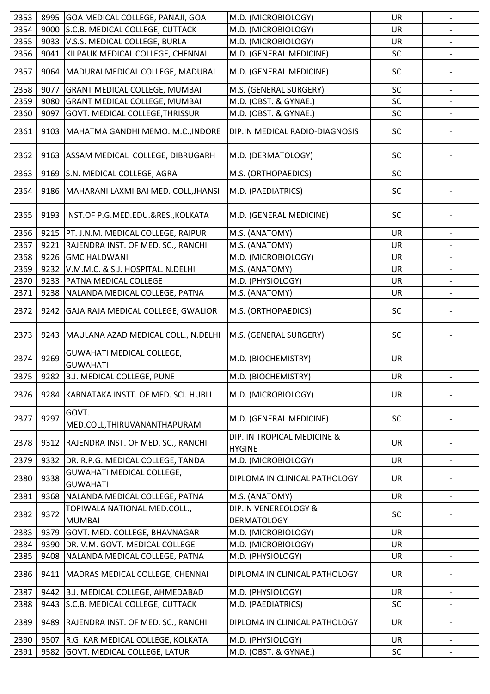| 2354<br>9000<br>S.C.B. MEDICAL COLLEGE, CUTTACK<br>M.D. (MICROBIOLOGY)<br><b>UR</b><br>V.S.S. MEDICAL COLLEGE, BURLA<br>M.D. (MICROBIOLOGY)<br>2355<br>9033<br><b>UR</b><br>2356<br>KILPAUK MEDICAL COLLEGE, CHENNAI<br>M.D. (GENERAL MEDICINE)<br>SC<br>9041<br>2357<br>9064<br>MADURAI MEDICAL COLLEGE, MADURAI<br>M.D. (GENERAL MEDICINE)<br><b>SC</b><br>SC<br>2358<br>9077<br><b>GRANT MEDICAL COLLEGE, MUMBAI</b><br>M.S. (GENERAL SURGERY)<br>2359<br>M.D. (OBST. & GYNAE.)<br>SC<br>9080<br><b>GRANT MEDICAL COLLEGE, MUMBAI</b><br>2360<br>9097<br><b>GOVT. MEDICAL COLLEGE, THRISSUR</b><br>M.D. (OBST. & GYNAE.)<br>SC<br>2361<br>MAHATMA GANDHI MEMO. M.C., INDORE<br>DIP.IN MEDICAL RADIO-DIAGNOSIS<br><b>SC</b><br>9103<br>2362<br>M.D. (DERMATOLOGY)<br>9163<br>ASSAM MEDICAL COLLEGE, DIBRUGARH<br><b>SC</b><br>2363<br>S.N. MEDICAL COLLEGE, AGRA<br>SC<br>9169<br>M.S. (ORTHOPAEDICS)<br>2364<br>MAHARANI LAXMI BAI MED. COLL, JHANSI<br>M.D. (PAEDIATRICS)<br><b>SC</b><br>9186<br>2365<br>9193<br>SC<br>INST.OF P.G.MED.EDU.&RES., KOLKATA<br>M.D. (GENERAL MEDICINE)<br>2366<br>9215<br>PT. J.N.M. MEDICAL COLLEGE, RAIPUR<br><b>UR</b><br>M.S. (ANATOMY)<br>2367<br>9221<br>RAJENDRA INST. OF MED. SC., RANCHI<br>M.S. (ANATOMY)<br>UR<br>2368<br>9226<br><b>GMC HALDWANI</b><br>M.D. (MICROBIOLOGY)<br>UR<br>2369<br>9232<br>V.M.M.C. & S.J. HOSPITAL. N.DELHI<br>M.S. (ANATOMY)<br><b>UR</b><br>2370<br>9233<br>PATNA MEDICAL COLLEGE<br>M.D. (PHYSIOLOGY)<br><b>UR</b><br>2371<br>9238<br>NALANDA MEDICAL COLLEGE, PATNA<br>M.S. (ANATOMY)<br>UR<br>2372<br>GAJA RAJA MEDICAL COLLEGE, GWALIOR<br>M.S. (ORTHOPAEDICS)<br>9242<br><b>SC</b><br>2373<br>9243<br>M.S. (GENERAL SURGERY)<br>SC<br>MAULANA AZAD MEDICAL COLL., N.DELHI<br><b>GUWAHATI MEDICAL COLLEGE,</b><br>9269<br>2374<br>M.D. (BIOCHEMISTRY)<br>UR<br><b>GUWAHATI</b><br>2375<br>9282<br>B.J. MEDICAL COLLEGE, PUNE<br>M.D. (BIOCHEMISTRY)<br>UR<br>2376<br>M.D. (MICROBIOLOGY)<br><b>UR</b><br>9284<br>KARNATAKA INSTT. OF MED. SCI. HUBLI<br>GOVT.<br>9297<br>2377<br>SC<br>M.D. (GENERAL MEDICINE)<br>MED.COLL, THIRUVANANTHAPURAM<br>DIP. IN TROPICAL MEDICINE &<br>9312<br>RAJENDRA INST. OF MED. SC., RANCHI<br><b>UR</b><br>2378<br><b>HYGINE</b><br>9332<br>M.D. (MICROBIOLOGY)<br>2379<br>DR. R.P.G. MEDICAL COLLEGE, TANDA<br><b>UR</b><br><b>GUWAHATI MEDICAL COLLEGE,</b><br>9338<br>2380<br>DIPLOMA IN CLINICAL PATHOLOGY<br>UR<br><b>GUWAHATI</b><br>2381<br>9368<br>NALANDA MEDICAL COLLEGE, PATNA<br>M.S. (ANATOMY)<br>UR<br>TOPIWALA NATIONAL MED.COLL.,<br>DIP.IN VENEREOLOGY &<br>9372<br>2382<br><b>SC</b><br><b>DERMATOLOGY</b><br><b>MUMBAI</b><br>2383<br>9379<br>GOVT. MED. COLLEGE, BHAVNAGAR<br>M.D. (MICROBIOLOGY)<br><b>UR</b><br>$\overline{\phantom{a}}$<br>2384<br>DR. V.M. GOVT. MEDICAL COLLEGE<br>9390<br>M.D. (MICROBIOLOGY)<br>UR<br>2385<br>9408<br>M.D. (PHYSIOLOGY)<br>NALANDA MEDICAL COLLEGE, PATNA<br>UR<br>$\overline{\phantom{0}}$<br>2386<br>9411<br>MADRAS MEDICAL COLLEGE, CHENNAI<br>DIPLOMA IN CLINICAL PATHOLOGY<br>UR<br>2387<br>9442<br>B.J. MEDICAL COLLEGE, AHMEDABAD<br>M.D. (PHYSIOLOGY)<br><b>UR</b><br>$\overline{\phantom{a}}$<br>2388<br>9443<br>S.C.B. MEDICAL COLLEGE, CUTTACK<br>M.D. (PAEDIATRICS)<br><b>SC</b><br>2389<br>9489<br>RAJENDRA INST. OF MED. SC., RANCHI<br>UR<br>DIPLOMA IN CLINICAL PATHOLOGY<br>2390<br>9507<br>R.G. KAR MEDICAL COLLEGE, KOLKATA<br>M.D. (PHYSIOLOGY)<br><b>UR</b><br>2391<br>9582<br>GOVT. MEDICAL COLLEGE, LATUR<br>M.D. (OBST. & GYNAE.)<br>SC | 2353 | 8995 | GOA MEDICAL COLLEGE, PANAJI, GOA | M.D. (MICROBIOLOGY) | UR | $\overline{a}$ |
|---------------------------------------------------------------------------------------------------------------------------------------------------------------------------------------------------------------------------------------------------------------------------------------------------------------------------------------------------------------------------------------------------------------------------------------------------------------------------------------------------------------------------------------------------------------------------------------------------------------------------------------------------------------------------------------------------------------------------------------------------------------------------------------------------------------------------------------------------------------------------------------------------------------------------------------------------------------------------------------------------------------------------------------------------------------------------------------------------------------------------------------------------------------------------------------------------------------------------------------------------------------------------------------------------------------------------------------------------------------------------------------------------------------------------------------------------------------------------------------------------------------------------------------------------------------------------------------------------------------------------------------------------------------------------------------------------------------------------------------------------------------------------------------------------------------------------------------------------------------------------------------------------------------------------------------------------------------------------------------------------------------------------------------------------------------------------------------------------------------------------------------------------------------------------------------------------------------------------------------------------------------------------------------------------------------------------------------------------------------------------------------------------------------------------------------------------------------------------------------------------------------------------------------------------------------------------------------------------------------------------------------------------------------------------------------------------------------------------------------------------------------------------------------------------------------------------------------------------------------------------------------------------------------------------------------------------------------------------------------------------------------------------------------------------------------------------------------------------------------------------------------------------------------------------------------------------------------------------------------------------------------------------------------------------------------------------------------------------------------------------------------------------------------------------------------------------------------------------------------------------------------------------------------------|------|------|----------------------------------|---------------------|----|----------------|
|                                                                                                                                                                                                                                                                                                                                                                                                                                                                                                                                                                                                                                                                                                                                                                                                                                                                                                                                                                                                                                                                                                                                                                                                                                                                                                                                                                                                                                                                                                                                                                                                                                                                                                                                                                                                                                                                                                                                                                                                                                                                                                                                                                                                                                                                                                                                                                                                                                                                                                                                                                                                                                                                                                                                                                                                                                                                                                                                                                                                                                                                                                                                                                                                                                                                                                                                                                                                                                                                                                                                             |      |      |                                  |                     |    |                |
|                                                                                                                                                                                                                                                                                                                                                                                                                                                                                                                                                                                                                                                                                                                                                                                                                                                                                                                                                                                                                                                                                                                                                                                                                                                                                                                                                                                                                                                                                                                                                                                                                                                                                                                                                                                                                                                                                                                                                                                                                                                                                                                                                                                                                                                                                                                                                                                                                                                                                                                                                                                                                                                                                                                                                                                                                                                                                                                                                                                                                                                                                                                                                                                                                                                                                                                                                                                                                                                                                                                                             |      |      |                                  |                     |    |                |
|                                                                                                                                                                                                                                                                                                                                                                                                                                                                                                                                                                                                                                                                                                                                                                                                                                                                                                                                                                                                                                                                                                                                                                                                                                                                                                                                                                                                                                                                                                                                                                                                                                                                                                                                                                                                                                                                                                                                                                                                                                                                                                                                                                                                                                                                                                                                                                                                                                                                                                                                                                                                                                                                                                                                                                                                                                                                                                                                                                                                                                                                                                                                                                                                                                                                                                                                                                                                                                                                                                                                             |      |      |                                  |                     |    |                |
|                                                                                                                                                                                                                                                                                                                                                                                                                                                                                                                                                                                                                                                                                                                                                                                                                                                                                                                                                                                                                                                                                                                                                                                                                                                                                                                                                                                                                                                                                                                                                                                                                                                                                                                                                                                                                                                                                                                                                                                                                                                                                                                                                                                                                                                                                                                                                                                                                                                                                                                                                                                                                                                                                                                                                                                                                                                                                                                                                                                                                                                                                                                                                                                                                                                                                                                                                                                                                                                                                                                                             |      |      |                                  |                     |    |                |
|                                                                                                                                                                                                                                                                                                                                                                                                                                                                                                                                                                                                                                                                                                                                                                                                                                                                                                                                                                                                                                                                                                                                                                                                                                                                                                                                                                                                                                                                                                                                                                                                                                                                                                                                                                                                                                                                                                                                                                                                                                                                                                                                                                                                                                                                                                                                                                                                                                                                                                                                                                                                                                                                                                                                                                                                                                                                                                                                                                                                                                                                                                                                                                                                                                                                                                                                                                                                                                                                                                                                             |      |      |                                  |                     |    |                |
|                                                                                                                                                                                                                                                                                                                                                                                                                                                                                                                                                                                                                                                                                                                                                                                                                                                                                                                                                                                                                                                                                                                                                                                                                                                                                                                                                                                                                                                                                                                                                                                                                                                                                                                                                                                                                                                                                                                                                                                                                                                                                                                                                                                                                                                                                                                                                                                                                                                                                                                                                                                                                                                                                                                                                                                                                                                                                                                                                                                                                                                                                                                                                                                                                                                                                                                                                                                                                                                                                                                                             |      |      |                                  |                     |    |                |
|                                                                                                                                                                                                                                                                                                                                                                                                                                                                                                                                                                                                                                                                                                                                                                                                                                                                                                                                                                                                                                                                                                                                                                                                                                                                                                                                                                                                                                                                                                                                                                                                                                                                                                                                                                                                                                                                                                                                                                                                                                                                                                                                                                                                                                                                                                                                                                                                                                                                                                                                                                                                                                                                                                                                                                                                                                                                                                                                                                                                                                                                                                                                                                                                                                                                                                                                                                                                                                                                                                                                             |      |      |                                  |                     |    |                |
|                                                                                                                                                                                                                                                                                                                                                                                                                                                                                                                                                                                                                                                                                                                                                                                                                                                                                                                                                                                                                                                                                                                                                                                                                                                                                                                                                                                                                                                                                                                                                                                                                                                                                                                                                                                                                                                                                                                                                                                                                                                                                                                                                                                                                                                                                                                                                                                                                                                                                                                                                                                                                                                                                                                                                                                                                                                                                                                                                                                                                                                                                                                                                                                                                                                                                                                                                                                                                                                                                                                                             |      |      |                                  |                     |    |                |
|                                                                                                                                                                                                                                                                                                                                                                                                                                                                                                                                                                                                                                                                                                                                                                                                                                                                                                                                                                                                                                                                                                                                                                                                                                                                                                                                                                                                                                                                                                                                                                                                                                                                                                                                                                                                                                                                                                                                                                                                                                                                                                                                                                                                                                                                                                                                                                                                                                                                                                                                                                                                                                                                                                                                                                                                                                                                                                                                                                                                                                                                                                                                                                                                                                                                                                                                                                                                                                                                                                                                             |      |      |                                  |                     |    |                |
|                                                                                                                                                                                                                                                                                                                                                                                                                                                                                                                                                                                                                                                                                                                                                                                                                                                                                                                                                                                                                                                                                                                                                                                                                                                                                                                                                                                                                                                                                                                                                                                                                                                                                                                                                                                                                                                                                                                                                                                                                                                                                                                                                                                                                                                                                                                                                                                                                                                                                                                                                                                                                                                                                                                                                                                                                                                                                                                                                                                                                                                                                                                                                                                                                                                                                                                                                                                                                                                                                                                                             |      |      |                                  |                     |    |                |
|                                                                                                                                                                                                                                                                                                                                                                                                                                                                                                                                                                                                                                                                                                                                                                                                                                                                                                                                                                                                                                                                                                                                                                                                                                                                                                                                                                                                                                                                                                                                                                                                                                                                                                                                                                                                                                                                                                                                                                                                                                                                                                                                                                                                                                                                                                                                                                                                                                                                                                                                                                                                                                                                                                                                                                                                                                                                                                                                                                                                                                                                                                                                                                                                                                                                                                                                                                                                                                                                                                                                             |      |      |                                  |                     |    |                |
|                                                                                                                                                                                                                                                                                                                                                                                                                                                                                                                                                                                                                                                                                                                                                                                                                                                                                                                                                                                                                                                                                                                                                                                                                                                                                                                                                                                                                                                                                                                                                                                                                                                                                                                                                                                                                                                                                                                                                                                                                                                                                                                                                                                                                                                                                                                                                                                                                                                                                                                                                                                                                                                                                                                                                                                                                                                                                                                                                                                                                                                                                                                                                                                                                                                                                                                                                                                                                                                                                                                                             |      |      |                                  |                     |    |                |
|                                                                                                                                                                                                                                                                                                                                                                                                                                                                                                                                                                                                                                                                                                                                                                                                                                                                                                                                                                                                                                                                                                                                                                                                                                                                                                                                                                                                                                                                                                                                                                                                                                                                                                                                                                                                                                                                                                                                                                                                                                                                                                                                                                                                                                                                                                                                                                                                                                                                                                                                                                                                                                                                                                                                                                                                                                                                                                                                                                                                                                                                                                                                                                                                                                                                                                                                                                                                                                                                                                                                             |      |      |                                  |                     |    |                |
|                                                                                                                                                                                                                                                                                                                                                                                                                                                                                                                                                                                                                                                                                                                                                                                                                                                                                                                                                                                                                                                                                                                                                                                                                                                                                                                                                                                                                                                                                                                                                                                                                                                                                                                                                                                                                                                                                                                                                                                                                                                                                                                                                                                                                                                                                                                                                                                                                                                                                                                                                                                                                                                                                                                                                                                                                                                                                                                                                                                                                                                                                                                                                                                                                                                                                                                                                                                                                                                                                                                                             |      |      |                                  |                     |    |                |
|                                                                                                                                                                                                                                                                                                                                                                                                                                                                                                                                                                                                                                                                                                                                                                                                                                                                                                                                                                                                                                                                                                                                                                                                                                                                                                                                                                                                                                                                                                                                                                                                                                                                                                                                                                                                                                                                                                                                                                                                                                                                                                                                                                                                                                                                                                                                                                                                                                                                                                                                                                                                                                                                                                                                                                                                                                                                                                                                                                                                                                                                                                                                                                                                                                                                                                                                                                                                                                                                                                                                             |      |      |                                  |                     |    |                |
|                                                                                                                                                                                                                                                                                                                                                                                                                                                                                                                                                                                                                                                                                                                                                                                                                                                                                                                                                                                                                                                                                                                                                                                                                                                                                                                                                                                                                                                                                                                                                                                                                                                                                                                                                                                                                                                                                                                                                                                                                                                                                                                                                                                                                                                                                                                                                                                                                                                                                                                                                                                                                                                                                                                                                                                                                                                                                                                                                                                                                                                                                                                                                                                                                                                                                                                                                                                                                                                                                                                                             |      |      |                                  |                     |    |                |
|                                                                                                                                                                                                                                                                                                                                                                                                                                                                                                                                                                                                                                                                                                                                                                                                                                                                                                                                                                                                                                                                                                                                                                                                                                                                                                                                                                                                                                                                                                                                                                                                                                                                                                                                                                                                                                                                                                                                                                                                                                                                                                                                                                                                                                                                                                                                                                                                                                                                                                                                                                                                                                                                                                                                                                                                                                                                                                                                                                                                                                                                                                                                                                                                                                                                                                                                                                                                                                                                                                                                             |      |      |                                  |                     |    |                |
|                                                                                                                                                                                                                                                                                                                                                                                                                                                                                                                                                                                                                                                                                                                                                                                                                                                                                                                                                                                                                                                                                                                                                                                                                                                                                                                                                                                                                                                                                                                                                                                                                                                                                                                                                                                                                                                                                                                                                                                                                                                                                                                                                                                                                                                                                                                                                                                                                                                                                                                                                                                                                                                                                                                                                                                                                                                                                                                                                                                                                                                                                                                                                                                                                                                                                                                                                                                                                                                                                                                                             |      |      |                                  |                     |    |                |
|                                                                                                                                                                                                                                                                                                                                                                                                                                                                                                                                                                                                                                                                                                                                                                                                                                                                                                                                                                                                                                                                                                                                                                                                                                                                                                                                                                                                                                                                                                                                                                                                                                                                                                                                                                                                                                                                                                                                                                                                                                                                                                                                                                                                                                                                                                                                                                                                                                                                                                                                                                                                                                                                                                                                                                                                                                                                                                                                                                                                                                                                                                                                                                                                                                                                                                                                                                                                                                                                                                                                             |      |      |                                  |                     |    |                |
|                                                                                                                                                                                                                                                                                                                                                                                                                                                                                                                                                                                                                                                                                                                                                                                                                                                                                                                                                                                                                                                                                                                                                                                                                                                                                                                                                                                                                                                                                                                                                                                                                                                                                                                                                                                                                                                                                                                                                                                                                                                                                                                                                                                                                                                                                                                                                                                                                                                                                                                                                                                                                                                                                                                                                                                                                                                                                                                                                                                                                                                                                                                                                                                                                                                                                                                                                                                                                                                                                                                                             |      |      |                                  |                     |    |                |
|                                                                                                                                                                                                                                                                                                                                                                                                                                                                                                                                                                                                                                                                                                                                                                                                                                                                                                                                                                                                                                                                                                                                                                                                                                                                                                                                                                                                                                                                                                                                                                                                                                                                                                                                                                                                                                                                                                                                                                                                                                                                                                                                                                                                                                                                                                                                                                                                                                                                                                                                                                                                                                                                                                                                                                                                                                                                                                                                                                                                                                                                                                                                                                                                                                                                                                                                                                                                                                                                                                                                             |      |      |                                  |                     |    |                |
|                                                                                                                                                                                                                                                                                                                                                                                                                                                                                                                                                                                                                                                                                                                                                                                                                                                                                                                                                                                                                                                                                                                                                                                                                                                                                                                                                                                                                                                                                                                                                                                                                                                                                                                                                                                                                                                                                                                                                                                                                                                                                                                                                                                                                                                                                                                                                                                                                                                                                                                                                                                                                                                                                                                                                                                                                                                                                                                                                                                                                                                                                                                                                                                                                                                                                                                                                                                                                                                                                                                                             |      |      |                                  |                     |    |                |
|                                                                                                                                                                                                                                                                                                                                                                                                                                                                                                                                                                                                                                                                                                                                                                                                                                                                                                                                                                                                                                                                                                                                                                                                                                                                                                                                                                                                                                                                                                                                                                                                                                                                                                                                                                                                                                                                                                                                                                                                                                                                                                                                                                                                                                                                                                                                                                                                                                                                                                                                                                                                                                                                                                                                                                                                                                                                                                                                                                                                                                                                                                                                                                                                                                                                                                                                                                                                                                                                                                                                             |      |      |                                  |                     |    |                |
|                                                                                                                                                                                                                                                                                                                                                                                                                                                                                                                                                                                                                                                                                                                                                                                                                                                                                                                                                                                                                                                                                                                                                                                                                                                                                                                                                                                                                                                                                                                                                                                                                                                                                                                                                                                                                                                                                                                                                                                                                                                                                                                                                                                                                                                                                                                                                                                                                                                                                                                                                                                                                                                                                                                                                                                                                                                                                                                                                                                                                                                                                                                                                                                                                                                                                                                                                                                                                                                                                                                                             |      |      |                                  |                     |    |                |
|                                                                                                                                                                                                                                                                                                                                                                                                                                                                                                                                                                                                                                                                                                                                                                                                                                                                                                                                                                                                                                                                                                                                                                                                                                                                                                                                                                                                                                                                                                                                                                                                                                                                                                                                                                                                                                                                                                                                                                                                                                                                                                                                                                                                                                                                                                                                                                                                                                                                                                                                                                                                                                                                                                                                                                                                                                                                                                                                                                                                                                                                                                                                                                                                                                                                                                                                                                                                                                                                                                                                             |      |      |                                  |                     |    |                |
|                                                                                                                                                                                                                                                                                                                                                                                                                                                                                                                                                                                                                                                                                                                                                                                                                                                                                                                                                                                                                                                                                                                                                                                                                                                                                                                                                                                                                                                                                                                                                                                                                                                                                                                                                                                                                                                                                                                                                                                                                                                                                                                                                                                                                                                                                                                                                                                                                                                                                                                                                                                                                                                                                                                                                                                                                                                                                                                                                                                                                                                                                                                                                                                                                                                                                                                                                                                                                                                                                                                                             |      |      |                                  |                     |    |                |
|                                                                                                                                                                                                                                                                                                                                                                                                                                                                                                                                                                                                                                                                                                                                                                                                                                                                                                                                                                                                                                                                                                                                                                                                                                                                                                                                                                                                                                                                                                                                                                                                                                                                                                                                                                                                                                                                                                                                                                                                                                                                                                                                                                                                                                                                                                                                                                                                                                                                                                                                                                                                                                                                                                                                                                                                                                                                                                                                                                                                                                                                                                                                                                                                                                                                                                                                                                                                                                                                                                                                             |      |      |                                  |                     |    |                |
|                                                                                                                                                                                                                                                                                                                                                                                                                                                                                                                                                                                                                                                                                                                                                                                                                                                                                                                                                                                                                                                                                                                                                                                                                                                                                                                                                                                                                                                                                                                                                                                                                                                                                                                                                                                                                                                                                                                                                                                                                                                                                                                                                                                                                                                                                                                                                                                                                                                                                                                                                                                                                                                                                                                                                                                                                                                                                                                                                                                                                                                                                                                                                                                                                                                                                                                                                                                                                                                                                                                                             |      |      |                                  |                     |    |                |
|                                                                                                                                                                                                                                                                                                                                                                                                                                                                                                                                                                                                                                                                                                                                                                                                                                                                                                                                                                                                                                                                                                                                                                                                                                                                                                                                                                                                                                                                                                                                                                                                                                                                                                                                                                                                                                                                                                                                                                                                                                                                                                                                                                                                                                                                                                                                                                                                                                                                                                                                                                                                                                                                                                                                                                                                                                                                                                                                                                                                                                                                                                                                                                                                                                                                                                                                                                                                                                                                                                                                             |      |      |                                  |                     |    |                |
|                                                                                                                                                                                                                                                                                                                                                                                                                                                                                                                                                                                                                                                                                                                                                                                                                                                                                                                                                                                                                                                                                                                                                                                                                                                                                                                                                                                                                                                                                                                                                                                                                                                                                                                                                                                                                                                                                                                                                                                                                                                                                                                                                                                                                                                                                                                                                                                                                                                                                                                                                                                                                                                                                                                                                                                                                                                                                                                                                                                                                                                                                                                                                                                                                                                                                                                                                                                                                                                                                                                                             |      |      |                                  |                     |    |                |
|                                                                                                                                                                                                                                                                                                                                                                                                                                                                                                                                                                                                                                                                                                                                                                                                                                                                                                                                                                                                                                                                                                                                                                                                                                                                                                                                                                                                                                                                                                                                                                                                                                                                                                                                                                                                                                                                                                                                                                                                                                                                                                                                                                                                                                                                                                                                                                                                                                                                                                                                                                                                                                                                                                                                                                                                                                                                                                                                                                                                                                                                                                                                                                                                                                                                                                                                                                                                                                                                                                                                             |      |      |                                  |                     |    |                |
|                                                                                                                                                                                                                                                                                                                                                                                                                                                                                                                                                                                                                                                                                                                                                                                                                                                                                                                                                                                                                                                                                                                                                                                                                                                                                                                                                                                                                                                                                                                                                                                                                                                                                                                                                                                                                                                                                                                                                                                                                                                                                                                                                                                                                                                                                                                                                                                                                                                                                                                                                                                                                                                                                                                                                                                                                                                                                                                                                                                                                                                                                                                                                                                                                                                                                                                                                                                                                                                                                                                                             |      |      |                                  |                     |    |                |
|                                                                                                                                                                                                                                                                                                                                                                                                                                                                                                                                                                                                                                                                                                                                                                                                                                                                                                                                                                                                                                                                                                                                                                                                                                                                                                                                                                                                                                                                                                                                                                                                                                                                                                                                                                                                                                                                                                                                                                                                                                                                                                                                                                                                                                                                                                                                                                                                                                                                                                                                                                                                                                                                                                                                                                                                                                                                                                                                                                                                                                                                                                                                                                                                                                                                                                                                                                                                                                                                                                                                             |      |      |                                  |                     |    |                |
|                                                                                                                                                                                                                                                                                                                                                                                                                                                                                                                                                                                                                                                                                                                                                                                                                                                                                                                                                                                                                                                                                                                                                                                                                                                                                                                                                                                                                                                                                                                                                                                                                                                                                                                                                                                                                                                                                                                                                                                                                                                                                                                                                                                                                                                                                                                                                                                                                                                                                                                                                                                                                                                                                                                                                                                                                                                                                                                                                                                                                                                                                                                                                                                                                                                                                                                                                                                                                                                                                                                                             |      |      |                                  |                     |    |                |
|                                                                                                                                                                                                                                                                                                                                                                                                                                                                                                                                                                                                                                                                                                                                                                                                                                                                                                                                                                                                                                                                                                                                                                                                                                                                                                                                                                                                                                                                                                                                                                                                                                                                                                                                                                                                                                                                                                                                                                                                                                                                                                                                                                                                                                                                                                                                                                                                                                                                                                                                                                                                                                                                                                                                                                                                                                                                                                                                                                                                                                                                                                                                                                                                                                                                                                                                                                                                                                                                                                                                             |      |      |                                  |                     |    |                |
|                                                                                                                                                                                                                                                                                                                                                                                                                                                                                                                                                                                                                                                                                                                                                                                                                                                                                                                                                                                                                                                                                                                                                                                                                                                                                                                                                                                                                                                                                                                                                                                                                                                                                                                                                                                                                                                                                                                                                                                                                                                                                                                                                                                                                                                                                                                                                                                                                                                                                                                                                                                                                                                                                                                                                                                                                                                                                                                                                                                                                                                                                                                                                                                                                                                                                                                                                                                                                                                                                                                                             |      |      |                                  |                     |    |                |
|                                                                                                                                                                                                                                                                                                                                                                                                                                                                                                                                                                                                                                                                                                                                                                                                                                                                                                                                                                                                                                                                                                                                                                                                                                                                                                                                                                                                                                                                                                                                                                                                                                                                                                                                                                                                                                                                                                                                                                                                                                                                                                                                                                                                                                                                                                                                                                                                                                                                                                                                                                                                                                                                                                                                                                                                                                                                                                                                                                                                                                                                                                                                                                                                                                                                                                                                                                                                                                                                                                                                             |      |      |                                  |                     |    |                |
|                                                                                                                                                                                                                                                                                                                                                                                                                                                                                                                                                                                                                                                                                                                                                                                                                                                                                                                                                                                                                                                                                                                                                                                                                                                                                                                                                                                                                                                                                                                                                                                                                                                                                                                                                                                                                                                                                                                                                                                                                                                                                                                                                                                                                                                                                                                                                                                                                                                                                                                                                                                                                                                                                                                                                                                                                                                                                                                                                                                                                                                                                                                                                                                                                                                                                                                                                                                                                                                                                                                                             |      |      |                                  |                     |    |                |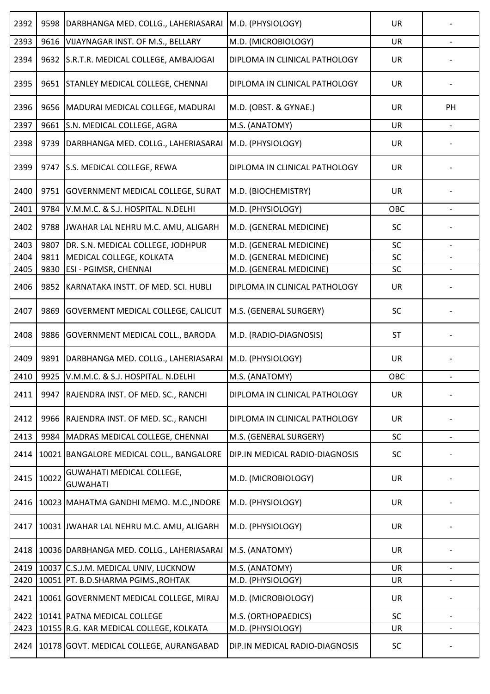| 2392 | 9598  | DARBHANGA MED. COLLG., LAHERIASARAI                   | M.D. (PHYSIOLOGY)              | <b>UR</b> |                          |
|------|-------|-------------------------------------------------------|--------------------------------|-----------|--------------------------|
| 2393 | 9616  | VIJAYNAGAR INST. OF M.S., BELLARY                     | M.D. (MICROBIOLOGY)            | <b>UR</b> |                          |
| 2394 |       | 9632 S.R.T.R. MEDICAL COLLEGE, AMBAJOGAI              | DIPLOMA IN CLINICAL PATHOLOGY  | <b>UR</b> |                          |
| 2395 | 9651  | <b>STANLEY MEDICAL COLLEGE, CHENNAI</b>               | DIPLOMA IN CLINICAL PATHOLOGY  | <b>UR</b> |                          |
| 2396 | 9656  | MADURAI MEDICAL COLLEGE, MADURAI                      | M.D. (OBST. & GYNAE.)          | <b>UR</b> | PH                       |
| 2397 | 9661  | S.N. MEDICAL COLLEGE, AGRA                            | M.S. (ANATOMY)                 | UR        | $\overline{\phantom{a}}$ |
| 2398 | 9739  | DARBHANGA MED. COLLG., LAHERIASARAI                   | M.D. (PHYSIOLOGY)              | <b>UR</b> |                          |
| 2399 | 9747  | S.S. MEDICAL COLLEGE, REWA                            | DIPLOMA IN CLINICAL PATHOLOGY  | <b>UR</b> |                          |
| 2400 | 9751  | GOVERNMENT MEDICAL COLLEGE, SURAT                     | M.D. (BIOCHEMISTRY)            | <b>UR</b> |                          |
| 2401 | 9784  | V.M.M.C. & S.J. HOSPITAL. N.DELHI                     | M.D. (PHYSIOLOGY)              | OBC       |                          |
| 2402 | 9788  | JWAHAR LAL NEHRU M.C. AMU, ALIGARH                    | M.D. (GENERAL MEDICINE)        | SC        |                          |
| 2403 | 9807  | DR. S.N. MEDICAL COLLEGE, JODHPUR                     | M.D. (GENERAL MEDICINE)        | SC        |                          |
| 2404 | 9811  | MEDICAL COLLEGE, KOLKATA                              | M.D. (GENERAL MEDICINE)        | SC        |                          |
| 2405 | 9830  | ESI - PGIMSR, CHENNAI                                 | M.D. (GENERAL MEDICINE)        | SC        |                          |
| 2406 | 9852  | KARNATAKA INSTT. OF MED. SCI. HUBLI                   | DIPLOMA IN CLINICAL PATHOLOGY  | <b>UR</b> |                          |
| 2407 | 9869  | GOVERMENT MEDICAL COLLEGE, CALICUT                    | M.S. (GENERAL SURGERY)         | SC        |                          |
| 2408 | 9886  | GOVERNMENT MEDICAL COLL., BARODA                      | M.D. (RADIO-DIAGNOSIS)         | <b>ST</b> |                          |
| 2409 | 9891  | DARBHANGA MED. COLLG., LAHERIASARAI M.D. (PHYSIOLOGY) |                                | <b>UR</b> |                          |
| 2410 |       | 9925 V.M.M.C. & S.J. HOSPITAL. N.DELHI                | M.S. (ANATOMY)                 | OBC       |                          |
| 2411 | 9947  | RAJENDRA INST. OF MED. SC., RANCHI                    | DIPLOMA IN CLINICAL PATHOLOGY  | <b>UR</b> |                          |
| 2412 | 9966  | RAJENDRA INST. OF MED. SC., RANCHI                    | DIPLOMA IN CLINICAL PATHOLOGY  | <b>UR</b> |                          |
| 2413 | 9984  | MADRAS MEDICAL COLLEGE, CHENNAI                       | M.S. (GENERAL SURGERY)         | SC        |                          |
| 2414 | 10021 | BANGALORE MEDICAL COLL., BANGALORE                    | DIP.IN MEDICAL RADIO-DIAGNOSIS | SC        |                          |
| 2415 | 10022 | GUWAHATI MEDICAL COLLEGE,<br><b>GUWAHATI</b>          | M.D. (MICROBIOLOGY)            | <b>UR</b> |                          |
| 2416 |       | 10023 MAHATMA GANDHI MEMO. M.C., INDORE               | M.D. (PHYSIOLOGY)              | <b>UR</b> |                          |
| 2417 |       | 10031 JWAHAR LAL NEHRU M.C. AMU, ALIGARH              | M.D. (PHYSIOLOGY)              | UR        |                          |
| 2418 |       | 10036 DARBHANGA MED. COLLG., LAHERIASARAI             | M.S. (ANATOMY)                 | <b>UR</b> |                          |
| 2419 |       | 10037 C.S.J.M. MEDICAL UNIV, LUCKNOW                  | M.S. (ANATOMY)                 | <b>UR</b> |                          |
| 2420 |       | 10051 PT. B.D.SHARMA PGIMS., ROHTAK                   | M.D. (PHYSIOLOGY)              | UR        |                          |
| 2421 |       | 10061 GOVERNMENT MEDICAL COLLEGE, MIRAJ               | M.D. (MICROBIOLOGY)            | <b>UR</b> |                          |
| 2422 |       | 10141 PATNA MEDICAL COLLEGE                           | M.S. (ORTHOPAEDICS)            | SC        | $\overline{\phantom{a}}$ |
| 2423 |       | 10155 R.G. KAR MEDICAL COLLEGE, KOLKATA               | M.D. (PHYSIOLOGY)              | UR        |                          |
| 2424 |       | 10178 GOVT. MEDICAL COLLEGE, AURANGABAD               | DIP.IN MEDICAL RADIO-DIAGNOSIS | <b>SC</b> |                          |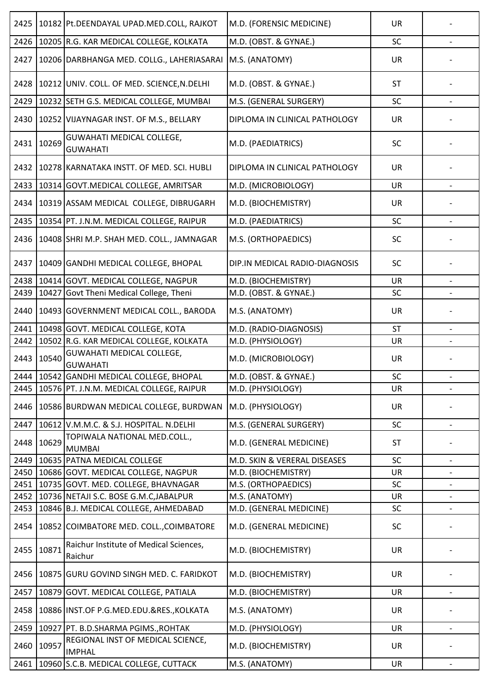| 2425 |       | 10182 Pt.DEENDAYAL UPAD.MED.COLL, RAJKOT            | M.D. (FORENSIC MEDICINE)       | <b>UR</b> |                          |
|------|-------|-----------------------------------------------------|--------------------------------|-----------|--------------------------|
| 2426 |       | 10205 R.G. KAR MEDICAL COLLEGE, KOLKATA             | M.D. (OBST. & GYNAE.)          | SC        |                          |
| 2427 |       | 10206 DARBHANGA MED. COLLG., LAHERIASARAI           | M.S. (ANATOMY)                 | <b>UR</b> |                          |
| 2428 |       | 10212 UNIV. COLL. OF MED. SCIENCE, N.DELHI          | M.D. (OBST. & GYNAE.)          | <b>ST</b> |                          |
| 2429 |       | 10232 SETH G.S. MEDICAL COLLEGE, MUMBAI             | M.S. (GENERAL SURGERY)         | SC        | $\blacksquare$           |
| 2430 |       | 10252 VIJAYNAGAR INST. OF M.S., BELLARY             | DIPLOMA IN CLINICAL PATHOLOGY  | <b>UR</b> |                          |
| 2431 | 10269 | <b>GUWAHATI MEDICAL COLLEGE,</b><br><b>GUWAHATI</b> | M.D. (PAEDIATRICS)             | SC        |                          |
| 2432 |       | 10278 KARNATAKA INSTT. OF MED. SCI. HUBLI           | DIPLOMA IN CLINICAL PATHOLOGY  | <b>UR</b> |                          |
| 2433 |       | 10314 GOVT. MEDICAL COLLEGE, AMRITSAR               | M.D. (MICROBIOLOGY)            | <b>UR</b> |                          |
| 2434 |       | 10319 ASSAM MEDICAL COLLEGE, DIBRUGARH              | M.D. (BIOCHEMISTRY)            | UR        |                          |
| 2435 |       | 10354 PT. J.N.M. MEDICAL COLLEGE, RAIPUR            | M.D. (PAEDIATRICS)             | SC        |                          |
| 2436 |       | 10408 SHRI M.P. SHAH MED. COLL., JAMNAGAR           | M.S. (ORTHOPAEDICS)            | SC        |                          |
| 2437 |       | 10409 GANDHI MEDICAL COLLEGE, BHOPAL                | DIP.IN MEDICAL RADIO-DIAGNOSIS | SC        |                          |
| 2438 |       | 10414 GOVT. MEDICAL COLLEGE, NAGPUR                 | M.D. (BIOCHEMISTRY)            | <b>UR</b> |                          |
| 2439 | 10427 | Govt Theni Medical College, Theni                   | M.D. (OBST. & GYNAE.)          | SC        |                          |
| 2440 |       | 10493 GOVERNMENT MEDICAL COLL., BARODA              | M.S. (ANATOMY)                 | <b>UR</b> |                          |
| 2441 |       | 10498 GOVT. MEDICAL COLLEGE, KOTA                   | M.D. (RADIO-DIAGNOSIS)         | <b>ST</b> | $\overline{\phantom{a}}$ |
| 2442 |       | 10502 R.G. KAR MEDICAL COLLEGE, KOLKATA             | M.D. (PHYSIOLOGY)              | UR        |                          |
| 2443 | 10540 | <b>GUWAHATI MEDICAL COLLEGE,</b><br><b>GUWAHATI</b> | M.D. (MICROBIOLOGY)            | UR        |                          |
|      |       | 2444   10542 GANDHI MEDICAL COLLEGE, BHOPAL         | M.D. (OBST. & GYNAE.)          | SC        |                          |
| 2445 |       | 10576 PT. J.N.M. MEDICAL COLLEGE, RAIPUR            | M.D. (PHYSIOLOGY)              | <b>UR</b> |                          |
| 2446 |       | 10586 BURDWAN MEDICAL COLLEGE, BURDWAN              | M.D. (PHYSIOLOGY)              | <b>UR</b> |                          |
| 2447 |       | 10612 V.M.M.C. & S.J. HOSPITAL. N.DELHI             | M.S. (GENERAL SURGERY)         | SC        |                          |
| 2448 | 10629 | TOPIWALA NATIONAL MED.COLL.,<br><b>MUMBAI</b>       | M.D. (GENERAL MEDICINE)        | <b>ST</b> |                          |
| 2449 |       | 10635 PATNA MEDICAL COLLEGE                         | M.D. SKIN & VERERAL DISEASES   | SC        |                          |
| 2450 |       | 10686 GOVT. MEDICAL COLLEGE, NAGPUR                 | M.D. (BIOCHEMISTRY)            | <b>UR</b> |                          |
| 2451 |       | 10735 GOVT. MED. COLLEGE, BHAVNAGAR                 | M.S. (ORTHOPAEDICS)            | SC        |                          |
| 2452 |       | 10736 NETAJI S.C. BOSE G.M.C, JABALPUR              | M.S. (ANATOMY)                 | UR        | $\overline{\phantom{a}}$ |
| 2453 |       | 10846 B.J. MEDICAL COLLEGE, AHMEDABAD               | M.D. (GENERAL MEDICINE)        | SC        |                          |
| 2454 |       | 10852 COIMBATORE MED. COLL., COIMBATORE             | M.D. (GENERAL MEDICINE)        | SC        |                          |
| 2455 | 10871 | Raichur Institute of Medical Sciences,<br>Raichur   | M.D. (BIOCHEMISTRY)            | UR        |                          |
| 2456 |       | 10875 GURU GOVIND SINGH MED. C. FARIDKOT            | M.D. (BIOCHEMISTRY)            | UR        |                          |
| 2457 |       | 10879 GOVT. MEDICAL COLLEGE, PATIALA                | M.D. (BIOCHEMISTRY)            | <b>UR</b> |                          |
| 2458 |       | 10886 INST.OF P.G.MED.EDU.&RES., KOLKATA            | M.S. (ANATOMY)                 | UR        |                          |
| 2459 |       | 10927 PT. B.D.SHARMA PGIMS., ROHTAK                 | M.D. (PHYSIOLOGY)              | UR        |                          |
| 2460 | 10957 | REGIONAL INST OF MEDICAL SCIENCE,<br><b>IMPHAL</b>  | M.D. (BIOCHEMISTRY)            | <b>UR</b> |                          |
| 2461 |       | 10960 S.C.B. MEDICAL COLLEGE, CUTTACK               | M.S. (ANATOMY)                 | UR        | $\overline{\phantom{a}}$ |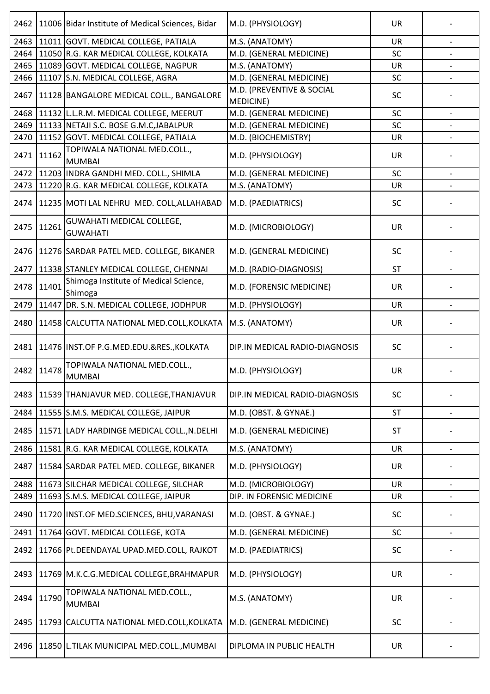| 2462 |       | 11006 Bidar Institute of Medical Sciences, Bidar | M.D. (PHYSIOLOGY)                             | UR        |                          |
|------|-------|--------------------------------------------------|-----------------------------------------------|-----------|--------------------------|
| 2463 |       | 11011 GOVT. MEDICAL COLLEGE, PATIALA             | M.S. (ANATOMY)                                | UR        |                          |
| 2464 |       | 11050 R.G. KAR MEDICAL COLLEGE, KOLKATA          | M.D. (GENERAL MEDICINE)                       | SC        |                          |
| 2465 |       | 11089 GOVT. MEDICAL COLLEGE, NAGPUR              | M.S. (ANATOMY)                                | UR        |                          |
| 2466 |       | 11107 S.N. MEDICAL COLLEGE, AGRA                 | M.D. (GENERAL MEDICINE)                       | SC        |                          |
| 2467 |       | 11128 BANGALORE MEDICAL COLL., BANGALORE         | M.D. (PREVENTIVE & SOCIAL<br><b>MEDICINE)</b> | SC        |                          |
| 2468 |       | 11132 L.L.R.M. MEDICAL COLLEGE, MEERUT           | M.D. (GENERAL MEDICINE)                       | SC        | $\blacksquare$           |
| 2469 |       | 11133 NETAJI S.C. BOSE G.M.C.JABALPUR            | M.D. (GENERAL MEDICINE)                       | SC        |                          |
| 2470 |       | 11152 GOVT. MEDICAL COLLEGE, PATIALA             | M.D. (BIOCHEMISTRY)                           | UR        |                          |
| 2471 | 11162 | TOPIWALA NATIONAL MED.COLL.,<br><b>MUMBAI</b>    | M.D. (PHYSIOLOGY)                             | <b>UR</b> |                          |
|      |       | 2472 11203 INDRA GANDHI MED. COLL., SHIMLA       | M.D. (GENERAL MEDICINE)                       | SC        |                          |
| 2473 |       | 11220 R.G. KAR MEDICAL COLLEGE, KOLKATA          | M.S. (ANATOMY)                                | UR        |                          |
| 2474 |       | 11235 MOTI LAL NEHRU MED. COLL, ALLAHABAD        | M.D. (PAEDIATRICS)                            | <b>SC</b> |                          |
| 2475 | 11261 | GUWAHATI MEDICAL COLLEGE,<br><b>GUWAHATI</b>     | M.D. (MICROBIOLOGY)                           | <b>UR</b> |                          |
| 2476 |       | 11276 SARDAR PATEL MED. COLLEGE, BIKANER         | M.D. (GENERAL MEDICINE)                       | SC        |                          |
| 2477 |       | 11338 STANLEY MEDICAL COLLEGE, CHENNAI           | M.D. (RADIO-DIAGNOSIS)                        | <b>ST</b> |                          |
| 2478 | 11401 | Shimoga Institute of Medical Science,<br>Shimoga | M.D. (FORENSIC MEDICINE)                      | <b>UR</b> |                          |
| 2479 |       | 11447 DR. S.N. MEDICAL COLLEGE, JODHPUR          | M.D. (PHYSIOLOGY)                             | <b>UR</b> |                          |
| 2480 |       | 11458 CALCUTTA NATIONAL MED.COLL, KOLKATA        | M.S. (ANATOMY)                                | UR        |                          |
| 2481 |       | 11476 INST.OF P.G.MED.EDU.&RES., KOLKATA         | DIP.IN MEDICAL RADIO-DIAGNOSIS                | SC        |                          |
| 2482 | 11478 | TOPIWALA NATIONAL MED.COLL.,<br><b>MUMBAI</b>    | M.D. (PHYSIOLOGY)                             | <b>UR</b> |                          |
| 2483 |       | 11539 THANJAVUR MED. COLLEGE, THANJAVUR          | DIP.IN MEDICAL RADIO-DIAGNOSIS                | SC        |                          |
| 2484 |       | 11555 S.M.S. MEDICAL COLLEGE, JAIPUR             | M.D. (OBST. & GYNAE.)                         | <b>ST</b> |                          |
| 2485 |       | 11571 LADY HARDINGE MEDICAL COLL., N. DELHI      | M.D. (GENERAL MEDICINE)                       | <b>ST</b> |                          |
| 2486 |       | 11581 R.G. KAR MEDICAL COLLEGE, KOLKATA          | M.S. (ANATOMY)                                | UR        |                          |
| 2487 |       | 11584 SARDAR PATEL MED. COLLEGE, BIKANER         | M.D. (PHYSIOLOGY)                             | UR        |                          |
| 2488 |       | 11673 SILCHAR MEDICAL COLLEGE, SILCHAR           | M.D. (MICROBIOLOGY)                           | UR        | $\overline{\phantom{a}}$ |
| 2489 |       | 11693 S.M.S. MEDICAL COLLEGE, JAIPUR             | DIP. IN FORENSIC MEDICINE                     | UR        |                          |
| 2490 |       | 11720 INST.OF MED.SCIENCES, BHU, VARANASI        | M.D. (OBST. & GYNAE.)                         | SC        |                          |
| 2491 |       | 11764 GOVT. MEDICAL COLLEGE, KOTA                | M.D. (GENERAL MEDICINE)                       | SC        | $\overline{\phantom{a}}$ |
| 2492 |       | 11766 Pt.DEENDAYAL UPAD.MED.COLL, RAJKOT         | M.D. (PAEDIATRICS)                            | SC        |                          |
| 2493 |       | 11769 M.K.C.G.MEDICAL COLLEGE, BRAHMAPUR         | M.D. (PHYSIOLOGY)                             | <b>UR</b> |                          |
| 2494 | 11790 | TOPIWALA NATIONAL MED.COLL.,<br><b>MUMBAI</b>    | M.S. (ANATOMY)                                | <b>UR</b> |                          |
| 2495 |       | 11793 CALCUTTA NATIONAL MED.COLL, KOLKATA        | M.D. (GENERAL MEDICINE)                       | SC        |                          |
| 2496 |       | 11850 L.TILAK MUNICIPAL MED.COLL., MUMBAI        | DIPLOMA IN PUBLIC HEALTH                      | UR        |                          |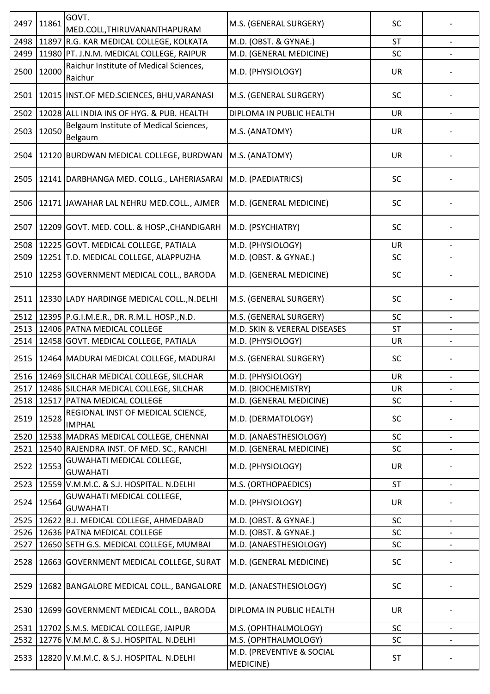| 2497 | 11861 | GOVT.<br>MED.COLL, THIRUVANANTHAPURAM               | M.S. (GENERAL SURGERY)                 | <b>SC</b> |                          |
|------|-------|-----------------------------------------------------|----------------------------------------|-----------|--------------------------|
| 2498 |       | 11897 R.G. KAR MEDICAL COLLEGE, KOLKATA             | M.D. (OBST. & GYNAE.)                  | <b>ST</b> |                          |
| 2499 |       | 11980 PT. J.N.M. MEDICAL COLLEGE, RAIPUR            | M.D. (GENERAL MEDICINE)                | SC        |                          |
|      |       | Raichur Institute of Medical Sciences,              |                                        |           |                          |
| 2500 | 12000 | Raichur                                             | M.D. (PHYSIOLOGY)                      | <b>UR</b> |                          |
| 2501 |       | 12015 INST.OF MED.SCIENCES, BHU, VARANASI           | M.S. (GENERAL SURGERY)                 | SC        |                          |
| 2502 |       | 12028 ALL INDIA INS OF HYG. & PUB. HEALTH           | DIPLOMA IN PUBLIC HEALTH               | <b>UR</b> |                          |
| 2503 | 12050 | Belgaum Institute of Medical Sciences,<br>Belgaum   | M.S. (ANATOMY)                         | UR        |                          |
| 2504 |       | 12120 BURDWAN MEDICAL COLLEGE, BURDWAN              | M.S. (ANATOMY)                         | UR        |                          |
| 2505 |       | 12141 DARBHANGA MED. COLLG., LAHERIASARAI           | M.D. (PAEDIATRICS)                     | SC        |                          |
| 2506 |       | 12171 JAWAHAR LAL NEHRU MED.COLL., AJMER            | M.D. (GENERAL MEDICINE)                | SC        |                          |
| 2507 |       | 12209 GOVT. MED. COLL. & HOSP., CHANDIGARH          | M.D. (PSYCHIATRY)                      | SC        |                          |
| 2508 |       | 12225 GOVT. MEDICAL COLLEGE, PATIALA                | M.D. (PHYSIOLOGY)                      | UR        |                          |
| 2509 |       | 12251 T.D. MEDICAL COLLEGE, ALAPPUZHA               | M.D. (OBST. & GYNAE.)                  | SC        |                          |
| 2510 |       | 12253 GOVERNMENT MEDICAL COLL., BARODA              | M.D. (GENERAL MEDICINE)                | SC        |                          |
| 2511 |       | 12330 LADY HARDINGE MEDICAL COLL., N.DELHI          | M.S. (GENERAL SURGERY)                 | SC        |                          |
| 2512 |       | 12395 P.G.I.M.E.R., DR. R.M.L. HOSP., N.D.          | M.S. (GENERAL SURGERY)                 | <b>SC</b> |                          |
| 2513 |       | 12406 PATNA MEDICAL COLLEGE                         | M.D. SKIN & VERERAL DISEASES           | <b>ST</b> |                          |
| 2514 |       | 12458 GOVT. MEDICAL COLLEGE, PATIALA                | M.D. (PHYSIOLOGY)                      | <b>UR</b> |                          |
| 2515 |       | 12464 MADURAI MEDICAL COLLEGE, MADURAI              | M.S. (GENERAL SURGERY)                 | <b>SC</b> |                          |
|      |       | 2516 12469 SILCHAR MEDICAL COLLEGE, SILCHAR         | M.D. (PHYSIOLOGY)                      | UR        |                          |
| 2517 |       | 12486 SILCHAR MEDICAL COLLEGE, SILCHAR              | M.D. (BIOCHEMISTRY)                    | UR        | $\overline{\phantom{a}}$ |
| 2518 |       | 12517 PATNA MEDICAL COLLEGE                         | M.D. (GENERAL MEDICINE)                | SC        |                          |
| 2519 | 12528 | REGIONAL INST OF MEDICAL SCIENCE,<br><b>IMPHAL</b>  | M.D. (DERMATOLOGY)                     | <b>SC</b> |                          |
| 2520 |       | 12538 MADRAS MEDICAL COLLEGE, CHENNAI               | M.D. (ANAESTHESIOLOGY)                 | SC        |                          |
| 2521 |       | 12540 RAJENDRA INST. OF MED. SC., RANCHI            | M.D. (GENERAL MEDICINE)                | SC        |                          |
| 2522 | 12553 | <b>GUWAHATI MEDICAL COLLEGE,</b><br><b>GUWAHATI</b> | M.D. (PHYSIOLOGY)                      | UR        |                          |
| 2523 |       | 12559 V.M.M.C. & S.J. HOSPITAL. N.DELHI             | M.S. (ORTHOPAEDICS)                    | <b>ST</b> |                          |
| 2524 | 12564 | GUWAHATI MEDICAL COLLEGE,<br><b>GUWAHATI</b>        | M.D. (PHYSIOLOGY)                      | UR        |                          |
| 2525 |       | 12622 B.J. MEDICAL COLLEGE, AHMEDABAD               | M.D. (OBST. & GYNAE.)                  | SC        |                          |
| 2526 |       | 12636 PATNA MEDICAL COLLEGE                         | M.D. (OBST. & GYNAE.)                  | SC        | $\overline{\phantom{a}}$ |
| 2527 |       | 12650 SETH G.S. MEDICAL COLLEGE, MUMBAI             | M.D. (ANAESTHESIOLOGY)                 | SC        |                          |
| 2528 |       | 12663 GOVERNMENT MEDICAL COLLEGE, SURAT             | M.D. (GENERAL MEDICINE)                | SC        |                          |
| 2529 |       | 12682 BANGALORE MEDICAL COLL., BANGALORE            | M.D. (ANAESTHESIOLOGY)                 | <b>SC</b> |                          |
| 2530 |       | 12699 GOVERNMENT MEDICAL COLL., BARODA              | DIPLOMA IN PUBLIC HEALTH               | <b>UR</b> |                          |
| 2531 |       | 12702 S.M.S. MEDICAL COLLEGE, JAIPUR                | M.S. (OPHTHALMOLOGY)                   | SC        |                          |
| 2532 |       | 12776 V.M.M.C. & S.J. HOSPITAL. N.DELHI             | M.S. (OPHTHALMOLOGY)                   | SC        | $\overline{\phantom{a}}$ |
| 2533 |       | 12820 V.M.M.C. & S.J. HOSPITAL. N.DELHI             | M.D. (PREVENTIVE & SOCIAL<br>MEDICINE) | ST        |                          |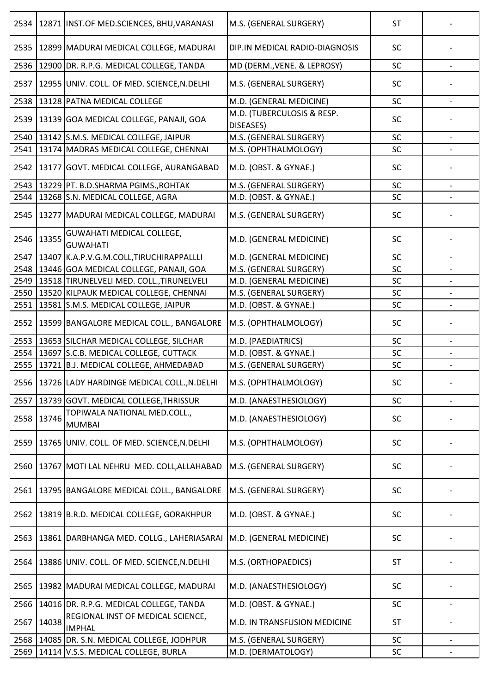| 2534 |       | 12871 INST.OF MED.SCIENCES, BHU, VARANASI           | M.S. (GENERAL SURGERY)                  | <b>ST</b> |                   |
|------|-------|-----------------------------------------------------|-----------------------------------------|-----------|-------------------|
| 2535 |       | 12899 MADURAI MEDICAL COLLEGE, MADURAI              | DIP.IN MEDICAL RADIO-DIAGNOSIS          | <b>SC</b> |                   |
| 2536 |       | 12900 DR. R.P.G. MEDICAL COLLEGE, TANDA             | MD (DERM., VENE. & LEPROSY)             | SC        |                   |
| 2537 |       | 12955 UNIV. COLL. OF MED. SCIENCE, N.DELHI          | M.S. (GENERAL SURGERY)                  | <b>SC</b> |                   |
| 2538 |       | 13128 PATNA MEDICAL COLLEGE                         | M.D. (GENERAL MEDICINE)                 | SC        |                   |
| 2539 |       | 13139 GOA MEDICAL COLLEGE, PANAJI, GOA              | M.D. (TUBERCULOSIS & RESP.<br>DISEASES) | <b>SC</b> |                   |
| 2540 |       | 13142 S.M.S. MEDICAL COLLEGE, JAIPUR                | M.S. (GENERAL SURGERY)                  | SC        |                   |
| 2541 |       | 13174 MADRAS MEDICAL COLLEGE, CHENNAI               | M.S. (OPHTHALMOLOGY)                    | SC        |                   |
| 2542 |       | 13177 GOVT. MEDICAL COLLEGE, AURANGABAD             | M.D. (OBST. & GYNAE.)                   | <b>SC</b> |                   |
| 2543 |       | 13229 PT. B.D.SHARMA PGIMS., ROHTAK                 | M.S. (GENERAL SURGERY)                  | <b>SC</b> |                   |
| 2544 |       | 13268 S.N. MEDICAL COLLEGE, AGRA                    | M.D. (OBST. & GYNAE.)                   | SC        |                   |
| 2545 |       | 13277 MADURAI MEDICAL COLLEGE, MADURAI              | M.S. (GENERAL SURGERY)                  | <b>SC</b> |                   |
| 2546 | 13355 | <b>GUWAHATI MEDICAL COLLEGE,</b><br><b>GUWAHATI</b> | M.D. (GENERAL MEDICINE)                 | <b>SC</b> |                   |
| 2547 |       | 13407 K.A.P.V.G.M.COLL, TIRUCHIRAPPALLLI            | M.D. (GENERAL MEDICINE)                 | <b>SC</b> |                   |
| 2548 |       | 13446 GOA MEDICAL COLLEGE, PANAJI, GOA              | M.S. (GENERAL SURGERY)                  | <b>SC</b> |                   |
| 2549 |       | 13518 TIRUNELVELI MED. COLL., TIRUNELVELI           | M.D. (GENERAL MEDICINE)                 | <b>SC</b> |                   |
| 2550 |       | 13520 KILPAUK MEDICAL COLLEGE, CHENNAI              | M.S. (GENERAL SURGERY)                  | <b>SC</b> |                   |
| 2551 |       | 13581 S.M.S. MEDICAL COLLEGE, JAIPUR                | M.D. (OBST. & GYNAE.)                   | SC        |                   |
| 2552 |       | 13599 BANGALORE MEDICAL COLL., BANGALORE            | M.S. (OPHTHALMOLOGY)                    | <b>SC</b> |                   |
| 2553 |       | 13653 SILCHAR MEDICAL COLLEGE, SILCHAR              | M.D. (PAEDIATRICS)                      | <b>SC</b> |                   |
| 2554 |       | 13697 S.C.B. MEDICAL COLLEGE, CUTTACK               | M.D. (OBST. & GYNAE.)                   | SC        |                   |
| 2555 |       | 13721 B.J. MEDICAL COLLEGE, AHMEDABAD               | M.S. (GENERAL SURGERY)                  | SC        |                   |
|      |       | 2556  13726 LADY HARDINGE MEDICAL COLL.,N.DELHI     | M.S. (OPHTHALMOLOGY)                    | SC        |                   |
| 2557 |       | 13739 GOVT. MEDICAL COLLEGE, THRISSUR               | M.D. (ANAESTHESIOLOGY)                  | SC        |                   |
| 2558 | 13746 | TOPIWALA NATIONAL MED.COLL.,<br><b>MUMBAI</b>       | M.D. (ANAESTHESIOLOGY)                  | <b>SC</b> |                   |
| 2559 |       | 13765 UNIV. COLL. OF MED. SCIENCE, N.DELHI          | M.S. (OPHTHALMOLOGY)                    | <b>SC</b> |                   |
| 2560 |       | 13767 MOTI LAL NEHRU MED. COLL, ALLAHABAD           | M.S. (GENERAL SURGERY)                  | SC        |                   |
| 2561 |       | 13795 BANGALORE MEDICAL COLL., BANGALORE            | M.S. (GENERAL SURGERY)                  | <b>SC</b> |                   |
| 2562 |       | 13819 B.R.D. MEDICAL COLLEGE, GORAKHPUR             | M.D. (OBST. & GYNAE.)                   | SC        |                   |
| 2563 |       | 13861   DARBHANGA MED. COLLG., LAHERIASARAI         | M.D. (GENERAL MEDICINE)                 | SC        |                   |
| 2564 |       | 13886 UNIV. COLL. OF MED. SCIENCE, N.DELHI          | M.S. (ORTHOPAEDICS)                     | <b>ST</b> |                   |
| 2565 |       | 13982 MADURAI MEDICAL COLLEGE, MADURAI              | M.D. (ANAESTHESIOLOGY)                  | <b>SC</b> |                   |
| 2566 |       | 14016 DR. R.P.G. MEDICAL COLLEGE, TANDA             | M.D. (OBST. & GYNAE.)                   | <b>SC</b> |                   |
| 2567 | 14038 | REGIONAL INST OF MEDICAL SCIENCE,<br><b>IMPHAL</b>  | M.D. IN TRANSFUSION MEDICINE            | <b>ST</b> |                   |
| 2568 |       | 14085 DR. S.N. MEDICAL COLLEGE, JODHPUR             | M.S. (GENERAL SURGERY)                  | <b>SC</b> | $\qquad \qquad -$ |
| 2569 |       | 14114 V.S.S. MEDICAL COLLEGE, BURLA                 | M.D. (DERMATOLOGY)                      | SC        |                   |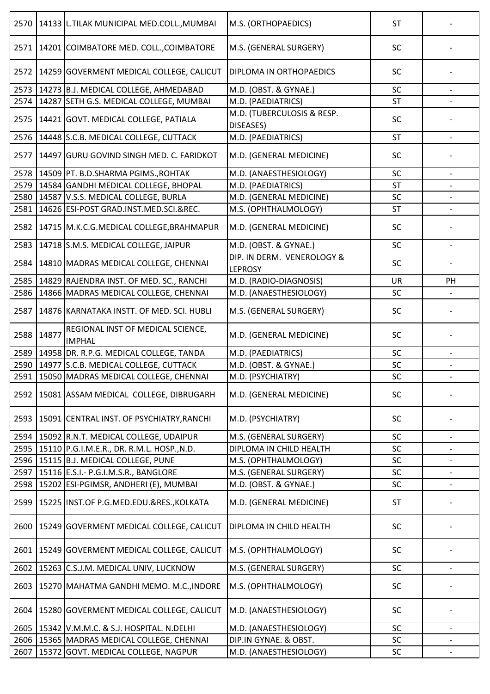| 2570 |       | 14133 L.TILAK MUNICIPAL MED.COLL., MUMBAI          | M.S. (ORTHOPAEDICS)                          | <b>ST</b> |                          |
|------|-------|----------------------------------------------------|----------------------------------------------|-----------|--------------------------|
|      |       | 2571   14201 COIMBATORE MED. COLL., COIMBATORE     | M.S. (GENERAL SURGERY)                       | SC        |                          |
| 2572 |       | 14259 GOVERMENT MEDICAL COLLEGE, CALICUT           | DIPLOMA IN ORTHOPAEDICS                      | SC        |                          |
| 2573 |       | 14273 B.J. MEDICAL COLLEGE, AHMEDABAD              | M.D. (OBST. & GYNAE.)                        | SC        |                          |
| 2574 |       | 14287 SETH G.S. MEDICAL COLLEGE, MUMBAI            | M.D. (PAEDIATRICS)                           | <b>ST</b> |                          |
| 2575 |       | 14421 GOVT. MEDICAL COLLEGE, PATIALA               | M.D. (TUBERCULOSIS & RESP.<br>DISEASES)      | SC        |                          |
|      |       | 2576   14448 S.C.B. MEDICAL COLLEGE, CUTTACK       | M.D. (PAEDIATRICS)                           | <b>ST</b> | $\overline{\phantom{a}}$ |
| 2577 |       | 14497 GURU GOVIND SINGH MED. C. FARIDKOT           | M.D. (GENERAL MEDICINE)                      | <b>SC</b> |                          |
|      |       | 2578 14509 PT. B.D.SHARMA PGIMS., ROHTAK           | M.D. (ANAESTHESIOLOGY)                       | SC        |                          |
|      |       | 2579   14584   GANDHI MEDICAL COLLEGE, BHOPAL      | M.D. (PAEDIATRICS)                           | <b>ST</b> |                          |
|      |       | 2580   14587 V.S.S. MEDICAL COLLEGE, BURLA         | M.D. (GENERAL MEDICINE)                      | SC        |                          |
| 2581 |       | 14626 ESI-POST GRAD.INST.MED.SCI.&REC.             | M.S. (OPHTHALMOLOGY)                         | <b>ST</b> |                          |
|      |       |                                                    |                                              |           |                          |
| 2582 |       | 14715   M.K.C.G.MEDICAL COLLEGE, BRAHMAPUR         | M.D. (GENERAL MEDICINE)                      | SC        |                          |
| 2583 |       | 14718 S.M.S. MEDICAL COLLEGE, JAIPUR               | M.D. (OBST. & GYNAE.)                        | SC        |                          |
| 2584 |       | 14810 MADRAS MEDICAL COLLEGE, CHENNAI              | DIP. IN DERM. VENEROLOGY &<br><b>LEPROSY</b> | <b>SC</b> |                          |
| 2585 |       | 14829 RAJENDRA INST. OF MED. SC., RANCHI           | M.D. (RADIO-DIAGNOSIS)                       | <b>UR</b> | PH                       |
| 2586 |       | 14866 MADRAS MEDICAL COLLEGE, CHENNAI              | M.D. (ANAESTHESIOLOGY)                       | <b>SC</b> |                          |
| 2587 |       | 14876 KARNATAKA INSTT. OF MED. SCI. HUBLI          | M.S. (GENERAL SURGERY)                       | SC        |                          |
| 2588 | 14877 | REGIONAL INST OF MEDICAL SCIENCE,<br><b>IMPHAL</b> | M.D. (GENERAL MEDICINE)                      | SC        |                          |
| 2589 |       | 14958 DR. R.P.G. MEDICAL COLLEGE, TANDA            | M.D. (PAEDIATRICS)                           | SC        |                          |
| 2590 |       | 14977 S.C.B. MEDICAL COLLEGE, CUTTACK              | M.D. (OBST. & GYNAE.)                        | SC        |                          |
|      |       | 2591   15050 MADRAS MEDICAL COLLEGE, CHENNAI       | M.D. (PSYCHIATRY)                            | SC        |                          |
| 2592 |       | 15081 ASSAM MEDICAL COLLEGE, DIBRUGARH             | M.D. (GENERAL MEDICINE)                      | <b>SC</b> |                          |
| 2593 |       | 15091 CENTRAL INST. OF PSYCHIATRY, RANCHI          | M.D. (PSYCHIATRY)                            | SC        |                          |
| 2594 |       | 15092 R.N.T. MEDICAL COLLEGE, UDAIPUR              | M.S. (GENERAL SURGERY)                       | <b>SC</b> |                          |
| 2595 |       | 15110 P.G.I.M.E.R., DR. R.M.L. HOSP., N.D.         | DIPLOMA IN CHILD HEALTH                      | <b>SC</b> | $\overline{\phantom{a}}$ |
| 2596 |       | 15115 B.J. MEDICAL COLLEGE, PUNE                   | M.S. (OPHTHALMOLOGY)                         | SC        |                          |
| 2597 |       | 15116 E.S.I. - P.G.I.M.S.R., BANGLORE              | M.S. (GENERAL SURGERY)                       | SC        | $\overline{\phantom{a}}$ |
| 2598 |       | 15202 ESI-PGIMSR, ANDHERI (E), MUMBAI              | M.D. (OBST. & GYNAE.)                        | SC        |                          |
| 2599 |       | 15225 INST.OF P.G.MED.EDU.&RES., KOLKATA           | M.D. (GENERAL MEDICINE)                      | <b>ST</b> |                          |
| 2600 |       | 15249 GOVERMENT MEDICAL COLLEGE, CALICUT           | DIPLOMA IN CHILD HEALTH                      | SC        |                          |
| 2601 |       | 15249 GOVERMENT MEDICAL COLLEGE, CALICUT           | M.S. (OPHTHALMOLOGY)                         | <b>SC</b> |                          |
| 2602 |       | 15263 C.S.J.M. MEDICAL UNIV, LUCKNOW               | M.S. (GENERAL SURGERY)                       | SC        |                          |
| 2603 |       | 15270 MAHATMA GANDHI MEMO. M.C., INDORE            | M.S. (OPHTHALMOLOGY)                         | SC        |                          |
| 2604 |       | 15280 GOVERMENT MEDICAL COLLEGE, CALICUT           | M.D. (ANAESTHESIOLOGY)                       | <b>SC</b> |                          |
| 2605 |       | 15342 V.M.M.C. & S.J. HOSPITAL. N.DELHI            | M.D. (ANAESTHESIOLOGY)                       | SC        |                          |
| 2606 |       | 15365 MADRAS MEDICAL COLLEGE, CHENNAI              | DIP.IN GYNAE. & OBST.                        | SC        |                          |
| 2607 |       | 15372 GOVT. MEDICAL COLLEGE, NAGPUR                | M.D. (ANAESTHESIOLOGY)                       | SC        | $\qquad \qquad -$        |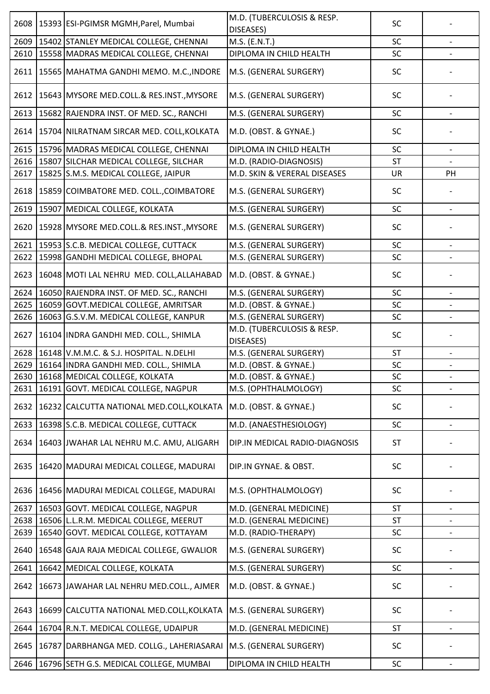| 2608 | 15393 ESI-PGIMSR MGMH, Parel, Mumbai           | M.D. (TUBERCULOSIS & RESP.<br>DISEASES) | SC        |                          |
|------|------------------------------------------------|-----------------------------------------|-----------|--------------------------|
| 2609 | 15402 STANLEY MEDICAL COLLEGE, CHENNAI         | M.S. (E.N.T.)                           | SC        |                          |
| 2610 | 15558 MADRAS MEDICAL COLLEGE, CHENNAI          | DIPLOMA IN CHILD HEALTH                 | SC        |                          |
| 2611 | 15565 MAHATMA GANDHI MEMO. M.C., INDORE        | M.S. (GENERAL SURGERY)                  | <b>SC</b> |                          |
| 2612 | 15643 MYSORE MED.COLL.& RES.INST., MYSORE      | M.S. (GENERAL SURGERY)                  | SC        |                          |
| 2613 | 15682 RAJENDRA INST. OF MED. SC., RANCHI       | M.S. (GENERAL SURGERY)                  | SC        |                          |
| 2614 | 15704 NILRATNAM SIRCAR MED. COLL, KOLKATA      | M.D. (OBST. & GYNAE.)                   | SC        |                          |
| 2615 | 15796 MADRAS MEDICAL COLLEGE, CHENNAI          | DIPLOMA IN CHILD HEALTH                 | SC        |                          |
|      | 2616   15807 SILCHAR MEDICAL COLLEGE, SILCHAR  | M.D. (RADIO-DIAGNOSIS)                  | <b>ST</b> |                          |
| 2617 | 15825 S.M.S. MEDICAL COLLEGE, JAIPUR           | M.D. SKIN & VERERAL DISEASES            | UR        | PH                       |
| 2618 | 15859 COIMBATORE MED. COLL., COIMBATORE        | M.S. (GENERAL SURGERY)                  | SC        |                          |
| 2619 | 15907 MEDICAL COLLEGE, KOLKATA                 | M.S. (GENERAL SURGERY)                  | SC        |                          |
| 2620 | 15928 MYSORE MED.COLL.& RES.INST., MYSORE      | M.S. (GENERAL SURGERY)                  | SC        |                          |
|      | 2621   15953   S.C.B. MEDICAL COLLEGE, CUTTACK | M.S. (GENERAL SURGERY)                  | SC        |                          |
|      | 2622   15998 GANDHI MEDICAL COLLEGE, BHOPAL    | M.S. (GENERAL SURGERY)                  | SC        |                          |
| 2623 | 16048 MOTI LAL NEHRU MED. COLL, ALLAHABAD      | M.D. (OBST. & GYNAE.)                   | SC        |                          |
| 2624 | 16050 RAJENDRA INST. OF MED. SC., RANCHI       | M.S. (GENERAL SURGERY)                  | SC        |                          |
| 2625 | 16059 GOVT. MEDICAL COLLEGE, AMRITSAR          | M.D. (OBST. & GYNAE.)                   | SC        |                          |
| 2626 | 16063 G.S.V.M. MEDICAL COLLEGE, KANPUR         | M.S. (GENERAL SURGERY)                  | SC        |                          |
| 2627 | 16104 INDRA GANDHI MED. COLL., SHIMLA          | M.D. (TUBERCULOSIS & RESP.<br>DISEASES) | SC        |                          |
| 2628 | 16148 V.M.M.C. & S.J. HOSPITAL. N.DELHI        | M.S. (GENERAL SURGERY)                  | <b>ST</b> |                          |
|      | 2629   16164   INDRA GANDHI MED. COLL., SHIMLA | M.D. (OBST. & GYNAE.)                   | SC        |                          |
|      | 2630   16168   MEDICAL COLLEGE, KOLKATA        | M.D. (OBST. & GYNAE.)                   | SC        |                          |
| 2631 | 16191 GOVT. MEDICAL COLLEGE, NAGPUR            | M.S. (OPHTHALMOLOGY)                    | <b>SC</b> | $\overline{\phantom{a}}$ |
| 2632 | 16232 CALCUTTA NATIONAL MED.COLL, KOLKATA      | M.D. (OBST. & GYNAE.)                   | SC        |                          |
| 2633 | 16398 S.C.B. MEDICAL COLLEGE, CUTTACK          | M.D. (ANAESTHESIOLOGY)                  | SC        |                          |
| 2634 | 16403 JWAHAR LAL NEHRU M.C. AMU, ALIGARH       | DIP.IN MEDICAL RADIO-DIAGNOSIS          | <b>ST</b> |                          |
| 2635 | 16420 MADURAI MEDICAL COLLEGE, MADURAI         | DIP.IN GYNAE. & OBST.                   | <b>SC</b> |                          |
| 2636 | 16456 MADURAI MEDICAL COLLEGE, MADURAI         | M.S. (OPHTHALMOLOGY)                    | SC        |                          |
| 2637 | 16503 GOVT. MEDICAL COLLEGE, NAGPUR            | M.D. (GENERAL MEDICINE)                 | <b>ST</b> |                          |
| 2638 | 16506 L.L.R.M. MEDICAL COLLEGE, MEERUT         | M.D. (GENERAL MEDICINE)                 | <b>ST</b> |                          |
| 2639 | 16540 GOVT. MEDICAL COLLEGE, KOTTAYAM          | M.D. (RADIO-THERAPY)                    | SC        | $\overline{\phantom{a}}$ |
| 2640 | 16548 GAJA RAJA MEDICAL COLLEGE, GWALIOR       | M.S. (GENERAL SURGERY)                  | SC        |                          |
| 2641 | 16642 MEDICAL COLLEGE, KOLKATA                 | M.S. (GENERAL SURGERY)                  | SC        |                          |
| 2642 | 16673 JAWAHAR LAL NEHRU MED.COLL., AJMER       | M.D. (OBST. & GYNAE.)                   | SC        |                          |
| 2643 | 16699 CALCUTTA NATIONAL MED.COLL, KOLKATA      | M.S. (GENERAL SURGERY)                  | SC        |                          |
| 2644 | 16704 R.N.T. MEDICAL COLLEGE, UDAIPUR          | M.D. (GENERAL MEDICINE)                 | <b>ST</b> |                          |
| 2645 | 16787 DARBHANGA MED. COLLG., LAHERIASARAI      | M.S. (GENERAL SURGERY)                  | <b>SC</b> |                          |
| 2646 | 16796 SETH G.S. MEDICAL COLLEGE, MUMBAI        | DIPLOMA IN CHILD HEALTH                 | SC        |                          |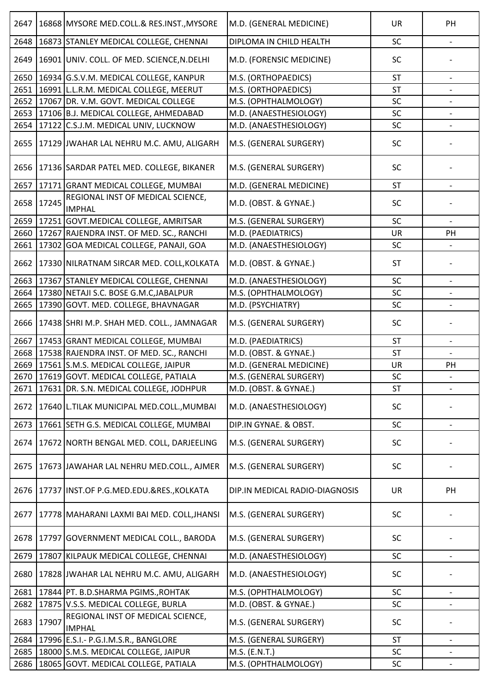| 2647 |       | 16868 MYSORE MED.COLL.& RES.INST., MYSORE          | M.D. (GENERAL MEDICINE)        | <b>UR</b> | PH                       |
|------|-------|----------------------------------------------------|--------------------------------|-----------|--------------------------|
| 2648 |       | 16873 STANLEY MEDICAL COLLEGE, CHENNAI             | DIPLOMA IN CHILD HEALTH        | SC        |                          |
| 2649 |       | 16901 UNIV. COLL. OF MED. SCIENCE, N.DELHI         | M.D. (FORENSIC MEDICINE)       | <b>SC</b> |                          |
| 2650 |       | 16934 G.S.V.M. MEDICAL COLLEGE, KANPUR             | M.S. (ORTHOPAEDICS)            | <b>ST</b> |                          |
| 2651 |       | 16991 L.L.R.M. MEDICAL COLLEGE, MEERUT             | M.S. (ORTHOPAEDICS)            | <b>ST</b> |                          |
| 2652 |       | 17067 DR. V.M. GOVT. MEDICAL COLLEGE               | M.S. (OPHTHALMOLOGY)           | SC        | $\qquad \qquad -$        |
| 2653 |       | 17106 B.J. MEDICAL COLLEGE, AHMEDABAD              | M.D. (ANAESTHESIOLOGY)         | SC        |                          |
| 2654 |       | 17122 C.S.J.M. MEDICAL UNIV, LUCKNOW               | M.D. (ANAESTHESIOLOGY)         | SC        |                          |
| 2655 |       | 17129 JWAHAR LAL NEHRU M.C. AMU, ALIGARH           | M.S. (GENERAL SURGERY)         | SC        |                          |
| 2656 |       | 17136 SARDAR PATEL MED. COLLEGE, BIKANER           | M.S. (GENERAL SURGERY)         | SC        |                          |
| 2657 |       | 17171 GRANT MEDICAL COLLEGE, MUMBAI                | M.D. (GENERAL MEDICINE)        | <b>ST</b> |                          |
| 2658 | 17245 | REGIONAL INST OF MEDICAL SCIENCE,<br><b>IMPHAL</b> | M.D. (OBST. & GYNAE.)          | SC        |                          |
| 2659 |       | 17251 GOVT.MEDICAL COLLEGE, AMRITSAR               | M.S. (GENERAL SURGERY)         | SC        |                          |
| 2660 |       | 17267 RAJENDRA INST. OF MED. SC., RANCHI           | M.D. (PAEDIATRICS)             | <b>UR</b> | PH                       |
| 2661 |       | 17302 GOA MEDICAL COLLEGE, PANAJI, GOA             | M.D. (ANAESTHESIOLOGY)         | SC        |                          |
| 2662 |       | 17330 NILRATNAM SIRCAR MED. COLL, KOLKATA          | M.D. (OBST. & GYNAE.)          | <b>ST</b> |                          |
| 2663 |       | 17367 STANLEY MEDICAL COLLEGE, CHENNAI             | M.D. (ANAESTHESIOLOGY)         | SC        |                          |
| 2664 |       | 17380 NETAJI S.C. BOSE G.M.C, JABALPUR             | M.S. (OPHTHALMOLOGY)           | SC        |                          |
| 2665 |       | 17390 GOVT. MED. COLLEGE, BHAVNAGAR                | M.D. (PSYCHIATRY)              | SC        |                          |
| 2666 |       | 17438 SHRI M.P. SHAH MED. COLL., JAMNAGAR          | M.S. (GENERAL SURGERY)         | SC        |                          |
| 2667 |       | 17453 GRANT MEDICAL COLLEGE, MUMBAI                | M.D. (PAEDIATRICS)             | <b>ST</b> |                          |
| 2668 |       | 17538 RAJENDRA INST. OF MED. SC., RANCHI           | M.D. (OBST. & GYNAE.)          | <b>ST</b> |                          |
| 2669 |       | 17561 S.M.S. MEDICAL COLLEGE, JAIPUR               | M.D. (GENERAL MEDICINE)        | <b>UR</b> | PH                       |
|      |       | 2670   17619 GOVT. MEDICAL COLLEGE, PATIALA        | M.S. (GENERAL SURGERY)         | SC        |                          |
| 2671 |       | 17631 DR. S.N. MEDICAL COLLEGE, JODHPUR            | M.D. (OBST. & GYNAE.)          | <b>ST</b> | $\overline{\phantom{a}}$ |
| 2672 |       | 17640 L.TILAK MUNICIPAL MED.COLL., MUMBAI          | M.D. (ANAESTHESIOLOGY)         | SC        |                          |
| 2673 |       | 17661 SETH G.S. MEDICAL COLLEGE, MUMBAI            | DIP.IN GYNAE. & OBST.          | SC        |                          |
| 2674 |       | 17672 NORTH BENGAL MED. COLL, DARJEELING           | M.S. (GENERAL SURGERY)         | <b>SC</b> |                          |
| 2675 |       | 17673 JAWAHAR LAL NEHRU MED.COLL., AJMER           | M.S. (GENERAL SURGERY)         | SC        |                          |
| 2676 |       | 17737 INST.OF P.G.MED.EDU.&RES., KOLKATA           | DIP.IN MEDICAL RADIO-DIAGNOSIS | <b>UR</b> | PH                       |
| 2677 |       | 17778 MAHARANI LAXMI BAI MED. COLL, JHANSI         | M.S. (GENERAL SURGERY)         | SC        |                          |
| 2678 |       | 17797 GOVERNMENT MEDICAL COLL., BARODA             | M.S. (GENERAL SURGERY)         | SC        |                          |
| 2679 |       | 17807 KILPAUK MEDICAL COLLEGE, CHENNAI             | M.D. (ANAESTHESIOLOGY)         | SC        | $\overline{\phantom{a}}$ |
| 2680 |       | 17828 JWAHAR LAL NEHRU M.C. AMU, ALIGARH           | M.D. (ANAESTHESIOLOGY)         | <b>SC</b> |                          |
| 2681 |       | 17844 PT. B.D.SHARMA PGIMS., ROHTAK                | M.S. (OPHTHALMOLOGY)           | SC        |                          |
| 2682 |       | 17875 V.S.S. MEDICAL COLLEGE, BURLA                | M.D. (OBST. & GYNAE.)          | SC        |                          |
| 2683 | 17907 | REGIONAL INST OF MEDICAL SCIENCE,<br><b>IMPHAL</b> | M.S. (GENERAL SURGERY)         | SC        |                          |
| 2684 |       | 17996 E.S.I.- P.G.I.M.S.R., BANGLORE               | M.S. (GENERAL SURGERY)         | <b>ST</b> |                          |
| 2685 |       | 18000 S.M.S. MEDICAL COLLEGE, JAIPUR               | M.S. (E.N.T.)                  | SC        |                          |
| 2686 |       | 18065 GOVT. MEDICAL COLLEGE, PATIALA               | M.S. (OPHTHALMOLOGY)           | SC        |                          |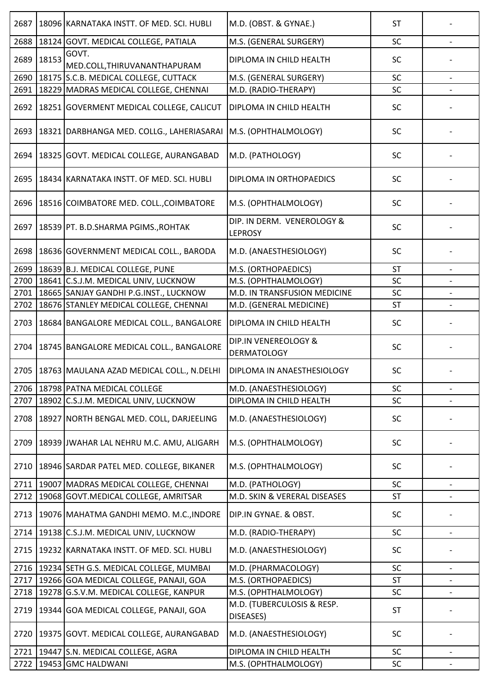| 2687 |       | 18096 KARNATAKA INSTT. OF MED. SCI. HUBLI          | M.D. (OBST. & GYNAE.)                        | <b>ST</b> |                          |
|------|-------|----------------------------------------------------|----------------------------------------------|-----------|--------------------------|
| 2688 |       | 18124 GOVT. MEDICAL COLLEGE, PATIALA               | M.S. (GENERAL SURGERY)                       | SC        |                          |
| 2689 | 18153 | GOVT.<br>MED.COLL, THIRUVANANTHAPURAM              | DIPLOMA IN CHILD HEALTH                      | <b>SC</b> |                          |
| 2690 |       | 18175 S.C.B. MEDICAL COLLEGE, CUTTACK              | M.S. (GENERAL SURGERY)                       | SC        |                          |
| 2691 |       | 18229 MADRAS MEDICAL COLLEGE, CHENNAI              | M.D. (RADIO-THERAPY)                         | SC        |                          |
| 2692 |       | 18251 GOVERMENT MEDICAL COLLEGE, CALICUT           | DIPLOMA IN CHILD HEALTH                      | SC        |                          |
| 2693 |       | 18321 DARBHANGA MED. COLLG., LAHERIASARAI          | M.S. (OPHTHALMOLOGY)                         | <b>SC</b> |                          |
| 2694 |       | 18325 GOVT. MEDICAL COLLEGE, AURANGABAD            | M.D. (PATHOLOGY)                             | SC        |                          |
| 2695 |       | 18434 KARNATAKA INSTT. OF MED. SCI. HUBLI          | DIPLOMA IN ORTHOPAEDICS                      | <b>SC</b> |                          |
| 2696 |       | 18516 COIMBATORE MED. COLL., COIMBATORE            | M.S. (OPHTHALMOLOGY)                         | SC        |                          |
| 2697 |       | 18539 PT. B.D.SHARMA PGIMS., ROHTAK                | DIP. IN DERM. VENEROLOGY &<br><b>LEPROSY</b> | <b>SC</b> |                          |
| 2698 |       | 18636 GOVERNMENT MEDICAL COLL., BARODA             | M.D. (ANAESTHESIOLOGY)                       | <b>SC</b> |                          |
| 2699 |       | 18639 B.J. MEDICAL COLLEGE, PUNE                   | M.S. (ORTHOPAEDICS)                          | <b>ST</b> | $\overline{\phantom{a}}$ |
| 2700 |       | 18641 C.S.J.M. MEDICAL UNIV, LUCKNOW               | M.S. (OPHTHALMOLOGY)                         | SC        |                          |
| 2701 |       | 18665 SANJAY GANDHI P.G.INST., LUCKNOW             | M.D. IN TRANSFUSION MEDICINE                 | SC        |                          |
| 2702 |       | 18676 STANLEY MEDICAL COLLEGE, CHENNAI             | M.D. (GENERAL MEDICINE)                      | <b>ST</b> |                          |
| 2703 |       | 18684 BANGALORE MEDICAL COLL., BANGALORE           | DIPLOMA IN CHILD HEALTH                      | SC        |                          |
| 2704 |       | 18745 BANGALORE MEDICAL COLL., BANGALORE           | DIP.IN VENEREOLOGY &<br><b>DERMATOLOGY</b>   | SC        |                          |
|      |       | 2705   18763   MAULANA AZAD MEDICAL COLL., N.DELHI | DIPLOMA IN ANAESTHESIOLOGY                   | SC        |                          |
|      |       | 2706   18798   PATNA MEDICAL COLLEGE               | M.D. (ANAESTHESIOLOGY)                       | SC        |                          |
| 2707 |       | 18902 C.S.J.M. MEDICAL UNIV, LUCKNOW               | DIPLOMA IN CHILD HEALTH                      | SC        |                          |
| 2708 |       | 18927 NORTH BENGAL MED. COLL, DARJEELING           | M.D. (ANAESTHESIOLOGY)                       | SC        |                          |
| 2709 |       | 18939 JWAHAR LAL NEHRU M.C. AMU, ALIGARH           | M.S. (OPHTHALMOLOGY)                         | SC        |                          |
| 2710 |       | 18946 SARDAR PATEL MED. COLLEGE, BIKANER           | M.S. (OPHTHALMOLOGY)                         | <b>SC</b> |                          |
| 2711 |       | 19007 MADRAS MEDICAL COLLEGE, CHENNAI              | M.D. (PATHOLOGY)                             | SC        |                          |
| 2712 |       | 19068 GOVT. MEDICAL COLLEGE, AMRITSAR              | M.D. SKIN & VERERAL DISEASES                 | ST        |                          |
| 2713 |       | 19076 MAHATMA GANDHI MEMO. M.C., INDORE            | DIP.IN GYNAE. & OBST.                        | SC        |                          |
| 2714 |       | 19138 C.S.J.M. MEDICAL UNIV, LUCKNOW               | M.D. (RADIO-THERAPY)                         | SC        |                          |
| 2715 |       | 19232 KARNATAKA INSTT. OF MED. SCI. HUBLI          | M.D. (ANAESTHESIOLOGY)                       | SC        |                          |
| 2716 |       | 19234 SETH G.S. MEDICAL COLLEGE, MUMBAI            | M.D. (PHARMACOLOGY)                          | SC        |                          |
| 2717 |       | 19266 GOA MEDICAL COLLEGE, PANAJI, GOA             | M.S. (ORTHOPAEDICS)                          | <b>ST</b> |                          |
| 2718 |       | 19278 G.S.V.M. MEDICAL COLLEGE, KANPUR             | M.S. (OPHTHALMOLOGY)                         | SC        |                          |
| 2719 |       | 19344 GOA MEDICAL COLLEGE, PANAJI, GOA             | M.D. (TUBERCULOSIS & RESP.<br>DISEASES)      | <b>ST</b> |                          |
| 2720 |       | 19375 GOVT. MEDICAL COLLEGE, AURANGABAD            | M.D. (ANAESTHESIOLOGY)                       | SC        |                          |
| 2721 |       | 19447 S.N. MEDICAL COLLEGE, AGRA                   | DIPLOMA IN CHILD HEALTH                      | SC        |                          |
| 2722 |       | 19453 GMC HALDWANI                                 | M.S. (OPHTHALMOLOGY)                         | SC        |                          |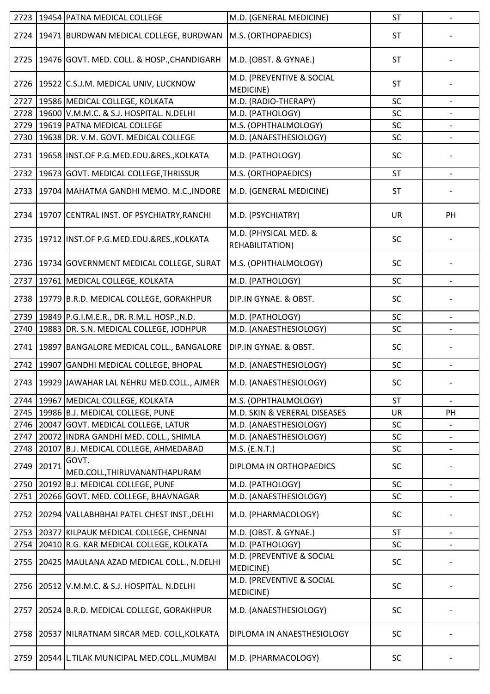| 2723 |       | 19454 PATNA MEDICAL COLLEGE                     | M.D. (GENERAL MEDICINE)                  | ST        |    |
|------|-------|-------------------------------------------------|------------------------------------------|-----------|----|
| 2724 |       | 19471 BURDWAN MEDICAL COLLEGE, BURDWAN          | M.S. (ORTHOPAEDICS)                      | <b>ST</b> |    |
| 2725 |       | 19476 GOVT. MED. COLL. & HOSP., CHANDIGARH      | M.D. (OBST. & GYNAE.)                    | <b>ST</b> |    |
|      |       | 2726   19522 C.S.J.M. MEDICAL UNIV, LUCKNOW     | M.D. (PREVENTIVE & SOCIAL<br>MEDICINE)   | <b>ST</b> |    |
| 2727 |       | 19586 MEDICAL COLLEGE, KOLKATA                  | M.D. (RADIO-THERAPY)                     | SC        |    |
| 2728 |       | 19600 V.M.M.C. & S.J. HOSPITAL. N.DELHI         | M.D. (PATHOLOGY)                         | SC        |    |
| 2729 |       | 19619 PATNA MEDICAL COLLEGE                     | M.S. (OPHTHALMOLOGY)                     | SC        |    |
| 2730 |       | 19638 DR. V.M. GOVT. MEDICAL COLLEGE            | M.D. (ANAESTHESIOLOGY)                   | SC        |    |
| 2731 |       | 19658 INST.OF P.G.MED.EDU.&RES., KOLKATA        | M.D. (PATHOLOGY)                         | SC        |    |
| 2732 |       | 19673 GOVT. MEDICAL COLLEGE, THRISSUR           | M.S. (ORTHOPAEDICS)                      | <b>ST</b> |    |
| 2733 |       | 19704 MAHATMA GANDHI MEMO. M.C., INDORE         | M.D. (GENERAL MEDICINE)                  | <b>ST</b> |    |
| 2734 |       | 19707 CENTRAL INST. OF PSYCHIATRY, RANCHI       | M.D. (PSYCHIATRY)                        | <b>UR</b> | PH |
| 2735 |       | 19712 INST.OF P.G.MED.EDU.&RES., KOLKATA        | M.D. (PHYSICAL MED. &<br>REHABILITATION) | SC        |    |
| 2736 |       | 19734 GOVERNMENT MEDICAL COLLEGE, SURAT         | M.S. (OPHTHALMOLOGY)                     | <b>SC</b> |    |
| 2737 |       | 19761 MEDICAL COLLEGE, KOLKATA                  | M.D. (PATHOLOGY)                         | SC        |    |
| 2738 |       | 19779 B.R.D. MEDICAL COLLEGE, GORAKHPUR         | DIP.IN GYNAE. & OBST.                    | <b>SC</b> |    |
| 2739 |       | 19849 P.G.I.M.E.R., DR. R.M.L. HOSP., N.D.      | M.D. (PATHOLOGY)                         | SC        |    |
| 2740 |       | 19883 DR. S.N. MEDICAL COLLEGE, JODHPUR         | M.D. (ANAESTHESIOLOGY)                   | SC        |    |
| 2741 |       | 19897 BANGALORE MEDICAL COLL., BANGALORE        | DIP.IN GYNAE. & OBST.                    | SC        |    |
| 2742 | 19907 | <b>GANDHI MEDICAL COLLEGE, BHOPAL</b>           | M.D. (ANAESTHESIOLOGY)                   | SC        |    |
|      |       | 2743   19929 JAWAHAR LAL NEHRU MED.COLL., AJMER | M.D. (ANAESTHESIOLOGY)                   | SC        |    |
| 2744 |       | 19967 MEDICAL COLLEGE, KOLKATA                  | M.S. (OPHTHALMOLOGY)                     | <b>ST</b> |    |
|      |       | 2745   19986   B.J. MEDICAL COLLEGE, PUNE       | M.D. SKIN & VERERAL DISEASES             | <b>UR</b> | PH |
| 2746 |       | 20047 GOVT. MEDICAL COLLEGE, LATUR              | M.D. (ANAESTHESIOLOGY)                   | SC        |    |
| 2747 |       | 20072 INDRA GANDHI MED. COLL., SHIMLA           | M.D. (ANAESTHESIOLOGY)                   | SC        |    |
| 2748 |       | 20107 B.J. MEDICAL COLLEGE, AHMEDABAD           | M.S. (E.N.T.)                            | SC        |    |
| 2749 | 20171 | GOVT.<br>MED.COLL, THIRUVANANTHAPURAM           | DIPLOMA IN ORTHOPAEDICS                  | <b>SC</b> |    |
| 2750 |       | 20192 B.J. MEDICAL COLLEGE, PUNE                | M.D. (PATHOLOGY)                         | SC        |    |
|      |       | 2751 20266 GOVT. MED. COLLEGE, BHAVNAGAR        | M.D. (ANAESTHESIOLOGY)                   | SC        |    |
| 2752 |       | 20294 VALLABHBHAI PATEL CHEST INST., DELHI      | M.D. (PHARMACOLOGY)                      | <b>SC</b> |    |
| 2753 |       | 20377 KILPAUK MEDICAL COLLEGE, CHENNAI          | M.D. (OBST. & GYNAE.)                    | <b>ST</b> |    |
| 2754 |       | 20410 R.G. KAR MEDICAL COLLEGE, KOLKATA         | M.D. (PATHOLOGY)                         | SC        |    |
| 2755 |       | 20425 MAULANA AZAD MEDICAL COLL., N.DELHI       | M.D. (PREVENTIVE & SOCIAL<br>MEDICINE)   | SC        |    |
| 2756 |       | 20512 V.M.M.C. & S.J. HOSPITAL. N.DELHI         | M.D. (PREVENTIVE & SOCIAL<br>MEDICINE)   | SC        |    |
| 2757 |       | 20524 B.R.D. MEDICAL COLLEGE, GORAKHPUR         | M.D. (ANAESTHESIOLOGY)                   | SC        |    |
| 2758 |       | 20537 NILRATNAM SIRCAR MED. COLL, KOLKATA       | DIPLOMA IN ANAESTHESIOLOGY               | <b>SC</b> |    |
| 2759 |       | 20544 L.TILAK MUNICIPAL MED.COLL., MUMBAI       | M.D. (PHARMACOLOGY)                      | <b>SC</b> |    |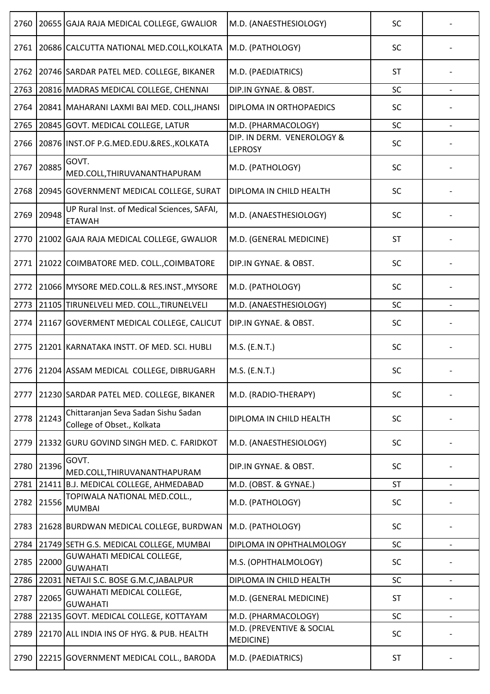| 2760 |       | 20655 GAJA RAJA MEDICAL COLLEGE, GWALIOR                          | M.D. (ANAESTHESIOLOGY)                       | <b>SC</b> |  |
|------|-------|-------------------------------------------------------------------|----------------------------------------------|-----------|--|
| 2761 |       | 20686 CALCUTTA NATIONAL MED.COLL, KOLKATA                         | M.D. (PATHOLOGY)                             | <b>SC</b> |  |
| 2762 |       | 20746 SARDAR PATEL MED. COLLEGE, BIKANER                          | M.D. (PAEDIATRICS)                           | <b>ST</b> |  |
| 2763 |       | 20816 MADRAS MEDICAL COLLEGE, CHENNAI                             | DIP.IN GYNAE. & OBST.                        | SC        |  |
| 2764 |       | 20841 MAHARANI LAXMI BAI MED. COLL, JHANSI                        | DIPLOMA IN ORTHOPAEDICS                      | SC        |  |
| 2765 |       | 20845 GOVT. MEDICAL COLLEGE, LATUR                                | M.D. (PHARMACOLOGY)                          | SC        |  |
| 2766 |       | 20876 INST.OF P.G.MED.EDU.&RES., KOLKATA                          | DIP. IN DERM. VENEROLOGY &<br><b>LEPROSY</b> | SC        |  |
| 2767 | 20885 | GOVT.<br>MED.COLL, THIRUVANANTHAPURAM                             | M.D. (PATHOLOGY)                             | SC        |  |
| 2768 |       | 20945 GOVERNMENT MEDICAL COLLEGE, SURAT                           | DIPLOMA IN CHILD HEALTH                      | SC        |  |
| 2769 | 20948 | UP Rural Inst. of Medical Sciences, SAFAI,<br><b>ETAWAH</b>       | M.D. (ANAESTHESIOLOGY)                       | <b>SC</b> |  |
| 2770 |       | 21002 GAJA RAJA MEDICAL COLLEGE, GWALIOR                          | M.D. (GENERAL MEDICINE)                      | <b>ST</b> |  |
| 2771 |       | 21022 COIMBATORE MED. COLL., COIMBATORE                           | DIP.IN GYNAE. & OBST.                        | SC        |  |
| 2772 |       | 21066 MYSORE MED.COLL.& RES.INST., MYSORE                         | M.D. (PATHOLOGY)                             | SC        |  |
| 2773 |       | 21105 TIRUNELVELI MED. COLL., TIRUNELVELI                         | M.D. (ANAESTHESIOLOGY)                       | SC        |  |
| 2774 |       | 21167 GOVERMENT MEDICAL COLLEGE, CALICUT                          | DIP.IN GYNAE. & OBST.                        | SC        |  |
| 2775 |       | 21201 KARNATAKA INSTT. OF MED. SCI. HUBLI                         | M.S. (E.N.T.)                                | SC        |  |
|      |       | 2776 21204 ASSAM MEDICAL COLLEGE, DIBRUGARH                       | M.S. (E.N.T.)                                | SC        |  |
| 2777 |       | 21230 SARDAR PATEL MED. COLLEGE, BIKANER                          | M.D. (RADIO-THERAPY)                         | <b>SC</b> |  |
| 2778 | 21243 | Chittaranjan Seva Sadan Sishu Sadan<br>College of Obset., Kolkata | DIPLOMA IN CHILD HEALTH                      | <b>SC</b> |  |
| 2779 |       | 21332 GURU GOVIND SINGH MED. C. FARIDKOT                          | M.D. (ANAESTHESIOLOGY)                       | SC        |  |
| 2780 | 21396 | GOVT.<br>MED.COLL, THIRUVANANTHAPURAM                             | DIP.IN GYNAE. & OBST.                        | <b>SC</b> |  |
| 2781 |       | 21411 B.J. MEDICAL COLLEGE, AHMEDABAD                             | M.D. (OBST. & GYNAE.)                        | <b>ST</b> |  |
| 2782 | 21556 | TOPIWALA NATIONAL MED.COLL.,<br><b>MUMBAI</b>                     | M.D. (PATHOLOGY)                             | <b>SC</b> |  |
| 2783 |       | 21628 BURDWAN MEDICAL COLLEGE, BURDWAN                            | M.D. (PATHOLOGY)                             | SC        |  |
| 2784 |       | 21749 SETH G.S. MEDICAL COLLEGE, MUMBAI                           | DIPLOMA IN OPHTHALMOLOGY                     | SC        |  |
| 2785 | 22000 | <b>GUWAHATI MEDICAL COLLEGE,</b><br><b>GUWAHATI</b>               | M.S. (OPHTHALMOLOGY)                         | <b>SC</b> |  |
| 2786 |       | 22031 NETAJI S.C. BOSE G.M.C, JABALPUR                            | DIPLOMA IN CHILD HEALTH                      | SC        |  |
| 2787 | 22065 | GUWAHATI MEDICAL COLLEGE,<br><b>GUWAHATI</b>                      | M.D. (GENERAL MEDICINE)                      | <b>ST</b> |  |
| 2788 |       | 22135 GOVT. MEDICAL COLLEGE, KOTTAYAM                             | M.D. (PHARMACOLOGY)                          | SC        |  |
| 2789 |       | 22170 ALL INDIA INS OF HYG. & PUB. HEALTH                         | M.D. (PREVENTIVE & SOCIAL<br>MEDICINE)       | SC        |  |
| 2790 |       | 22215 GOVERNMENT MEDICAL COLL., BARODA                            | M.D. (PAEDIATRICS)                           | <b>ST</b> |  |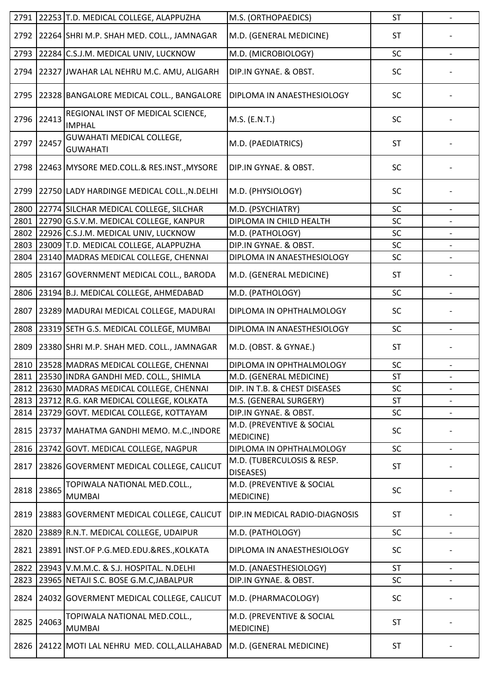|      |       | 2791 22253 T.D. MEDICAL COLLEGE, ALAPPUZHA          | M.S. (ORTHOPAEDICS)                            | <b>ST</b> | $\overline{\phantom{a}}$ |
|------|-------|-----------------------------------------------------|------------------------------------------------|-----------|--------------------------|
| 2792 |       | 22264 SHRI M.P. SHAH MED. COLL., JAMNAGAR           | M.D. (GENERAL MEDICINE)                        | <b>ST</b> |                          |
| 2793 |       | 22284 C.S.J.M. MEDICAL UNIV, LUCKNOW                | M.D. (MICROBIOLOGY)                            | SC        |                          |
| 2794 |       | 22327 JJWAHAR LAL NEHRU M.C. AMU, ALIGARH           | DIP.IN GYNAE. & OBST.                          | SC        |                          |
| 2795 |       | 22328 BANGALORE MEDICAL COLL., BANGALORE            | DIPLOMA IN ANAESTHESIOLOGY                     | SC        |                          |
| 2796 | 22413 | REGIONAL INST OF MEDICAL SCIENCE,<br><b>IMPHAL</b>  | M.S. (E.N.T.)                                  | SC        |                          |
| 2797 | 22457 | <b>GUWAHATI MEDICAL COLLEGE,</b><br><b>GUWAHATI</b> | M.D. (PAEDIATRICS)                             | <b>ST</b> |                          |
| 2798 |       | 22463 MYSORE MED.COLL.& RES.INST., MYSORE           | DIP.IN GYNAE. & OBST.                          | <b>SC</b> |                          |
| 2799 |       | 22750 LADY HARDINGE MEDICAL COLL., N.DELHI          | M.D. (PHYSIOLOGY)                              | <b>SC</b> |                          |
| 2800 |       | 22774 SILCHAR MEDICAL COLLEGE, SILCHAR              | M.D. (PSYCHIATRY)                              | SC        |                          |
| 2801 |       | 22790 G.S.V.M. MEDICAL COLLEGE, KANPUR              | DIPLOMA IN CHILD HEALTH                        | SC        |                          |
| 2802 |       | 22926 C.S.J.M. MEDICAL UNIV, LUCKNOW                | M.D. (PATHOLOGY)                               | SC        |                          |
| 2803 |       | 23009 T.D. MEDICAL COLLEGE, ALAPPUZHA               | DIP.IN GYNAE. & OBST.                          | SC        | $\overline{\phantom{a}}$ |
| 2804 |       | 23140 MADRAS MEDICAL COLLEGE, CHENNAI               | DIPLOMA IN ANAESTHESIOLOGY                     | SC        |                          |
| 2805 |       | 23167 GOVERNMENT MEDICAL COLL., BARODA              | M.D. (GENERAL MEDICINE)                        | <b>ST</b> |                          |
| 2806 |       | 23194 B.J. MEDICAL COLLEGE, AHMEDABAD               | M.D. (PATHOLOGY)                               | SC        |                          |
| 2807 |       | 23289 MADURAI MEDICAL COLLEGE, MADURAI              | DIPLOMA IN OPHTHALMOLOGY                       | SC        |                          |
| 2808 |       | 23319 SETH G.S. MEDICAL COLLEGE, MUMBAI             | DIPLOMA IN ANAESTHESIOLOGY                     | SC        | $\overline{\phantom{0}}$ |
| 2809 |       | 23380 SHRI M.P. SHAH MED. COLL., JAMNAGAR           | M.D. (OBST. & GYNAE.)                          | <b>ST</b> |                          |
| 2810 |       | 23528 MADRAS MEDICAL COLLEGE, CHENNAI               | DIPLOMA IN OPHTHALMOLOGY                       | SC        |                          |
|      |       | 2811 23530 INDRA GANDHI MED. COLL., SHIMLA          | M.D. (GENERAL MEDICINE)                        | <b>ST</b> |                          |
| 2812 |       | 23630 MADRAS MEDICAL COLLEGE, CHENNAI               | DIP. IN T.B. & CHEST DISEASES                  | SC        | $\overline{\phantom{a}}$ |
| 2813 |       | 23712 R.G. KAR MEDICAL COLLEGE, KOLKATA             | M.S. (GENERAL SURGERY)                         | <b>ST</b> |                          |
| 2814 |       | 23729 GOVT. MEDICAL COLLEGE, KOTTAYAM               | DIP.IN GYNAE. & OBST.                          | SC        | $\overline{\phantom{a}}$ |
| 2815 |       | 23737 MAHATMA GANDHI MEMO. M.C., INDORE             | M.D. (PREVENTIVE & SOCIAL<br>MEDICINE)         | SC        |                          |
| 2816 |       | 23742 GOVT. MEDICAL COLLEGE, NAGPUR                 | DIPLOMA IN OPHTHALMOLOGY                       | SC        | $\overline{\phantom{0}}$ |
| 2817 |       | 23826 GOVERMENT MEDICAL COLLEGE, CALICUT            | M.D. (TUBERCULOSIS & RESP.<br>DISEASES)        | <b>ST</b> |                          |
| 2818 | 23865 | TOPIWALA NATIONAL MED.COLL.,<br><b>MUMBAI</b>       | M.D. (PREVENTIVE & SOCIAL<br><b>MEDICINE</b> ) | SC        |                          |
| 2819 |       | 23883 GOVERMENT MEDICAL COLLEGE, CALICUT            | DIP.IN MEDICAL RADIO-DIAGNOSIS                 | <b>ST</b> |                          |
| 2820 |       | 23889 R.N.T. MEDICAL COLLEGE, UDAIPUR               | M.D. (PATHOLOGY)                               | SC        | $\overline{\phantom{a}}$ |
| 2821 |       | 23891 INST.OF P.G.MED.EDU.&RES., KOLKATA            | DIPLOMA IN ANAESTHESIOLOGY                     | SC        |                          |
| 2822 |       | 23943 V.M.M.C. & S.J. HOSPITAL. N.DELHI             | M.D. (ANAESTHESIOLOGY)                         | <b>ST</b> |                          |
| 2823 |       | 23965 NETAJI S.C. BOSE G.M.C, JABALPUR              | DIP.IN GYNAE. & OBST.                          | SC        | $\overline{\phantom{a}}$ |
| 2824 |       | 24032 GOVERMENT MEDICAL COLLEGE, CALICUT            | M.D. (PHARMACOLOGY)                            | SC        |                          |
| 2825 | 24063 | TOPIWALA NATIONAL MED.COLL.,<br><b>MUMBAI</b>       | M.D. (PREVENTIVE & SOCIAL<br><b>MEDICINE)</b>  | <b>ST</b> |                          |
| 2826 |       | 24122 MOTI LAL NEHRU MED. COLL, ALLAHABAD           | M.D. (GENERAL MEDICINE)                        | <b>ST</b> |                          |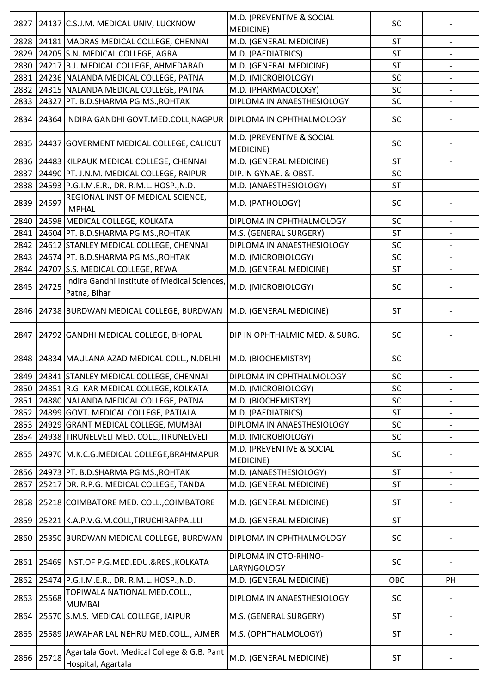| 2827 |       | 24137 C.S.J.M. MEDICAL UNIV, LUCKNOW                             | M.D. (PREVENTIVE & SOCIAL<br>MEDICINE)        | SC        |                          |
|------|-------|------------------------------------------------------------------|-----------------------------------------------|-----------|--------------------------|
| 2828 |       | 24181 MADRAS MEDICAL COLLEGE, CHENNAI                            | M.D. (GENERAL MEDICINE)                       | <b>ST</b> |                          |
| 2829 |       | 24205 S.N. MEDICAL COLLEGE, AGRA                                 | M.D. (PAEDIATRICS)                            | <b>ST</b> |                          |
| 2830 |       | 24217 B.J. MEDICAL COLLEGE, AHMEDABAD                            | M.D. (GENERAL MEDICINE)                       | <b>ST</b> |                          |
| 2831 |       | 24236 NALANDA MEDICAL COLLEGE, PATNA                             | M.D. (MICROBIOLOGY)                           | SC        |                          |
| 2832 |       | 24315 NALANDA MEDICAL COLLEGE, PATNA                             | M.D. (PHARMACOLOGY)                           | SC        |                          |
| 2833 |       | 24327 PT. B.D.SHARMA PGIMS., ROHTAK                              | DIPLOMA IN ANAESTHESIOLOGY                    | SC        |                          |
| 2834 |       | 24364 INDIRA GANDHI GOVT.MED.COLL, NAGPUR                        | DIPLOMA IN OPHTHALMOLOGY                      | <b>SC</b> |                          |
| 2835 |       | 24437 GOVERMENT MEDICAL COLLEGE, CALICUT                         | M.D. (PREVENTIVE & SOCIAL<br><b>MEDICINE)</b> | SC        |                          |
| 2836 |       | 24483 KILPAUK MEDICAL COLLEGE, CHENNAI                           | M.D. (GENERAL MEDICINE)                       | <b>ST</b> |                          |
| 2837 |       | 24490 PT. J.N.M. MEDICAL COLLEGE, RAIPUR                         | DIP.IN GYNAE. & OBST.                         | <b>SC</b> |                          |
| 2838 |       | 24593 P.G.I.M.E.R., DR. R.M.L. HOSP., N.D.                       | M.D. (ANAESTHESIOLOGY)                        | <b>ST</b> |                          |
| 2839 | 24597 | REGIONAL INST OF MEDICAL SCIENCE,<br><b>IMPHAL</b>               | M.D. (PATHOLOGY)                              | SC        |                          |
| 2840 |       | 24598 MEDICAL COLLEGE, KOLKATA                                   | DIPLOMA IN OPHTHALMOLOGY                      | SC        |                          |
| 2841 |       | 24604 PT. B.D.SHARMA PGIMS., ROHTAK                              | M.S. (GENERAL SURGERY)                        | <b>ST</b> |                          |
| 2842 |       | 24612 STANLEY MEDICAL COLLEGE, CHENNAI                           | DIPLOMA IN ANAESTHESIOLOGY                    | SC        |                          |
| 2843 |       | 24674 PT. B.D.SHARMA PGIMS., ROHTAK                              | M.D. (MICROBIOLOGY)                           | SC        |                          |
| 2844 |       | 24707 S.S. MEDICAL COLLEGE, REWA                                 | M.D. (GENERAL MEDICINE)                       | <b>ST</b> |                          |
| 2845 | 24725 | Indira Gandhi Institute of Medical Sciences,<br>Patna, Bihar     | M.D. (MICROBIOLOGY)                           | <b>SC</b> |                          |
| 2846 |       | 24738 BURDWAN MEDICAL COLLEGE, BURDWAN                           | M.D. (GENERAL MEDICINE)                       | <b>ST</b> |                          |
| 2847 |       | 24792 GANDHI MEDICAL COLLEGE, BHOPAL                             | DIP IN OPHTHALMIC MED. & SURG.                | SC        |                          |
| 2848 |       | 24834 MAULANA AZAD MEDICAL COLL., N.DELHI                        | M.D. (BIOCHEMISTRY)                           | SC        |                          |
|      |       | 2849 24841 STANLEY MEDICAL COLLEGE, CHENNAI                      | DIPLOMA IN OPHTHALMOLOGY                      | SC        |                          |
| 2850 |       | 24851 R.G. KAR MEDICAL COLLEGE, KOLKATA                          | M.D. (MICROBIOLOGY)                           | SC        | $\overline{\phantom{a}}$ |
| 2851 |       | 24880 NALANDA MEDICAL COLLEGE, PATNA                             | M.D. (BIOCHEMISTRY)                           | SC        |                          |
| 2852 |       | 24899 GOVT. MEDICAL COLLEGE, PATIALA                             | M.D. (PAEDIATRICS)                            | <b>ST</b> |                          |
| 2853 |       | 24929 GRANT MEDICAL COLLEGE, MUMBAI                              | DIPLOMA IN ANAESTHESIOLOGY                    | SC        |                          |
| 2854 |       | 24938 TIRUNELVELI MED. COLL., TIRUNELVELI                        | M.D. (MICROBIOLOGY)                           | SC        |                          |
| 2855 |       | 24970 M.K.C.G.MEDICAL COLLEGE, BRAHMAPUR                         | M.D. (PREVENTIVE & SOCIAL<br><b>MEDICINE)</b> | SC        |                          |
| 2856 |       | 24973 PT. B.D.SHARMA PGIMS., ROHTAK                              | M.D. (ANAESTHESIOLOGY)                        | <b>ST</b> | $\overline{\phantom{0}}$ |
| 2857 |       | 25217 DR. R.P.G. MEDICAL COLLEGE, TANDA                          | M.D. (GENERAL MEDICINE)                       | <b>ST</b> |                          |
| 2858 |       | 25218 COIMBATORE MED. COLL., COIMBATORE                          | M.D. (GENERAL MEDICINE)                       | ST        |                          |
| 2859 |       | 25221 K.A.P.V.G.M.COLL, TIRUCHIRAPPALLLI                         | M.D. (GENERAL MEDICINE)                       | <b>ST</b> |                          |
| 2860 |       | 25350 BURDWAN MEDICAL COLLEGE, BURDWAN                           | DIPLOMA IN OPHTHALMOLOGY                      | SC        |                          |
| 2861 |       | 25469 INST.OF P.G.MED.EDU.&RES., KOLKATA                         | DIPLOMA IN OTO-RHINO-<br>LARYNGOLOGY          | SC        |                          |
| 2862 |       | 25474 P.G.I.M.E.R., DR. R.M.L. HOSP., N.D.                       | M.D. (GENERAL MEDICINE)                       | OBC       | PH                       |
| 2863 | 25568 | TOPIWALA NATIONAL MED.COLL.,<br><b>MUMBAI</b>                    | DIPLOMA IN ANAESTHESIOLOGY                    | SC        |                          |
| 2864 |       | 25570 S.M.S. MEDICAL COLLEGE, JAIPUR                             | M.S. (GENERAL SURGERY)                        | <b>ST</b> | $\overline{\phantom{a}}$ |
| 2865 |       | 25589 JAWAHAR LAL NEHRU MED.COLL., AJMER                         | M.S. (OPHTHALMOLOGY)                          | <b>ST</b> |                          |
| 2866 | 25718 | Agartala Govt. Medical College & G.B. Pant<br>Hospital, Agartala | M.D. (GENERAL MEDICINE)                       | ST        |                          |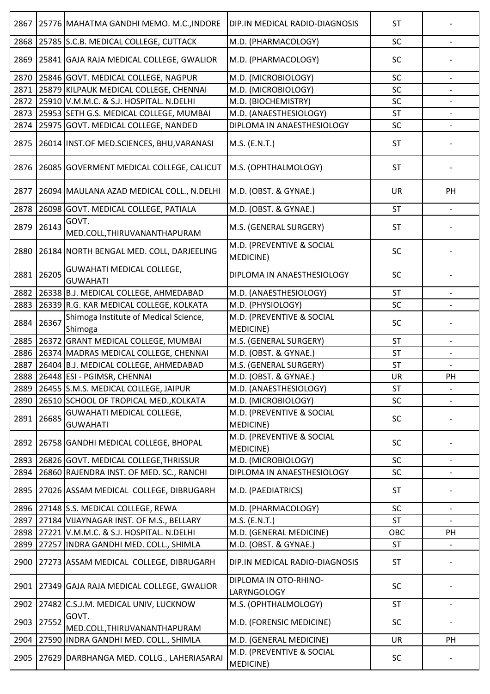| 25785 S.C.B. MEDICAL COLLEGE, CUTTACK<br>SC<br>2868<br>M.D. (PHARMACOLOGY)<br>2869<br>25841 GAJA RAJA MEDICAL COLLEGE, GWALIOR<br>M.D. (PHARMACOLOGY)<br><b>SC</b><br>25846 GOVT. MEDICAL COLLEGE, NAGPUR<br>2870<br>SC<br>M.D. (MICROBIOLOGY)<br>25879 KILPAUK MEDICAL COLLEGE, CHENNAI<br>2871<br>SC<br>M.D. (MICROBIOLOGY)<br>SC<br>2872<br>25910 V.M.M.C. & S.J. HOSPITAL. N.DELHI<br>M.D. (BIOCHEMISTRY)<br>2873<br>25953 SETH G.S. MEDICAL COLLEGE, MUMBAI<br>M.D. (ANAESTHESIOLOGY)<br><b>ST</b><br>2874 25975 GOVT. MEDICAL COLLEGE, NANDED<br>DIPLOMA IN ANAESTHESIOLOGY<br>SC<br>2875<br>26014 INST.OF MED.SCIENCES, BHU, VARANASI<br>M.S. (E.N.T.)<br><b>ST</b><br>2876<br>26085 GOVERMENT MEDICAL COLLEGE, CALICUT<br>M.S. (OPHTHALMOLOGY)<br><b>ST</b><br>2877<br>26094 MAULANA AZAD MEDICAL COLL., N.DELHI<br>M.D. (OBST. & GYNAE.)<br><b>UR</b><br>PH<br>26098 GOVT. MEDICAL COLLEGE, PATIALA<br>2878<br>M.D. (OBST. & GYNAE.)<br><b>ST</b><br>GOVT.<br>26143<br>2879<br>M.S. (GENERAL SURGERY)<br><b>ST</b><br>MED.COLL, THIRUVANANTHAPURAM<br>M.D. (PREVENTIVE & SOCIAL<br>2880<br>26184 NORTH BENGAL MED. COLL, DARJEELING<br>SC<br>MEDICINE)<br><b>GUWAHATI MEDICAL COLLEGE,</b><br>26205<br>2881<br>DIPLOMA IN ANAESTHESIOLOGY<br><b>SC</b><br><b>GUWAHATI</b><br>26338 B.J. MEDICAL COLLEGE, AHMEDABAD<br>2882<br><b>ST</b><br>M.D. (ANAESTHESIOLOGY)<br>2883<br>26339 R.G. KAR MEDICAL COLLEGE, KOLKATA<br>M.D. (PHYSIOLOGY)<br>SC<br>Shimoga Institute of Medical Science,<br>M.D. (PREVENTIVE & SOCIAL<br>26367<br>SC<br>2884<br><b>MEDICINE)</b><br>Shimoga<br>26372 GRANT MEDICAL COLLEGE, MUMBAI<br>2885<br>M.S. (GENERAL SURGERY)<br><b>ST</b><br>26374 MADRAS MEDICAL COLLEGE, CHENNAI<br>M.D. (OBST. & GYNAE.)<br>2886<br><b>ST</b><br>2887<br>26404 B.J. MEDICAL COLLEGE, AHMEDABAD<br>M.S. (GENERAL SURGERY)<br><b>ST</b><br>2888 26448 ESI - PGIMSR, CHENNAI<br>M.D. (OBST. & GYNAE.)<br>UR<br>PH<br>2889<br>26455 S.M.S. MEDICAL COLLEGE, JAIPUR<br>M.D. (ANAESTHESIOLOGY)<br><b>ST</b><br>2890<br>26510 SCHOOL OF TROPICAL MED., KOLKATA<br>M.D. (MICROBIOLOGY)<br>SC<br>M.D. (PREVENTIVE & SOCIAL<br>GUWAHATI MEDICAL COLLEGE,<br>26685<br>2891<br><b>SC</b><br><b>GUWAHATI</b><br><b>MEDICINE)</b><br>M.D. (PREVENTIVE & SOCIAL<br><b>SC</b><br>2892<br>26758 GANDHI MEDICAL COLLEGE, BHOPAL<br><b>MEDICINE)</b><br>26826 GOVT. MEDICAL COLLEGE, THRISSUR<br>SC<br>2893<br>M.D. (MICROBIOLOGY)<br>2894<br>26860 RAJENDRA INST. OF MED. SC., RANCHI<br>DIPLOMA IN ANAESTHESIOLOGY<br>SC<br>$\overline{\phantom{a}}$<br>2895<br>27026 ASSAM MEDICAL COLLEGE, DIBRUGARH<br><b>ST</b><br>M.D. (PAEDIATRICS)<br>SC<br>2896<br>27148 S.S. MEDICAL COLLEGE, REWA<br>M.D. (PHARMACOLOGY)<br>27184 VIJAYNAGAR INST. OF M.S., BELLARY<br>2897<br>M.S. (E.N.T.)<br><b>ST</b><br>2898<br>27221 V.M.M.C. & S.J. HOSPITAL. N.DELHI<br>M.D. (GENERAL MEDICINE)<br>OBC<br>PH<br>27257 INDRA GANDHI MED. COLL., SHIMLA<br>M.D. (OBST. & GYNAE.)<br>2899<br><b>ST</b><br>2900<br>27273 ASSAM MEDICAL COLLEGE, DIBRUGARH<br><b>ST</b><br>DIP.IN MEDICAL RADIO-DIAGNOSIS<br>DIPLOMA IN OTO-RHINO-<br>27349 GAJA RAJA MEDICAL COLLEGE, GWALIOR<br>SC<br>2901<br>LARYNGOLOGY<br>2902<br>27482 C.S.J.M. MEDICAL UNIV, LUCKNOW<br>ST<br>M.S. (OPHTHALMOLOGY)<br>GOVT.<br>27552<br>2903<br>M.D. (FORENSIC MEDICINE)<br>SC<br>MED.COLL, THIRUVANANTHAPURAM<br>2904<br>27590 INDRA GANDHI MED. COLL., SHIMLA<br>M.D. (GENERAL MEDICINE)<br>UR<br>PH<br>M.D. (PREVENTIVE & SOCIAL<br>2905<br>27629 DARBHANGA MED. COLLG., LAHERIASARAI<br>SC<br>MEDICINE) | 2867 | 25776 MAHATMA GANDHI MEMO. M.C., INDORE | <b>DIP.IN MEDICAL RADIO-DIAGNOSIS</b> | <b>ST</b> |  |
|--------------------------------------------------------------------------------------------------------------------------------------------------------------------------------------------------------------------------------------------------------------------------------------------------------------------------------------------------------------------------------------------------------------------------------------------------------------------------------------------------------------------------------------------------------------------------------------------------------------------------------------------------------------------------------------------------------------------------------------------------------------------------------------------------------------------------------------------------------------------------------------------------------------------------------------------------------------------------------------------------------------------------------------------------------------------------------------------------------------------------------------------------------------------------------------------------------------------------------------------------------------------------------------------------------------------------------------------------------------------------------------------------------------------------------------------------------------------------------------------------------------------------------------------------------------------------------------------------------------------------------------------------------------------------------------------------------------------------------------------------------------------------------------------------------------------------------------------------------------------------------------------------------------------------------------------------------------------------------------------------------------------------------------------------------------------------------------------------------------------------------------------------------------------------------------------------------------------------------------------------------------------------------------------------------------------------------------------------------------------------------------------------------------------------------------------------------------------------------------------------------------------------------------------------------------------------------------------------------------------------------------------------------------------------------------------------------------------------------------------------------------------------------------------------------------------------------------------------------------------------------------------------------------------------------------------------------------------------------------------------------------------------------------------------------------------------------------------------------------------------------------------------------------------------------------------------------------------------------------------------------------------------------------------------------------------------------------------------------------------------------------------------------------------------------------------------------------------------------------------------------------------------------------------------------------------|------|-----------------------------------------|---------------------------------------|-----------|--|
|                                                                                                                                                                                                                                                                                                                                                                                                                                                                                                                                                                                                                                                                                                                                                                                                                                                                                                                                                                                                                                                                                                                                                                                                                                                                                                                                                                                                                                                                                                                                                                                                                                                                                                                                                                                                                                                                                                                                                                                                                                                                                                                                                                                                                                                                                                                                                                                                                                                                                                                                                                                                                                                                                                                                                                                                                                                                                                                                                                                                                                                                                                                                                                                                                                                                                                                                                                                                                                                                                                                                                                    |      |                                         |                                       |           |  |
|                                                                                                                                                                                                                                                                                                                                                                                                                                                                                                                                                                                                                                                                                                                                                                                                                                                                                                                                                                                                                                                                                                                                                                                                                                                                                                                                                                                                                                                                                                                                                                                                                                                                                                                                                                                                                                                                                                                                                                                                                                                                                                                                                                                                                                                                                                                                                                                                                                                                                                                                                                                                                                                                                                                                                                                                                                                                                                                                                                                                                                                                                                                                                                                                                                                                                                                                                                                                                                                                                                                                                                    |      |                                         |                                       |           |  |
|                                                                                                                                                                                                                                                                                                                                                                                                                                                                                                                                                                                                                                                                                                                                                                                                                                                                                                                                                                                                                                                                                                                                                                                                                                                                                                                                                                                                                                                                                                                                                                                                                                                                                                                                                                                                                                                                                                                                                                                                                                                                                                                                                                                                                                                                                                                                                                                                                                                                                                                                                                                                                                                                                                                                                                                                                                                                                                                                                                                                                                                                                                                                                                                                                                                                                                                                                                                                                                                                                                                                                                    |      |                                         |                                       |           |  |
|                                                                                                                                                                                                                                                                                                                                                                                                                                                                                                                                                                                                                                                                                                                                                                                                                                                                                                                                                                                                                                                                                                                                                                                                                                                                                                                                                                                                                                                                                                                                                                                                                                                                                                                                                                                                                                                                                                                                                                                                                                                                                                                                                                                                                                                                                                                                                                                                                                                                                                                                                                                                                                                                                                                                                                                                                                                                                                                                                                                                                                                                                                                                                                                                                                                                                                                                                                                                                                                                                                                                                                    |      |                                         |                                       |           |  |
|                                                                                                                                                                                                                                                                                                                                                                                                                                                                                                                                                                                                                                                                                                                                                                                                                                                                                                                                                                                                                                                                                                                                                                                                                                                                                                                                                                                                                                                                                                                                                                                                                                                                                                                                                                                                                                                                                                                                                                                                                                                                                                                                                                                                                                                                                                                                                                                                                                                                                                                                                                                                                                                                                                                                                                                                                                                                                                                                                                                                                                                                                                                                                                                                                                                                                                                                                                                                                                                                                                                                                                    |      |                                         |                                       |           |  |
|                                                                                                                                                                                                                                                                                                                                                                                                                                                                                                                                                                                                                                                                                                                                                                                                                                                                                                                                                                                                                                                                                                                                                                                                                                                                                                                                                                                                                                                                                                                                                                                                                                                                                                                                                                                                                                                                                                                                                                                                                                                                                                                                                                                                                                                                                                                                                                                                                                                                                                                                                                                                                                                                                                                                                                                                                                                                                                                                                                                                                                                                                                                                                                                                                                                                                                                                                                                                                                                                                                                                                                    |      |                                         |                                       |           |  |
|                                                                                                                                                                                                                                                                                                                                                                                                                                                                                                                                                                                                                                                                                                                                                                                                                                                                                                                                                                                                                                                                                                                                                                                                                                                                                                                                                                                                                                                                                                                                                                                                                                                                                                                                                                                                                                                                                                                                                                                                                                                                                                                                                                                                                                                                                                                                                                                                                                                                                                                                                                                                                                                                                                                                                                                                                                                                                                                                                                                                                                                                                                                                                                                                                                                                                                                                                                                                                                                                                                                                                                    |      |                                         |                                       |           |  |
|                                                                                                                                                                                                                                                                                                                                                                                                                                                                                                                                                                                                                                                                                                                                                                                                                                                                                                                                                                                                                                                                                                                                                                                                                                                                                                                                                                                                                                                                                                                                                                                                                                                                                                                                                                                                                                                                                                                                                                                                                                                                                                                                                                                                                                                                                                                                                                                                                                                                                                                                                                                                                                                                                                                                                                                                                                                                                                                                                                                                                                                                                                                                                                                                                                                                                                                                                                                                                                                                                                                                                                    |      |                                         |                                       |           |  |
|                                                                                                                                                                                                                                                                                                                                                                                                                                                                                                                                                                                                                                                                                                                                                                                                                                                                                                                                                                                                                                                                                                                                                                                                                                                                                                                                                                                                                                                                                                                                                                                                                                                                                                                                                                                                                                                                                                                                                                                                                                                                                                                                                                                                                                                                                                                                                                                                                                                                                                                                                                                                                                                                                                                                                                                                                                                                                                                                                                                                                                                                                                                                                                                                                                                                                                                                                                                                                                                                                                                                                                    |      |                                         |                                       |           |  |
|                                                                                                                                                                                                                                                                                                                                                                                                                                                                                                                                                                                                                                                                                                                                                                                                                                                                                                                                                                                                                                                                                                                                                                                                                                                                                                                                                                                                                                                                                                                                                                                                                                                                                                                                                                                                                                                                                                                                                                                                                                                                                                                                                                                                                                                                                                                                                                                                                                                                                                                                                                                                                                                                                                                                                                                                                                                                                                                                                                                                                                                                                                                                                                                                                                                                                                                                                                                                                                                                                                                                                                    |      |                                         |                                       |           |  |
|                                                                                                                                                                                                                                                                                                                                                                                                                                                                                                                                                                                                                                                                                                                                                                                                                                                                                                                                                                                                                                                                                                                                                                                                                                                                                                                                                                                                                                                                                                                                                                                                                                                                                                                                                                                                                                                                                                                                                                                                                                                                                                                                                                                                                                                                                                                                                                                                                                                                                                                                                                                                                                                                                                                                                                                                                                                                                                                                                                                                                                                                                                                                                                                                                                                                                                                                                                                                                                                                                                                                                                    |      |                                         |                                       |           |  |
|                                                                                                                                                                                                                                                                                                                                                                                                                                                                                                                                                                                                                                                                                                                                                                                                                                                                                                                                                                                                                                                                                                                                                                                                                                                                                                                                                                                                                                                                                                                                                                                                                                                                                                                                                                                                                                                                                                                                                                                                                                                                                                                                                                                                                                                                                                                                                                                                                                                                                                                                                                                                                                                                                                                                                                                                                                                                                                                                                                                                                                                                                                                                                                                                                                                                                                                                                                                                                                                                                                                                                                    |      |                                         |                                       |           |  |
|                                                                                                                                                                                                                                                                                                                                                                                                                                                                                                                                                                                                                                                                                                                                                                                                                                                                                                                                                                                                                                                                                                                                                                                                                                                                                                                                                                                                                                                                                                                                                                                                                                                                                                                                                                                                                                                                                                                                                                                                                                                                                                                                                                                                                                                                                                                                                                                                                                                                                                                                                                                                                                                                                                                                                                                                                                                                                                                                                                                                                                                                                                                                                                                                                                                                                                                                                                                                                                                                                                                                                                    |      |                                         |                                       |           |  |
|                                                                                                                                                                                                                                                                                                                                                                                                                                                                                                                                                                                                                                                                                                                                                                                                                                                                                                                                                                                                                                                                                                                                                                                                                                                                                                                                                                                                                                                                                                                                                                                                                                                                                                                                                                                                                                                                                                                                                                                                                                                                                                                                                                                                                                                                                                                                                                                                                                                                                                                                                                                                                                                                                                                                                                                                                                                                                                                                                                                                                                                                                                                                                                                                                                                                                                                                                                                                                                                                                                                                                                    |      |                                         |                                       |           |  |
|                                                                                                                                                                                                                                                                                                                                                                                                                                                                                                                                                                                                                                                                                                                                                                                                                                                                                                                                                                                                                                                                                                                                                                                                                                                                                                                                                                                                                                                                                                                                                                                                                                                                                                                                                                                                                                                                                                                                                                                                                                                                                                                                                                                                                                                                                                                                                                                                                                                                                                                                                                                                                                                                                                                                                                                                                                                                                                                                                                                                                                                                                                                                                                                                                                                                                                                                                                                                                                                                                                                                                                    |      |                                         |                                       |           |  |
|                                                                                                                                                                                                                                                                                                                                                                                                                                                                                                                                                                                                                                                                                                                                                                                                                                                                                                                                                                                                                                                                                                                                                                                                                                                                                                                                                                                                                                                                                                                                                                                                                                                                                                                                                                                                                                                                                                                                                                                                                                                                                                                                                                                                                                                                                                                                                                                                                                                                                                                                                                                                                                                                                                                                                                                                                                                                                                                                                                                                                                                                                                                                                                                                                                                                                                                                                                                                                                                                                                                                                                    |      |                                         |                                       |           |  |
|                                                                                                                                                                                                                                                                                                                                                                                                                                                                                                                                                                                                                                                                                                                                                                                                                                                                                                                                                                                                                                                                                                                                                                                                                                                                                                                                                                                                                                                                                                                                                                                                                                                                                                                                                                                                                                                                                                                                                                                                                                                                                                                                                                                                                                                                                                                                                                                                                                                                                                                                                                                                                                                                                                                                                                                                                                                                                                                                                                                                                                                                                                                                                                                                                                                                                                                                                                                                                                                                                                                                                                    |      |                                         |                                       |           |  |
|                                                                                                                                                                                                                                                                                                                                                                                                                                                                                                                                                                                                                                                                                                                                                                                                                                                                                                                                                                                                                                                                                                                                                                                                                                                                                                                                                                                                                                                                                                                                                                                                                                                                                                                                                                                                                                                                                                                                                                                                                                                                                                                                                                                                                                                                                                                                                                                                                                                                                                                                                                                                                                                                                                                                                                                                                                                                                                                                                                                                                                                                                                                                                                                                                                                                                                                                                                                                                                                                                                                                                                    |      |                                         |                                       |           |  |
|                                                                                                                                                                                                                                                                                                                                                                                                                                                                                                                                                                                                                                                                                                                                                                                                                                                                                                                                                                                                                                                                                                                                                                                                                                                                                                                                                                                                                                                                                                                                                                                                                                                                                                                                                                                                                                                                                                                                                                                                                                                                                                                                                                                                                                                                                                                                                                                                                                                                                                                                                                                                                                                                                                                                                                                                                                                                                                                                                                                                                                                                                                                                                                                                                                                                                                                                                                                                                                                                                                                                                                    |      |                                         |                                       |           |  |
|                                                                                                                                                                                                                                                                                                                                                                                                                                                                                                                                                                                                                                                                                                                                                                                                                                                                                                                                                                                                                                                                                                                                                                                                                                                                                                                                                                                                                                                                                                                                                                                                                                                                                                                                                                                                                                                                                                                                                                                                                                                                                                                                                                                                                                                                                                                                                                                                                                                                                                                                                                                                                                                                                                                                                                                                                                                                                                                                                                                                                                                                                                                                                                                                                                                                                                                                                                                                                                                                                                                                                                    |      |                                         |                                       |           |  |
|                                                                                                                                                                                                                                                                                                                                                                                                                                                                                                                                                                                                                                                                                                                                                                                                                                                                                                                                                                                                                                                                                                                                                                                                                                                                                                                                                                                                                                                                                                                                                                                                                                                                                                                                                                                                                                                                                                                                                                                                                                                                                                                                                                                                                                                                                                                                                                                                                                                                                                                                                                                                                                                                                                                                                                                                                                                                                                                                                                                                                                                                                                                                                                                                                                                                                                                                                                                                                                                                                                                                                                    |      |                                         |                                       |           |  |
|                                                                                                                                                                                                                                                                                                                                                                                                                                                                                                                                                                                                                                                                                                                                                                                                                                                                                                                                                                                                                                                                                                                                                                                                                                                                                                                                                                                                                                                                                                                                                                                                                                                                                                                                                                                                                                                                                                                                                                                                                                                                                                                                                                                                                                                                                                                                                                                                                                                                                                                                                                                                                                                                                                                                                                                                                                                                                                                                                                                                                                                                                                                                                                                                                                                                                                                                                                                                                                                                                                                                                                    |      |                                         |                                       |           |  |
|                                                                                                                                                                                                                                                                                                                                                                                                                                                                                                                                                                                                                                                                                                                                                                                                                                                                                                                                                                                                                                                                                                                                                                                                                                                                                                                                                                                                                                                                                                                                                                                                                                                                                                                                                                                                                                                                                                                                                                                                                                                                                                                                                                                                                                                                                                                                                                                                                                                                                                                                                                                                                                                                                                                                                                                                                                                                                                                                                                                                                                                                                                                                                                                                                                                                                                                                                                                                                                                                                                                                                                    |      |                                         |                                       |           |  |
|                                                                                                                                                                                                                                                                                                                                                                                                                                                                                                                                                                                                                                                                                                                                                                                                                                                                                                                                                                                                                                                                                                                                                                                                                                                                                                                                                                                                                                                                                                                                                                                                                                                                                                                                                                                                                                                                                                                                                                                                                                                                                                                                                                                                                                                                                                                                                                                                                                                                                                                                                                                                                                                                                                                                                                                                                                                                                                                                                                                                                                                                                                                                                                                                                                                                                                                                                                                                                                                                                                                                                                    |      |                                         |                                       |           |  |
|                                                                                                                                                                                                                                                                                                                                                                                                                                                                                                                                                                                                                                                                                                                                                                                                                                                                                                                                                                                                                                                                                                                                                                                                                                                                                                                                                                                                                                                                                                                                                                                                                                                                                                                                                                                                                                                                                                                                                                                                                                                                                                                                                                                                                                                                                                                                                                                                                                                                                                                                                                                                                                                                                                                                                                                                                                                                                                                                                                                                                                                                                                                                                                                                                                                                                                                                                                                                                                                                                                                                                                    |      |                                         |                                       |           |  |
|                                                                                                                                                                                                                                                                                                                                                                                                                                                                                                                                                                                                                                                                                                                                                                                                                                                                                                                                                                                                                                                                                                                                                                                                                                                                                                                                                                                                                                                                                                                                                                                                                                                                                                                                                                                                                                                                                                                                                                                                                                                                                                                                                                                                                                                                                                                                                                                                                                                                                                                                                                                                                                                                                                                                                                                                                                                                                                                                                                                                                                                                                                                                                                                                                                                                                                                                                                                                                                                                                                                                                                    |      |                                         |                                       |           |  |
|                                                                                                                                                                                                                                                                                                                                                                                                                                                                                                                                                                                                                                                                                                                                                                                                                                                                                                                                                                                                                                                                                                                                                                                                                                                                                                                                                                                                                                                                                                                                                                                                                                                                                                                                                                                                                                                                                                                                                                                                                                                                                                                                                                                                                                                                                                                                                                                                                                                                                                                                                                                                                                                                                                                                                                                                                                                                                                                                                                                                                                                                                                                                                                                                                                                                                                                                                                                                                                                                                                                                                                    |      |                                         |                                       |           |  |
|                                                                                                                                                                                                                                                                                                                                                                                                                                                                                                                                                                                                                                                                                                                                                                                                                                                                                                                                                                                                                                                                                                                                                                                                                                                                                                                                                                                                                                                                                                                                                                                                                                                                                                                                                                                                                                                                                                                                                                                                                                                                                                                                                                                                                                                                                                                                                                                                                                                                                                                                                                                                                                                                                                                                                                                                                                                                                                                                                                                                                                                                                                                                                                                                                                                                                                                                                                                                                                                                                                                                                                    |      |                                         |                                       |           |  |
|                                                                                                                                                                                                                                                                                                                                                                                                                                                                                                                                                                                                                                                                                                                                                                                                                                                                                                                                                                                                                                                                                                                                                                                                                                                                                                                                                                                                                                                                                                                                                                                                                                                                                                                                                                                                                                                                                                                                                                                                                                                                                                                                                                                                                                                                                                                                                                                                                                                                                                                                                                                                                                                                                                                                                                                                                                                                                                                                                                                                                                                                                                                                                                                                                                                                                                                                                                                                                                                                                                                                                                    |      |                                         |                                       |           |  |
|                                                                                                                                                                                                                                                                                                                                                                                                                                                                                                                                                                                                                                                                                                                                                                                                                                                                                                                                                                                                                                                                                                                                                                                                                                                                                                                                                                                                                                                                                                                                                                                                                                                                                                                                                                                                                                                                                                                                                                                                                                                                                                                                                                                                                                                                                                                                                                                                                                                                                                                                                                                                                                                                                                                                                                                                                                                                                                                                                                                                                                                                                                                                                                                                                                                                                                                                                                                                                                                                                                                                                                    |      |                                         |                                       |           |  |
|                                                                                                                                                                                                                                                                                                                                                                                                                                                                                                                                                                                                                                                                                                                                                                                                                                                                                                                                                                                                                                                                                                                                                                                                                                                                                                                                                                                                                                                                                                                                                                                                                                                                                                                                                                                                                                                                                                                                                                                                                                                                                                                                                                                                                                                                                                                                                                                                                                                                                                                                                                                                                                                                                                                                                                                                                                                                                                                                                                                                                                                                                                                                                                                                                                                                                                                                                                                                                                                                                                                                                                    |      |                                         |                                       |           |  |
|                                                                                                                                                                                                                                                                                                                                                                                                                                                                                                                                                                                                                                                                                                                                                                                                                                                                                                                                                                                                                                                                                                                                                                                                                                                                                                                                                                                                                                                                                                                                                                                                                                                                                                                                                                                                                                                                                                                                                                                                                                                                                                                                                                                                                                                                                                                                                                                                                                                                                                                                                                                                                                                                                                                                                                                                                                                                                                                                                                                                                                                                                                                                                                                                                                                                                                                                                                                                                                                                                                                                                                    |      |                                         |                                       |           |  |
|                                                                                                                                                                                                                                                                                                                                                                                                                                                                                                                                                                                                                                                                                                                                                                                                                                                                                                                                                                                                                                                                                                                                                                                                                                                                                                                                                                                                                                                                                                                                                                                                                                                                                                                                                                                                                                                                                                                                                                                                                                                                                                                                                                                                                                                                                                                                                                                                                                                                                                                                                                                                                                                                                                                                                                                                                                                                                                                                                                                                                                                                                                                                                                                                                                                                                                                                                                                                                                                                                                                                                                    |      |                                         |                                       |           |  |
|                                                                                                                                                                                                                                                                                                                                                                                                                                                                                                                                                                                                                                                                                                                                                                                                                                                                                                                                                                                                                                                                                                                                                                                                                                                                                                                                                                                                                                                                                                                                                                                                                                                                                                                                                                                                                                                                                                                                                                                                                                                                                                                                                                                                                                                                                                                                                                                                                                                                                                                                                                                                                                                                                                                                                                                                                                                                                                                                                                                                                                                                                                                                                                                                                                                                                                                                                                                                                                                                                                                                                                    |      |                                         |                                       |           |  |
|                                                                                                                                                                                                                                                                                                                                                                                                                                                                                                                                                                                                                                                                                                                                                                                                                                                                                                                                                                                                                                                                                                                                                                                                                                                                                                                                                                                                                                                                                                                                                                                                                                                                                                                                                                                                                                                                                                                                                                                                                                                                                                                                                                                                                                                                                                                                                                                                                                                                                                                                                                                                                                                                                                                                                                                                                                                                                                                                                                                                                                                                                                                                                                                                                                                                                                                                                                                                                                                                                                                                                                    |      |                                         |                                       |           |  |
|                                                                                                                                                                                                                                                                                                                                                                                                                                                                                                                                                                                                                                                                                                                                                                                                                                                                                                                                                                                                                                                                                                                                                                                                                                                                                                                                                                                                                                                                                                                                                                                                                                                                                                                                                                                                                                                                                                                                                                                                                                                                                                                                                                                                                                                                                                                                                                                                                                                                                                                                                                                                                                                                                                                                                                                                                                                                                                                                                                                                                                                                                                                                                                                                                                                                                                                                                                                                                                                                                                                                                                    |      |                                         |                                       |           |  |
|                                                                                                                                                                                                                                                                                                                                                                                                                                                                                                                                                                                                                                                                                                                                                                                                                                                                                                                                                                                                                                                                                                                                                                                                                                                                                                                                                                                                                                                                                                                                                                                                                                                                                                                                                                                                                                                                                                                                                                                                                                                                                                                                                                                                                                                                                                                                                                                                                                                                                                                                                                                                                                                                                                                                                                                                                                                                                                                                                                                                                                                                                                                                                                                                                                                                                                                                                                                                                                                                                                                                                                    |      |                                         |                                       |           |  |
|                                                                                                                                                                                                                                                                                                                                                                                                                                                                                                                                                                                                                                                                                                                                                                                                                                                                                                                                                                                                                                                                                                                                                                                                                                                                                                                                                                                                                                                                                                                                                                                                                                                                                                                                                                                                                                                                                                                                                                                                                                                                                                                                                                                                                                                                                                                                                                                                                                                                                                                                                                                                                                                                                                                                                                                                                                                                                                                                                                                                                                                                                                                                                                                                                                                                                                                                                                                                                                                                                                                                                                    |      |                                         |                                       |           |  |
|                                                                                                                                                                                                                                                                                                                                                                                                                                                                                                                                                                                                                                                                                                                                                                                                                                                                                                                                                                                                                                                                                                                                                                                                                                                                                                                                                                                                                                                                                                                                                                                                                                                                                                                                                                                                                                                                                                                                                                                                                                                                                                                                                                                                                                                                                                                                                                                                                                                                                                                                                                                                                                                                                                                                                                                                                                                                                                                                                                                                                                                                                                                                                                                                                                                                                                                                                                                                                                                                                                                                                                    |      |                                         |                                       |           |  |
|                                                                                                                                                                                                                                                                                                                                                                                                                                                                                                                                                                                                                                                                                                                                                                                                                                                                                                                                                                                                                                                                                                                                                                                                                                                                                                                                                                                                                                                                                                                                                                                                                                                                                                                                                                                                                                                                                                                                                                                                                                                                                                                                                                                                                                                                                                                                                                                                                                                                                                                                                                                                                                                                                                                                                                                                                                                                                                                                                                                                                                                                                                                                                                                                                                                                                                                                                                                                                                                                                                                                                                    |      |                                         |                                       |           |  |
|                                                                                                                                                                                                                                                                                                                                                                                                                                                                                                                                                                                                                                                                                                                                                                                                                                                                                                                                                                                                                                                                                                                                                                                                                                                                                                                                                                                                                                                                                                                                                                                                                                                                                                                                                                                                                                                                                                                                                                                                                                                                                                                                                                                                                                                                                                                                                                                                                                                                                                                                                                                                                                                                                                                                                                                                                                                                                                                                                                                                                                                                                                                                                                                                                                                                                                                                                                                                                                                                                                                                                                    |      |                                         |                                       |           |  |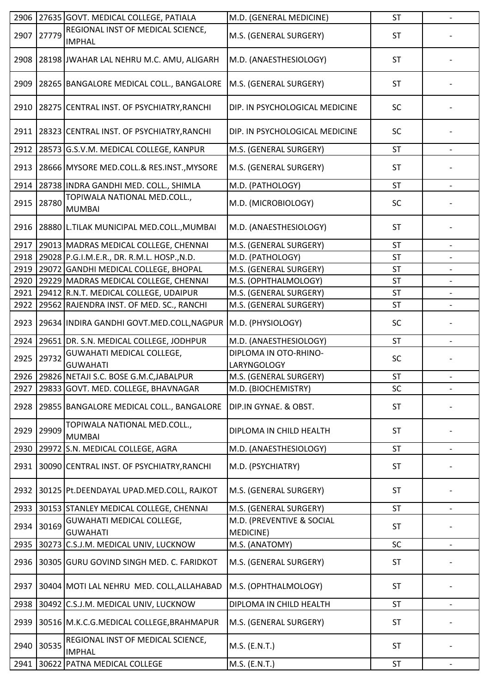| 2906 |       | 27635 GOVT. MEDICAL COLLEGE, PATIALA                          | M.D. (GENERAL MEDICINE)                | <b>ST</b> | $\overline{\phantom{0}}$ |
|------|-------|---------------------------------------------------------------|----------------------------------------|-----------|--------------------------|
| 2907 | 27779 | REGIONAL INST OF MEDICAL SCIENCE,<br><b>IMPHAL</b>            | M.S. (GENERAL SURGERY)                 | <b>ST</b> |                          |
| 2908 |       | 28198 JWAHAR LAL NEHRU M.C. AMU, ALIGARH                      | M.D. (ANAESTHESIOLOGY)                 | <b>ST</b> |                          |
| 2909 |       | 28265 BANGALORE MEDICAL COLL., BANGALORE                      | M.S. (GENERAL SURGERY)                 | <b>ST</b> |                          |
| 2910 |       | 28275 CENTRAL INST. OF PSYCHIATRY, RANCHI                     | DIP. IN PSYCHOLOGICAL MEDICINE         | SC        |                          |
| 2911 |       | 28323 CENTRAL INST. OF PSYCHIATRY, RANCHI                     | DIP. IN PSYCHOLOGICAL MEDICINE         | SC        |                          |
| 2912 |       | 28573 G.S.V.M. MEDICAL COLLEGE, KANPUR                        | M.S. (GENERAL SURGERY)                 | <b>ST</b> |                          |
| 2913 |       | 28666 MYSORE MED.COLL.& RES.INST., MYSORE                     | M.S. (GENERAL SURGERY)                 | <b>ST</b> |                          |
| 2914 |       | 28738 INDRA GANDHI MED. COLL., SHIMLA                         | M.D. (PATHOLOGY)                       | <b>ST</b> | $\overline{\phantom{0}}$ |
| 2915 | 28780 | TOPIWALA NATIONAL MED.COLL.,<br><b>MUMBAI</b>                 | M.D. (MICROBIOLOGY)                    | SC        |                          |
| 2916 |       | 28880 L.TILAK MUNICIPAL MED.COLL., MUMBAI                     | M.D. (ANAESTHESIOLOGY)                 | <b>ST</b> |                          |
| 2917 |       | 29013 MADRAS MEDICAL COLLEGE, CHENNAI                         | M.S. (GENERAL SURGERY)                 | <b>ST</b> |                          |
| 2918 |       | 29028 P.G.I.M.E.R., DR. R.M.L. HOSP., N.D.                    | M.D. (PATHOLOGY)                       | <b>ST</b> |                          |
| 2919 |       | 29072 GANDHI MEDICAL COLLEGE, BHOPAL                          | M.S. (GENERAL SURGERY)                 | <b>ST</b> | $\overline{\phantom{0}}$ |
| 2920 |       | 29229 MADRAS MEDICAL COLLEGE, CHENNAI                         | M.S. (OPHTHALMOLOGY)                   | <b>ST</b> |                          |
| 2921 |       | 29412 R.N.T. MEDICAL COLLEGE, UDAIPUR                         | M.S. (GENERAL SURGERY)                 | <b>ST</b> |                          |
| 2922 |       | 29562 RAJENDRA INST. OF MED. SC., RANCHI                      | M.S. (GENERAL SURGERY)                 | <b>ST</b> |                          |
| 2923 |       | 29634 INDIRA GANDHI GOVT.MED.COLL, NAGPUR   M.D. (PHYSIOLOGY) |                                        | SC        |                          |
| 2924 |       | 29651 DR. S.N. MEDICAL COLLEGE, JODHPUR                       | M.D. (ANAESTHESIOLOGY)                 | <b>ST</b> |                          |
| 2925 | 29732 | <b>GUWAHATI MEDICAL COLLEGE,</b><br><b>GUWAHATI</b>           | DIPLOMA IN OTO-RHINO-<br>LARYNGOLOGY   | SC        |                          |
|      |       | 2926 29826 NETAJI S.C. BOSE G.M.C, JABALPUR                   | M.S. (GENERAL SURGERY)                 | ST        |                          |
| 2927 |       | 29833 GOVT. MED. COLLEGE, BHAVNAGAR                           | M.D. (BIOCHEMISTRY)                    | SC        | $\overline{\phantom{0}}$ |
| 2928 |       | 29855 BANGALORE MEDICAL COLL., BANGALORE                      | DIP.IN GYNAE. & OBST.                  | <b>ST</b> |                          |
| 2929 | 29909 | TOPIWALA NATIONAL MED.COLL.,<br><b>MUMBAI</b>                 | DIPLOMA IN CHILD HEALTH                | <b>ST</b> |                          |
| 2930 |       | 29972 S.N. MEDICAL COLLEGE, AGRA                              | M.D. (ANAESTHESIOLOGY)                 | ST        |                          |
| 2931 |       | 30090 CENTRAL INST. OF PSYCHIATRY, RANCHI                     | M.D. (PSYCHIATRY)                      | ST        |                          |
| 2932 |       | 30125 Pt.DEENDAYAL UPAD.MED.COLL, RAJKOT                      | M.S. (GENERAL SURGERY)                 | <b>ST</b> |                          |
| 2933 |       | 30153 STANLEY MEDICAL COLLEGE, CHENNAI                        | M.S. (GENERAL SURGERY)                 | <b>ST</b> |                          |
| 2934 | 30169 | <b>GUWAHATI MEDICAL COLLEGE,</b><br><b>GUWAHATI</b>           | M.D. (PREVENTIVE & SOCIAL<br>MEDICINE) | <b>ST</b> |                          |
| 2935 |       | 30273 C.S.J.M. MEDICAL UNIV, LUCKNOW                          | M.S. (ANATOMY)                         | SC        |                          |
| 2936 |       | 30305 GURU GOVIND SINGH MED. C. FARIDKOT                      | M.S. (GENERAL SURGERY)                 | <b>ST</b> |                          |
| 2937 |       | 30404 MOTI LAL NEHRU MED. COLL, ALLAHABAD                     | M.S. (OPHTHALMOLOGY)                   | <b>ST</b> |                          |
| 2938 | 30492 | C.S.J.M. MEDICAL UNIV, LUCKNOW                                | DIPLOMA IN CHILD HEALTH                | ST        |                          |
| 2939 |       | 30516 M.K.C.G.MEDICAL COLLEGE, BRAHMAPUR                      | M.S. (GENERAL SURGERY)                 | <b>ST</b> |                          |
| 2940 | 30535 | REGIONAL INST OF MEDICAL SCIENCE,<br><b>IMPHAL</b>            | M.S. (E.N.T.)                          | <b>ST</b> |                          |
| 2941 |       | 30622 PATNA MEDICAL COLLEGE                                   | M.S. (E.N.T.)                          | <b>ST</b> |                          |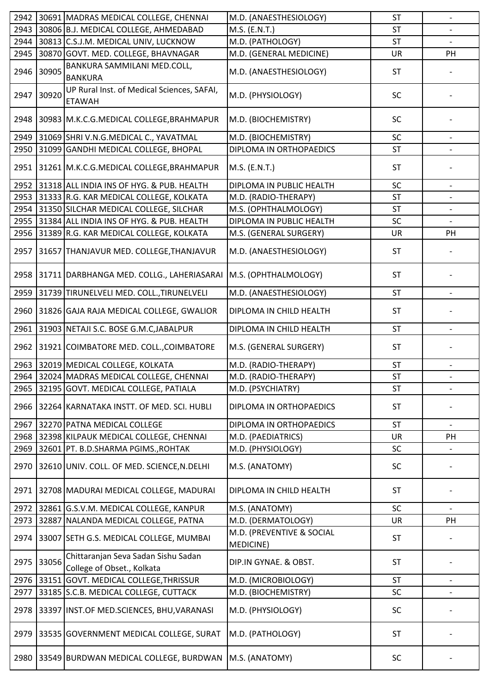| 2942 |       | 30691 MADRAS MEDICAL COLLEGE, CHENNAI                             | M.D. (ANAESTHESIOLOGY)                 | <b>ST</b> | $\overline{\phantom{a}}$ |
|------|-------|-------------------------------------------------------------------|----------------------------------------|-----------|--------------------------|
| 2943 |       | 30806 B.J. MEDICAL COLLEGE, AHMEDABAD                             | M.S. (E.N.T.)                          | <b>ST</b> |                          |
| 2944 |       | 30813 C.S.J.M. MEDICAL UNIV, LUCKNOW                              | M.D. (PATHOLOGY)                       | <b>ST</b> |                          |
| 2945 |       | 30870 GOVT. MED. COLLEGE, BHAVNAGAR                               | M.D. (GENERAL MEDICINE)                | <b>UR</b> | PH                       |
| 2946 | 30905 | BANKURA SAMMILANI MED.COLL,<br><b>BANKURA</b>                     | M.D. (ANAESTHESIOLOGY)                 | <b>ST</b> |                          |
| 2947 | 30920 | UP Rural Inst. of Medical Sciences, SAFAI,<br><b>ETAWAH</b>       | M.D. (PHYSIOLOGY)                      | SC        |                          |
| 2948 |       | 30983 M.K.C.G.MEDICAL COLLEGE, BRAHMAPUR                          | M.D. (BIOCHEMISTRY)                    | SC        |                          |
| 2949 |       | 31069 SHRI V.N.G.MEDICAL C., YAVATMAL                             | M.D. (BIOCHEMISTRY)                    | SC        |                          |
| 2950 |       | 31099 GANDHI MEDICAL COLLEGE, BHOPAL                              | DIPLOMA IN ORTHOPAEDICS                | ST        |                          |
| 2951 |       | 31261 M.K.C.G.MEDICAL COLLEGE, BRAHMAPUR                          | M.S. (E.N.T.)                          | <b>ST</b> |                          |
| 2952 |       | 31318 ALL INDIA INS OF HYG. & PUB. HEALTH                         | DIPLOMA IN PUBLIC HEALTH               | SC        |                          |
| 2953 |       | 31333 R.G. KAR MEDICAL COLLEGE, KOLKATA                           | M.D. (RADIO-THERAPY)                   | <b>ST</b> |                          |
| 2954 |       | 31350 SILCHAR MEDICAL COLLEGE, SILCHAR                            | M.S. (OPHTHALMOLOGY)                   | <b>ST</b> |                          |
| 2955 |       | 31384 ALL INDIA INS OF HYG. & PUB. HEALTH                         | DIPLOMA IN PUBLIC HEALTH               | SC        |                          |
| 2956 |       | 31389 R.G. KAR MEDICAL COLLEGE, KOLKATA                           | M.S. (GENERAL SURGERY)                 | UR        | PH                       |
| 2957 |       | 31657 THANJAVUR MED. COLLEGE, THANJAVUR                           | M.D. (ANAESTHESIOLOGY)                 | <b>ST</b> |                          |
| 2958 |       | 31711 DARBHANGA MED. COLLG., LAHERIASARAI                         | M.S. (OPHTHALMOLOGY)                   | <b>ST</b> |                          |
| 2959 |       | 31739 TIRUNELVELI MED. COLL., TIRUNELVELI                         | M.D. (ANAESTHESIOLOGY)                 | ST        |                          |
| 2960 |       | 31826 GAJA RAJA MEDICAL COLLEGE, GWALIOR                          | DIPLOMA IN CHILD HEALTH                | <b>ST</b> |                          |
| 2961 |       | 31903 NETAJI S.C. BOSE G.M.C, JABALPUR                            | DIPLOMA IN CHILD HEALTH                | <b>ST</b> | $\qquad \qquad -$        |
| 2962 |       | 31921 COIMBATORE MED. COLL., COIMBATORE                           | M.S. (GENERAL SURGERY)                 | <b>ST</b> |                          |
| 2963 |       | 32019 MEDICAL COLLEGE, KOLKATA                                    | M.D. (RADIO-THERAPY)                   | ST        |                          |
|      |       | 2964 32024 MADRAS MEDICAL COLLEGE, CHENNAI                        | M.D. (RADIO-THERAPY)                   | ST        |                          |
| 2965 |       | 32195 GOVT. MEDICAL COLLEGE, PATIALA                              | M.D. (PSYCHIATRY)                      | <b>ST</b> | $\overline{\phantom{a}}$ |
| 2966 |       | 32264 KARNATAKA INSTT. OF MED. SCI. HUBLI                         | DIPLOMA IN ORTHOPAEDICS                | <b>ST</b> |                          |
| 2967 |       | 32270 PATNA MEDICAL COLLEGE                                       | DIPLOMA IN ORTHOPAEDICS                | <b>ST</b> |                          |
| 2968 |       | 32398 KILPAUK MEDICAL COLLEGE, CHENNAI                            | M.D. (PAEDIATRICS)                     | <b>UR</b> | PH                       |
| 2969 |       | 32601 PT. B.D.SHARMA PGIMS., ROHTAK                               | M.D. (PHYSIOLOGY)                      | SC        |                          |
| 2970 |       | 32610 UNIV. COLL. OF MED. SCIENCE, N.DELHI                        | M.S. (ANATOMY)                         | SC        |                          |
| 2971 |       | 32708 MADURAI MEDICAL COLLEGE, MADURAI                            | DIPLOMA IN CHILD HEALTH                | <b>ST</b> |                          |
| 2972 |       | 32861 G.S.V.M. MEDICAL COLLEGE, KANPUR                            | M.S. (ANATOMY)                         | SC        |                          |
| 2973 |       | 32887 NALANDA MEDICAL COLLEGE, PATNA                              | M.D. (DERMATOLOGY)                     | UR        | PH                       |
| 2974 |       | 33007 SETH G.S. MEDICAL COLLEGE, MUMBAI                           | M.D. (PREVENTIVE & SOCIAL<br>MEDICINE) | <b>ST</b> |                          |
| 2975 | 33056 | Chittaranjan Seva Sadan Sishu Sadan<br>College of Obset., Kolkata | DIP.IN GYNAE. & OBST.                  | <b>ST</b> |                          |
| 2976 |       | 33151 GOVT. MEDICAL COLLEGE, THRISSUR                             | M.D. (MICROBIOLOGY)                    | <b>ST</b> |                          |
| 2977 |       | 33185 S.C.B. MEDICAL COLLEGE, CUTTACK                             | M.D. (BIOCHEMISTRY)                    | SC        |                          |
| 2978 |       | 33397 INST.OF MED.SCIENCES, BHU, VARANASI                         | M.D. (PHYSIOLOGY)                      | SC        |                          |
| 2979 |       | 33535 GOVERNMENT MEDICAL COLLEGE, SURAT                           | M.D. (PATHOLOGY)                       | <b>ST</b> |                          |
| 2980 |       | 33549 BURDWAN MEDICAL COLLEGE, BURDWAN                            | M.S. (ANATOMY)                         | <b>SC</b> |                          |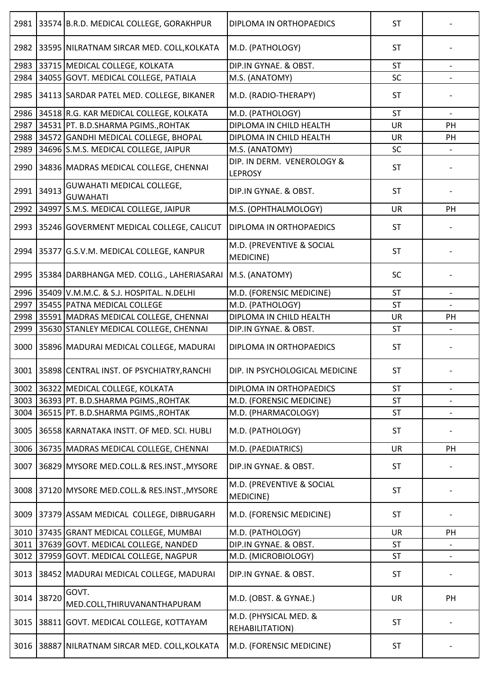| 2981 |       | 33574 B.R.D. MEDICAL COLLEGE, GORAKHPUR             | DIPLOMA IN ORTHOPAEDICS                       | <b>ST</b> |                          |
|------|-------|-----------------------------------------------------|-----------------------------------------------|-----------|--------------------------|
|      |       | 2982 33595 NILRATNAM SIRCAR MED. COLL, KOLKATA      | M.D. (PATHOLOGY)                              | <b>ST</b> |                          |
| 2983 |       | 33715 MEDICAL COLLEGE, KOLKATA                      | DIP.IN GYNAE. & OBST.                         | <b>ST</b> |                          |
| 2984 |       | 34055 GOVT. MEDICAL COLLEGE, PATIALA                | M.S. (ANATOMY)                                | SC        |                          |
| 2985 |       | 34113 SARDAR PATEL MED. COLLEGE, BIKANER            | M.D. (RADIO-THERAPY)                          | <b>ST</b> |                          |
| 2986 |       | 34518 R.G. KAR MEDICAL COLLEGE, KOLKATA             | M.D. (PATHOLOGY)                              | <b>ST</b> |                          |
| 2987 |       | 34531 PT. B.D.SHARMA PGIMS., ROHTAK                 | DIPLOMA IN CHILD HEALTH                       | <b>UR</b> | PH                       |
| 2988 |       | 34572 GANDHI MEDICAL COLLEGE, BHOPAL                | DIPLOMA IN CHILD HEALTH                       | <b>UR</b> | PH                       |
| 2989 |       |                                                     |                                               | SC        |                          |
|      |       | 34696 S.M.S. MEDICAL COLLEGE, JAIPUR                | M.S. (ANATOMY)                                |           |                          |
| 2990 |       | 34836 MADRAS MEDICAL COLLEGE, CHENNAI               | DIP. IN DERM. VENEROLOGY &<br><b>LEPROSY</b>  | <b>ST</b> |                          |
| 2991 | 34913 | <b>GUWAHATI MEDICAL COLLEGE,</b><br><b>GUWAHATI</b> | DIP.IN GYNAE. & OBST.                         | <b>ST</b> |                          |
| 2992 |       | 34997 S.M.S. MEDICAL COLLEGE, JAIPUR                | M.S. (OPHTHALMOLOGY)                          | UR        | PH                       |
| 2993 |       | 35246 GOVERMENT MEDICAL COLLEGE, CALICUT            | DIPLOMA IN ORTHOPAEDICS                       | <b>ST</b> |                          |
| 2994 |       | 35377 G.S.V.M. MEDICAL COLLEGE, KANPUR              | M.D. (PREVENTIVE & SOCIAL<br><b>MEDICINE)</b> | <b>ST</b> |                          |
| 2995 |       | 35384 DARBHANGA MED. COLLG., LAHERIASARAI           | M.S. (ANATOMY)                                | <b>SC</b> |                          |
| 2996 |       | 35409 V.M.M.C. & S.J. HOSPITAL. N.DELHI             | M.D. (FORENSIC MEDICINE)                      | <b>ST</b> |                          |
| 2997 |       | 35455 PATNA MEDICAL COLLEGE                         | M.D. (PATHOLOGY)                              | <b>ST</b> |                          |
| 2998 |       | 35591 MADRAS MEDICAL COLLEGE, CHENNAI               | DIPLOMA IN CHILD HEALTH                       | UR        | PH                       |
| 2999 |       | 35630 STANLEY MEDICAL COLLEGE, CHENNAI              | DIP.IN GYNAE. & OBST.                         | <b>ST</b> |                          |
| 3000 |       | 35896 MADURAI MEDICAL COLLEGE, MADURAI              | DIPLOMA IN ORTHOPAEDICS                       | <b>ST</b> |                          |
|      |       | 3001 35898 CENTRAL INST. OF PSYCHIATRY, RANCHI      | DIP. IN PSYCHOLOGICAL MEDICINE                | <b>ST</b> |                          |
| 3002 |       | 36322 MEDICAL COLLEGE, KOLKATA                      | DIPLOMA IN ORTHOPAEDICS                       | <b>ST</b> | $\overline{\phantom{a}}$ |
| 3003 |       | 36393 PT. B.D.SHARMA PGIMS., ROHTAK                 | M.D. (FORENSIC MEDICINE)                      | <b>ST</b> |                          |
| 3004 |       | 36515 PT. B.D.SHARMA PGIMS., ROHTAK                 | M.D. (PHARMACOLOGY)                           | ST        |                          |
| 3005 |       | 36558 KARNATAKA INSTT. OF MED. SCI. HUBLI           | M.D. (PATHOLOGY)                              | <b>ST</b> |                          |
| 3006 |       | 36735 MADRAS MEDICAL COLLEGE, CHENNAI               | M.D. (PAEDIATRICS)                            | <b>UR</b> | PH                       |
|      |       |                                                     |                                               |           |                          |
| 3007 |       | 36829 MYSORE MED.COLL.& RES.INST., MYSORE           | DIP.IN GYNAE. & OBST.                         | <b>ST</b> |                          |
| 3008 |       | 37120 MYSORE MED.COLL.& RES.INST., MYSORE           | M.D. (PREVENTIVE & SOCIAL<br>MEDICINE)        | <b>ST</b> |                          |
| 3009 |       | 37379 ASSAM MEDICAL COLLEGE, DIBRUGARH              | M.D. (FORENSIC MEDICINE)                      | <b>ST</b> |                          |
| 3010 |       | 37435 GRANT MEDICAL COLLEGE, MUMBAI                 | M.D. (PATHOLOGY)                              | <b>UR</b> | PH                       |
| 3011 |       | 37639 GOVT. MEDICAL COLLEGE, NANDED                 | DIP.IN GYNAE. & OBST.                         | <b>ST</b> |                          |
| 3012 |       | 37959 GOVT. MEDICAL COLLEGE, NAGPUR                 | M.D. (MICROBIOLOGY)                           | ST        |                          |
| 3013 |       | 38452 MADURAI MEDICAL COLLEGE, MADURAI              | DIP.IN GYNAE. & OBST.                         | <b>ST</b> |                          |
| 3014 | 38720 | GOVT.<br>MED.COLL, THIRUVANANTHAPURAM               | M.D. (OBST. & GYNAE.)                         | <b>UR</b> | PH                       |
| 3015 |       | 38811 GOVT. MEDICAL COLLEGE, KOTTAYAM               | M.D. (PHYSICAL MED. &<br>REHABILITATION)      | <b>ST</b> |                          |
| 3016 |       | 38887 NILRATNAM SIRCAR MED. COLL, KOLKATA           | M.D. (FORENSIC MEDICINE)                      | <b>ST</b> |                          |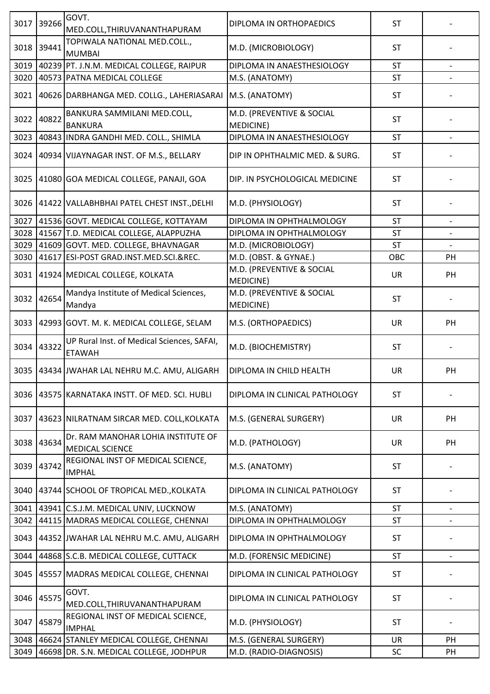| 3017 | 39266 | GOVT.<br>MED.COLL, THIRUVANANTHAPURAM                        | DIPLOMA IN ORTHOPAEDICS                       | <b>ST</b> |                   |
|------|-------|--------------------------------------------------------------|-----------------------------------------------|-----------|-------------------|
| 3018 | 39441 | TOPIWALA NATIONAL MED.COLL.,<br><b>MUMBAI</b>                | M.D. (MICROBIOLOGY)                           | <b>ST</b> |                   |
| 3019 |       | 40239 PT. J.N.M. MEDICAL COLLEGE, RAIPUR                     | DIPLOMA IN ANAESTHESIOLOGY                    | <b>ST</b> |                   |
| 3020 |       | 40573 PATNA MEDICAL COLLEGE                                  | M.S. (ANATOMY)                                | ST        |                   |
| 3021 |       | 40626 DARBHANGA MED. COLLG., LAHERIASARAI                    | M.S. (ANATOMY)                                | <b>ST</b> |                   |
| 3022 | 40822 | BANKURA SAMMILANI MED.COLL,<br><b>BANKURA</b>                | M.D. (PREVENTIVE & SOCIAL<br><b>MEDICINE)</b> | <b>ST</b> |                   |
| 3023 |       | 40843 INDRA GANDHI MED. COLL., SHIMLA                        | DIPLOMA IN ANAESTHESIOLOGY                    | <b>ST</b> |                   |
| 3024 |       | 40934 VIJAYNAGAR INST. OF M.S., BELLARY                      | DIP IN OPHTHALMIC MED. & SURG.                | <b>ST</b> |                   |
| 3025 |       | 41080 GOA MEDICAL COLLEGE, PANAJI, GOA                       | DIP. IN PSYCHOLOGICAL MEDICINE                | <b>ST</b> |                   |
| 3026 |       | 41422 VALLABHBHAI PATEL CHEST INST., DELHI                   | M.D. (PHYSIOLOGY)                             | <b>ST</b> |                   |
| 3027 |       | 41536 GOVT. MEDICAL COLLEGE, KOTTAYAM                        | DIPLOMA IN OPHTHALMOLOGY                      | <b>ST</b> |                   |
| 3028 |       | 41567 T.D. MEDICAL COLLEGE, ALAPPUZHA                        | DIPLOMA IN OPHTHALMOLOGY                      | <b>ST</b> |                   |
| 3029 |       | 41609 GOVT. MED. COLLEGE, BHAVNAGAR                          | M.D. (MICROBIOLOGY)                           | <b>ST</b> |                   |
| 3030 |       | 41617 ESI-POST GRAD.INST.MED.SCI.&REC.                       | M.D. (OBST. & GYNAE.)                         | OBC       | PH                |
| 3031 |       | 41924 MEDICAL COLLEGE, KOLKATA                               | M.D. (PREVENTIVE & SOCIAL<br><b>MEDICINE)</b> | <b>UR</b> | PH                |
| 3032 | 42654 | Mandya Institute of Medical Sciences,<br>Mandya              | M.D. (PREVENTIVE & SOCIAL<br>MEDICINE)        | <b>ST</b> |                   |
| 3033 |       | 42993 GOVT. M. K. MEDICAL COLLEGE, SELAM                     | M.S. (ORTHOPAEDICS)                           | UR        | PH                |
| 3034 | 43322 | UP Rural Inst. of Medical Sciences, SAFAI,<br><b>ETAWAH</b>  | M.D. (BIOCHEMISTRY)                           | <b>ST</b> |                   |
| 3035 |       | 43434 JWAHAR LAL NEHRU M.C. AMU, ALIGARH                     | DIPLOMA IN CHILD HEALTH                       | UR        | PH                |
| 3036 |       | 43575 KARNATAKA INSTT. OF MED. SCI. HUBLI                    | DIPLOMA IN CLINICAL PATHOLOGY                 | <b>ST</b> |                   |
| 3037 |       | 43623 NILRATNAM SIRCAR MED. COLL, KOLKATA                    | M.S. (GENERAL SURGERY)                        | UR        | PH                |
| 3038 | 43634 | Dr. RAM MANOHAR LOHIA INSTITUTE OF<br><b>MEDICAL SCIENCE</b> | M.D. (PATHOLOGY)                              | UR        | PH                |
| 3039 | 43742 | REGIONAL INST OF MEDICAL SCIENCE,<br><b>IMPHAL</b>           | M.S. (ANATOMY)                                | <b>ST</b> |                   |
| 3040 |       | 43744 SCHOOL OF TROPICAL MED., KOLKATA                       | DIPLOMA IN CLINICAL PATHOLOGY                 | <b>ST</b> |                   |
| 3041 |       | 43941 C.S.J.M. MEDICAL UNIV, LUCKNOW                         | M.S. (ANATOMY)                                | <b>ST</b> |                   |
| 3042 |       | 44115 MADRAS MEDICAL COLLEGE, CHENNAI                        | DIPLOMA IN OPHTHALMOLOGY                      | <b>ST</b> |                   |
| 3043 |       | 44352 JWAHAR LAL NEHRU M.C. AMU, ALIGARH                     | DIPLOMA IN OPHTHALMOLOGY                      | <b>ST</b> |                   |
| 3044 |       | 44868 S.C.B. MEDICAL COLLEGE, CUTTACK                        | M.D. (FORENSIC MEDICINE)                      | ST        | $\qquad \qquad -$ |
| 3045 |       | 45557 MADRAS MEDICAL COLLEGE, CHENNAI                        | DIPLOMA IN CLINICAL PATHOLOGY                 | <b>ST</b> |                   |
| 3046 | 45575 | GOVT.<br>MED.COLL, THIRUVANANTHAPURAM                        | DIPLOMA IN CLINICAL PATHOLOGY                 | <b>ST</b> |                   |
| 3047 | 45879 | REGIONAL INST OF MEDICAL SCIENCE,<br><b>IMPHAL</b>           | M.D. (PHYSIOLOGY)                             | <b>ST</b> |                   |
| 3048 |       | 46624 STANLEY MEDICAL COLLEGE, CHENNAI                       | M.S. (GENERAL SURGERY)                        | UR        | <b>PH</b>         |
| 3049 |       | 46698 DR. S.N. MEDICAL COLLEGE, JODHPUR                      | M.D. (RADIO-DIAGNOSIS)                        | SC        | PH                |